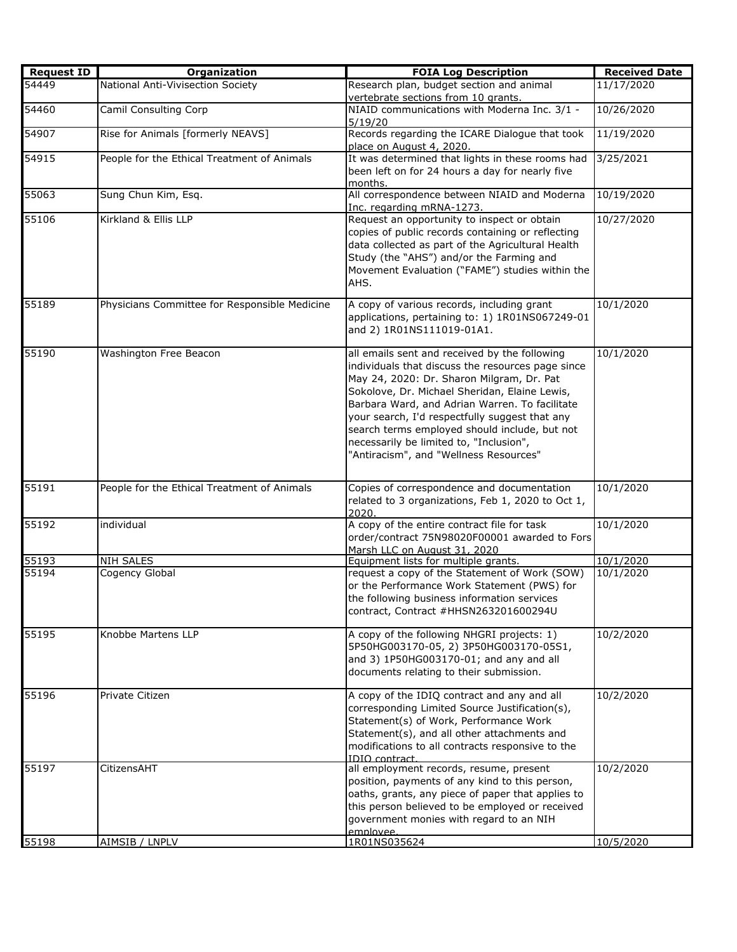| <b>Request ID</b> | Organization                                  | <b>FOIA Log Description</b>                                                                                                                                                                                                                                                                                                                                                                                                                | <b>Received Date</b> |
|-------------------|-----------------------------------------------|--------------------------------------------------------------------------------------------------------------------------------------------------------------------------------------------------------------------------------------------------------------------------------------------------------------------------------------------------------------------------------------------------------------------------------------------|----------------------|
| 54449             | National Anti-Vivisection Society             | Research plan, budget section and animal<br>vertebrate sections from 10 grants.                                                                                                                                                                                                                                                                                                                                                            | 11/17/2020           |
| 54460             | Camil Consulting Corp                         | NIAID communications with Moderna Inc. 3/1 -<br>5/19/20                                                                                                                                                                                                                                                                                                                                                                                    | 10/26/2020           |
| 54907             | Rise for Animals [formerly NEAVS]             | Records regarding the ICARE Dialogue that took<br>place on August 4, 2020.                                                                                                                                                                                                                                                                                                                                                                 | 11/19/2020           |
| 54915             | People for the Ethical Treatment of Animals   | It was determined that lights in these rooms had<br>been left on for 24 hours a day for nearly five<br>months.                                                                                                                                                                                                                                                                                                                             | 3/25/2021            |
| 55063             | Sung Chun Kim, Esq.                           | All correspondence between NIAID and Moderna<br>Inc. regarding mRNA-1273.                                                                                                                                                                                                                                                                                                                                                                  | 10/19/2020           |
| 55106             | Kirkland & Ellis LLP                          | Request an opportunity to inspect or obtain<br>copies of public records containing or reflecting<br>data collected as part of the Agricultural Health<br>Study (the "AHS") and/or the Farming and<br>Movement Evaluation ("FAME") studies within the<br>AHS.                                                                                                                                                                               | 10/27/2020           |
| 55189             | Physicians Committee for Responsible Medicine | A copy of various records, including grant<br>applications, pertaining to: 1) 1R01NS067249-01<br>and 2) 1R01NS111019-01A1.                                                                                                                                                                                                                                                                                                                 | 10/1/2020            |
| 55190             | Washington Free Beacon                        | all emails sent and received by the following<br>individuals that discuss the resources page since<br>May 24, 2020: Dr. Sharon Milgram, Dr. Pat<br>Sokolove, Dr. Michael Sheridan, Elaine Lewis,<br>Barbara Ward, and Adrian Warren. To facilitate<br>your search, I'd respectfully suggest that any<br>search terms employed should include, but not<br>necessarily be limited to, "Inclusion",<br>"Antiracism", and "Wellness Resources" | 10/1/2020            |
| 55191             | People for the Ethical Treatment of Animals   | Copies of correspondence and documentation<br>related to 3 organizations, Feb 1, 2020 to Oct 1,<br>2020.                                                                                                                                                                                                                                                                                                                                   | 10/1/2020            |
| 55192             | individual                                    | A copy of the entire contract file for task<br>order/contract 75N98020F00001 awarded to Fors<br>Marsh LLC on August 31, 2020                                                                                                                                                                                                                                                                                                               | 10/1/2020            |
| 55193             | <b>NIH SALES</b>                              | Equipment lists for multiple grants.                                                                                                                                                                                                                                                                                                                                                                                                       | 10/1/2020            |
| 55194             | Cogency Global                                | request a copy of the Statement of Work (SOW)<br>or the Performance Work Statement (PWS) for<br>the following business information services<br>contract, Contract #HHSN263201600294U                                                                                                                                                                                                                                                       | 10/1/2020            |
| 55195             | Knobbe Martens LLP                            | A copy of the following NHGRI projects: 1)<br>5P50HG003170-05, 2) 3P50HG003170-05S1,<br>and 3) 1P50HG003170-01; and any and all<br>documents relating to their submission.                                                                                                                                                                                                                                                                 | 10/2/2020            |
| 55196             | Private Citizen                               | A copy of the IDIQ contract and any and all<br>corresponding Limited Source Justification(s),<br>Statement(s) of Work, Performance Work<br>Statement(s), and all other attachments and<br>modifications to all contracts responsive to the<br><b>IDIO</b> contract.                                                                                                                                                                        | 10/2/2020            |
| 55197             | CitizensAHT                                   | all employment records, resume, present<br>position, payments of any kind to this person,<br>oaths, grants, any piece of paper that applies to<br>this person believed to be employed or received<br>government monies with regard to an NIH<br>emnlovee                                                                                                                                                                                   | 10/2/2020            |
| 55198             | AIMSIB / LNPLV                                | 1R01NS035624                                                                                                                                                                                                                                                                                                                                                                                                                               | 10/5/2020            |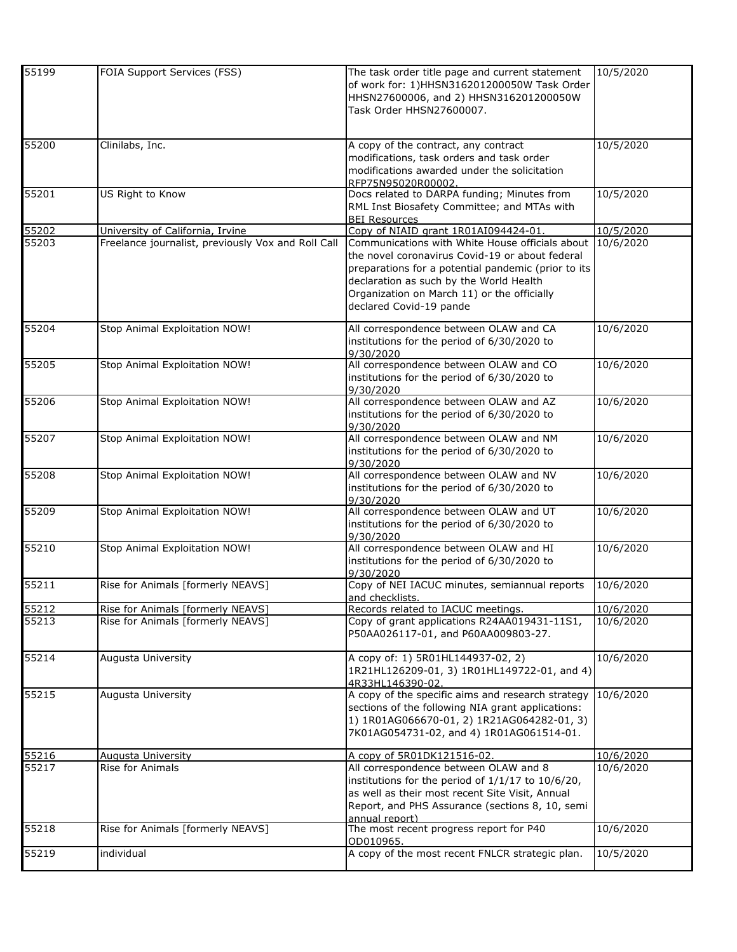| 55199 | FOIA Support Services (FSS)                        | The task order title page and current statement     | 10/5/2020 |
|-------|----------------------------------------------------|-----------------------------------------------------|-----------|
|       |                                                    | of work for: 1)HHSN316201200050W Task Order         |           |
|       |                                                    | HHSN27600006, and 2) HHSN316201200050W              |           |
|       |                                                    | Task Order HHSN27600007.                            |           |
|       |                                                    |                                                     |           |
|       |                                                    |                                                     |           |
| 55200 | Clinilabs, Inc.                                    | A copy of the contract, any contract                | 10/5/2020 |
|       |                                                    | modifications, task orders and task order           |           |
|       |                                                    | modifications awarded under the solicitation        |           |
|       |                                                    | RFP75N95020R00002                                   |           |
| 55201 | US Right to Know                                   | Docs related to DARPA funding; Minutes from         | 10/5/2020 |
|       |                                                    | RML Inst Biosafety Committee; and MTAs with         |           |
|       |                                                    | <b>BEI Resources</b>                                |           |
| 55202 | University of California, Irvine                   | Copy of NIAID grant 1R01AI094424-01                 | 10/5/2020 |
| 55203 | Freelance journalist, previously Vox and Roll Call | Communications with White House officials about     | 10/6/2020 |
|       |                                                    | the novel coronavirus Covid-19 or about federal     |           |
|       |                                                    | preparations for a potential pandemic (prior to its |           |
|       |                                                    |                                                     |           |
|       |                                                    | declaration as such by the World Health             |           |
|       |                                                    | Organization on March 11) or the officially         |           |
|       |                                                    | declared Covid-19 pande                             |           |
|       |                                                    |                                                     |           |
| 55204 | Stop Animal Exploitation NOW!                      | All correspondence between OLAW and CA              | 10/6/2020 |
|       |                                                    | institutions for the period of 6/30/2020 to         |           |
|       |                                                    | 9/30/2020                                           |           |
| 55205 | Stop Animal Exploitation NOW!                      | All correspondence between OLAW and CO              | 10/6/2020 |
|       |                                                    | institutions for the period of 6/30/2020 to         |           |
|       |                                                    | 9/30/2020                                           |           |
| 55206 | Stop Animal Exploitation NOW!                      | All correspondence between OLAW and AZ              | 10/6/2020 |
|       |                                                    | institutions for the period of 6/30/2020 to         |           |
|       |                                                    | 9/30/2020                                           |           |
| 55207 | Stop Animal Exploitation NOW!                      | All correspondence between OLAW and NM              | 10/6/2020 |
|       |                                                    | institutions for the period of 6/30/2020 to         |           |
|       |                                                    | 9/30/2020                                           |           |
| 55208 | Stop Animal Exploitation NOW!                      | All correspondence between OLAW and NV              | 10/6/2020 |
|       |                                                    | institutions for the period of 6/30/2020 to         |           |
|       |                                                    | 9/30/2020                                           |           |
| 55209 | Stop Animal Exploitation NOW!                      | All correspondence between OLAW and UT              | 10/6/2020 |
|       |                                                    |                                                     |           |
|       |                                                    | institutions for the period of 6/30/2020 to         |           |
|       |                                                    | 9/30/2020                                           |           |
| 55210 | Stop Animal Exploitation NOW!                      | All correspondence between OLAW and HI              | 10/6/2020 |
|       |                                                    | institutions for the period of 6/30/2020 to         |           |
|       |                                                    | 9/30/2020                                           |           |
| 55211 | Rise for Animals [formerly NEAVS]                  | Copy of NEI IACUC minutes, semiannual reports       | 10/6/2020 |
|       |                                                    | and checklists.                                     |           |
| 55212 | Rise for Animals [formerly NEAVS]                  | Records related to IACUC meetings.                  | 10/6/2020 |
| 55213 | Rise for Animals [formerly NEAVS]                  | Copy of grant applications R24AA019431-11S1,        | 10/6/2020 |
|       |                                                    | P50AA026117-01, and P60AA009803-27.                 |           |
|       |                                                    |                                                     |           |
| 55214 | Augusta University                                 | A copy of: 1) 5R01HL144937-02, 2)                   | 10/6/2020 |
|       |                                                    | 1R21HL126209-01, 3) 1R01HL149722-01, and 4)         |           |
|       |                                                    | 4R33HL146390-02.                                    |           |
| 55215 | Augusta University                                 | A copy of the specific aims and research strategy   | 10/6/2020 |
|       |                                                    | sections of the following NIA grant applications:   |           |
|       |                                                    |                                                     |           |
|       |                                                    | 1) 1R01AG066670-01, 2) 1R21AG064282-01, 3)          |           |
|       |                                                    | 7K01AG054731-02, and 4) 1R01AG061514-01.            |           |
|       |                                                    |                                                     |           |
| 55216 | <b>Augusta University</b>                          | A copy of 5R01DK121516-02.                          | 10/6/2020 |
| 55217 | Rise for Animals                                   | All correspondence between OLAW and 8               | 10/6/2020 |
|       |                                                    | institutions for the period of 1/1/17 to 10/6/20,   |           |
|       |                                                    | as well as their most recent Site Visit, Annual     |           |
|       |                                                    | Report, and PHS Assurance (sections 8, 10, semi     |           |
|       |                                                    | annual report)                                      |           |
| 55218 | Rise for Animals [formerly NEAVS]                  | The most recent progress report for P40             | 10/6/2020 |
|       |                                                    | OD010965.                                           |           |
| 55219 | individual                                         | A copy of the most recent FNLCR strategic plan.     | 10/5/2020 |
|       |                                                    |                                                     |           |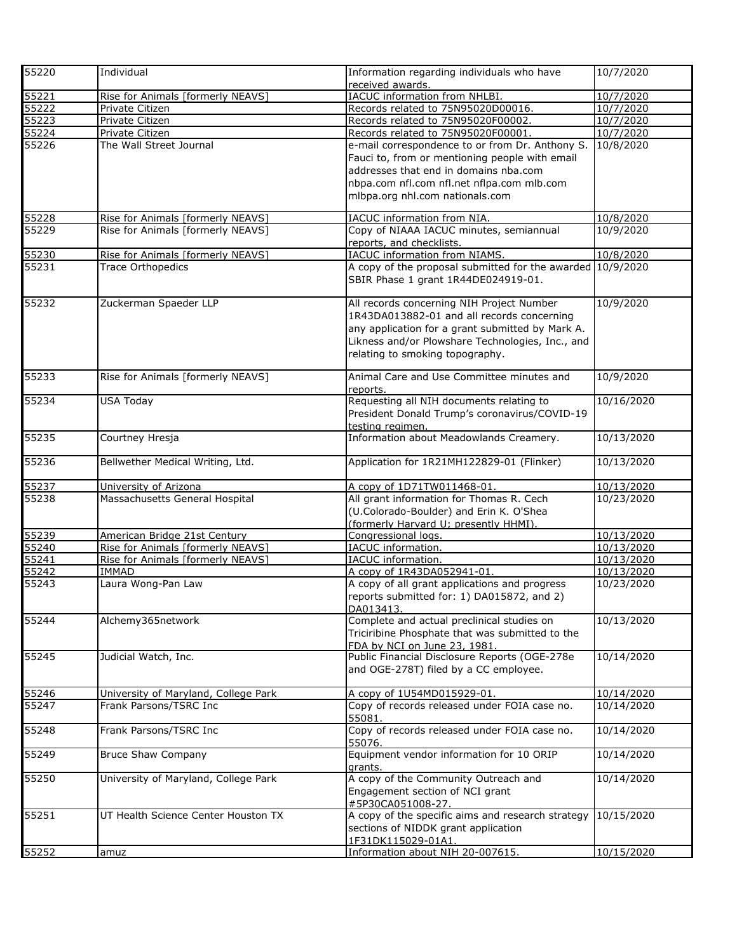| 55220 | Individual                           | Information regarding individuals who have                 | 10/7/2020  |
|-------|--------------------------------------|------------------------------------------------------------|------------|
|       |                                      | received awards.                                           |            |
| 55221 | Rise for Animals [formerly NEAVS]    | IACUC information from NHLBI.                              | 10/7/2020  |
| 55222 | Private Citizen                      | Records related to 75N95020D00016.                         | 10/7/2020  |
| 55223 | Private Citizen                      | Records related to 75N95020F00002.                         | 10/7/2020  |
| 55224 | Private Citizen                      | Records related to 75N95020F00001.                         | 10/7/2020  |
| 55226 | The Wall Street Journal              | e-mail correspondence to or from Dr. Anthony S.            | 10/8/2020  |
|       |                                      | Fauci to, from or mentioning people with email             |            |
|       |                                      | addresses that end in domains nba.com                      |            |
|       |                                      | nbpa.com nfl.com nfl.net nflpa.com mlb.com                 |            |
|       |                                      | mlbpa.org nhl.com nationals.com                            |            |
|       |                                      |                                                            |            |
| 55228 | Rise for Animals [formerly NEAVS]    | IACUC information from NIA.                                | 10/8/2020  |
| 55229 | Rise for Animals [formerly NEAVS]    | Copy of NIAAA IACUC minutes, semiannual                    | 10/9/2020  |
|       |                                      | reports, and checklists.                                   |            |
| 55230 | Rise for Animals [formerly NEAVS]    | IACUC information from NIAMS.                              | 10/8/2020  |
| 55231 | <b>Trace Orthopedics</b>             | A copy of the proposal submitted for the awarded 10/9/2020 |            |
|       |                                      | SBIR Phase 1 grant 1R44DE024919-01.                        |            |
|       |                                      |                                                            |            |
| 55232 | Zuckerman Spaeder LLP                | All records concerning NIH Project Number                  | 10/9/2020  |
|       |                                      | 1R43DA013882-01 and all records concerning                 |            |
|       |                                      | any application for a grant submitted by Mark A.           |            |
|       |                                      | Likness and/or Plowshare Technologies, Inc., and           |            |
|       |                                      |                                                            |            |
|       |                                      | relating to smoking topography.                            |            |
| 55233 | Rise for Animals [formerly NEAVS]    | Animal Care and Use Committee minutes and                  | 10/9/2020  |
|       |                                      | reports.                                                   |            |
| 55234 | <b>USA Today</b>                     | Requesting all NIH documents relating to                   | 10/16/2020 |
|       |                                      | President Donald Trump's coronavirus/COVID-19              |            |
|       |                                      | testing regimen.                                           |            |
| 55235 | Courtney Hresja                      | Information about Meadowlands Creamery.                    | 10/13/2020 |
|       |                                      |                                                            |            |
| 55236 | Bellwether Medical Writing, Ltd.     | Application for 1R21MH122829-01 (Flinker)                  | 10/13/2020 |
|       |                                      |                                                            |            |
| 55237 | University of Arizona                | A copy of 1D71TW011468-01.                                 | 10/13/2020 |
| 55238 | Massachusetts General Hospital       | All grant information for Thomas R. Cech                   | 10/23/2020 |
|       |                                      | (U.Colorado-Boulder) and Erin K. O'Shea                    |            |
|       |                                      | (formerly Harvard U: presently HHMI).                      |            |
| 55239 | American Bridge 21st Century         | Congressional logs.                                        | 10/13/2020 |
| 55240 | Rise for Animals [formerly NEAVS]    | IACUC information.                                         | 10/13/2020 |
| 55241 | Rise for Animals [formerly NEAVS]    | IACUC information.                                         | 10/13/2020 |
| 55242 | <b>IMMAD</b>                         | A copy of 1R43DA052941-01.                                 | 10/13/2020 |
|       | Laura Wong-Pan Law                   |                                                            |            |
| 55243 |                                      | A copy of all grant applications and progress              | 10/23/2020 |
|       |                                      | reports submitted for: 1) DA015872, and 2)                 |            |
|       |                                      | DA013413.                                                  |            |
| 55244 | Alchemy365network                    | Complete and actual preclinical studies on                 | 10/13/2020 |
|       |                                      | Triciribine Phosphate that was submitted to the            |            |
|       |                                      | FDA by NCI on June 23, 1981.                               |            |
| 55245 | Judicial Watch, Inc.                 | Public Financial Disclosure Reports (OGE-278e              | 10/14/2020 |
|       |                                      | and OGE-278T) filed by a CC employee.                      |            |
|       |                                      |                                                            |            |
| 55246 | University of Maryland, College Park | A copy of 1U54MD015929-01.                                 | 10/14/2020 |
| 55247 | Frank Parsons/TSRC Inc               | Copy of records released under FOIA case no.               | 10/14/2020 |
|       |                                      | 55081.                                                     |            |
| 55248 | Frank Parsons/TSRC Inc               | Copy of records released under FOIA case no.               | 10/14/2020 |
|       |                                      | 55076.                                                     |            |
| 55249 | <b>Bruce Shaw Company</b>            | Equipment vendor information for 10 ORIP                   | 10/14/2020 |
|       |                                      | grants.                                                    |            |
| 55250 | University of Maryland, College Park | A copy of the Community Outreach and                       | 10/14/2020 |
|       |                                      | Engagement section of NCI grant                            |            |
|       |                                      | #5P30CA051008-27.                                          |            |
| 55251 | UT Health Science Center Houston TX  | A copy of the specific aims and research strategy          | 10/15/2020 |
|       |                                      | sections of NIDDK grant application                        |            |
|       |                                      | 1F31DK115029-01A1.                                         |            |
| 55252 | amuz                                 | Information about NIH 20-007615.                           | 10/15/2020 |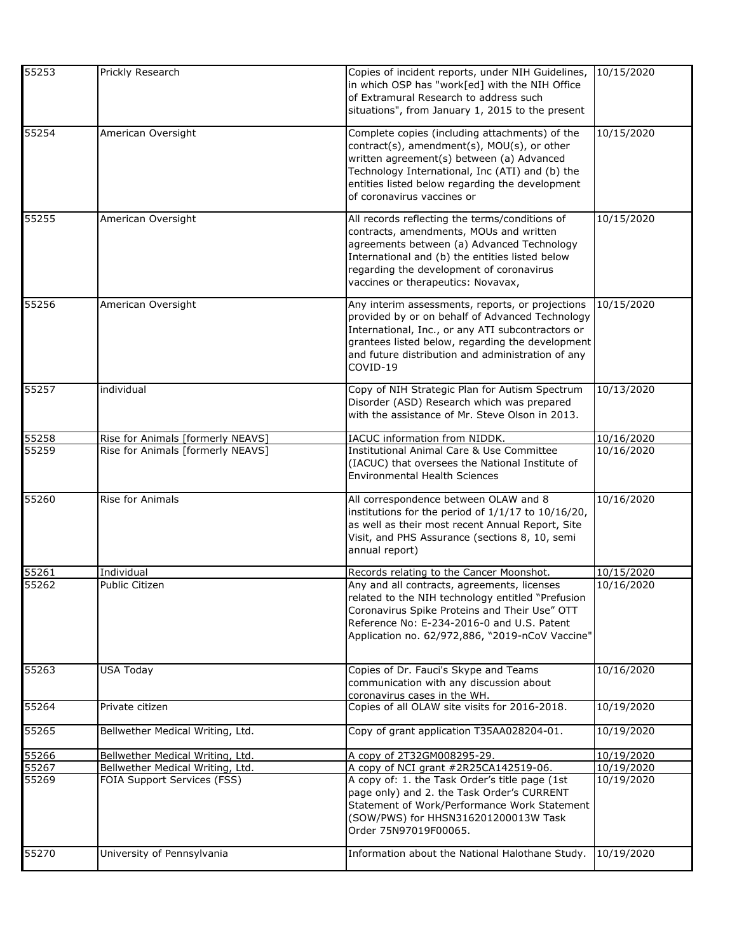| 55253 | Prickly Research                  | Copies of incident reports, under NIH Guidelines,<br>in which OSP has "work[ed] with the NIH Office<br>of Extramural Research to address such<br>situations", from January 1, 2015 to the present                                                                              | 10/15/2020 |
|-------|-----------------------------------|--------------------------------------------------------------------------------------------------------------------------------------------------------------------------------------------------------------------------------------------------------------------------------|------------|
| 55254 | American Oversight                | Complete copies (including attachments) of the<br>contract(s), amendment(s), MOU(s), or other<br>written agreement(s) between (a) Advanced<br>Technology International, Inc (ATI) and (b) the<br>entities listed below regarding the development<br>of coronavirus vaccines or | 10/15/2020 |
| 55255 | American Oversight                | All records reflecting the terms/conditions of<br>contracts, amendments, MOUs and written<br>agreements between (a) Advanced Technology<br>International and (b) the entities listed below<br>regarding the development of coronavirus<br>vaccines or therapeutics: Novavax,   | 10/15/2020 |
| 55256 | American Oversight                | Any interim assessments, reports, or projections<br>provided by or on behalf of Advanced Technology<br>International, Inc., or any ATI subcontractors or<br>grantees listed below, regarding the development<br>and future distribution and administration of any<br>COVID-19  | 10/15/2020 |
| 55257 | individual                        | Copy of NIH Strategic Plan for Autism Spectrum<br>Disorder (ASD) Research which was prepared<br>with the assistance of Mr. Steve Olson in 2013.                                                                                                                                | 10/13/2020 |
| 55258 | Rise for Animals [formerly NEAVS] | <b>IACUC</b> information from NIDDK.                                                                                                                                                                                                                                           | 10/16/2020 |
| 55259 | Rise for Animals [formerly NEAVS] | <b>Institutional Animal Care &amp; Use Committee</b><br>(IACUC) that oversees the National Institute of<br><b>Environmental Health Sciences</b>                                                                                                                                | 10/16/2020 |
| 55260 | Rise for Animals                  | All correspondence between OLAW and 8<br>institutions for the period of 1/1/17 to 10/16/20,<br>as well as their most recent Annual Report, Site<br>Visit, and PHS Assurance (sections 8, 10, semi<br>annual report)                                                            | 10/16/2020 |
| 55261 | Individual                        | Records relating to the Cancer Moonshot.                                                                                                                                                                                                                                       | 10/15/2020 |
| 55262 | Public Citizen                    | Any and all contracts, agreements, licenses<br>related to the NIH technology entitled "Prefusion<br>Coronavirus Spike Proteins and Their Use" OTT<br>Reference No: E-234-2016-0 and U.S. Patent<br>Application no. 62/972,886, "2019-nCoV Vaccine"                             | 10/16/2020 |
| 55263 | <b>USA Today</b>                  | Copies of Dr. Fauci's Skype and Teams<br>communication with any discussion about<br>coronavirus cases in the WH.                                                                                                                                                               | 10/16/2020 |
| 55264 | Private citizen                   | Copies of all OLAW site visits for 2016-2018.                                                                                                                                                                                                                                  | 10/19/2020 |
| 55265 | Bellwether Medical Writing, Ltd.  | Copy of grant application T35AA028204-01.                                                                                                                                                                                                                                      | 10/19/2020 |
| 55266 | Bellwether Medical Writing, Ltd.  | A copy of 2T32GM008295-29.                                                                                                                                                                                                                                                     | 10/19/2020 |
| 55267 | Bellwether Medical Writing, Ltd.  | A copy of NCI grant #2R25CA142519-06.                                                                                                                                                                                                                                          | 10/19/2020 |
| 55269 | FOIA Support Services (FSS)       | A copy of: 1. the Task Order's title page (1st<br>page only) and 2. the Task Order's CURRENT<br>Statement of Work/Performance Work Statement<br>(SOW/PWS) for HHSN316201200013W Task<br>Order 75N97019F00065.                                                                  | 10/19/2020 |
| 55270 | University of Pennsylvania        | Information about the National Halothane Study.                                                                                                                                                                                                                                | 10/19/2020 |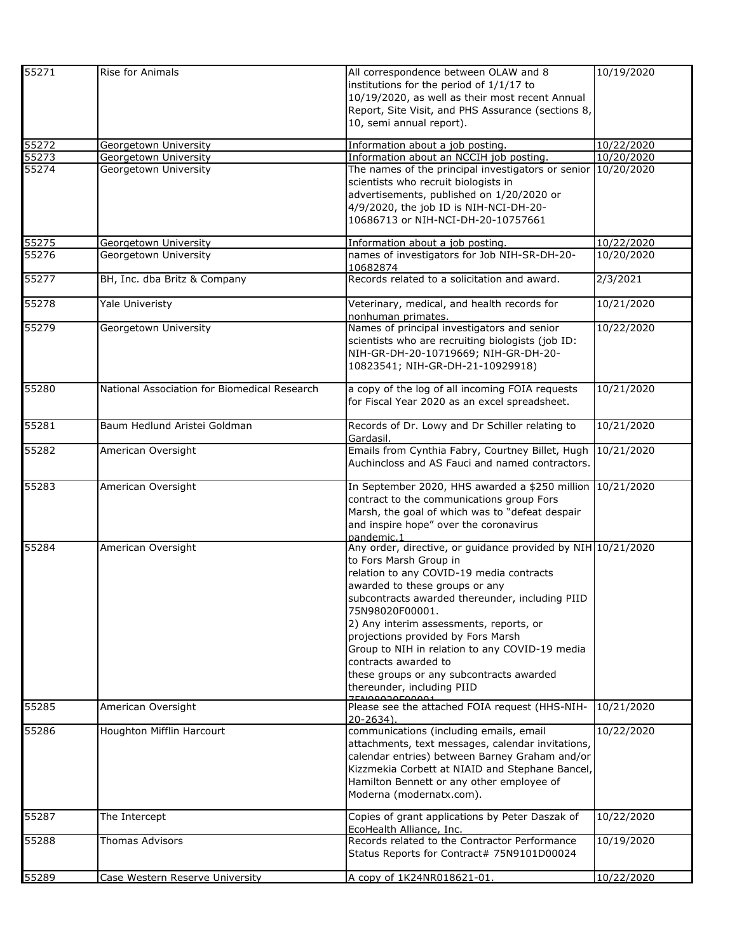| 55289 | Case Western Reserve University              | A copy of 1K24NR018621-01.                                                                                                                                                                                                                                                                              | 10/22/2020 |
|-------|----------------------------------------------|---------------------------------------------------------------------------------------------------------------------------------------------------------------------------------------------------------------------------------------------------------------------------------------------------------|------------|
| 55288 | Thomas Advisors                              | EcoHealth Alliance, Inc.<br>Records related to the Contractor Performance<br>Status Reports for Contract# 75N9101D00024                                                                                                                                                                                 | 10/19/2020 |
| 55287 | The Intercept                                | Kizzmekia Corbett at NIAID and Stephane Bancel,<br>Hamilton Bennett or any other employee of<br>Moderna (modernatx.com).<br>Copies of grant applications by Peter Daszak of                                                                                                                             | 10/22/2020 |
| 55286 | Houghton Mifflin Harcourt                    | communications (including emails, email<br>attachments, text messages, calendar invitations,<br>calendar entries) between Barney Graham and/or                                                                                                                                                          | 10/22/2020 |
| 55285 | American Oversight                           | Please see the attached FOIA request (HHS-NIH-<br>20-2634).                                                                                                                                                                                                                                             | 10/21/2020 |
|       |                                              | subcontracts awarded thereunder, including PIID<br>75N98020F00001.<br>2) Any interim assessments, reports, or<br>projections provided by Fors Marsh<br>Group to NIH in relation to any COVID-19 media<br>contracts awarded to<br>these groups or any subcontracts awarded<br>thereunder, including PIID |            |
| 55284 | American Oversight                           | Any order, directive, or guidance provided by NIH 10/21/2020<br>to Fors Marsh Group in<br>relation to any COVID-19 media contracts<br>awarded to these groups or any                                                                                                                                    |            |
| 55283 | American Oversight                           | In September 2020, HHS awarded a \$250 million 10/21/2020<br>contract to the communications group Fors<br>Marsh, the goal of which was to "defeat despair<br>and inspire hope" over the coronavirus<br>nandemic.1                                                                                       |            |
| 55282 | American Oversight                           | Emails from Cynthia Fabry, Courtney Billet, Hugh<br>Auchincloss and AS Fauci and named contractors.                                                                                                                                                                                                     | 10/21/2020 |
| 55281 | Baum Hedlund Aristei Goldman                 | Records of Dr. Lowy and Dr Schiller relating to<br>Gardasil.                                                                                                                                                                                                                                            | 10/21/2020 |
| 55280 | National Association for Biomedical Research | a copy of the log of all incoming FOIA requests<br>for Fiscal Year 2020 as an excel spreadsheet.                                                                                                                                                                                                        | 10/21/2020 |
| 55279 | Georgetown University                        | Names of principal investigators and senior<br>scientists who are recruiting biologists (job ID:<br>NIH-GR-DH-20-10719669; NIH-GR-DH-20-<br>10823541; NIH-GR-DH-21-10929918)                                                                                                                            | 10/22/2020 |
| 55278 | Yale Univeristy                              | Veterinary, medical, and health records for<br>nonhuman primates.                                                                                                                                                                                                                                       | 10/21/2020 |
| 55277 | BH, Inc. dba Britz & Company                 | Records related to a solicitation and award.                                                                                                                                                                                                                                                            | 2/3/2021   |
| 55276 | Georgetown University                        | names of investigators for Job NIH-SR-DH-20-<br>10682874                                                                                                                                                                                                                                                | 10/20/2020 |
| 55275 | Georgetown University                        | advertisements, published on 1/20/2020 or<br>4/9/2020, the job ID is NIH-NCI-DH-20-<br>10686713 or NIH-NCI-DH-20-10757661<br>Information about a job posting.                                                                                                                                           | 10/22/2020 |
| 55274 | Georgetown University                        | The names of the principal investigators or senior 10/20/2020<br>scientists who recruit biologists in                                                                                                                                                                                                   |            |
| 55273 | Georgetown University                        | Information about an NCCIH job posting.                                                                                                                                                                                                                                                                 | 10/20/2020 |
| 55272 | Georgetown University                        | institutions for the period of 1/1/17 to<br>10/19/2020, as well as their most recent Annual<br>Report, Site Visit, and PHS Assurance (sections 8,<br>10, semi annual report).<br>Information about a job posting.                                                                                       | 10/22/2020 |
| 55271 | Rise for Animals                             | All correspondence between OLAW and 8                                                                                                                                                                                                                                                                   | 10/19/2020 |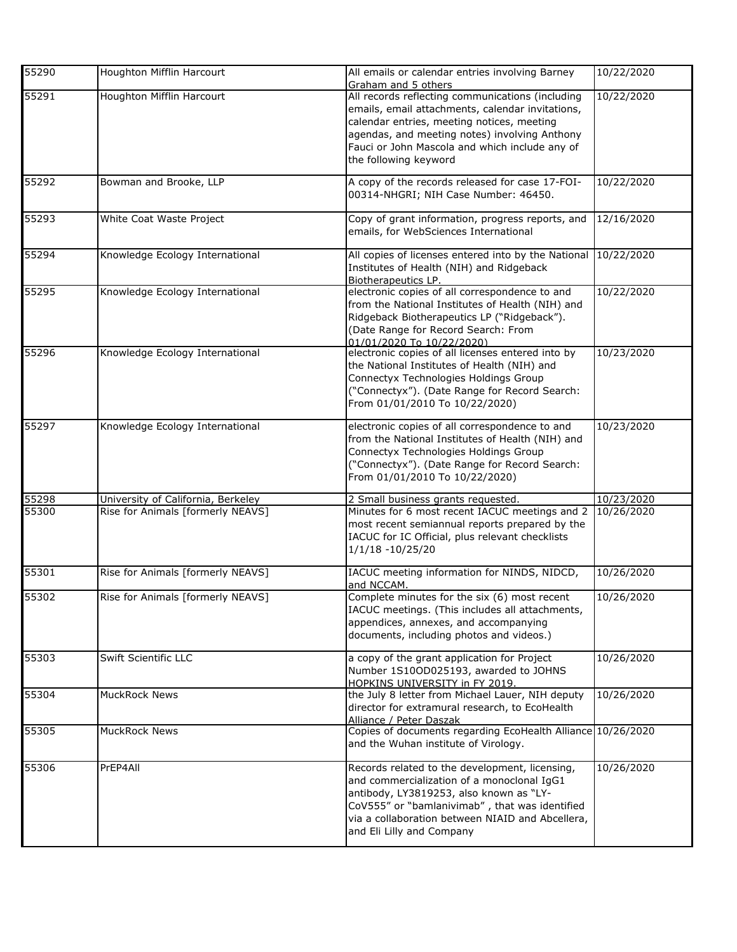| 55290 | Houghton Mifflin Harcourt          | All emails or calendar entries involving Barney<br>Graham and 5 others                                                                                                                                                                                                         | 10/22/2020 |
|-------|------------------------------------|--------------------------------------------------------------------------------------------------------------------------------------------------------------------------------------------------------------------------------------------------------------------------------|------------|
| 55291 | Houghton Mifflin Harcourt          | All records reflecting communications (including<br>emails, email attachments, calendar invitations,<br>calendar entries, meeting notices, meeting<br>agendas, and meeting notes) involving Anthony<br>Fauci or John Mascola and which include any of<br>the following keyword | 10/22/2020 |
| 55292 | Bowman and Brooke, LLP             | A copy of the records released for case 17-FOI-<br>00314-NHGRI; NIH Case Number: 46450.                                                                                                                                                                                        | 10/22/2020 |
| 55293 | White Coat Waste Project           | Copy of grant information, progress reports, and<br>emails, for WebSciences International                                                                                                                                                                                      | 12/16/2020 |
| 55294 | Knowledge Ecology International    | All copies of licenses entered into by the National<br>Institutes of Health (NIH) and Ridgeback<br>Biotherapeutics LP.                                                                                                                                                         | 10/22/2020 |
| 55295 | Knowledge Ecology International    | electronic copies of all correspondence to and<br>from the National Institutes of Health (NIH) and<br>Ridgeback Biotherapeutics LP ("Ridgeback").<br>(Date Range for Record Search: From<br>01/01/2020 To 10/22/2020)                                                          | 10/22/2020 |
| 55296 | Knowledge Ecology International    | electronic copies of all licenses entered into by<br>the National Institutes of Health (NIH) and<br>Connectyx Technologies Holdings Group<br>("Connectyx"). (Date Range for Record Search:<br>From 01/01/2010 To 10/22/2020)                                                   | 10/23/2020 |
| 55297 | Knowledge Ecology International    | electronic copies of all correspondence to and<br>from the National Institutes of Health (NIH) and<br>Connectyx Technologies Holdings Group<br>("Connectyx"). (Date Range for Record Search:<br>From 01/01/2010 To 10/22/2020)                                                 | 10/23/2020 |
| 55298 | University of California, Berkeley | 2 Small business grants requested.                                                                                                                                                                                                                                             | 10/23/2020 |
| 55300 | Rise for Animals [formerly NEAVS]  | Minutes for 6 most recent IACUC meetings and 2<br>most recent semiannual reports prepared by the<br>IACUC for IC Official, plus relevant checklists<br>$1/1/18 - 10/25/20$                                                                                                     | 10/26/2020 |
| 55301 | Rise for Animals [formerly NEAVS]  | IACUC meeting information for NINDS, NIDCD,<br>and NCCAM.                                                                                                                                                                                                                      | 10/26/2020 |
| 55302 | Rise for Animals [formerly NEAVS]  | Complete minutes for the six (6) most recent<br>IACUC meetings. (This includes all attachments,<br>appendices, annexes, and accompanying<br>documents, including photos and videos.)                                                                                           | 10/26/2020 |
| 55303 | Swift Scientific LLC               | a copy of the grant application for Project<br>Number 1S10OD025193, awarded to JOHNS<br>HOPKINS UNIVERSITY in FY 2019.                                                                                                                                                         | 10/26/2020 |
| 55304 | <b>MuckRock News</b>               | the July 8 letter from Michael Lauer, NIH deputy<br>director for extramural research, to EcoHealth<br>Alliance / Peter Daszak                                                                                                                                                  | 10/26/2020 |
| 55305 | MuckRock News                      | Copies of documents regarding EcoHealth Alliance 10/26/2020<br>and the Wuhan institute of Virology.                                                                                                                                                                            |            |
| 55306 | PrEP4All                           | Records related to the development, licensing,<br>and commercialization of a monoclonal IgG1<br>antibody, LY3819253, also known as "LY-<br>CoV555" or "bamlanivimab", that was identified<br>via a collaboration between NIAID and Abcellera,<br>and Eli Lilly and Company     | 10/26/2020 |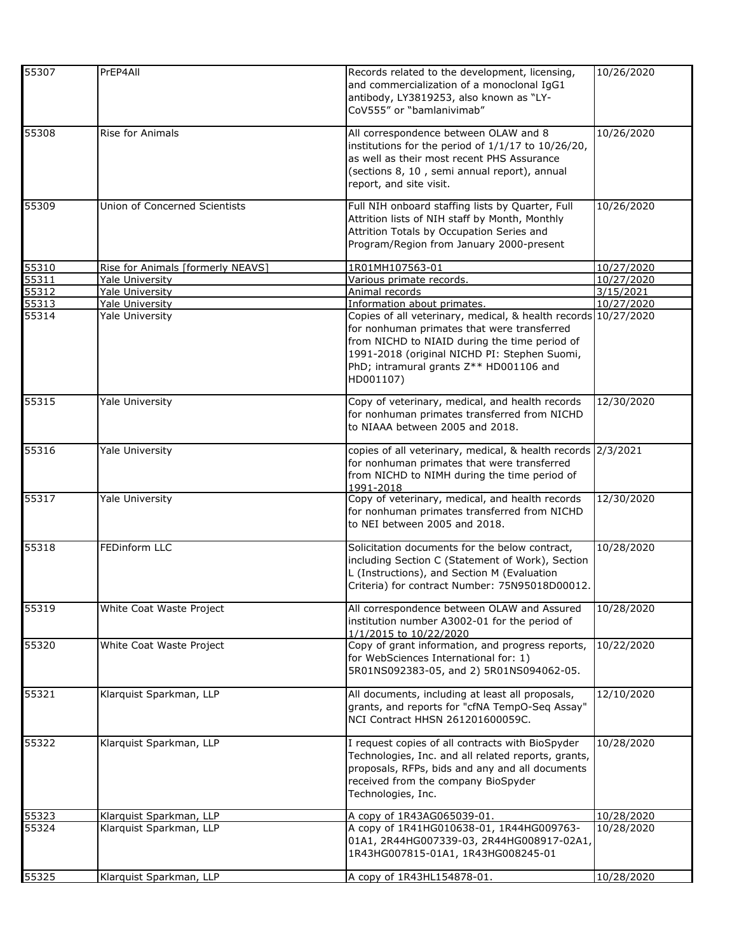| 55307 | PrEP4All                          | Records related to the development, licensing,<br>and commercialization of a monoclonal IgG1<br>antibody, LY3819253, also known as "LY-<br>CoV555" or "bamlanivimab"                                                                                                   | 10/26/2020 |
|-------|-----------------------------------|------------------------------------------------------------------------------------------------------------------------------------------------------------------------------------------------------------------------------------------------------------------------|------------|
| 55308 | Rise for Animals                  | All correspondence between OLAW and 8<br>institutions for the period of $1/1/17$ to $10/26/20$ ,<br>as well as their most recent PHS Assurance<br>(sections 8, 10, semi annual report), annual<br>report, and site visit.                                              | 10/26/2020 |
| 55309 | Union of Concerned Scientists     | Full NIH onboard staffing lists by Quarter, Full<br>Attrition lists of NIH staff by Month, Monthly<br>Attrition Totals by Occupation Series and<br>Program/Region from January 2000-present                                                                            | 10/26/2020 |
| 55310 | Rise for Animals [formerly NEAVS] | 1R01MH107563-01                                                                                                                                                                                                                                                        | 10/27/2020 |
| 55311 | <b>Yale University</b>            | Various primate records.                                                                                                                                                                                                                                               | 10/27/2020 |
| 55312 | Yale University                   | Animal records                                                                                                                                                                                                                                                         | 3/15/2021  |
| 55313 | Yale University                   | Information about primates.                                                                                                                                                                                                                                            | 10/27/2020 |
| 55314 | Yale University                   | Copies of all veterinary, medical, & health records 10/27/2020<br>for nonhuman primates that were transferred<br>from NICHD to NIAID during the time period of<br>1991-2018 (original NICHD PI: Stephen Suomi,<br>PhD; intramural grants Z** HD001106 and<br>HD001107) |            |
| 55315 | Yale University                   | Copy of veterinary, medical, and health records<br>for nonhuman primates transferred from NICHD<br>to NIAAA between 2005 and 2018.                                                                                                                                     | 12/30/2020 |
| 55316 | Yale University                   | copies of all veterinary, medical, & health records 2/3/2021<br>for nonhuman primates that were transferred<br>from NICHD to NIMH during the time period of<br>1991-2018                                                                                               |            |
| 55317 | Yale University                   | Copy of veterinary, medical, and health records<br>for nonhuman primates transferred from NICHD<br>to NEI between 2005 and 2018.                                                                                                                                       | 12/30/2020 |
| 55318 | <b>FEDinform LLC</b>              | Solicitation documents for the below contract,<br>including Section C (Statement of Work), Section<br>L (Instructions), and Section M (Evaluation<br>Criteria) for contract Number: 75N95018D00012.                                                                    | 10/28/2020 |
| 55319 | White Coat Waste Project          | All correspondence between OLAW and Assured<br>institution number A3002-01 for the period of<br>1/1/2015 to 10/22/2020                                                                                                                                                 | 10/28/2020 |
| 55320 | White Coat Waste Project          | Copy of grant information, and progress reports,<br>for WebSciences International for: 1)<br>5R01NS092383-05, and 2) 5R01NS094062-05.                                                                                                                                  | 10/22/2020 |
| 55321 | Klarquist Sparkman, LLP           | All documents, including at least all proposals,<br>grants, and reports for "cfNA TempO-Seq Assay"<br>NCI Contract HHSN 261201600059C.                                                                                                                                 | 12/10/2020 |
| 55322 | Klarquist Sparkman, LLP           | I request copies of all contracts with BioSpyder<br>Technologies, Inc. and all related reports, grants,<br>proposals, RFPs, bids and any and all documents<br>received from the company BioSpyder<br>Technologies, Inc.                                                | 10/28/2020 |
| 55323 | Klarquist Sparkman, LLP           | A copy of 1R43AG065039-01.                                                                                                                                                                                                                                             | 10/28/2020 |
| 55324 | Klarquist Sparkman, LLP           | A copy of 1R41HG010638-01, 1R44HG009763-<br>01A1, 2R44HG007339-03, 2R44HG008917-02A1,<br>1R43HG007815-01A1, 1R43HG008245-01                                                                                                                                            | 10/28/2020 |
| 55325 | Klarquist Sparkman, LLP           | A copy of 1R43HL154878-01.                                                                                                                                                                                                                                             | 10/28/2020 |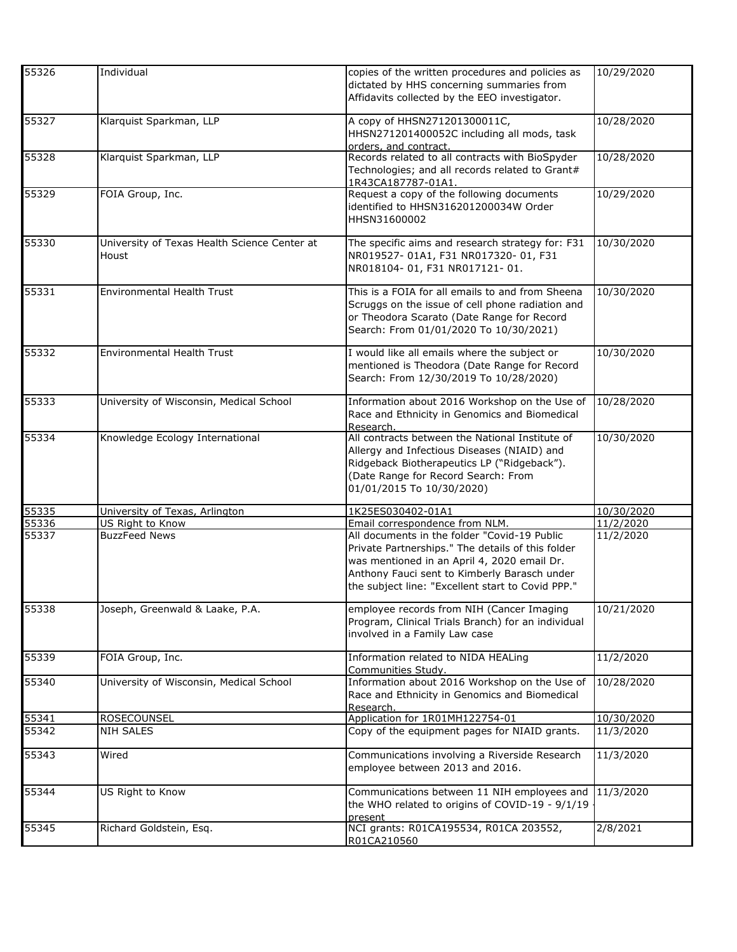| 55326 | Individual                                            | copies of the written procedures and policies as<br>dictated by HHS concerning summaries from<br>Affidavits collected by the EEO investigator.                                                                                                        | 10/29/2020 |
|-------|-------------------------------------------------------|-------------------------------------------------------------------------------------------------------------------------------------------------------------------------------------------------------------------------------------------------------|------------|
| 55327 | Klarquist Sparkman, LLP                               | A copy of HHSN271201300011C,<br>HHSN271201400052C including all mods, task<br>orders, and contract.                                                                                                                                                   | 10/28/2020 |
| 55328 | Klarquist Sparkman, LLP                               | Records related to all contracts with BioSpyder<br>Technologies; and all records related to Grant#<br>1R43CA187787-01A1                                                                                                                               | 10/28/2020 |
| 55329 | FOIA Group, Inc.                                      | Request a copy of the following documents<br>identified to HHSN316201200034W Order<br>HHSN31600002                                                                                                                                                    | 10/29/2020 |
| 55330 | University of Texas Health Science Center at<br>Houst | The specific aims and research strategy for: F31<br>NR019527-01A1, F31 NR017320-01, F31<br>NR018104-01, F31 NR017121-01.                                                                                                                              | 10/30/2020 |
| 55331 | Environmental Health Trust                            | This is a FOIA for all emails to and from Sheena<br>Scruggs on the issue of cell phone radiation and<br>or Theodora Scarato (Date Range for Record<br>Search: From 01/01/2020 To 10/30/2021)                                                          | 10/30/2020 |
| 55332 | <b>Environmental Health Trust</b>                     | I would like all emails where the subject or<br>mentioned is Theodora (Date Range for Record<br>Search: From 12/30/2019 To 10/28/2020)                                                                                                                | 10/30/2020 |
| 55333 | University of Wisconsin, Medical School               | Information about 2016 Workshop on the Use of<br>Race and Ethnicity in Genomics and Biomedical<br>Research.                                                                                                                                           | 10/28/2020 |
| 55334 | Knowledge Ecology International                       | All contracts between the National Institute of<br>Allergy and Infectious Diseases (NIAID) and<br>Ridgeback Biotherapeutics LP ("Ridgeback").<br>(Date Range for Record Search: From<br>01/01/2015 To 10/30/2020)                                     | 10/30/2020 |
| 55335 | University of Texas, Arlington                        | 1K25ES030402-01A1                                                                                                                                                                                                                                     | 10/30/2020 |
| 55336 | US Right to Know                                      | Email correspondence from NLM.                                                                                                                                                                                                                        | 11/2/2020  |
| 55337 | <b>BuzzFeed News</b>                                  | All documents in the folder "Covid-19 Public<br>Private Partnerships." The details of this folder<br>was mentioned in an April 4, 2020 email Dr.<br>Anthony Fauci sent to Kimberly Barasch under<br>the subject line: "Excellent start to Covid PPP." | 11/2/2020  |
| 55338 | Joseph, Greenwald & Laake, P.A.                       | employee records from NIH (Cancer Imaging<br>Program, Clinical Trials Branch) for an individual<br>involved in a Family Law case                                                                                                                      | 10/21/2020 |
| 55339 | FOIA Group, Inc.                                      | Information related to NIDA HEALing<br>Communities Study.                                                                                                                                                                                             | 11/2/2020  |
| 55340 | University of Wisconsin, Medical School               | Information about 2016 Workshop on the Use of<br>Race and Ethnicity in Genomics and Biomedical<br>Research.                                                                                                                                           | 10/28/2020 |
| 55341 | ROSECOUNSEL                                           | Application for 1R01MH122754-01                                                                                                                                                                                                                       | 10/30/2020 |
| 55342 | <b>NIH SALES</b>                                      | Copy of the equipment pages for NIAID grants.                                                                                                                                                                                                         | 11/3/2020  |
| 55343 | Wired                                                 | Communications involving a Riverside Research<br>employee between 2013 and 2016.                                                                                                                                                                      | 11/3/2020  |
| 55344 | US Right to Know                                      | Communications between 11 NIH employees and<br>the WHO related to origins of COVID-19 - 9/1/19<br>present                                                                                                                                             | 11/3/2020  |
| 55345 | Richard Goldstein, Esq.                               | NCI grants: R01CA195534, R01CA 203552,<br>R01CA210560                                                                                                                                                                                                 | 2/8/2021   |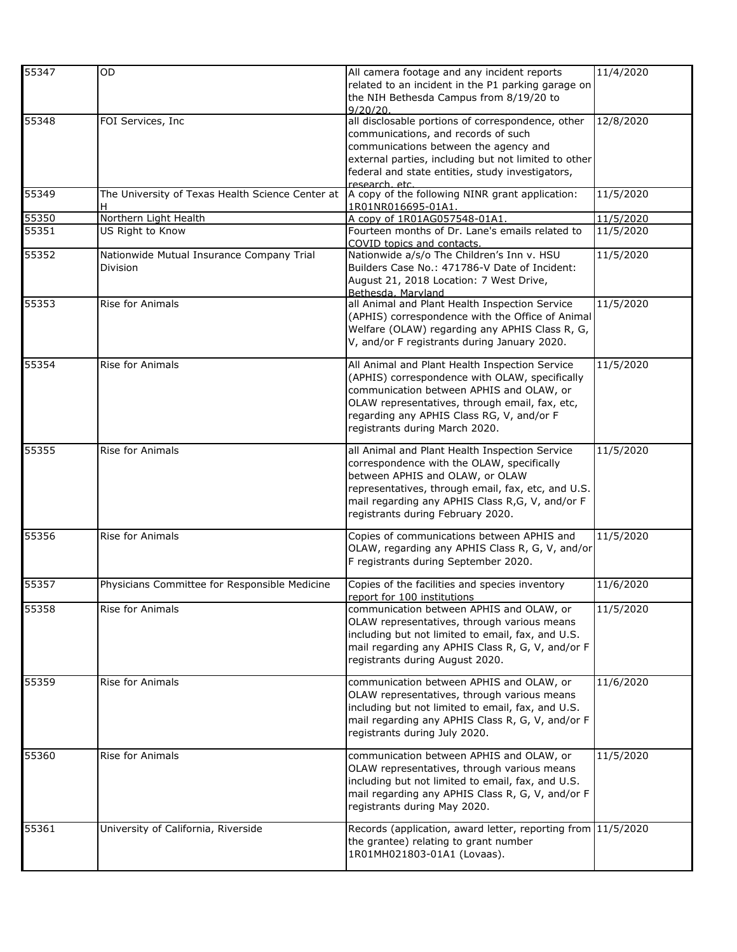| 55347              | <b>OD</b>                                        | All camera footage and any incident reports                  | 11/4/2020 |
|--------------------|--------------------------------------------------|--------------------------------------------------------------|-----------|
|                    |                                                  | related to an incident in the P1 parking garage on           |           |
|                    |                                                  | the NIH Bethesda Campus from 8/19/20 to                      |           |
|                    |                                                  | 9/20/20.                                                     |           |
| 55348              | FOI Services, Inc                                | all disclosable portions of correspondence, other            | 12/8/2020 |
|                    |                                                  | communications, and records of such                          |           |
|                    |                                                  |                                                              |           |
|                    |                                                  | communications between the agency and                        |           |
|                    |                                                  | external parties, including but not limited to other         |           |
|                    |                                                  | federal and state entities, study investigators,             |           |
|                    |                                                  | research etc.                                                |           |
| 55349              | The University of Texas Health Science Center at | A copy of the following NINR grant application:              | 11/5/2020 |
|                    | H.                                               | 1R01NR016695-01A1.                                           |           |
| 55350              | Northern Light Health                            | A copy of 1R01AG057548-01A1.                                 | 11/5/2020 |
| 55351              | US Right to Know                                 | Fourteen months of Dr. Lane's emails related to              | 11/5/2020 |
|                    |                                                  | COVID topics and contacts.                                   |           |
| 55352              | Nationwide Mutual Insurance Company Trial        | Nationwide a/s/o The Children's Inn v. HSU                   | 11/5/2020 |
|                    | Division                                         | Builders Case No.: 471786-V Date of Incident:                |           |
|                    |                                                  | August 21, 2018 Location: 7 West Drive,                      |           |
|                    |                                                  | Bethesda, Marvland                                           |           |
| 55353              | Rise for Animals                                 | all Animal and Plant Health Inspection Service               | 11/5/2020 |
|                    |                                                  | (APHIS) correspondence with the Office of Animal             |           |
|                    |                                                  | Welfare (OLAW) regarding any APHIS Class R, G,               |           |
|                    |                                                  | V, and/or F registrants during January 2020.                 |           |
|                    |                                                  |                                                              |           |
| 55354              | Rise for Animals                                 | All Animal and Plant Health Inspection Service               | 11/5/2020 |
|                    |                                                  | (APHIS) correspondence with OLAW, specifically               |           |
|                    |                                                  | communication between APHIS and OLAW, or                     |           |
|                    |                                                  | OLAW representatives, through email, fax, etc,               |           |
|                    |                                                  | regarding any APHIS Class RG, V, and/or F                    |           |
|                    |                                                  |                                                              |           |
|                    |                                                  | registrants during March 2020.                               |           |
| $\overline{55355}$ | Rise for Animals                                 | all Animal and Plant Health Inspection Service               | 11/5/2020 |
|                    |                                                  | correspondence with the OLAW, specifically                   |           |
|                    |                                                  | between APHIS and OLAW, or OLAW                              |           |
|                    |                                                  | representatives, through email, fax, etc, and U.S.           |           |
|                    |                                                  | mail regarding any APHIS Class R,G, V, and/or F              |           |
|                    |                                                  |                                                              |           |
|                    |                                                  | registrants during February 2020.                            |           |
| 55356              | Rise for Animals                                 | Copies of communications between APHIS and                   | 11/5/2020 |
|                    |                                                  | OLAW, regarding any APHIS Class R, G, V, and/or              |           |
|                    |                                                  | F registrants during September 2020.                         |           |
|                    |                                                  |                                                              |           |
| 55357              | Physicians Committee for Responsible Medicine    | Copies of the facilities and species inventory               | 11/6/2020 |
|                    |                                                  | report for 100 institutions                                  |           |
| 55358              | Rise for Animals                                 | communication between APHIS and OLAW, or                     | 11/5/2020 |
|                    |                                                  | OLAW representatives, through various means                  |           |
|                    |                                                  | including but not limited to email, fax, and U.S.            |           |
|                    |                                                  | mail regarding any APHIS Class R, G, V, and/or F             |           |
|                    |                                                  | registrants during August 2020.                              |           |
|                    |                                                  |                                                              |           |
| 55359              | Rise for Animals                                 | communication between APHIS and OLAW, or                     | 11/6/2020 |
|                    |                                                  | OLAW representatives, through various means                  |           |
|                    |                                                  | including but not limited to email, fax, and U.S.            |           |
|                    |                                                  | mail regarding any APHIS Class R, G, V, and/or F             |           |
|                    |                                                  | registrants during July 2020.                                |           |
|                    |                                                  |                                                              |           |
| 55360              | Rise for Animals                                 | communication between APHIS and OLAW, or                     | 11/5/2020 |
|                    |                                                  | OLAW representatives, through various means                  |           |
|                    |                                                  | including but not limited to email, fax, and U.S.            |           |
|                    |                                                  | mail regarding any APHIS Class R, G, V, and/or F             |           |
|                    |                                                  | registrants during May 2020.                                 |           |
|                    |                                                  |                                                              |           |
| 55361              | University of California, Riverside              | Records (application, award letter, reporting from 11/5/2020 |           |
|                    |                                                  | the grantee) relating to grant number                        |           |
|                    |                                                  | 1R01MH021803-01A1 (Lovaas).                                  |           |
|                    |                                                  |                                                              |           |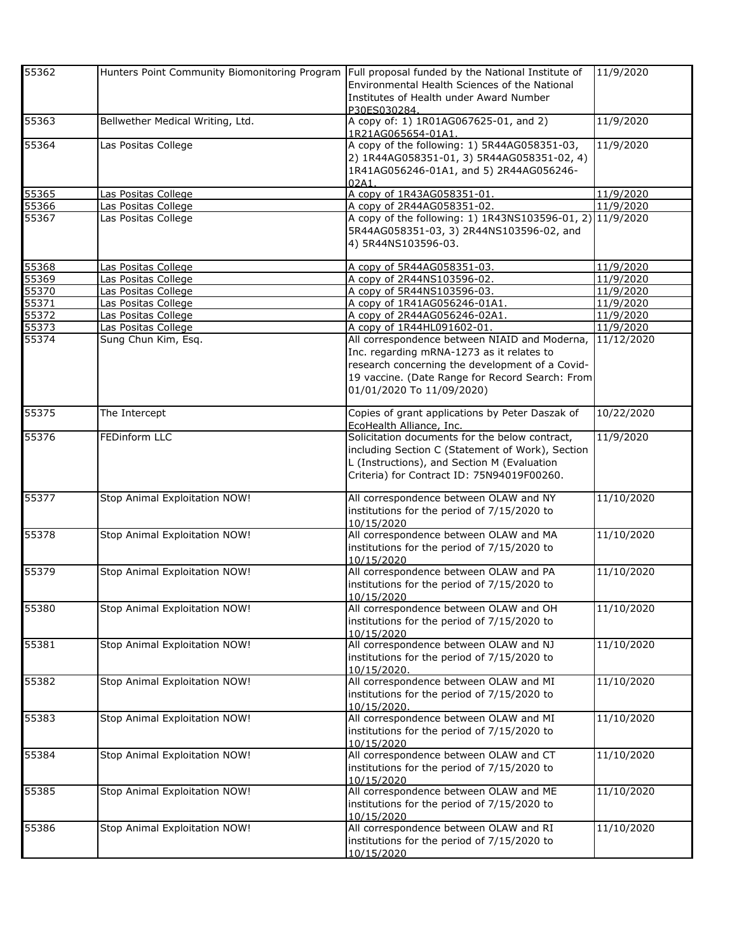| 55362 | Hunters Point Community Biomonitoring Program Full proposal funded by the National Institute of |                                                            | 11/9/2020  |
|-------|-------------------------------------------------------------------------------------------------|------------------------------------------------------------|------------|
|       |                                                                                                 | Environmental Health Sciences of the National              |            |
|       |                                                                                                 | Institutes of Health under Award Number                    |            |
|       |                                                                                                 | P30ES030284.                                               |            |
| 55363 | Bellwether Medical Writing, Ltd.                                                                | A copy of: 1) 1R01AG067625-01, and 2)                      | 11/9/2020  |
|       |                                                                                                 | 1R21AG065654-01A1.                                         |            |
| 55364 | Las Positas College                                                                             | A copy of the following: 1) 5R44AG058351-03,               | 11/9/2020  |
|       |                                                                                                 | 2) 1R44AG058351-01, 3) 5R44AG058351-02, 4)                 |            |
|       |                                                                                                 | 1R41AG056246-01A1, and 5) 2R44AG056246-                    |            |
|       |                                                                                                 | 02A1                                                       |            |
| 55365 | Las Positas College                                                                             | A copy of 1R43AG058351-01.                                 | 11/9/2020  |
| 55366 | Las Positas College                                                                             | A copy of 2R44AG058351-02.                                 | 11/9/2020  |
| 55367 | Las Positas College                                                                             | A copy of the following: 1) 1R43NS103596-01, 2) 11/9/2020  |            |
|       |                                                                                                 | 5R44AG058351-03, 3) 2R44NS103596-02, and                   |            |
|       |                                                                                                 | 4) 5R44NS103596-03.                                        |            |
| 55368 |                                                                                                 |                                                            | 11/9/2020  |
| 55369 | Las Positas College<br>Las Positas College                                                      | A copy of 5R44AG058351-03.<br>A copy of 2R44NS103596-02.   | 11/9/2020  |
| 55370 | Las Positas College                                                                             | A copy of 5R44NS103596-03.                                 | 11/9/2020  |
| 55371 | Las Positas College                                                                             | A copy of 1R41AG056246-01A1.                               | 11/9/2020  |
| 55372 | Las Positas College                                                                             | A copy of 2R44AG056246-02A1.                               | 11/9/2020  |
| 55373 | Las Positas College                                                                             | A copy of 1R44HL091602-01.                                 | 11/9/2020  |
| 55374 | Sung Chun Kim, Esq.                                                                             | All correspondence between NIAID and Moderna,              | 11/12/2020 |
|       |                                                                                                 | Inc. regarding mRNA-1273 as it relates to                  |            |
|       |                                                                                                 | research concerning the development of a Covid-            |            |
|       |                                                                                                 | 19 vaccine. (Date Range for Record Search: From            |            |
|       |                                                                                                 | 01/01/2020 To 11/09/2020)                                  |            |
|       |                                                                                                 |                                                            |            |
| 55375 | The Intercept                                                                                   | Copies of grant applications by Peter Daszak of            | 10/22/2020 |
|       |                                                                                                 | EcoHealth Alliance, Inc.                                   |            |
| 55376 | <b>FEDinform LLC</b>                                                                            | Solicitation documents for the below contract,             | 11/9/2020  |
|       |                                                                                                 | including Section C (Statement of Work), Section           |            |
|       |                                                                                                 | L (Instructions), and Section M (Evaluation                |            |
|       |                                                                                                 | Criteria) for Contract ID: 75N94019F00260.                 |            |
| 55377 | Stop Animal Exploitation NOW!                                                                   | All correspondence between OLAW and NY                     | 11/10/2020 |
|       |                                                                                                 | institutions for the period of 7/15/2020 to                |            |
|       |                                                                                                 | 10/15/2020                                                 |            |
| 55378 | Stop Animal Exploitation NOW!                                                                   | All correspondence between OLAW and MA                     | 11/10/2020 |
|       |                                                                                                 | institutions for the period of 7/15/2020 to                |            |
|       |                                                                                                 | 10/15/2020                                                 |            |
| 55379 | Stop Animal Exploitation NOW!                                                                   | All correspondence between OLAW and PA                     | 11/10/2020 |
|       |                                                                                                 | institutions for the period of 7/15/2020 to                |            |
|       |                                                                                                 | 10/15/2020                                                 |            |
| 55380 | Stop Animal Exploitation NOW!                                                                   | All correspondence between OLAW and OH                     | 11/10/2020 |
|       |                                                                                                 | institutions for the period of 7/15/2020 to                |            |
|       |                                                                                                 | 10/15/2020                                                 |            |
| 55381 | Stop Animal Exploitation NOW!                                                                   | All correspondence between OLAW and NJ                     | 11/10/2020 |
|       |                                                                                                 | institutions for the period of 7/15/2020 to<br>10/15/2020. |            |
| 55382 | Stop Animal Exploitation NOW!                                                                   | All correspondence between OLAW and MI                     | 11/10/2020 |
|       |                                                                                                 | institutions for the period of 7/15/2020 to                |            |
|       |                                                                                                 | 10/15/2020.                                                |            |
| 55383 | Stop Animal Exploitation NOW!                                                                   | All correspondence between OLAW and MI                     | 11/10/2020 |
|       |                                                                                                 | institutions for the period of 7/15/2020 to                |            |
|       |                                                                                                 | 10/15/2020                                                 |            |
| 55384 | Stop Animal Exploitation NOW!                                                                   | All correspondence between OLAW and CT                     | 11/10/2020 |
|       |                                                                                                 | institutions for the period of 7/15/2020 to                |            |
|       |                                                                                                 | 10/15/2020                                                 |            |
| 55385 | Stop Animal Exploitation NOW!                                                                   | All correspondence between OLAW and ME                     | 11/10/2020 |
|       |                                                                                                 | institutions for the period of 7/15/2020 to                |            |
|       |                                                                                                 | 10/15/2020                                                 |            |
| 55386 | Stop Animal Exploitation NOW!                                                                   | All correspondence between OLAW and RI                     | 11/10/2020 |
|       |                                                                                                 | institutions for the period of 7/15/2020 to                |            |
|       |                                                                                                 | 10/15/2020                                                 |            |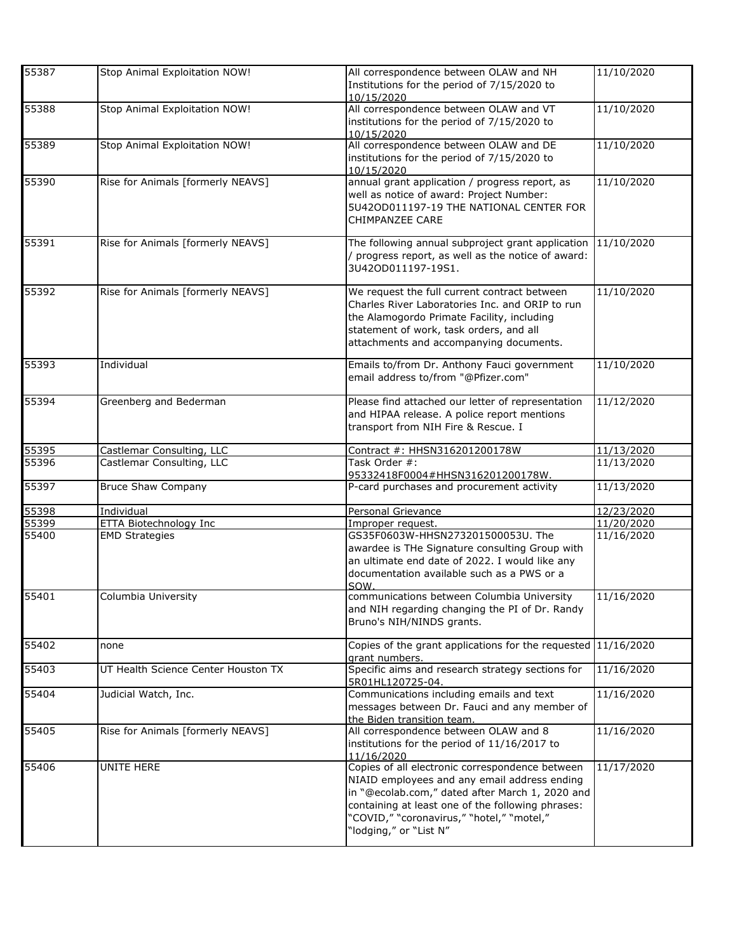| 55387 | Stop Animal Exploitation NOW!       | All correspondence between OLAW and NH<br>Institutions for the period of 7/15/2020 to<br>10/15/2020                                                                                                                                                                            | 11/10/2020 |
|-------|-------------------------------------|--------------------------------------------------------------------------------------------------------------------------------------------------------------------------------------------------------------------------------------------------------------------------------|------------|
| 55388 | Stop Animal Exploitation NOW!       | All correspondence between OLAW and VT<br>institutions for the period of 7/15/2020 to<br>10/15/2020                                                                                                                                                                            | 11/10/2020 |
| 55389 | Stop Animal Exploitation NOW!       | All correspondence between OLAW and DE<br>institutions for the period of 7/15/2020 to<br>10/15/2020                                                                                                                                                                            | 11/10/2020 |
| 55390 | Rise for Animals [formerly NEAVS]   | annual grant application / progress report, as<br>well as notice of award: Project Number:<br>5U42OD011197-19 THE NATIONAL CENTER FOR<br><b>CHIMPANZEE CARE</b>                                                                                                                | 11/10/2020 |
| 55391 | Rise for Animals [formerly NEAVS]   | The following annual subproject grant application<br>progress report, as well as the notice of award:<br>3U42OD011197-19S1.                                                                                                                                                    | 11/10/2020 |
| 55392 | Rise for Animals [formerly NEAVS]   | We request the full current contract between<br>Charles River Laboratories Inc. and ORIP to run<br>the Alamogordo Primate Facility, including<br>statement of work, task orders, and all<br>attachments and accompanying documents.                                            | 11/10/2020 |
| 55393 | Individual                          | Emails to/from Dr. Anthony Fauci government<br>email address to/from "@Pfizer.com"                                                                                                                                                                                             | 11/10/2020 |
| 55394 | Greenberg and Bederman              | Please find attached our letter of representation<br>and HIPAA release. A police report mentions<br>transport from NIH Fire & Rescue. I                                                                                                                                        | 11/12/2020 |
| 55395 | Castlemar Consulting, LLC           | Contract #: HHSN316201200178W                                                                                                                                                                                                                                                  | 11/13/2020 |
| 55396 | Castlemar Consulting, LLC           | Task Order #:<br>95332418F0004#HHSN316201200178W.                                                                                                                                                                                                                              | 11/13/2020 |
| 55397 | <b>Bruce Shaw Company</b>           | P-card purchases and procurement activity                                                                                                                                                                                                                                      | 11/13/2020 |
| 55398 | Individual                          | Personal Grievance                                                                                                                                                                                                                                                             | 12/23/2020 |
| 55399 | <b>ETTA Biotechnology Inc</b>       | Improper request.                                                                                                                                                                                                                                                              | 11/20/2020 |
| 55400 | <b>EMD Strategies</b>               | GS35F0603W-HHSN273201500053U. The<br>awardee is THe Signature consulting Group with<br>an ultimate end date of 2022. I would like any<br>documentation available such as a PWS or a<br>SOW                                                                                     | 11/16/2020 |
| 55401 | Columbia University                 | communications between Columbia University<br>and NIH regarding changing the PI of Dr. Randy<br>Bruno's NIH/NINDS grants.                                                                                                                                                      | 11/16/2020 |
| 55402 | none                                | Copies of the grant applications for the requested 11/16/2020<br>grant numbers.                                                                                                                                                                                                |            |
| 55403 | UT Health Science Center Houston TX | Specific aims and research strategy sections for<br>5R01HL120725-04.                                                                                                                                                                                                           | 11/16/2020 |
| 55404 | Judicial Watch, Inc.                | Communications including emails and text<br>messages between Dr. Fauci and any member of<br>the Biden transition team.                                                                                                                                                         | 11/16/2020 |
| 55405 | Rise for Animals [formerly NEAVS]   | All correspondence between OLAW and 8<br>institutions for the period of 11/16/2017 to<br>11/16/2020                                                                                                                                                                            | 11/16/2020 |
| 55406 | UNITE HERE                          | Copies of all electronic correspondence between<br>NIAID employees and any email address ending<br>in "@ecolab.com," dated after March 1, 2020 and<br>containing at least one of the following phrases:<br>"COVID," "coronavirus," "hotel," "motel,"<br>"lodging," or "List N" | 11/17/2020 |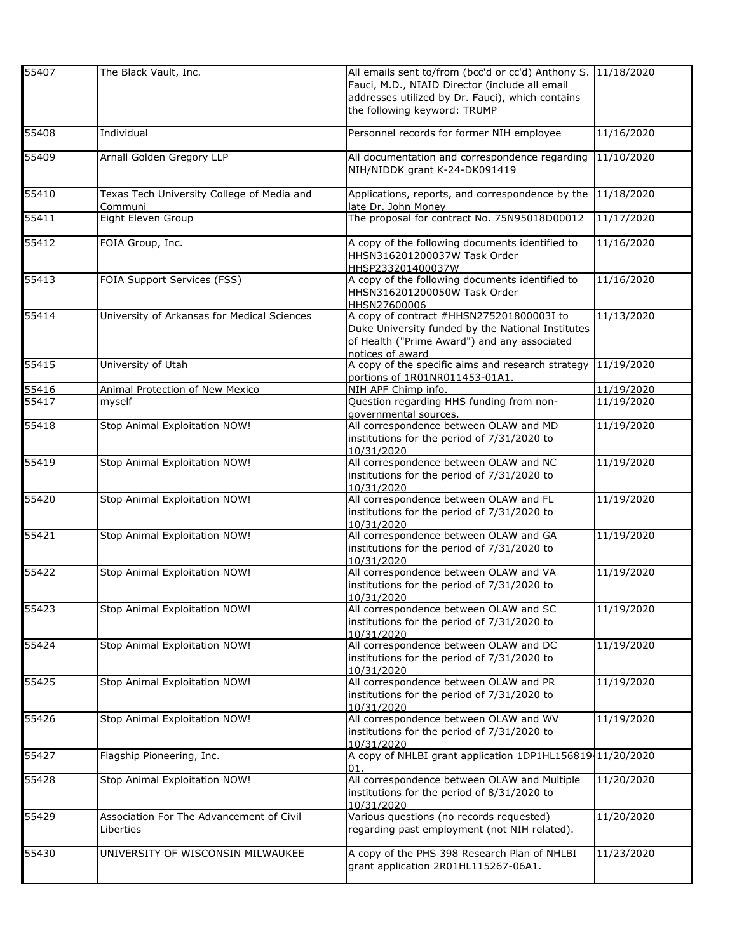| 55407 | The Black Vault, Inc.                                 | All emails sent to/from (bcc'd or cc'd) Anthony S. 11/18/2020<br>Fauci, M.D., NIAID Director (include all email<br>addresses utilized by Dr. Fauci), which contains<br>the following keyword: TRUMP |            |
|-------|-------------------------------------------------------|-----------------------------------------------------------------------------------------------------------------------------------------------------------------------------------------------------|------------|
| 55408 | Individual                                            | Personnel records for former NIH employee                                                                                                                                                           | 11/16/2020 |
| 55409 | Arnall Golden Gregory LLP                             | All documentation and correspondence regarding<br>NIH/NIDDK grant K-24-DK091419                                                                                                                     | 11/10/2020 |
| 55410 | Texas Tech University College of Media and<br>Communi | Applications, reports, and correspondence by the<br>late Dr. John Money                                                                                                                             | 11/18/2020 |
| 55411 | Eight Eleven Group                                    | The proposal for contract No. 75N95018D00012                                                                                                                                                        | 11/17/2020 |
| 55412 | FOIA Group, Inc.                                      | A copy of the following documents identified to<br>HHSN316201200037W Task Order<br>HHSP233201400037W                                                                                                | 11/16/2020 |
| 55413 | FOIA Support Services (FSS)                           | A copy of the following documents identified to<br>HHSN316201200050W Task Order<br>HHSN27600006                                                                                                     | 11/16/2020 |
| 55414 | University of Arkansas for Medical Sciences           | A copy of contract #HHSN275201800003I to<br>Duke University funded by the National Institutes<br>of Health ("Prime Award") and any associated<br>notices of award                                   | 11/13/2020 |
| 55415 | University of Utah                                    | A copy of the specific aims and research strategy<br>portions of 1R01NR011453-01A1.                                                                                                                 | 11/19/2020 |
| 55416 | <b>Animal Protection of New Mexico</b>                | NIH APF Chimp info.                                                                                                                                                                                 | 11/19/2020 |
| 55417 | myself                                                | Question regarding HHS funding from non-<br>governmental sources.                                                                                                                                   | 11/19/2020 |
| 55418 | Stop Animal Exploitation NOW!                         | All correspondence between OLAW and MD<br>institutions for the period of 7/31/2020 to<br>10/31/2020                                                                                                 | 11/19/2020 |
| 55419 | Stop Animal Exploitation NOW!                         | All correspondence between OLAW and NC<br>institutions for the period of 7/31/2020 to<br>10/31/2020                                                                                                 | 11/19/2020 |
| 55420 | Stop Animal Exploitation NOW!                         | All correspondence between OLAW and FL<br>institutions for the period of 7/31/2020 to<br>10/31/2020                                                                                                 | 11/19/2020 |
| 55421 | Stop Animal Exploitation NOW!                         | All correspondence between OLAW and GA<br>institutions for the period of 7/31/2020 to<br>10/31/2020                                                                                                 | 11/19/2020 |
| 55422 | Stop Animal Exploitation NOW!                         | All correspondence between OLAW and VA<br>institutions for the period of 7/31/2020 to<br>10/31/2020                                                                                                 | 11/19/2020 |
| 55423 | Stop Animal Exploitation NOW!                         | All correspondence between OLAW and SC<br>institutions for the period of 7/31/2020 to<br>10/31/2020                                                                                                 | 11/19/2020 |
| 55424 | Stop Animal Exploitation NOW!                         | All correspondence between OLAW and DC<br>institutions for the period of 7/31/2020 to<br>10/31/2020                                                                                                 | 11/19/2020 |
| 55425 | Stop Animal Exploitation NOW!                         | All correspondence between OLAW and PR<br>institutions for the period of 7/31/2020 to<br>10/31/2020                                                                                                 | 11/19/2020 |
| 55426 | Stop Animal Exploitation NOW!                         | All correspondence between OLAW and WV<br>institutions for the period of 7/31/2020 to<br>10/31/2020                                                                                                 | 11/19/2020 |
| 55427 | Flagship Pioneering, Inc.                             | A copy of NHLBI grant application 1DP1HL156819 11/20/2020<br>01.                                                                                                                                    |            |
| 55428 | Stop Animal Exploitation NOW!                         | All correspondence between OLAW and Multiple<br>institutions for the period of 8/31/2020 to<br>10/31/2020                                                                                           | 11/20/2020 |
| 55429 | Association For The Advancement of Civil<br>Liberties | Various questions (no records requested)<br>regarding past employment (not NIH related).                                                                                                            | 11/20/2020 |
| 55430 | UNIVERSITY OF WISCONSIN MILWAUKEE                     | A copy of the PHS 398 Research Plan of NHLBI<br>grant application 2R01HL115267-06A1.                                                                                                                | 11/23/2020 |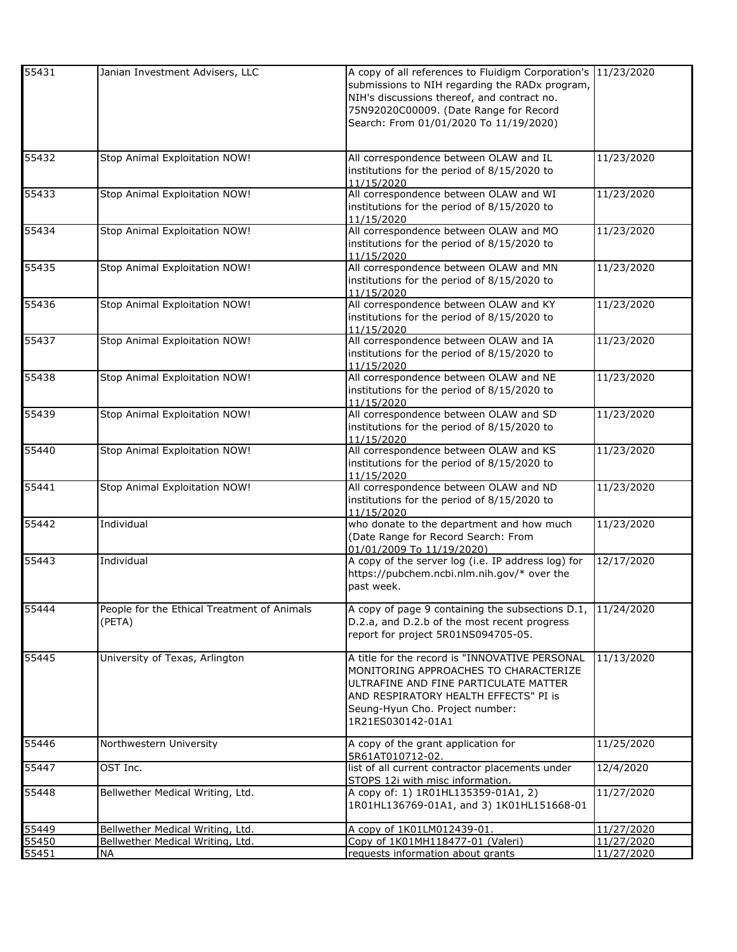| 55431 | Janian Investment Advisers, LLC             | A copy of all references to Fluidigm Corporation's 11/23/2020 |            |
|-------|---------------------------------------------|---------------------------------------------------------------|------------|
|       |                                             | submissions to NIH regarding the RADx program,                |            |
|       |                                             | NIH's discussions thereof, and contract no.                   |            |
|       |                                             | 75N92020C00009. (Date Range for Record                        |            |
|       |                                             | Search: From 01/01/2020 To 11/19/2020)                        |            |
|       |                                             |                                                               |            |
|       |                                             |                                                               |            |
| 55432 | Stop Animal Exploitation NOW!               | All correspondence between OLAW and IL                        | 11/23/2020 |
|       |                                             | institutions for the period of 8/15/2020 to                   |            |
|       |                                             | 11/15/2020                                                    |            |
| 55433 | Stop Animal Exploitation NOW!               | All correspondence between OLAW and WI                        | 11/23/2020 |
|       |                                             | institutions for the period of 8/15/2020 to<br>11/15/2020     |            |
| 55434 | Stop Animal Exploitation NOW!               | All correspondence between OLAW and MO                        | 11/23/2020 |
|       |                                             | institutions for the period of 8/15/2020 to                   |            |
|       |                                             | 11/15/2020                                                    |            |
| 55435 | Stop Animal Exploitation NOW!               | All correspondence between OLAW and MN                        | 11/23/2020 |
|       |                                             | institutions for the period of 8/15/2020 to                   |            |
|       |                                             | 11/15/2020                                                    |            |
| 55436 | Stop Animal Exploitation NOW!               | All correspondence between OLAW and KY                        | 11/23/2020 |
|       |                                             | institutions for the period of 8/15/2020 to                   |            |
|       |                                             | 11/15/2020                                                    |            |
| 55437 | Stop Animal Exploitation NOW!               | All correspondence between OLAW and IA                        | 11/23/2020 |
|       |                                             | institutions for the period of 8/15/2020 to                   |            |
|       |                                             | 11/15/2020                                                    |            |
| 55438 | Stop Animal Exploitation NOW!               | All correspondence between OLAW and NE                        | 11/23/2020 |
|       |                                             | institutions for the period of 8/15/2020 to                   |            |
|       |                                             | 11/15/2020                                                    |            |
| 55439 | Stop Animal Exploitation NOW!               | All correspondence between OLAW and SD                        | 11/23/2020 |
|       |                                             | institutions for the period of 8/15/2020 to                   |            |
|       |                                             | 11/15/2020                                                    |            |
| 55440 | Stop Animal Exploitation NOW!               | All correspondence between OLAW and KS                        | 11/23/2020 |
|       |                                             | institutions for the period of 8/15/2020 to                   |            |
|       |                                             | 11/15/2020                                                    |            |
| 55441 | Stop Animal Exploitation NOW!               | All correspondence between OLAW and ND                        | 11/23/2020 |
|       |                                             | institutions for the period of 8/15/2020 to                   |            |
|       |                                             | 11/15/2020                                                    |            |
| 55442 | Individual                                  | who donate to the department and how much                     | 11/23/2020 |
|       |                                             | (Date Range for Record Search: From                           |            |
|       |                                             | 01/01/2009 To 11/19/2020)                                     |            |
| 55443 | Individual                                  | A copy of the server log (i.e. IP address log) for            | 12/17/2020 |
|       |                                             | https://pubchem.ncbi.nlm.nih.gov/* over the                   |            |
|       |                                             | past week.                                                    |            |
| 55444 | People for the Ethical Treatment of Animals | A copy of page 9 containing the subsections D.1,              | 11/24/2020 |
|       | (PETA)                                      | D.2.a, and D.2.b of the most recent progress                  |            |
|       |                                             | report for project 5R01NS094705-05.                           |            |
|       |                                             |                                                               |            |
| 55445 | University of Texas, Arlington              | A title for the record is "INNOVATIVE PERSONAL                | 11/13/2020 |
|       |                                             | MONITORING APPROACHES TO CHARACTERIZE                         |            |
|       |                                             | ULTRAFINE AND FINE PARTICULATE MATTER                         |            |
|       |                                             | AND RESPIRATORY HEALTH EFFECTS" PI is                         |            |
|       |                                             | Seung-Hyun Cho. Project number:                               |            |
|       |                                             | 1R21ES030142-01A1                                             |            |
|       |                                             |                                                               |            |
| 55446 | Northwestern University                     | A copy of the grant application for                           | 11/25/2020 |
|       |                                             | 5R61AT010712-02.                                              |            |
| 55447 | OST Inc.                                    | list of all current contractor placements under               | 12/4/2020  |
|       |                                             | STOPS 12i with misc information.                              |            |
| 55448 | Bellwether Medical Writing, Ltd.            | A copy of: 1) 1R01HL135359-01A1, 2)                           | 11/27/2020 |
|       |                                             | 1R01HL136769-01A1, and 3) 1K01HL151668-01                     |            |
|       |                                             |                                                               |            |
| 55449 | Bellwether Medical Writing, Ltd.            | A copy of 1K01LM012439-01.                                    | 11/27/2020 |
| 55450 | Bellwether Medical Writing, Ltd.            | Copy of 1K01MH118477-01 (Valeri)                              | 11/27/2020 |
| 55451 | <b>NA</b>                                   | requests information about grants                             | 11/27/2020 |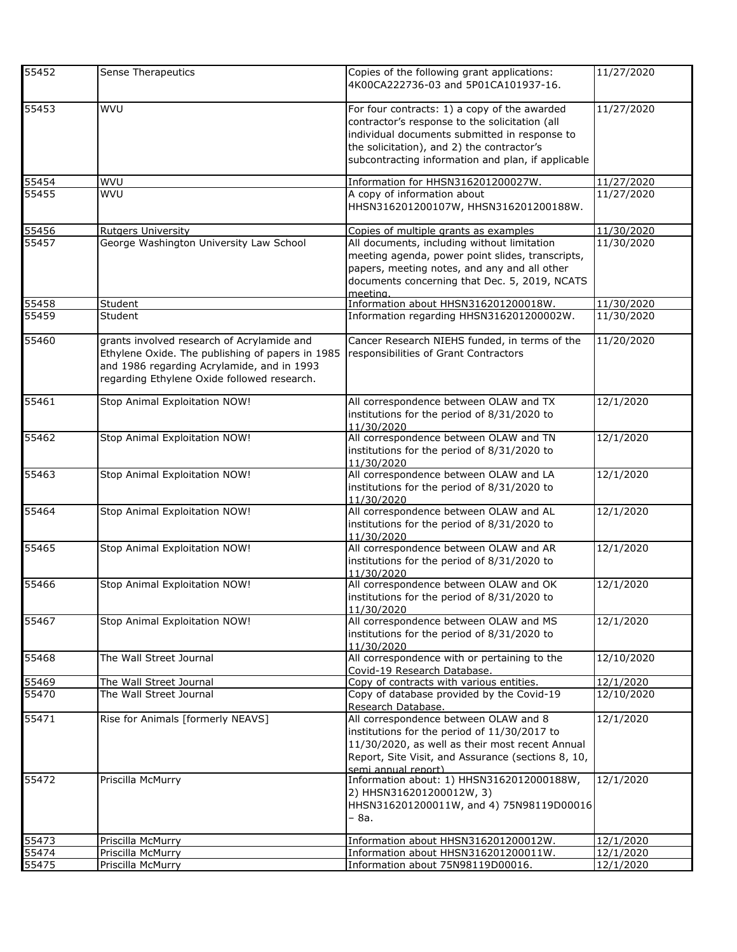| 55452          | Sense Therapeutics                                                                                                                                                                          | Copies of the following grant applications:<br>4K00CA222736-03 and 5P01CA101937-16.                                                                                                                                   | 11/27/2020 |
|----------------|---------------------------------------------------------------------------------------------------------------------------------------------------------------------------------------------|-----------------------------------------------------------------------------------------------------------------------------------------------------------------------------------------------------------------------|------------|
| 55453          | WVU                                                                                                                                                                                         | For four contracts: 1) a copy of the awarded<br>contractor's response to the solicitation (all<br>individual documents submitted in response to<br>the solicitation), and 2) the contractor's                         | 11/27/2020 |
|                |                                                                                                                                                                                             | subcontracting information and plan, if applicable                                                                                                                                                                    |            |
| 55454          | <b>WVU</b>                                                                                                                                                                                  | Information for HHSN316201200027W.                                                                                                                                                                                    | 11/27/2020 |
| 55455          | WVU                                                                                                                                                                                         | A copy of information about                                                                                                                                                                                           | 11/27/2020 |
|                |                                                                                                                                                                                             | HHSN316201200107W, HHSN316201200188W.                                                                                                                                                                                 |            |
| 55456          | <b>Rutgers University</b>                                                                                                                                                                   | Copies of multiple grants as examples                                                                                                                                                                                 | 11/30/2020 |
| 55457          | George Washington University Law School                                                                                                                                                     | All documents, including without limitation<br>meeting agenda, power point slides, transcripts,<br>papers, meeting notes, and any and all other<br>documents concerning that Dec. 5, 2019, NCATS<br>meetina.          | 11/30/2020 |
| 55458          | Student                                                                                                                                                                                     | Information about HHSN316201200018W.                                                                                                                                                                                  | 11/30/2020 |
| 55459          | Student                                                                                                                                                                                     | Information regarding HHSN316201200002W.                                                                                                                                                                              | 11/30/2020 |
| 55460          | grants involved research of Acrylamide and<br>Ethylene Oxide. The publishing of papers in 1985<br>and 1986 regarding Acrylamide, and in 1993<br>regarding Ethylene Oxide followed research. | Cancer Research NIEHS funded, in terms of the<br>responsibilities of Grant Contractors                                                                                                                                | 11/20/2020 |
| 55461          | Stop Animal Exploitation NOW!                                                                                                                                                               | All correspondence between OLAW and TX<br>institutions for the period of 8/31/2020 to<br>11/30/2020                                                                                                                   | 12/1/2020  |
| 55462          | Stop Animal Exploitation NOW!                                                                                                                                                               | All correspondence between OLAW and TN<br>institutions for the period of 8/31/2020 to<br>11/30/2020                                                                                                                   | 12/1/2020  |
| 55463          | Stop Animal Exploitation NOW!                                                                                                                                                               | All correspondence between OLAW and LA<br>institutions for the period of 8/31/2020 to<br>11/30/2020                                                                                                                   | 12/1/2020  |
| 55464          | Stop Animal Exploitation NOW!                                                                                                                                                               | All correspondence between OLAW and AL<br>institutions for the period of 8/31/2020 to<br>11/30/2020                                                                                                                   | 12/1/2020  |
| 55465          | Stop Animal Exploitation NOW!                                                                                                                                                               | All correspondence between OLAW and AR<br>institutions for the period of 8/31/2020 to<br>11/30/2020                                                                                                                   | 12/1/2020  |
| 55466          | Stop Animal Exploitation NOW!                                                                                                                                                               | All correspondence between OLAW and OK<br>institutions for the period of 8/31/2020 to<br>11/30/2020                                                                                                                   | 12/1/2020  |
| 55467          | Stop Animal Exploitation NOW!                                                                                                                                                               | All correspondence between OLAW and MS<br>institutions for the period of 8/31/2020 to<br>11/30/2020                                                                                                                   | 12/1/2020  |
| 55468          | The Wall Street Journal                                                                                                                                                                     | All correspondence with or pertaining to the<br>Covid-19 Research Database.                                                                                                                                           | 12/10/2020 |
| 55469<br>55470 | The Wall Street Journal                                                                                                                                                                     | Copy of contracts with various entities.                                                                                                                                                                              | 12/1/2020  |
|                | The Wall Street Journal                                                                                                                                                                     | Copy of database provided by the Covid-19<br>Research Database.                                                                                                                                                       | 12/10/2020 |
| 55471          | Rise for Animals [formerly NEAVS]                                                                                                                                                           | All correspondence between OLAW and 8<br>institutions for the period of 11/30/2017 to<br>11/30/2020, as well as their most recent Annual<br>Report, Site Visit, and Assurance (sections 8, 10,<br>semi annual report) | 12/1/2020  |
| 55472          | Priscilla McMurry                                                                                                                                                                           | Information about: 1) HHSN3162012000188W,<br>2) HHSN316201200012W, 3)<br>HHSN316201200011W, and 4) 75N98119D00016<br>- 8a.                                                                                            | 12/1/2020  |
| 55473          | Priscilla McMurry                                                                                                                                                                           | Information about HHSN316201200012W.                                                                                                                                                                                  | 12/1/2020  |
| 55474          | Priscilla McMurry                                                                                                                                                                           | Information about HHSN316201200011W.                                                                                                                                                                                  | 12/1/2020  |
| 55475          | Priscilla McMurry                                                                                                                                                                           | Information about 75N98119D00016.                                                                                                                                                                                     | 12/1/2020  |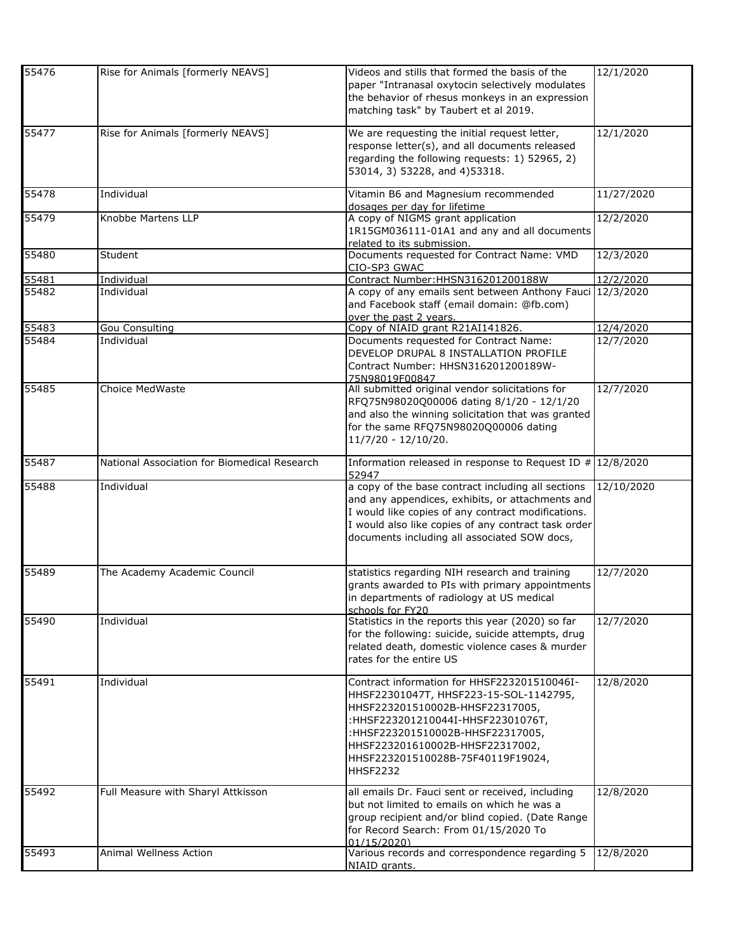| 55476 | Rise for Animals [formerly NEAVS]            | Videos and stills that formed the basis of the<br>paper "Intranasal oxytocin selectively modulates<br>the behavior of rhesus monkeys in an expression<br>matching task" by Taubert et al 2019.                                                                                               | 12/1/2020  |
|-------|----------------------------------------------|----------------------------------------------------------------------------------------------------------------------------------------------------------------------------------------------------------------------------------------------------------------------------------------------|------------|
| 55477 | Rise for Animals [formerly NEAVS]            | We are requesting the initial request letter,<br>response letter(s), and all documents released<br>regarding the following requests: 1) 52965, 2)<br>53014, 3) 53228, and 4)53318.                                                                                                           | 12/1/2020  |
| 55478 | Individual                                   | Vitamin B6 and Magnesium recommended<br>dosages per day for lifetime                                                                                                                                                                                                                         | 11/27/2020 |
| 55479 | Knobbe Martens LLP                           | A copy of NIGMS grant application<br>1R15GM036111-01A1 and any and all documents<br>related to its submission.                                                                                                                                                                               | 12/2/2020  |
| 55480 | Student                                      | Documents requested for Contract Name: VMD<br>CIO-SP3 GWAC                                                                                                                                                                                                                                   | 12/3/2020  |
| 55481 | <b>Individual</b>                            | Contract Number: HHSN316201200188W                                                                                                                                                                                                                                                           | 12/2/2020  |
| 55482 | Individual                                   | A copy of any emails sent between Anthony Fauci 12/3/2020<br>and Facebook staff (email domain: @fb.com)<br>over the past 2 years.                                                                                                                                                            |            |
| 55483 | <b>Gou Consulting</b>                        | Copy of NIAID grant R21AI141826.                                                                                                                                                                                                                                                             | 12/4/2020  |
| 55484 | Individual                                   | Documents requested for Contract Name:<br>DEVELOP DRUPAL 8 INSTALLATION PROFILE<br>Contract Number: HHSN316201200189W-<br>75N98019F00847                                                                                                                                                     | 12/7/2020  |
| 55485 | Choice MedWaste                              | All submitted original vendor solicitations for<br>RFQ75N98020Q00006 dating 8/1/20 - 12/1/20<br>and also the winning solicitation that was granted<br>for the same RFQ75N98020Q00006 dating<br>$11/7/20 - 12/10/20.$                                                                         | 12/7/2020  |
| 55487 | National Association for Biomedical Research | Information released in response to Request ID $\#$ 12/8/2020<br>52947                                                                                                                                                                                                                       |            |
| 55488 | Individual                                   | a copy of the base contract including all sections<br>and any appendices, exhibits, or attachments and<br>I would like copies of any contract modifications.<br>I would also like copies of any contract task order<br>documents including all associated SOW docs,                          | 12/10/2020 |
| 55489 | The Academy Academic Council                 | statistics regarding NIH research and training<br>grants awarded to PIs with primary appointments<br>in departments of radiology at US medical<br>schools for FY20                                                                                                                           | 12/7/2020  |
| 55490 | Individual                                   | Statistics in the reports this year (2020) so far<br>for the following: suicide, suicide attempts, drug<br>related death, domestic violence cases & murder<br>rates for the entire US                                                                                                        | 12/7/2020  |
| 55491 | Individual                                   | Contract information for HHSF223201510046I-<br>HHSF22301047T, HHSF223-15-SOL-1142795,<br>HHSF223201510002B-HHSF22317005,<br>:HHSF223201210044I-HHSF22301076T,<br>:HHSF223201510002B-HHSF22317005,<br>HHSF223201610002B-HHSF22317002,<br>HHSF223201510028B-75F40119F19024,<br><b>HHSF2232</b> | 12/8/2020  |
| 55492 | Full Measure with Sharyl Attkisson           | all emails Dr. Fauci sent or received, including<br>but not limited to emails on which he was a<br>group recipient and/or blind copied. (Date Range<br>for Record Search: From 01/15/2020 To<br>01/15/2020)                                                                                  | 12/8/2020  |
| 55493 | Animal Wellness Action                       | Various records and correspondence regarding 5<br>NIAID grants.                                                                                                                                                                                                                              | 12/8/2020  |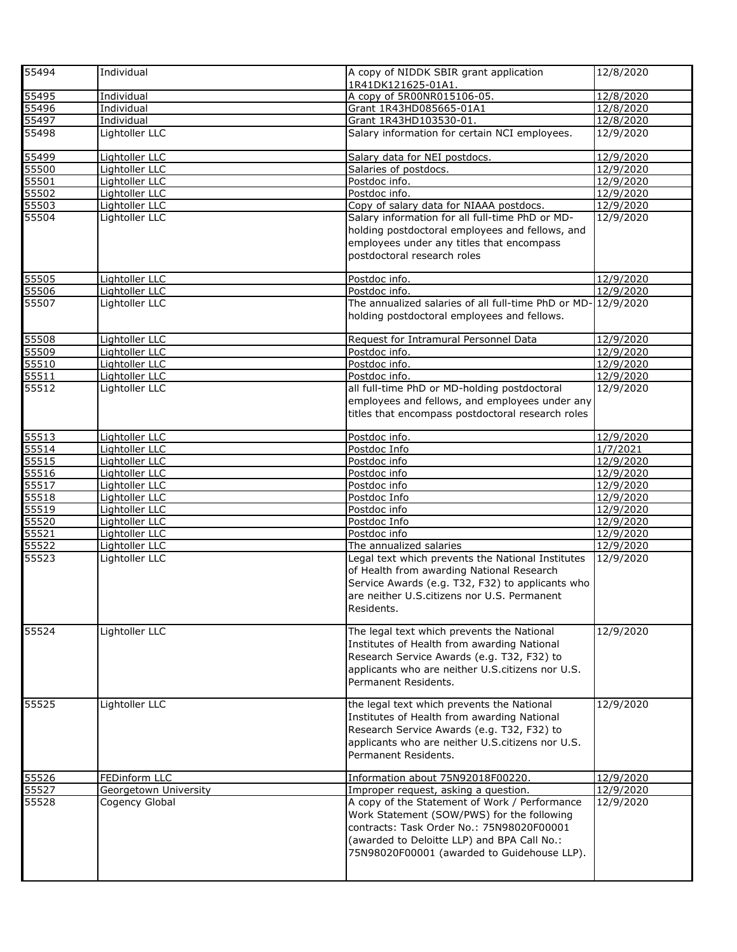| 55494          | Individual                       | A copy of NIDDK SBIR grant application<br>1R41DK121625-01A1.  | 12/8/2020              |
|----------------|----------------------------------|---------------------------------------------------------------|------------------------|
| 55495          | <b>Individual</b>                | A copy of 5R00NR015106-05.                                    | 12/8/2020              |
| 55496          | Individual                       | Grant 1R43HD085665-01A1                                       | 12/8/2020              |
| 55497          | Individual                       | Grant 1R43HD103530-01.                                        | 12/8/2020              |
| 55498          | Lightoller LLC                   | Salary information for certain NCI employees.                 | 12/9/2020              |
|                |                                  |                                                               |                        |
| 55499          | Lightoller LLC                   | Salary data for NEI postdocs.                                 | 12/9/2020              |
| 55500          | Lightoller LLC                   | Salaries of postdocs.                                         | 12/9/2020              |
| 55501          | Lightoller LLC                   | Postdoc info.                                                 | 12/9/2020              |
| 55502          | Lightoller LLC                   | Postdoc info.                                                 | 12/9/2020              |
| 55503          | Lightoller LLC                   | Copy of salary data for NIAAA postdocs.                       | 12/9/2020              |
| 55504          | Lightoller LLC                   | Salary information for all full-time PhD or MD-               | 12/9/2020              |
|                |                                  | holding postdoctoral employees and fellows, and               |                        |
|                |                                  | employees under any titles that encompass                     |                        |
|                |                                  | postdoctoral research roles                                   |                        |
| 55505          | Lightoller LLC                   | Postdoc info.                                                 | 12/9/2020              |
| 55506          | Lightoller LLC                   | Postdoc info.                                                 | 12/9/2020              |
| 55507          | Lightoller LLC                   | The annualized salaries of all full-time PhD or MD- 12/9/2020 |                        |
|                |                                  | holding postdoctoral employees and fellows.                   |                        |
| 55508          | Lightoller LLC                   | Request for Intramural Personnel Data                         | 12/9/2020              |
| 55509          | Lightoller LLC                   | Postdoc info.                                                 | 12/9/2020              |
| 55510          | Lightoller LLC                   | Postdoc info.                                                 | 12/9/2020              |
| 55511          | Lightoller LLC                   | Postdoc info.                                                 | 12/9/2020              |
| 55512          | Lightoller LLC                   | all full-time PhD or MD-holding postdoctoral                  | 12/9/2020              |
|                |                                  | employees and fellows, and employees under any                |                        |
|                |                                  | titles that encompass postdoctoral research roles             |                        |
| 55513          |                                  |                                                               |                        |
|                | Lightoller LLC                   | Postdoc info.                                                 | 12/9/2020              |
| 55514          | Lightoller LLC                   | Postdoc Info                                                  | 1/7/2021               |
| 55515          | Lightoller LLC                   | Postdoc info                                                  | 12/9/2020              |
| 55516<br>55517 | Lightoller LLC                   | Postdoc info                                                  | 12/9/2020              |
|                | Lightoller LLC<br>Lightoller LLC | Postdoc info<br>Postdoc Info                                  | 12/9/2020<br>12/9/2020 |
| 55518<br>55519 | Lightoller LLC                   | Postdoc info                                                  | 12/9/2020              |
| 55520          | Lightoller LLC                   | Postdoc Info                                                  | 12/9/2020              |
| 55521          | Lightoller LLC                   | Postdoc info                                                  | 12/9/2020              |
| 55522          | Lightoller LLC                   | The annualized salaries                                       | 12/9/2020              |
| 55523          | Lightoller LLC                   | Legal text which prevents the National Institutes             | 12/9/2020              |
|                |                                  | of Health from awarding National Research                     |                        |
|                |                                  | Service Awards (e.g. T32, F32) to applicants who              |                        |
|                |                                  |                                                               |                        |
|                |                                  | are neither U.S.citizens nor U.S. Permanent                   |                        |
|                |                                  | Residents.                                                    |                        |
| 55524          | Lightoller LLC                   | The legal text which prevents the National                    | 12/9/2020              |
|                |                                  | Institutes of Health from awarding National                   |                        |
|                |                                  | Research Service Awards (e.g. T32, F32) to                    |                        |
|                |                                  | applicants who are neither U.S. citizens nor U.S.             |                        |
|                |                                  | Permanent Residents.                                          |                        |
|                |                                  |                                                               |                        |
| 55525          | Lightoller LLC                   | the legal text which prevents the National                    | 12/9/2020              |
|                |                                  | Institutes of Health from awarding National                   |                        |
|                |                                  | Research Service Awards (e.g. T32, F32) to                    |                        |
|                |                                  | applicants who are neither U.S. citizens nor U.S.             |                        |
|                |                                  | Permanent Residents.                                          |                        |
|                |                                  |                                                               |                        |
| 55526          | FEDinform LLC                    | Information about 75N92018F00220.                             | 12/9/2020              |
| 55527          | Georgetown University            | Improper request, asking a question.                          | 12/9/2020              |
| 55528          | Cogency Global                   | A copy of the Statement of Work / Performance                 | 12/9/2020              |
|                |                                  | Work Statement (SOW/PWS) for the following                    |                        |
|                |                                  | contracts: Task Order No.: 75N98020F00001                     |                        |
|                |                                  | (awarded to Deloitte LLP) and BPA Call No.:                   |                        |
|                |                                  | 75N98020F00001 (awarded to Guidehouse LLP).                   |                        |
|                |                                  |                                                               |                        |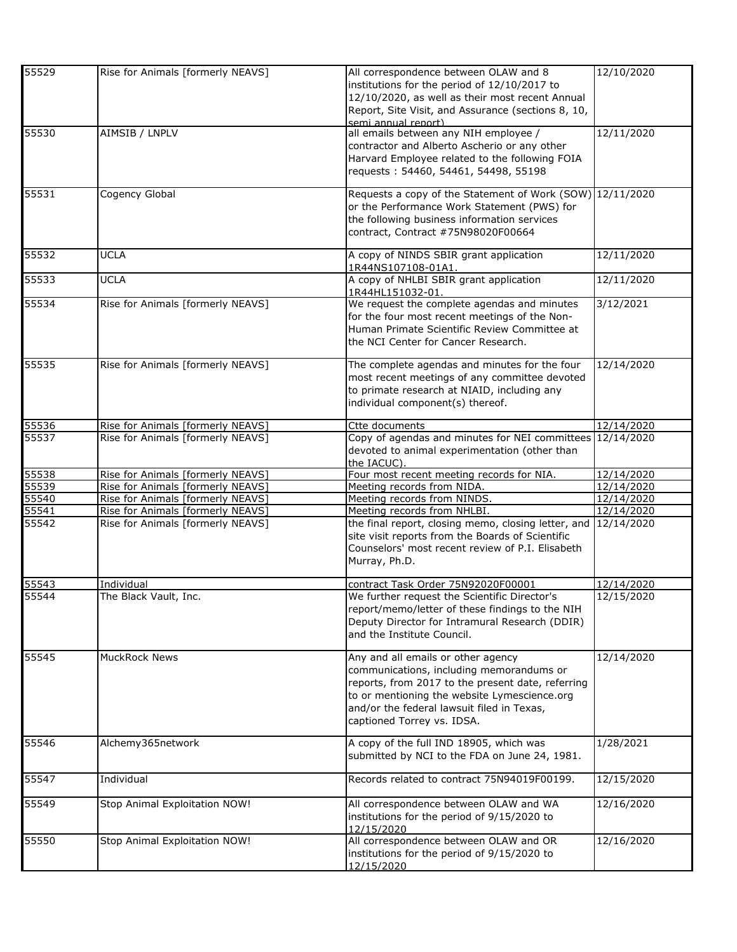| 55529 | Rise for Animals [formerly NEAVS]                                      | All correspondence between OLAW and 8<br>institutions for the period of 12/10/2017 to                                        | 12/10/2020               |
|-------|------------------------------------------------------------------------|------------------------------------------------------------------------------------------------------------------------------|--------------------------|
|       |                                                                        | 12/10/2020, as well as their most recent Annual<br>Report, Site Visit, and Assurance (sections 8, 10,<br>semi annual report) |                          |
| 55530 | AIMSIB / LNPLV                                                         | all emails between any NIH employee /                                                                                        | 12/11/2020               |
|       |                                                                        | contractor and Alberto Ascherio or any other                                                                                 |                          |
|       |                                                                        | Harvard Employee related to the following FOIA                                                                               |                          |
|       |                                                                        | requests: 54460, 54461, 54498, 55198                                                                                         |                          |
| 55531 | Cogency Global                                                         | Requests a copy of the Statement of Work (SOW) 12/11/2020                                                                    |                          |
|       |                                                                        | or the Performance Work Statement (PWS) for                                                                                  |                          |
|       |                                                                        | the following business information services<br>contract, Contract #75N98020F00664                                            |                          |
|       |                                                                        |                                                                                                                              |                          |
| 55532 | <b>UCLA</b>                                                            | A copy of NINDS SBIR grant application<br>1R44NS107108-01A1.                                                                 | 12/11/2020               |
| 55533 | <b>UCLA</b>                                                            | A copy of NHLBI SBIR grant application                                                                                       | 12/11/2020               |
|       |                                                                        | 1R44HL151032-01.                                                                                                             |                          |
| 55534 | Rise for Animals [formerly NEAVS]                                      | We request the complete agendas and minutes<br>for the four most recent meetings of the Non-                                 | 3/12/2021                |
|       |                                                                        | Human Primate Scientific Review Committee at                                                                                 |                          |
|       |                                                                        | the NCI Center for Cancer Research.                                                                                          |                          |
| 55535 | Rise for Animals [formerly NEAVS]                                      | The complete agendas and minutes for the four                                                                                | 12/14/2020               |
|       |                                                                        | most recent meetings of any committee devoted                                                                                |                          |
|       |                                                                        | to primate research at NIAID, including any                                                                                  |                          |
|       |                                                                        | individual component(s) thereof.                                                                                             |                          |
| 55536 | Rise for Animals [formerly NEAVS]                                      | Ctte documents                                                                                                               | 12/14/2020               |
| 55537 | Rise for Animals [formerly NEAVS]                                      | Copy of agendas and minutes for NEI committees 12/14/2020                                                                    |                          |
|       |                                                                        | devoted to animal experimentation (other than                                                                                |                          |
| 55538 |                                                                        | the IACUC).                                                                                                                  |                          |
| 55539 | Rise for Animals [formerly NEAVS]<br>Rise for Animals [formerly NEAVS] | Four most recent meeting records for NIA.<br>Meeting records from NIDA.                                                      | 12/14/2020<br>12/14/2020 |
| 55540 | Rise for Animals [formerly NEAVS]                                      | Meeting records from NINDS.                                                                                                  | 12/14/2020               |
| 55541 | Rise for Animals [formerly NEAVS]                                      | Meeting records from NHLBI.                                                                                                  | 12/14/2020               |
| 55542 | Rise for Animals [formerly NEAVS]                                      | the final report, closing memo, closing letter, and 12/14/2020                                                               |                          |
|       |                                                                        | site visit reports from the Boards of Scientific<br>Counselors' most recent review of P.I. Elisabeth                         |                          |
|       |                                                                        | Murray, Ph.D.                                                                                                                |                          |
|       |                                                                        |                                                                                                                              |                          |
| 55543 | Individual                                                             | contract Task Order 75N92020F00001                                                                                           | 12/14/2020               |
| 55544 | The Black Vault, Inc.                                                  | We further request the Scientific Director's<br>report/memo/letter of these findings to the NIH                              | 12/15/2020               |
|       |                                                                        | Deputy Director for Intramural Research (DDIR)                                                                               |                          |
|       |                                                                        | and the Institute Council.                                                                                                   |                          |
| 55545 | <b>MuckRock News</b>                                                   |                                                                                                                              | 12/14/2020               |
|       |                                                                        | Any and all emails or other agency<br>communications, including memorandums or                                               |                          |
|       |                                                                        | reports, from 2017 to the present date, referring                                                                            |                          |
|       |                                                                        | to or mentioning the website Lymescience.org                                                                                 |                          |
|       |                                                                        | and/or the federal lawsuit filed in Texas,                                                                                   |                          |
|       |                                                                        | captioned Torrey vs. IDSA.                                                                                                   |                          |
| 55546 | Alchemy365network                                                      | A copy of the full IND 18905, which was                                                                                      | 1/28/2021                |
|       |                                                                        | submitted by NCI to the FDA on June 24, 1981.                                                                                |                          |
| 55547 | Individual                                                             | Records related to contract 75N94019F00199.                                                                                  | 12/15/2020               |
| 55549 | Stop Animal Exploitation NOW!                                          | All correspondence between OLAW and WA                                                                                       |                          |
|       |                                                                        | institutions for the period of 9/15/2020 to                                                                                  | 12/16/2020               |
|       |                                                                        | 12/15/2020                                                                                                                   |                          |
| 55550 | Stop Animal Exploitation NOW!                                          | All correspondence between OLAW and OR                                                                                       | 12/16/2020               |
|       |                                                                        | institutions for the period of 9/15/2020 to                                                                                  |                          |
|       |                                                                        | 12/15/2020                                                                                                                   |                          |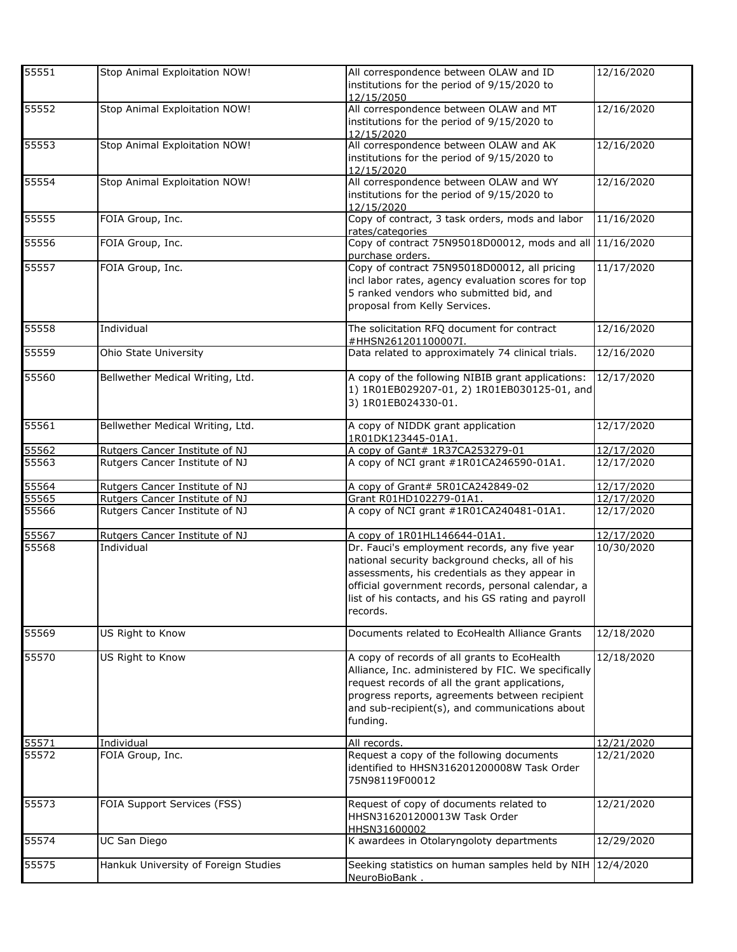| 55551          | Stop Animal Exploitation NOW!                | All correspondence between OLAW and ID<br>institutions for the period of 9/15/2020 to<br>12/15/2050                                                                                                                                                                                                        | 12/16/2020               |
|----------------|----------------------------------------------|------------------------------------------------------------------------------------------------------------------------------------------------------------------------------------------------------------------------------------------------------------------------------------------------------------|--------------------------|
| 55552          | Stop Animal Exploitation NOW!                | All correspondence between OLAW and MT<br>institutions for the period of 9/15/2020 to<br>12/15/2020                                                                                                                                                                                                        | 12/16/2020               |
| 55553          | Stop Animal Exploitation NOW!                | All correspondence between OLAW and AK<br>institutions for the period of 9/15/2020 to<br>12/15/2020                                                                                                                                                                                                        | 12/16/2020               |
| 55554          | Stop Animal Exploitation NOW!                | All correspondence between OLAW and WY<br>institutions for the period of 9/15/2020 to<br>12/15/2020                                                                                                                                                                                                        | 12/16/2020               |
| 55555          | FOIA Group, Inc.                             | Copy of contract, 3 task orders, mods and labor<br>rates/categories                                                                                                                                                                                                                                        | 11/16/2020               |
| 55556          | FOIA Group, Inc.                             | Copy of contract 75N95018D00012, mods and all 11/16/2020<br>purchase orders.                                                                                                                                                                                                                               |                          |
| 55557          | FOIA Group, Inc.                             | Copy of contract 75N95018D00012, all pricing<br>incl labor rates, agency evaluation scores for top<br>5 ranked vendors who submitted bid, and<br>proposal from Kelly Services.                                                                                                                             | 11/17/2020               |
| 55558          | Individual                                   | The solicitation RFQ document for contract<br>#HHSN261201100007I.                                                                                                                                                                                                                                          | 12/16/2020               |
| 55559          | Ohio State University                        | Data related to approximately 74 clinical trials.                                                                                                                                                                                                                                                          | 12/16/2020               |
| 55560          | Bellwether Medical Writing, Ltd.             | A copy of the following NIBIB grant applications:<br>1) 1R01EB029207-01, 2) 1R01EB030125-01, and<br>3) 1R01EB024330-01.                                                                                                                                                                                    | 12/17/2020               |
| 55561          | Bellwether Medical Writing, Ltd.             | A copy of NIDDK grant application<br>1R01DK123445-01A1.                                                                                                                                                                                                                                                    | 12/17/2020               |
| 55562          | Rutgers Cancer Institute of NJ               | A copy of Gant# 1R37CA253279-01                                                                                                                                                                                                                                                                            | 12/17/2020               |
| 55563          | Rutgers Cancer Institute of NJ               | A copy of NCI grant #1R01CA246590-01A1.                                                                                                                                                                                                                                                                    | 12/17/2020               |
| 55564          | Rutgers Cancer Institute of NJ               | A copy of Grant# 5R01CA242849-02                                                                                                                                                                                                                                                                           | 12/17/2020               |
| 55565          | Rutgers Cancer Institute of NJ               | Grant R01HD102279-01A1.                                                                                                                                                                                                                                                                                    | 12/17/2020               |
| 55566          | Rutgers Cancer Institute of NJ               | A copy of NCI grant #1R01CA240481-01A1.                                                                                                                                                                                                                                                                    | 12/17/2020               |
| 55567<br>55568 | Rutgers Cancer Institute of NJ<br>Individual | A copy of 1R01HL146644-01A1.<br>Dr. Fauci's employment records, any five year<br>national security background checks, all of his<br>assessments, his credentials as they appear in<br>official government records, personal calendar, a<br>list of his contacts, and his GS rating and payroll<br>records. | 12/17/2020<br>10/30/2020 |
| 55569          | US Right to Know                             | Documents related to EcoHealth Alliance Grants                                                                                                                                                                                                                                                             | 12/18/2020               |
| 55570          | US Right to Know                             | A copy of records of all grants to EcoHealth<br>Alliance, Inc. administered by FIC. We specifically<br>request records of all the grant applications,<br>progress reports, agreements between recipient<br>and sub-recipient(s), and communications about<br>funding.                                      | 12/18/2020               |
| 55571          | Individual                                   | All records.                                                                                                                                                                                                                                                                                               | 12/21/2020               |
| 55572          | FOIA Group, Inc.                             | Request a copy of the following documents<br>identified to HHSN316201200008W Task Order<br>75N98119F00012                                                                                                                                                                                                  | 12/21/2020               |
| 55573          | FOIA Support Services (FSS)                  | Request of copy of documents related to<br>HHSN316201200013W Task Order<br>HHSN31600002                                                                                                                                                                                                                    | 12/21/2020               |
| 55574          | UC San Diego                                 | K awardees in Otolaryngoloty departments                                                                                                                                                                                                                                                                   | 12/29/2020               |
| 55575          | Hankuk University of Foreign Studies         | Seeking statistics on human samples held by NIH<br>NeuroBioBank.                                                                                                                                                                                                                                           | $\sqrt{12}/4/2020$       |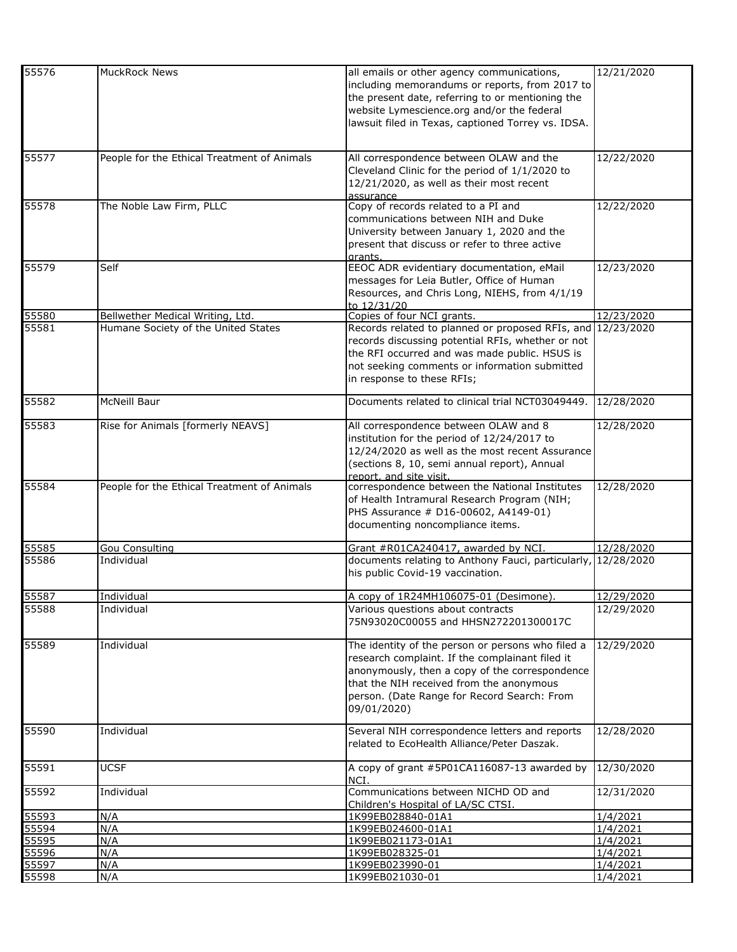| 55576 | <b>MuckRock News</b>                        |                                                               | 12/21/2020 |
|-------|---------------------------------------------|---------------------------------------------------------------|------------|
|       |                                             | all emails or other agency communications,                    |            |
|       |                                             | including memorandums or reports, from 2017 to                |            |
|       |                                             | the present date, referring to or mentioning the              |            |
|       |                                             | website Lymescience.org and/or the federal                    |            |
|       |                                             | lawsuit filed in Texas, captioned Torrey vs. IDSA.            |            |
|       |                                             |                                                               |            |
| 55577 | People for the Ethical Treatment of Animals | All correspondence between OLAW and the                       | 12/22/2020 |
|       |                                             | Cleveland Clinic for the period of 1/1/2020 to                |            |
|       |                                             |                                                               |            |
|       |                                             | 12/21/2020, as well as their most recent                      |            |
|       |                                             | assurance                                                     |            |
| 55578 | The Noble Law Firm, PLLC                    | Copy of records related to a PI and                           | 12/22/2020 |
|       |                                             | communications between NIH and Duke                           |            |
|       |                                             | University between January 1, 2020 and the                    |            |
|       |                                             | present that discuss or refer to three active                 |            |
|       |                                             | grants.                                                       |            |
| 55579 | Self                                        | EEOC ADR evidentiary documentation, eMail                     | 12/23/2020 |
|       |                                             | messages for Leia Butler, Office of Human                     |            |
|       |                                             | Resources, and Chris Long, NIEHS, from 4/1/19                 |            |
|       |                                             | to 12/31/20                                                   |            |
| 55580 | Bellwether Medical Writing, Ltd.            | Copies of four NCI grants.                                    | 12/23/2020 |
| 55581 | Humane Society of the United States         | Records related to planned or proposed RFIs, and 12/23/2020   |            |
|       |                                             | records discussing potential RFIs, whether or not             |            |
|       |                                             |                                                               |            |
|       |                                             | the RFI occurred and was made public. HSUS is                 |            |
|       |                                             | not seeking comments or information submitted                 |            |
|       |                                             | in response to these RFIs;                                    |            |
|       |                                             |                                                               |            |
| 55582 | McNeill Baur                                | Documents related to clinical trial NCT03049449.              | 12/28/2020 |
| 55583 | Rise for Animals [formerly NEAVS]           | All correspondence between OLAW and 8                         | 12/28/2020 |
|       |                                             | institution for the period of 12/24/2017 to                   |            |
|       |                                             |                                                               |            |
|       |                                             | 12/24/2020 as well as the most recent Assurance               |            |
|       |                                             | (sections 8, 10, semi annual report), Annual                  |            |
|       |                                             | report, and site visit.                                       |            |
| 55584 | People for the Ethical Treatment of Animals | correspondence between the National Institutes                | 12/28/2020 |
|       |                                             | of Health Intramural Research Program (NIH;                   |            |
|       |                                             | PHS Assurance # D16-00602, A4149-01)                          |            |
|       |                                             | documenting noncompliance items.                              |            |
| 55585 | <b>Gou Consulting</b>                       | Grant #R01CA240417, awarded by NCI.                           | 12/28/2020 |
| 55586 | Individual                                  | documents relating to Anthony Fauci, particularly, 12/28/2020 |            |
|       |                                             | his public Covid-19 vaccination.                              |            |
| 55587 |                                             |                                                               | 12/29/2020 |
|       | Individual                                  | A copy of 1R24MH106075-01 (Desimone).                         |            |
| 55588 | Individual                                  | Various questions about contracts                             | 12/29/2020 |
|       |                                             | 75N93020C00055 and HHSN272201300017C                          |            |
| 55589 | Individual                                  | The identity of the person or persons who filed a             | 12/29/2020 |
|       |                                             | research complaint. If the complainant filed it               |            |
|       |                                             | anonymously, then a copy of the correspondence                |            |
|       |                                             | that the NIH received from the anonymous                      |            |
|       |                                             |                                                               |            |
|       |                                             | person. (Date Range for Record Search: From                   |            |
|       |                                             | 09/01/2020)                                                   |            |
| 55590 | Individual                                  | Several NIH correspondence letters and reports                | 12/28/2020 |
|       |                                             | related to EcoHealth Alliance/Peter Daszak.                   |            |
|       |                                             |                                                               |            |
| 55591 | <b>UCSF</b>                                 | A copy of grant #5P01CA116087-13 awarded by                   | 12/30/2020 |
|       |                                             | NCI.                                                          |            |
| 55592 | Individual                                  | Communications between NICHD OD and                           | 12/31/2020 |
|       |                                             | Children's Hospital of LA/SC CTSI.                            |            |
| 55593 | N/A                                         | 1K99EB028840-01A1                                             | 1/4/2021   |
| 55594 | N/A                                         | 1K99EB024600-01A1                                             | 1/4/2021   |
| 55595 | N/A                                         | 1K99EB021173-01A1                                             | 1/4/2021   |
| 55596 | N/A                                         | 1K99EB028325-01                                               | 1/4/2021   |
| 55597 | N/A                                         | 1K99EB023990-01                                               | 1/4/2021   |
| 55598 | N/A                                         | 1K99EB021030-01                                               | 1/4/2021   |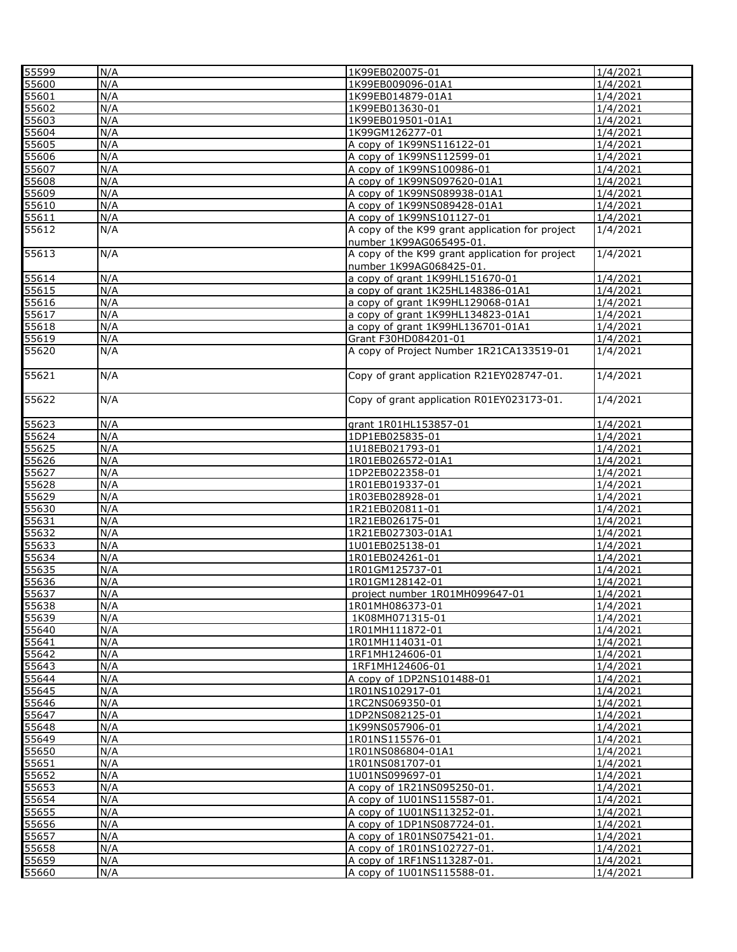| 55599 | N/A | 1K99EB020075-01                                 | 1/4/2021           |
|-------|-----|-------------------------------------------------|--------------------|
| 55600 | N/A | 1K99EB009096-01A1                               | 1/4/2021           |
| 55601 | N/A | 1K99EB014879-01A1                               | 1/4/2021           |
| 55602 | N/A | 1K99EB013630-01                                 | 1/4/2021           |
| 55603 | N/A | 1K99EB019501-01A1                               | 1/4/2021           |
| 55604 | N/A | 1K99GM126277-01                                 | 1/4/2021           |
| 55605 | N/A | A copy of 1K99NS116122-01                       | 1/4/2021           |
| 55606 | N/A | A copy of 1K99NS112599-01                       | 1/4/2021           |
| 55607 | N/A | A copy of 1K99NS100986-01                       | 1/4/2021           |
| 55608 | N/A | A copy of 1K99NS097620-01A1                     | 1/4/2021           |
| 55609 | N/A | A copy of 1K99NS089938-01A1                     | 1/4/2021           |
| 55610 | N/A | A copy of 1K99NS089428-01A1                     | 1/4/2021           |
| 55611 | N/A | A copy of 1K99NS101127-01                       | 1/4/2021           |
| 55612 | N/A | A copy of the K99 grant application for project | 1/4/2021           |
|       |     | number 1K99AG065495-01.                         |                    |
| 55613 | N/A | A copy of the K99 grant application for project | $\frac{1}{4}/2021$ |
|       |     | number 1K99AG068425-01.                         |                    |
| 55614 | N/A | a copy of grant 1K99HL151670-01                 | 1/4/2021           |
| 55615 | N/A | a copy of grant 1K25HL148386-01A1               | 1/4/2021           |
| 55616 | N/A | a copy of grant 1K99HL129068-01A1               | 1/4/2021           |
| 55617 | N/A | a copy of grant 1K99HL134823-01A1               | 1/4/2021           |
| 55618 | N/A | a copy of grant 1K99HL136701-01A1               | 1/4/2021           |
| 55619 | N/A | Grant F30HD084201-01                            | 1/4/2021           |
| 55620 | N/A | A copy of Project Number 1R21CA133519-01        | 1/4/2021           |
|       |     |                                                 |                    |
| 55621 | N/A | Copy of grant application R21EY028747-01.       | 1/4/2021           |
| 55622 | N/A | Copy of grant application R01EY023173-01.       | 1/4/2021           |
| 55623 | N/A | grant 1R01HL153857-01                           | 1/4/2021           |
| 55624 | N/A | 1DP1EB025835-01                                 | 1/4/2021           |
| 55625 | N/A | 1U18EB021793-01                                 | 1/4/2021           |
| 55626 | N/A | 1R01EB026572-01A1                               | 1/4/2021           |
| 55627 | N/A | 1DP2EB022358-01                                 | 1/4/2021           |
| 55628 | N/A | 1R01EB019337-01                                 | 1/4/2021           |
| 55629 | N/A | 1R03EB028928-01                                 | 1/4/2021           |
| 55630 | N/A | 1R21EB020811-01                                 | 1/4/2021           |
| 55631 | N/A | 1R21EB026175-01                                 | 1/4/2021           |
| 55632 | N/A | 1R21EB027303-01A1                               | 1/4/2021           |
| 55633 | N/A | 1U01EB025138-01                                 | 1/4/2021           |
| 55634 | N/A | 1R01EB024261-01                                 | 1/4/2021           |
| 55635 | N/A | 1R01GM125737-01                                 | 1/4/2021           |
| 55636 | N/A | 1R01GM128142-01                                 | 1/4/2021           |
| 55637 | N/A | project number 1R01MH099647-01                  | 1/4/2021           |
| 55638 | N/A | 1R01MH086373-01                                 | 1/4/2021           |
| 55639 | N/A | 1K08MH071315-01                                 | 1/4/2021           |
| 55640 | N/A | 1R01MH111872-01                                 | 1/4/2021           |
| 55641 | N/A | 1R01MH114031-01                                 | 1/4/2021           |
| 55642 | N/A | 1RF1MH124606-01                                 | 1/4/2021           |
| 55643 | N/A | 1RF1MH124606-01                                 | 1/4/2021           |
| 55644 | N/A | A copy of 1DP2NS101488-01                       | 1/4/2021           |
| 55645 | N/A | 1R01NS102917-01                                 | 1/4/2021           |
| 55646 | N/A | 1RC2NS069350-01                                 | 1/4/2021           |
| 55647 | N/A | 1DP2NS082125-01                                 | 1/4/2021           |
| 55648 | N/A | 1K99NS057906-01                                 | 1/4/2021           |
| 55649 | N/A | 1R01NS115576-01                                 | 1/4/2021           |
| 55650 | N/A | 1R01NS086804-01A1                               | 1/4/2021           |
| 55651 | N/A | 1R01NS081707-01                                 | 1/4/2021           |
| 55652 | N/A | 1U01NS099697-01                                 | 1/4/2021           |
| 55653 | N/A | A copy of 1R21NS095250-01.                      | 1/4/2021           |
| 55654 | N/A | A copy of 1U01NS115587-01.                      | 1/4/2021           |
| 55655 | N/A | A copy of 1U01NS113252-01.                      | 1/4/2021           |
| 55656 | N/A | A copy of 1DP1NS087724-01.                      | 1/4/2021           |
| 55657 | N/A | A copy of 1R01NS075421-01.                      | 1/4/2021           |
| 55658 | N/A | A copy of 1R01NS102727-01.                      | 1/4/2021           |
| 55659 | N/A | A copy of 1RF1NS113287-01.                      | 1/4/2021           |
| 55660 | N/A | A copy of 1U01NS115588-01.                      | 1/4/2021           |
|       |     |                                                 |                    |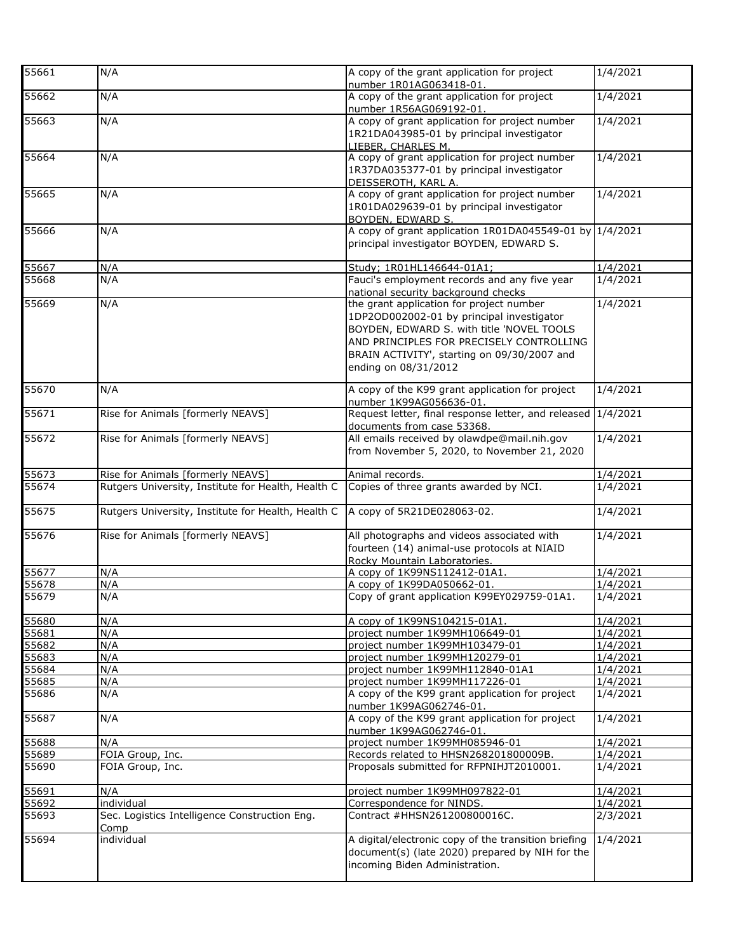| 55661             | N/A                                                | A copy of the grant application for project<br>number 1R01AG063418-01. | 1/4/2021 |
|-------------------|----------------------------------------------------|------------------------------------------------------------------------|----------|
| 55662             | N/A                                                | A copy of the grant application for project                            | 1/4/2021 |
|                   |                                                    | number 1R56AG069192-01.                                                |          |
| 55663             | N/A                                                | A copy of grant application for project number                         | 1/4/2021 |
|                   |                                                    | 1R21DA043985-01 by principal investigator                              |          |
|                   |                                                    | LIEBER, CHARLES M.                                                     |          |
| 55664             | N/A                                                | A copy of grant application for project number                         | 1/4/2021 |
|                   |                                                    | 1R37DA035377-01 by principal investigator                              |          |
|                   |                                                    | DEISSEROTH, KARL A.                                                    |          |
| 55665             | N/A                                                | A copy of grant application for project number                         | 1/4/2021 |
|                   |                                                    | 1R01DA029639-01 by principal investigator                              |          |
|                   |                                                    | BOYDEN, EDWARD S.                                                      |          |
| 55666             | N/A                                                | A copy of grant application 1R01DA045549-01 by 1/4/2021                |          |
|                   |                                                    | principal investigator BOYDEN, EDWARD S.                               |          |
|                   |                                                    |                                                                        |          |
| 55667             | N/A                                                | Study; 1R01HL146644-01A1;                                              | 1/4/2021 |
| 55668             | N/A                                                | Fauci's employment records and any five year                           | 1/4/2021 |
|                   |                                                    | national security background checks                                    |          |
| 55669             | N/A                                                | the grant application for project number                               | 1/4/2021 |
|                   |                                                    | 1DP2OD002002-01 by principal investigator                              |          |
|                   |                                                    | BOYDEN, EDWARD S. with title 'NOVEL TOOLS                              |          |
|                   |                                                    | AND PRINCIPLES FOR PRECISELY CONTROLLING                               |          |
|                   |                                                    | BRAIN ACTIVITY', starting on 09/30/2007 and                            |          |
|                   |                                                    | ending on 08/31/2012                                                   |          |
| 55670             |                                                    | A copy of the K99 grant application for project                        | 1/4/2021 |
|                   | N/A                                                | number 1K99AG056636-01.                                                |          |
| 55671             | Rise for Animals [formerly NEAVS]                  | Request letter, final response letter, and released                    | 1/4/2021 |
|                   |                                                    | documents from case 53368.                                             |          |
| 55672             | Rise for Animals [formerly NEAVS]                  | All emails received by olawdpe@mail.nih.gov                            | 1/4/2021 |
|                   |                                                    | from November 5, 2020, to November 21, 2020                            |          |
|                   |                                                    |                                                                        |          |
| 55673             | Rise for Animals [formerly NEAVS]                  | Animal records.                                                        | 1/4/2021 |
| 55674             | Rutgers University, Institute for Health, Health C | Copies of three grants awarded by NCI.                                 | 1/4/2021 |
|                   |                                                    |                                                                        |          |
| $\overline{5567}$ | Rutgers University, Institute for Health, Health C | A copy of 5R21DE028063-02.                                             | 1/4/2021 |
|                   |                                                    |                                                                        |          |
| 55676             | Rise for Animals [formerly NEAVS]                  | All photographs and videos associated with                             | 1/4/2021 |
|                   |                                                    | fourteen (14) animal-use protocols at NIAID                            |          |
|                   |                                                    | Rocky Mountain Laboratories.                                           |          |
| 55677             | N/A                                                | A copy of 1K99NS112412-01A1.                                           | 1/4/2021 |
| 55678             | N/A                                                | A copy of 1K99DA050662-01.                                             | 1/4/2021 |
| 55679             | N/A                                                | Copy of grant application K99EY029759-01A1.                            | 1/4/2021 |
| 55680             | N/A                                                | A copy of 1K99NS104215-01A1.                                           | 1/4/2021 |
| 55681             | N/A                                                | project number 1K99MH106649-01                                         | 1/4/2021 |
| 55682             | N/A                                                | project number 1K99MH103479-01                                         | 1/4/2021 |
| 55683             | N/A                                                | project number 1K99MH120279-01                                         | 1/4/2021 |
| 55684             | N/A                                                | project number 1K99MH112840-01A1                                       | 1/4/2021 |
| 55685             | N/A                                                | project number 1K99MH117226-01                                         | 1/4/2021 |
| 55686             | N/A                                                | A copy of the K99 grant application for project                        | 1/4/2021 |
|                   |                                                    | number 1K99AG062746-01.                                                |          |
| 55687             | N/A                                                | A copy of the K99 grant application for project                        | 1/4/2021 |
|                   |                                                    | number 1K99AG062746-01.                                                |          |
| 55688             | N/A                                                | project number 1K99MH085946-01                                         | 1/4/2021 |
| 55689             | FOIA Group, Inc.                                   | Records related to HHSN268201800009B.                                  | 1/4/2021 |
| 55690             | FOIA Group, Inc.                                   | Proposals submitted for RFPNIHJT2010001.                               | 1/4/2021 |
| 55691             | N/A                                                | project number 1K99MH097822-01                                         | 1/4/2021 |
| 55692             | individual                                         | Correspondence for NINDS.                                              | 1/4/2021 |
| 55693             | Sec. Logistics Intelligence Construction Eng.      | Contract #HHSN261200800016C.                                           | 2/3/2021 |
|                   | Comp                                               |                                                                        |          |
| 55694             | individual                                         | A digital/electronic copy of the transition briefing                   | 1/4/2021 |
|                   |                                                    | document(s) (late 2020) prepared by NIH for the                        |          |
|                   |                                                    | incoming Biden Administration.                                         |          |
|                   |                                                    |                                                                        |          |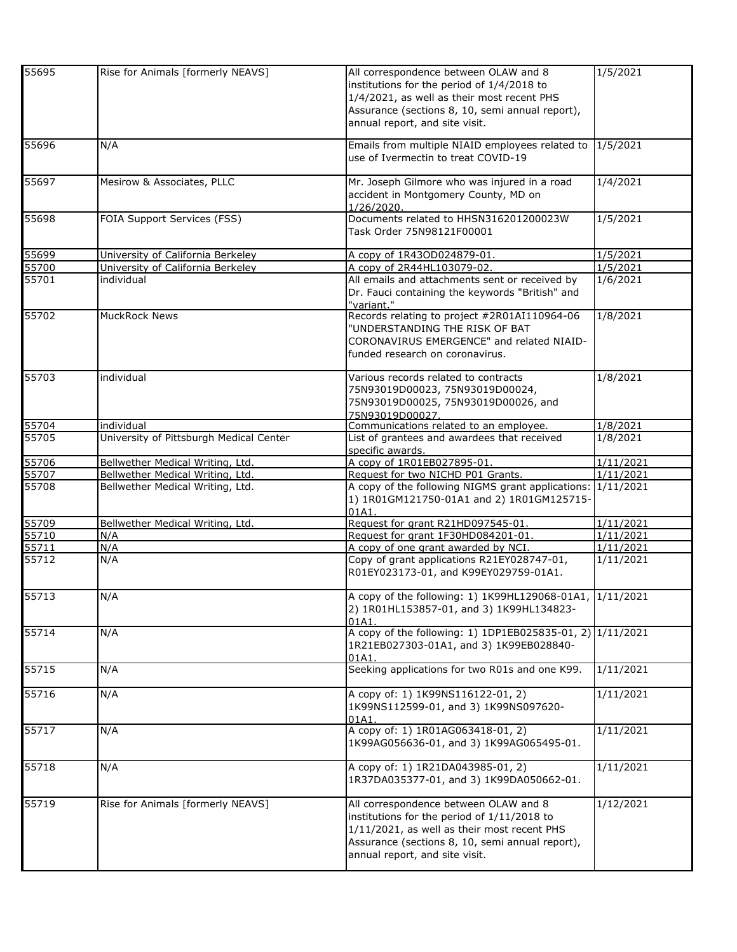| 55695 | Rise for Animals [formerly NEAVS]       | All correspondence between OLAW and 8<br>institutions for the period of 1/4/2018 to<br>1/4/2021, as well as their most recent PHS<br>Assurance (sections 8, 10, semi annual report),<br>annual report, and site visit.   | 1/5/2021  |
|-------|-----------------------------------------|--------------------------------------------------------------------------------------------------------------------------------------------------------------------------------------------------------------------------|-----------|
| 55696 | N/A                                     | Emails from multiple NIAID employees related to<br>use of Ivermectin to treat COVID-19                                                                                                                                   | 1/5/2021  |
| 55697 | Mesirow & Associates, PLLC              | Mr. Joseph Gilmore who was injured in a road<br>accident in Montgomery County, MD on<br>1/26/2020.                                                                                                                       | 1/4/2021  |
| 55698 | <b>FOIA Support Services (FSS)</b>      | Documents related to HHSN316201200023W<br>Task Order 75N98121F00001                                                                                                                                                      | 1/5/2021  |
| 55699 | University of California Berkeley       | A copy of 1R43OD024879-01.                                                                                                                                                                                               | 1/5/2021  |
| 55700 | University of California Berkeley       | A copy of 2R44HL103079-02.                                                                                                                                                                                               | 1/5/2021  |
| 55701 | individual                              | All emails and attachments sent or received by<br>Dr. Fauci containing the keywords "British" and<br>"variant."                                                                                                          | 1/6/2021  |
| 55702 | MuckRock News                           | Records relating to project #2R01AI110964-06<br>"UNDERSTANDING THE RISK OF BAT<br>CORONAVIRUS EMERGENCE" and related NIAID-<br>funded research on coronavirus.                                                           | 1/8/2021  |
| 55703 | individual                              | Various records related to contracts<br>75N93019D00023, 75N93019D00024,<br>75N93019D00025, 75N93019D00026, and<br>75N93019D00027.                                                                                        | 1/8/2021  |
| 55704 | individual                              | Communications related to an employee.                                                                                                                                                                                   | 1/8/2021  |
| 55705 | University of Pittsburgh Medical Center | List of grantees and awardees that received<br>specific awards.                                                                                                                                                          | 1/8/2021  |
| 55706 | Bellwether Medical Writing, Ltd.        | A copy of 1R01EB027895-01.                                                                                                                                                                                               | 1/11/2021 |
| 55707 | Bellwether Medical Writing, Ltd.        | Request for two NICHD P01 Grants.                                                                                                                                                                                        | 1/11/2021 |
| 55708 | Bellwether Medical Writing, Ltd.        | A copy of the following NIGMS grant applications: 1/11/2021<br>1) 1R01GM121750-01A1 and 2) 1R01GM125715-<br>01A1.                                                                                                        |           |
| 55709 | Bellwether Medical Writing, Ltd.        | Request for grant R21HD097545-01.                                                                                                                                                                                        | 1/11/2021 |
| 55710 | $\overline{N}/A$                        | Request for grant 1F30HD084201-01.                                                                                                                                                                                       | 1/11/2021 |
| 55711 | N/A                                     | A copy of one grant awarded by NCI.                                                                                                                                                                                      | 1/11/2021 |
| 55712 | N/A                                     | Copy of grant applications R21EY028747-01,<br>R01EY023173-01, and K99EY029759-01A1.                                                                                                                                      | 1/11/2021 |
| 55713 | N/A                                     | A copy of the following: 1) 1K99HL129068-01A1, 1/11/2021<br>2) 1R01HL153857-01, and 3) 1K99HL134823-<br>01A1.                                                                                                            |           |
| 55714 | N/A                                     | A copy of the following: 1) 1DP1EB025835-01, 2) 1/11/2021<br>1R21EB027303-01A1, and 3) 1K99EB028840-<br>01A1.                                                                                                            |           |
| 55715 | N/A                                     | Seeking applications for two R01s and one K99.                                                                                                                                                                           | 1/11/2021 |
| 55716 | N/A                                     | A copy of: 1) 1K99NS116122-01, 2)<br>1K99NS112599-01, and 3) 1K99NS097620-<br>01A1.                                                                                                                                      | 1/11/2021 |
| 55717 | N/A                                     | A copy of: 1) 1R01AG063418-01, 2)<br>1K99AG056636-01, and 3) 1K99AG065495-01.                                                                                                                                            | 1/11/2021 |
| 55718 | N/A                                     | A copy of: 1) 1R21DA043985-01, 2)<br>1R37DA035377-01, and 3) 1K99DA050662-01.                                                                                                                                            | 1/11/2021 |
| 55719 | Rise for Animals [formerly NEAVS]       | All correspondence between OLAW and 8<br>institutions for the period of 1/11/2018 to<br>1/11/2021, as well as their most recent PHS<br>Assurance (sections 8, 10, semi annual report),<br>annual report, and site visit. | 1/12/2021 |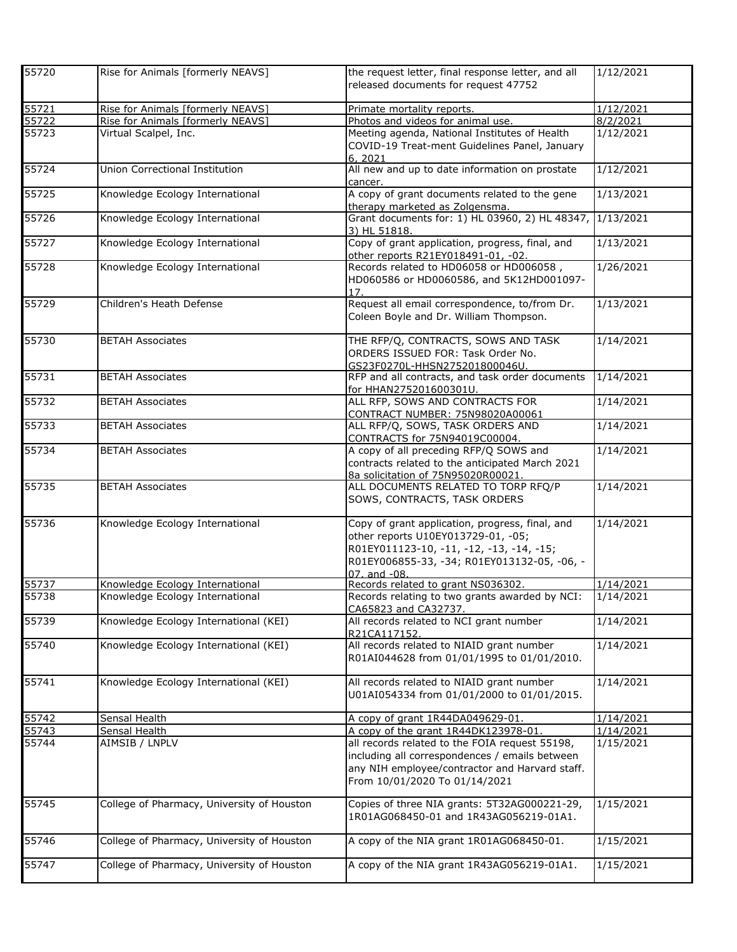| 55720 | Rise for Animals [formerly NEAVS]          | the request letter, final response letter, and all<br>released documents for request 47752                                                                                                           | 1/12/2021 |
|-------|--------------------------------------------|------------------------------------------------------------------------------------------------------------------------------------------------------------------------------------------------------|-----------|
| 55721 | Rise for Animals [formerly NEAVS]          | Primate mortality reports.                                                                                                                                                                           | 1/12/2021 |
| 55722 | Rise for Animals [formerly NEAVS]          | Photos and videos for animal use.                                                                                                                                                                    | 8/2/2021  |
| 55723 | Virtual Scalpel, Inc.                      | Meeting agenda, National Institutes of Health<br>COVID-19 Treat-ment Guidelines Panel, January<br>6.2021                                                                                             | 1/12/2021 |
| 55724 | <b>Union Correctional Institution</b>      | All new and up to date information on prostate<br>cancer.                                                                                                                                            | 1/12/2021 |
| 55725 | Knowledge Ecology International            | A copy of grant documents related to the gene<br>therapy marketed as Zolgensma.                                                                                                                      | 1/13/2021 |
| 55726 | Knowledge Ecology International            | Grant documents for: 1) HL 03960, 2) HL 48347,<br>3) HL 51818.                                                                                                                                       | 1/13/2021 |
| 55727 | Knowledge Ecology International            | Copy of grant application, progress, final, and<br>other reports R21EY018491-01, -02.                                                                                                                | 1/13/2021 |
| 55728 | Knowledge Ecology International            | Records related to HD06058 or HD006058,<br>HD060586 or HD0060586, and 5K12HD001097-<br>17.                                                                                                           | 1/26/2021 |
| 55729 | Children's Heath Defense                   | Request all email correspondence, to/from Dr.<br>Coleen Boyle and Dr. William Thompson.                                                                                                              | 1/13/2021 |
| 55730 | <b>BETAH Associates</b>                    | THE RFP/Q, CONTRACTS, SOWS AND TASK<br>ORDERS ISSUED FOR: Task Order No.<br>GS23F0270L-HHSN275201800046U                                                                                             | 1/14/2021 |
| 55731 | <b>BETAH Associates</b>                    | RFP and all contracts, and task order documents<br>for HHAN275201600301U.                                                                                                                            | 1/14/2021 |
| 55732 | <b>BETAH Associates</b>                    | ALL RFP, SOWS AND CONTRACTS FOR<br>CONTRACT NUMBER: 75N98020A00061                                                                                                                                   | 1/14/2021 |
| 55733 | <b>BETAH Associates</b>                    | ALL RFP/Q, SOWS, TASK ORDERS AND<br>CONTRACTS for 75N94019C00004.                                                                                                                                    | 1/14/2021 |
| 55734 | <b>BETAH Associates</b>                    | A copy of all preceding RFP/Q SOWS and<br>contracts related to the anticipated March 2021<br>8a solicitation of 75N95020R00021.                                                                      | 1/14/2021 |
| 55735 | <b>BETAH Associates</b>                    | ALL DOCUMENTS RELATED TO TORP RFQ/P<br>SOWS, CONTRACTS, TASK ORDERS                                                                                                                                  | 1/14/2021 |
| 55736 | Knowledge Ecology International            | Copy of grant application, progress, final, and<br>other reports U10EY013729-01, -05;<br>R01EY011123-10, -11, -12, -13, -14, -15;<br>R01EY006855-33, -34; R01EY013132-05, -06, -<br>$07.$ and $-08.$ | 1/14/2021 |
| 55737 | Knowledge Ecology International            | Records related to grant NS036302.                                                                                                                                                                   | 1/14/2021 |
| 55738 | Knowledge Ecology International            | Records relating to two grants awarded by NCI:<br>CA65823 and CA32737.                                                                                                                               | 1/14/2021 |
| 55739 | Knowledge Ecology International (KEI)      | All records related to NCI grant number<br>R21CA117152.                                                                                                                                              | 1/14/2021 |
| 55740 | Knowledge Ecology International (KEI)      | All records related to NIAID grant number<br>R01AI044628 from 01/01/1995 to 01/01/2010.                                                                                                              | 1/14/2021 |
| 55741 | Knowledge Ecology International (KEI)      | All records related to NIAID grant number<br>U01AI054334 from 01/01/2000 to 01/01/2015.                                                                                                              | 1/14/2021 |
| 55742 | Sensal Health                              | A copy of grant 1R44DA049629-01.                                                                                                                                                                     | 1/14/2021 |
| 55743 | Sensal Health                              | A copy of the grant 1R44DK123978-01.                                                                                                                                                                 | 1/14/2021 |
| 55744 | AIMSIB / LNPLV                             | all records related to the FOIA request 55198,<br>including all correspondences / emails between<br>any NIH employee/contractor and Harvard staff.<br>From 10/01/2020 To 01/14/2021                  | 1/15/2021 |
| 55745 | College of Pharmacy, University of Houston | Copies of three NIA grants: 5T32AG000221-29,<br>1R01AG068450-01 and 1R43AG056219-01A1.                                                                                                               | 1/15/2021 |
| 55746 | College of Pharmacy, University of Houston | A copy of the NIA grant 1R01AG068450-01.                                                                                                                                                             | 1/15/2021 |
| 55747 | College of Pharmacy, University of Houston | A copy of the NIA grant 1R43AG056219-01A1.                                                                                                                                                           | 1/15/2021 |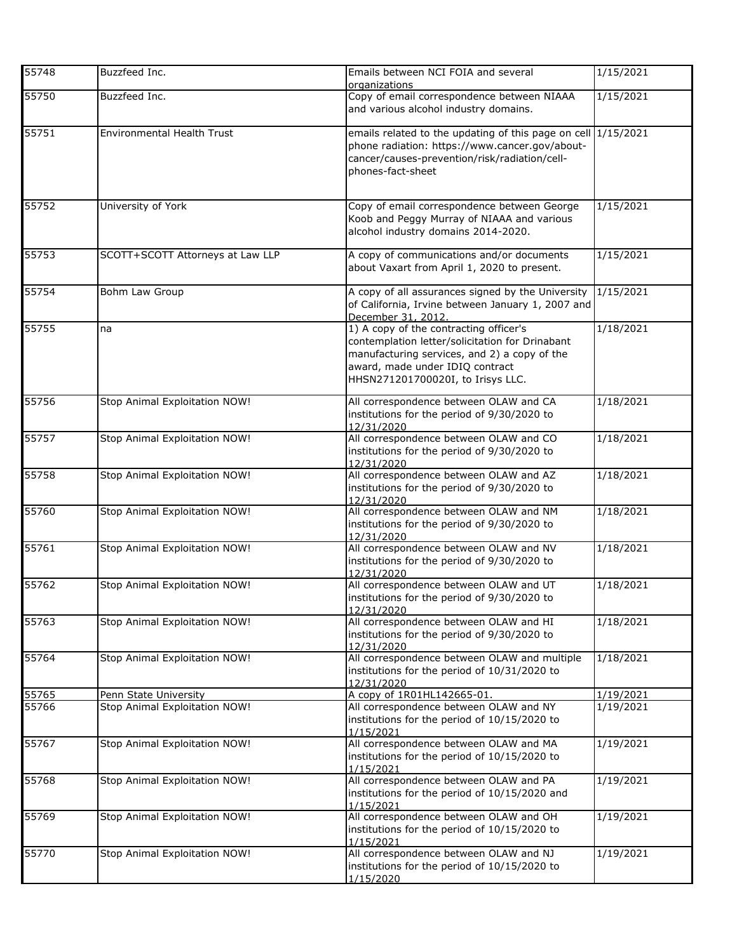| 55748 | Buzzfeed Inc.                    | Emails between NCI FOIA and several<br>organizations                                                                                                                                                              | 1/15/2021 |
|-------|----------------------------------|-------------------------------------------------------------------------------------------------------------------------------------------------------------------------------------------------------------------|-----------|
| 55750 | Buzzfeed Inc.                    | Copy of email correspondence between NIAAA<br>and various alcohol industry domains.                                                                                                                               | 1/15/2021 |
| 55751 | Environmental Health Trust       | emails related to the updating of this page on cell 1/15/2021<br>phone radiation: https://www.cancer.gov/about-<br>cancer/causes-prevention/risk/radiation/cell-<br>phones-fact-sheet                             |           |
| 55752 | University of York               | Copy of email correspondence between George<br>Koob and Peggy Murray of NIAAA and various<br>alcohol industry domains 2014-2020.                                                                                  | 1/15/2021 |
| 55753 | SCOTT+SCOTT Attorneys at Law LLP | A copy of communications and/or documents<br>about Vaxart from April 1, 2020 to present.                                                                                                                          | 1/15/2021 |
| 55754 | Bohm Law Group                   | A copy of all assurances signed by the University<br>of California, Irvine between January 1, 2007 and<br>December 31, 2012.                                                                                      | 1/15/2021 |
| 55755 | na                               | 1) A copy of the contracting officer's<br>contemplation letter/solicitation for Drinabant<br>manufacturing services, and 2) a copy of the<br>award, made under IDIQ contract<br>HHSN271201700020I, to Irisys LLC. | 1/18/2021 |
| 55756 | Stop Animal Exploitation NOW!    | All correspondence between OLAW and CA<br>institutions for the period of 9/30/2020 to<br>12/31/2020                                                                                                               | 1/18/2021 |
| 55757 | Stop Animal Exploitation NOW!    | All correspondence between OLAW and CO<br>institutions for the period of 9/30/2020 to<br>12/31/2020                                                                                                               | 1/18/2021 |
| 55758 | Stop Animal Exploitation NOW!    | All correspondence between OLAW and AZ<br>institutions for the period of 9/30/2020 to<br>12/31/2020                                                                                                               | 1/18/2021 |
| 55760 | Stop Animal Exploitation NOW!    | All correspondence between OLAW and NM<br>institutions for the period of 9/30/2020 to<br>12/31/2020                                                                                                               | 1/18/2021 |
| 55761 | Stop Animal Exploitation NOW!    | All correspondence between OLAW and NV<br>institutions for the period of 9/30/2020 to<br>12/31/2020                                                                                                               | 1/18/2021 |
| 55762 | Stop Animal Exploitation NOW!    | All correspondence between OLAW and UT<br>institutions for the period of 9/30/2020 to<br>12/31/2020                                                                                                               | 1/18/2021 |
| 55763 | Stop Animal Exploitation NOW!    | All correspondence between OLAW and HI<br>institutions for the period of 9/30/2020 to<br>12/31/2020                                                                                                               | 1/18/2021 |
| 55764 | Stop Animal Exploitation NOW!    | All correspondence between OLAW and multiple<br>institutions for the period of 10/31/2020 to<br>12/31/2020                                                                                                        | 1/18/2021 |
| 55765 | Penn State University            | A copy of 1R01HL142665-01.                                                                                                                                                                                        | 1/19/2021 |
| 55766 | Stop Animal Exploitation NOW!    | All correspondence between OLAW and NY<br>institutions for the period of 10/15/2020 to<br>1/15/2021                                                                                                               | 1/19/2021 |
| 55767 | Stop Animal Exploitation NOW!    | All correspondence between OLAW and MA<br>institutions for the period of 10/15/2020 to<br>1/15/2021                                                                                                               | 1/19/2021 |
| 55768 | Stop Animal Exploitation NOW!    | All correspondence between OLAW and PA<br>institutions for the period of 10/15/2020 and<br>1/15/2021                                                                                                              | 1/19/2021 |
| 55769 | Stop Animal Exploitation NOW!    | All correspondence between OLAW and OH<br>institutions for the period of 10/15/2020 to<br>1/15/2021                                                                                                               | 1/19/2021 |
| 55770 | Stop Animal Exploitation NOW!    | All correspondence between OLAW and NJ<br>institutions for the period of 10/15/2020 to<br>1/15/2020                                                                                                               | 1/19/2021 |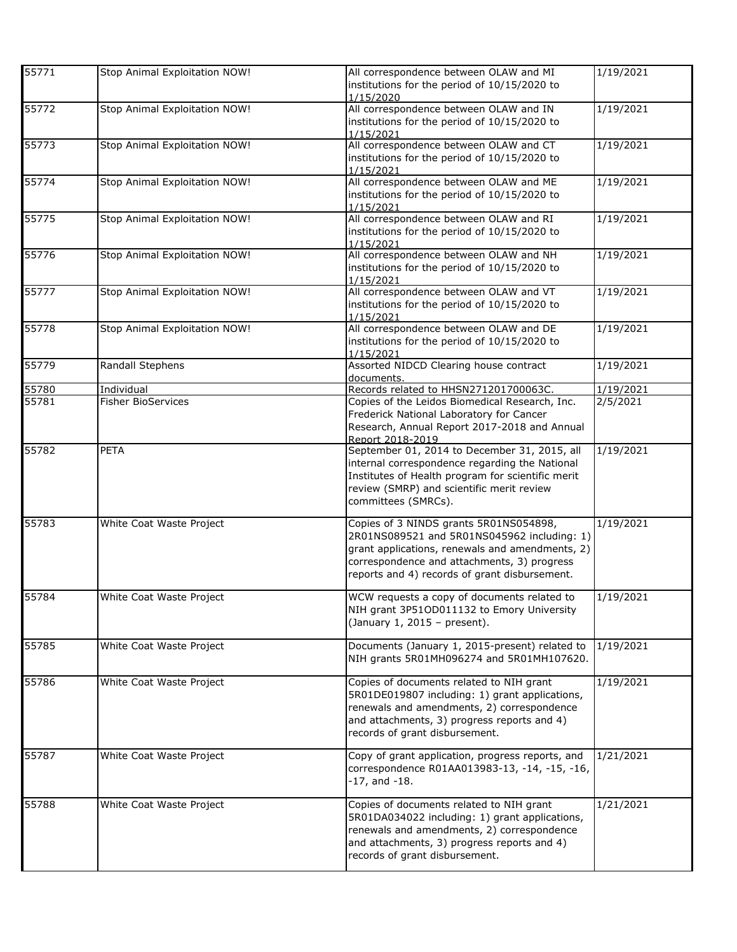| 55771 | Stop Animal Exploitation NOW! | All correspondence between OLAW and MI<br>institutions for the period of 10/15/2020 to<br>1/15/2020                                                                                                                                      | 1/19/2021 |
|-------|-------------------------------|------------------------------------------------------------------------------------------------------------------------------------------------------------------------------------------------------------------------------------------|-----------|
| 55772 | Stop Animal Exploitation NOW! | All correspondence between OLAW and IN<br>institutions for the period of 10/15/2020 to                                                                                                                                                   | 1/19/2021 |
| 55773 | Stop Animal Exploitation NOW! | 1/15/2021<br>All correspondence between OLAW and CT<br>institutions for the period of 10/15/2020 to                                                                                                                                      | 1/19/2021 |
| 55774 | Stop Animal Exploitation NOW! | 1/15/2021<br>All correspondence between OLAW and ME<br>institutions for the period of 10/15/2020 to                                                                                                                                      | 1/19/2021 |
| 55775 | Stop Animal Exploitation NOW! | 1/15/2021<br>All correspondence between OLAW and RI<br>institutions for the period of 10/15/2020 to<br>1/15/2021                                                                                                                         | 1/19/2021 |
| 55776 | Stop Animal Exploitation NOW! | All correspondence between OLAW and NH<br>institutions for the period of 10/15/2020 to<br>1/15/2021                                                                                                                                      | 1/19/2021 |
| 55777 | Stop Animal Exploitation NOW! | All correspondence between OLAW and VT<br>institutions for the period of 10/15/2020 to<br>1/15/2021                                                                                                                                      | 1/19/2021 |
| 55778 | Stop Animal Exploitation NOW! | All correspondence between OLAW and DE<br>institutions for the period of 10/15/2020 to<br>1/15/2021                                                                                                                                      | 1/19/2021 |
| 55779 | Randall Stephens              | Assorted NIDCD Clearing house contract<br>documents.                                                                                                                                                                                     | 1/19/2021 |
| 55780 | Individual                    | Records related to HHSN271201700063C.                                                                                                                                                                                                    | 1/19/2021 |
| 55781 | <b>Fisher BioServices</b>     | Copies of the Leidos Biomedical Research, Inc.<br>Frederick National Laboratory for Cancer<br>Research, Annual Report 2017-2018 and Annual<br>Report 2018-2019                                                                           | 2/5/2021  |
| 55782 | PETA                          | September 01, 2014 to December 31, 2015, all<br>internal correspondence regarding the National<br>Institutes of Health program for scientific merit<br>review (SMRP) and scientific merit review<br>committees (SMRCs).                  | 1/19/2021 |
| 55783 | White Coat Waste Project      | Copies of 3 NINDS grants 5R01NS054898,<br>2R01NS089521 and 5R01NS045962 including: 1)<br>grant applications, renewals and amendments, 2)<br>correspondence and attachments, 3) progress<br>reports and 4) records of grant disbursement. | 1/19/2021 |
| 55784 | White Coat Waste Project      | WCW requests a copy of documents related to<br>NIH grant 3P51OD011132 to Emory University<br>(January 1, 2015 - present).                                                                                                                | 1/19/2021 |
| 55785 | White Coat Waste Project      | Documents (January 1, 2015-present) related to<br>NIH grants 5R01MH096274 and 5R01MH107620.                                                                                                                                              | 1/19/2021 |
| 55786 | White Coat Waste Project      | Copies of documents related to NIH grant<br>5R01DE019807 including: 1) grant applications,<br>renewals and amendments, 2) correspondence<br>and attachments, 3) progress reports and 4)<br>records of grant disbursement.                | 1/19/2021 |
| 55787 | White Coat Waste Project      | Copy of grant application, progress reports, and<br>correspondence R01AA013983-13, -14, -15, -16,<br>$-17$ , and $-18$ .                                                                                                                 | 1/21/2021 |
| 55788 | White Coat Waste Project      | Copies of documents related to NIH grant<br>5R01DA034022 including: 1) grant applications,<br>renewals and amendments, 2) correspondence<br>and attachments, 3) progress reports and 4)<br>records of grant disbursement.                | 1/21/2021 |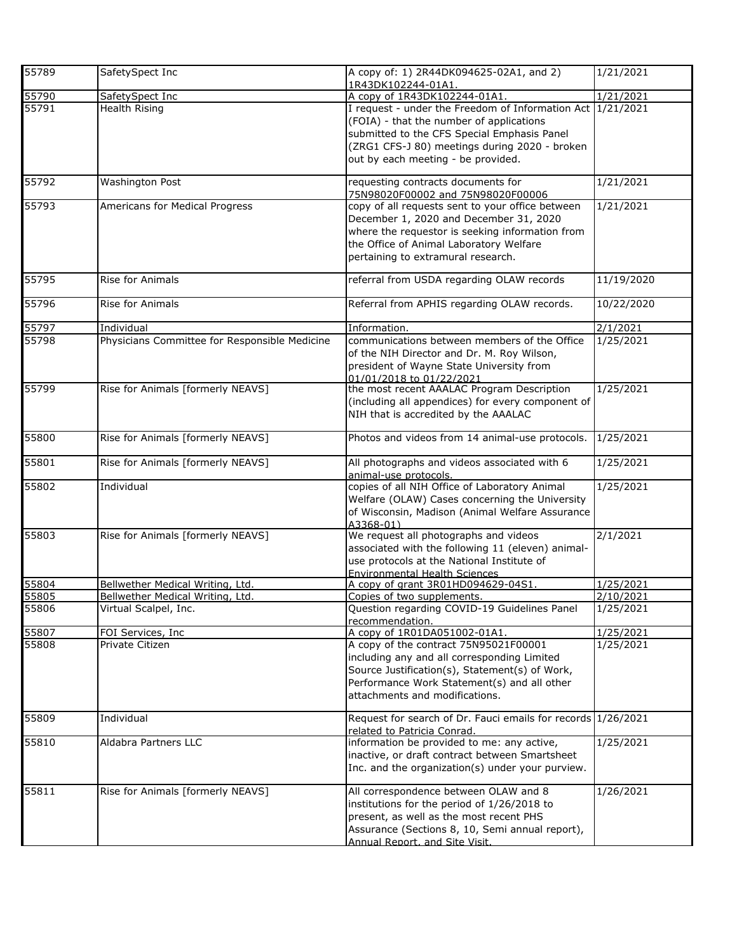| 55789 | SafetySpect Inc                               | A copy of: 1) 2R44DK094625-02A1, and 2)<br>1R43DK102244-01A1.                                                                                                                                                                                | 1/21/2021          |
|-------|-----------------------------------------------|----------------------------------------------------------------------------------------------------------------------------------------------------------------------------------------------------------------------------------------------|--------------------|
| 55790 | SafetySpect Inc                               | A copy of 1R43DK102244-01A1                                                                                                                                                                                                                  | 1/21/2021          |
| 55791 | Health Rising                                 | I request - under the Freedom of Information Act 1/21/2021<br>(FOIA) - that the number of applications<br>submitted to the CFS Special Emphasis Panel<br>(ZRG1 CFS-J 80) meetings during 2020 - broken<br>out by each meeting - be provided. |                    |
| 55792 | Washington Post                               | requesting contracts documents for<br>75N98020F00002 and 75N98020F00006                                                                                                                                                                      | 1/21/2021          |
| 55793 | Americans for Medical Progress                | copy of all requests sent to your office between<br>December 1, 2020 and December 31, 2020<br>where the requestor is seeking information from<br>the Office of Animal Laboratory Welfare<br>pertaining to extramural research.               | 1/21/2021          |
| 55795 | Rise for Animals                              | referral from USDA regarding OLAW records                                                                                                                                                                                                    | 11/19/2020         |
| 55796 | Rise for Animals                              | Referral from APHIS regarding OLAW records.                                                                                                                                                                                                  | 10/22/2020         |
| 55797 | Individual                                    | Information.                                                                                                                                                                                                                                 | 2/1/2021           |
| 55798 | Physicians Committee for Responsible Medicine | communications between members of the Office<br>of the NIH Director and Dr. M. Roy Wilson,<br>president of Wayne State University from<br>01/01/2018 to 01/22/2021                                                                           | 1/25/2021          |
| 55799 | Rise for Animals [formerly NEAVS]             | the most recent AAALAC Program Description<br>(including all appendices) for every component of<br>NIH that is accredited by the AAALAC                                                                                                      | 1/25/2021          |
| 55800 | Rise for Animals [formerly NEAVS]             | Photos and videos from 14 animal-use protocols.                                                                                                                                                                                              | 1/25/2021          |
| 55801 | Rise for Animals [formerly NEAVS]             | All photographs and videos associated with 6<br>animal-use protocols.                                                                                                                                                                        | 1/25/2021          |
| 55802 | Individual                                    | copies of all NIH Office of Laboratory Animal<br>Welfare (OLAW) Cases concerning the University<br>of Wisconsin, Madison (Animal Welfare Assurance<br>A3368-01)                                                                              | 1/25/2021          |
| 55803 | Rise for Animals [formerly NEAVS]             | We request all photographs and videos<br>associated with the following 11 (eleven) animal-<br>use protocols at the National Institute of<br><b>Environmental Health Sciences</b>                                                             | 2/1/2021           |
| 55804 | Bellwether Medical Writing, Ltd.              | A copy of grant 3R01HD094629-04S1.                                                                                                                                                                                                           | 1/25/2021          |
| 55805 | Bellwether Medical Writing, Ltd.              | Copies of two supplements.                                                                                                                                                                                                                   | $\sqrt{2/10/2021}$ |
| 55806 | Virtual Scalpel, Inc.                         | Question regarding COVID-19 Guidelines Panel<br>recommendation.                                                                                                                                                                              | 1/25/2021          |
| 55807 | FOI Services, Inc.                            | A copy of 1R01DA051002-01A1.                                                                                                                                                                                                                 | 1/25/2021          |
| 55808 | Private Citizen                               | A copy of the contract 75N95021F00001<br>including any and all corresponding Limited<br>Source Justification(s), Statement(s) of Work,<br>Performance Work Statement(s) and all other<br>attachments and modifications.                      | 1/25/2021          |
| 55809 | Individual                                    | Request for search of Dr. Fauci emails for records 1/26/2021<br>related to Patricia Conrad.                                                                                                                                                  |                    |
| 55810 | Aldabra Partners LLC                          | information be provided to me: any active,<br>inactive, or draft contract between Smartsheet<br>Inc. and the organization(s) under your purview.                                                                                             | 1/25/2021          |
| 55811 | Rise for Animals [formerly NEAVS]             | All correspondence between OLAW and 8<br>institutions for the period of 1/26/2018 to<br>present, as well as the most recent PHS<br>Assurance (Sections 8, 10, Semi annual report),<br>Annual Report, and Site Visit.                         | 1/26/2021          |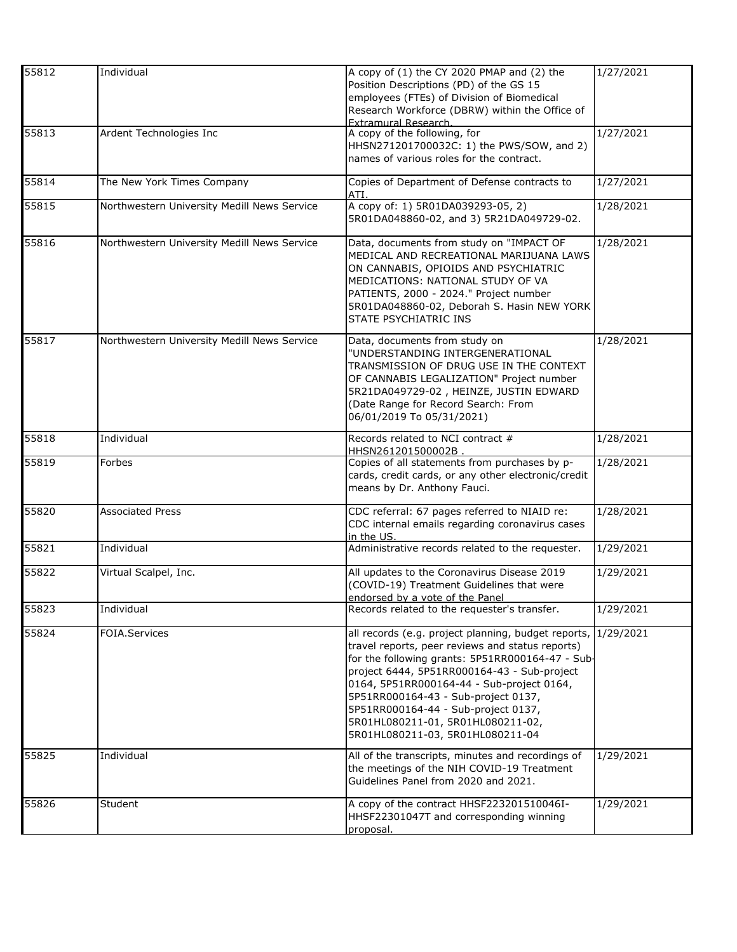| 55812 | Individual                                  | A copy of (1) the CY 2020 PMAP and (2) the<br>Position Descriptions (PD) of the GS 15                                                                                                                                                                                                                                                                                                                          | 1/27/2021 |
|-------|---------------------------------------------|----------------------------------------------------------------------------------------------------------------------------------------------------------------------------------------------------------------------------------------------------------------------------------------------------------------------------------------------------------------------------------------------------------------|-----------|
|       |                                             | employees (FTEs) of Division of Biomedical                                                                                                                                                                                                                                                                                                                                                                     |           |
|       |                                             | Research Workforce (DBRW) within the Office of<br><b>Extramural Research.</b>                                                                                                                                                                                                                                                                                                                                  |           |
| 55813 | Ardent Technologies Inc                     | A copy of the following, for                                                                                                                                                                                                                                                                                                                                                                                   | 1/27/2021 |
|       |                                             | HHSN271201700032C: 1) the PWS/SOW, and 2)<br>names of various roles for the contract.                                                                                                                                                                                                                                                                                                                          |           |
| 55814 | The New York Times Company                  | Copies of Department of Defense contracts to<br>ATI.                                                                                                                                                                                                                                                                                                                                                           | 1/27/2021 |
| 55815 | Northwestern University Medill News Service | A copy of: 1) 5R01DA039293-05, 2)<br>5R01DA048860-02, and 3) 5R21DA049729-02.                                                                                                                                                                                                                                                                                                                                  | 1/28/2021 |
| 55816 | Northwestern University Medill News Service | Data, documents from study on "IMPACT OF<br>MEDICAL AND RECREATIONAL MARIJUANA LAWS<br>ON CANNABIS, OPIOIDS AND PSYCHIATRIC<br>MEDICATIONS: NATIONAL STUDY OF VA<br>PATIENTS, 2000 - 2024." Project number<br>5R01DA048860-02, Deborah S. Hasin NEW YORK<br><b>STATE PSYCHIATRIC INS</b>                                                                                                                       | 1/28/2021 |
| 55817 | Northwestern University Medill News Service | Data, documents from study on<br>"UNDERSTANDING INTERGENERATIONAL<br>TRANSMISSION OF DRUG USE IN THE CONTEXT<br>OF CANNABIS LEGALIZATION" Project number<br>5R21DA049729-02, HEINZE, JUSTIN EDWARD<br>(Date Range for Record Search: From<br>06/01/2019 To 05/31/2021)                                                                                                                                         | 1/28/2021 |
| 55818 | Individual                                  | Records related to NCI contract #<br>HHSN261201500002B                                                                                                                                                                                                                                                                                                                                                         | 1/28/2021 |
| 55819 | Forbes                                      | Copies of all statements from purchases by p-<br>cards, credit cards, or any other electronic/credit<br>means by Dr. Anthony Fauci.                                                                                                                                                                                                                                                                            | 1/28/2021 |
| 55820 | <b>Associated Press</b>                     | CDC referral: 67 pages referred to NIAID re:<br>CDC internal emails regarding coronavirus cases<br>in the US.                                                                                                                                                                                                                                                                                                  | 1/28/2021 |
| 55821 | Individual                                  | Administrative records related to the requester.                                                                                                                                                                                                                                                                                                                                                               | 1/29/2021 |
| 55822 | Virtual Scalpel, Inc.                       | All updates to the Coronavirus Disease 2019<br>(COVID-19) Treatment Guidelines that were<br>endorsed by a vote of the Panel                                                                                                                                                                                                                                                                                    | 1/29/2021 |
| 55823 | Individual                                  | Records related to the requester's transfer.                                                                                                                                                                                                                                                                                                                                                                   | 1/29/2021 |
| 55824 | <b>FOIA.Services</b>                        | all records (e.g. project planning, budget reports,<br>travel reports, peer reviews and status reports)<br>for the following grants: 5P51RR000164-47 - Sub-<br>project 6444, 5P51RR000164-43 - Sub-project<br>0164, 5P51RR000164-44 - Sub-project 0164,<br>5P51RR000164-43 - Sub-project 0137,<br>5P51RR000164-44 - Sub-project 0137,<br>5R01HL080211-01, 5R01HL080211-02,<br>5R01HL080211-03, 5R01HL080211-04 | 1/29/2021 |
| 55825 | Individual                                  | All of the transcripts, minutes and recordings of<br>the meetings of the NIH COVID-19 Treatment<br>Guidelines Panel from 2020 and 2021.                                                                                                                                                                                                                                                                        | 1/29/2021 |
| 55826 | Student                                     | A copy of the contract HHSF223201510046I-<br>HHSF22301047T and corresponding winning<br>proposal.                                                                                                                                                                                                                                                                                                              | 1/29/2021 |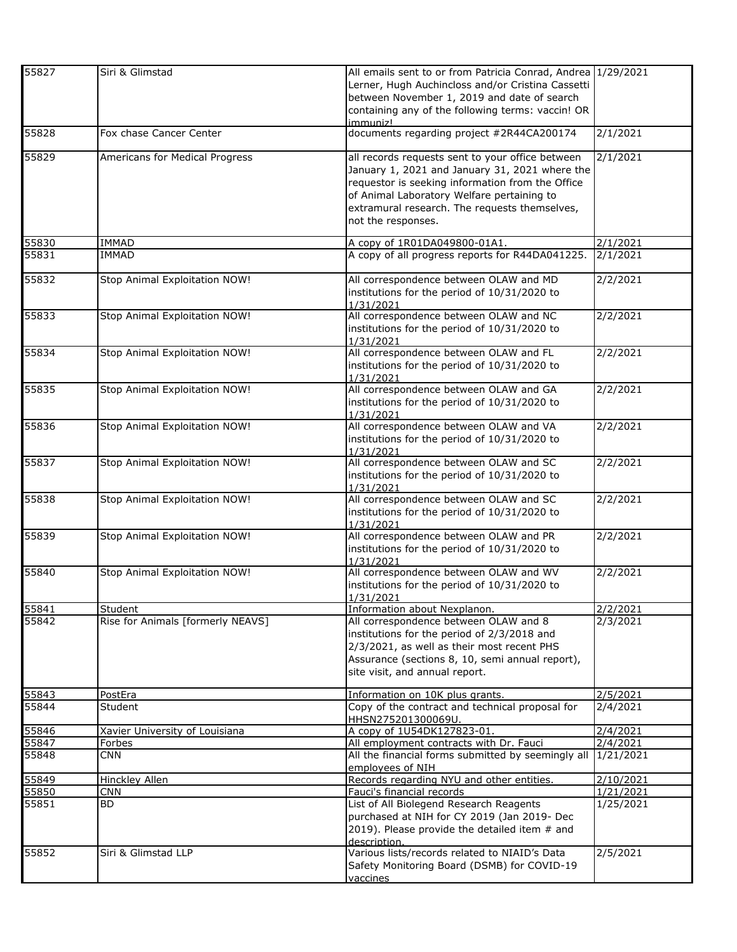| 55827          | Siri & Glimstad                   | All emails sent to or from Patricia Conrad, Andrea 1/29/2021<br>Lerner, Hugh Auchincloss and/or Cristina Cassetti<br>between November 1, 2019 and date of search<br>containing any of the following terms: vaccin! OR<br>immuniz!                                           |                        |
|----------------|-----------------------------------|-----------------------------------------------------------------------------------------------------------------------------------------------------------------------------------------------------------------------------------------------------------------------------|------------------------|
| 55828          | Fox chase Cancer Center           | documents regarding project #2R44CA200174                                                                                                                                                                                                                                   | 2/1/2021               |
| 55829          | Americans for Medical Progress    | all records requests sent to your office between<br>January 1, 2021 and January 31, 2021 where the<br>requestor is seeking information from the Office<br>of Animal Laboratory Welfare pertaining to<br>extramural research. The requests themselves,<br>not the responses. | 2/1/2021               |
| 55830          | IMMAD                             | A copy of 1R01DA049800-01A1.                                                                                                                                                                                                                                                | 2/1/2021               |
| 55831          | <b>IMMAD</b>                      | A copy of all progress reports for R44DA041225.                                                                                                                                                                                                                             | 2/1/2021               |
| 55832          | Stop Animal Exploitation NOW!     | All correspondence between OLAW and MD<br>institutions for the period of 10/31/2020 to<br>1/31/2021                                                                                                                                                                         | 2/2/2021               |
| 55833          | Stop Animal Exploitation NOW!     | All correspondence between OLAW and NC<br>institutions for the period of 10/31/2020 to<br>1/31/2021                                                                                                                                                                         | 2/2/2021               |
| 55834          | Stop Animal Exploitation NOW!     | All correspondence between OLAW and FL<br>institutions for the period of 10/31/2020 to<br>1/31/2021                                                                                                                                                                         | 2/2/2021               |
| 55835          | Stop Animal Exploitation NOW!     | All correspondence between OLAW and GA<br>institutions for the period of 10/31/2020 to<br>1/31/2021                                                                                                                                                                         | 2/2/2021               |
| 55836          | Stop Animal Exploitation NOW!     | All correspondence between OLAW and VA<br>institutions for the period of 10/31/2020 to<br>1/31/2021                                                                                                                                                                         | 2/2/2021               |
| 55837          | Stop Animal Exploitation NOW!     | All correspondence between OLAW and SC<br>institutions for the period of 10/31/2020 to<br>1/31/2021                                                                                                                                                                         | 2/2/2021               |
| 55838          | Stop Animal Exploitation NOW!     | All correspondence between OLAW and SC<br>institutions for the period of 10/31/2020 to<br>1/31/2021                                                                                                                                                                         | 2/2/2021               |
| 55839          | Stop Animal Exploitation NOW!     | All correspondence between OLAW and PR<br>institutions for the period of 10/31/2020 to<br>1/31/2021                                                                                                                                                                         | 2/2/2021               |
| 55840          | Stop Animal Exploitation NOW!     | All correspondence between OLAW and WV<br>institutions for the period of 10/31/2020 to<br>1/31/2021                                                                                                                                                                         | 2/2/2021               |
| 55841          | Student                           | Information about Nexplanon.                                                                                                                                                                                                                                                | 2/2/2021               |
| 55842          | Rise for Animals [formerly NEAVS] | All correspondence between OLAW and 8<br>institutions for the period of 2/3/2018 and<br>2/3/2021, as well as their most recent PHS<br>Assurance (sections 8, 10, semi annual report),<br>site visit, and annual report.                                                     | 2/3/2021               |
| 55843          | PostEra                           | Information on 10K plus grants.                                                                                                                                                                                                                                             | 2/5/2021               |
| 55844          | Student                           | Copy of the contract and technical proposal for<br>HHSN275201300069U.                                                                                                                                                                                                       | 2/4/2021               |
| 55846          | Xavier University of Louisiana    | A copy of 1U54DK127823-01.                                                                                                                                                                                                                                                  | 2/4/2021               |
| 55847          | Forbes                            | All employment contracts with Dr. Fauci                                                                                                                                                                                                                                     | 2/4/2021               |
| 55848          | <b>CNN</b>                        | All the financial forms submitted by seemingly all<br>employees of NIH                                                                                                                                                                                                      | 1/21/2021              |
| 55849          | <b>Hinckley Allen</b>             | Records regarding NYU and other entities.                                                                                                                                                                                                                                   | 2/10/2021              |
| 55850<br>55851 | <b>CNN</b><br>BD                  | Fauci's financial records<br>List of All Biolegend Research Reagents<br>purchased at NIH for CY 2019 (Jan 2019- Dec<br>2019). Please provide the detailed item # and<br>description.                                                                                        | 1/21/2021<br>1/25/2021 |
| 55852          | Siri & Glimstad LLP               | Various lists/records related to NIAID's Data<br>Safety Monitoring Board (DSMB) for COVID-19<br>vaccines                                                                                                                                                                    | 2/5/2021               |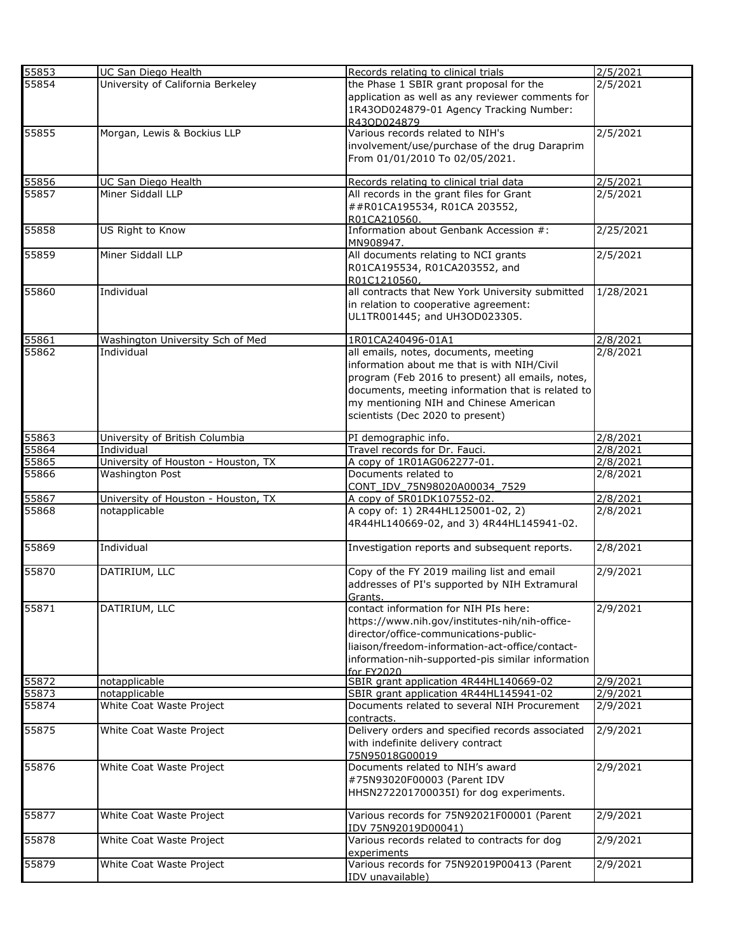| 55853          | UC San Diego Health                 | Records relating to clinical trials                             | 2/5/2021  |
|----------------|-------------------------------------|-----------------------------------------------------------------|-----------|
| 55854          | University of California Berkeley   | the Phase 1 SBIR grant proposal for the                         | 2/5/2021  |
|                |                                     | application as well as any reviewer comments for                |           |
|                |                                     | 1R43OD024879-01 Agency Tracking Number:                         |           |
|                |                                     | R430D024879                                                     |           |
| 55855          | Morgan, Lewis & Bockius LLP         | Various records related to NIH's                                | 2/5/2021  |
|                |                                     | involvement/use/purchase of the drug Daraprim                   |           |
|                |                                     | From 01/01/2010 To 02/05/2021.                                  |           |
|                |                                     |                                                                 |           |
| 55856          | UC San Diego Health                 | Records relating to clinical trial data                         | 2/5/2021  |
| 55857          | Miner Siddall LLP                   | All records in the grant files for Grant                        | 2/5/2021  |
|                |                                     | ##R01CA195534, R01CA 203552,                                    |           |
|                |                                     | R01CA210560.                                                    |           |
| 55858          | US Right to Know                    | Information about Genbank Accession #:                          | 2/25/2021 |
|                |                                     | MN908947.                                                       |           |
| 55859          | Miner Siddall LLP                   | All documents relating to NCI grants                            | 2/5/2021  |
|                |                                     | R01CA195534, R01CA203552, and                                   |           |
|                |                                     | R01C1210560                                                     |           |
| 55860          | Individual                          | all contracts that New York University submitted                | 1/28/2021 |
|                |                                     | in relation to cooperative agreement:                           |           |
|                |                                     | UL1TR001445; and UH3OD023305.                                   |           |
|                |                                     |                                                                 |           |
| 55861          | Washington University Sch of Med    | 1R01CA240496-01A1                                               | 2/8/2021  |
| 55862          | Individual                          | all emails, notes, documents, meeting                           | 2/8/2021  |
|                |                                     | information about me that is with NIH/Civil                     |           |
|                |                                     | program (Feb 2016 to present) all emails, notes,                |           |
|                |                                     | documents, meeting information that is related to               |           |
|                |                                     | my mentioning NIH and Chinese American                          |           |
|                |                                     | scientists (Dec 2020 to present)                                |           |
|                |                                     |                                                                 |           |
| 55863          | University of British Columbia      | PI demographic info.                                            | 2/8/2021  |
| 55864          | Individual                          | Travel records for Dr. Fauci.                                   | 2/8/2021  |
| 55865<br>55866 | University of Houston - Houston, TX | A copy of 1R01AG062277-01.                                      | 2/8/2021  |
|                | Washington Post                     | Documents related to                                            | 2/8/2021  |
|                | University of Houston - Houston, TX | CONT IDV 75N98020A00034 7529                                    | 2/8/2021  |
| 55867<br>55868 | notapplicable                       | A copy of 5R01DK107552-02.<br>A copy of: 1) 2R44HL125001-02, 2) | 2/8/2021  |
|                |                                     | 4R44HL140669-02, and 3) 4R44HL145941-02.                        |           |
|                |                                     |                                                                 |           |
| 55869          | Individual                          | Investigation reports and subsequent reports.                   | 2/8/2021  |
|                |                                     |                                                                 |           |
| 55870          | DATIRIUM, LLC                       | Copy of the FY 2019 mailing list and email                      | 2/9/2021  |
|                |                                     | addresses of PI's supported by NIH Extramural                   |           |
|                |                                     | Grants.                                                         |           |
| 55871          | DATIRIUM, LLC                       | contact information for NIH PIs here:                           | 2/9/2021  |
|                |                                     | https://www.nih.gov/institutes-nih/nih-office-                  |           |
|                |                                     | director/office-communications-public-                          |           |
|                |                                     | liaison/freedom-information-act-office/contact-                 |           |
|                |                                     | information-nih-supported-pis similar information               |           |
|                |                                     | for FY2020                                                      |           |
| 55872          | notapplicable                       | SBIR grant application 4R44HL140669-02                          | 2/9/2021  |
| 55873          | notapplicable                       | SBIR grant application 4R44HL145941-02                          | 2/9/2021  |
| 55874          | White Coat Waste Project            | Documents related to several NIH Procurement                    | 2/9/2021  |
|                |                                     | contracts.                                                      |           |
| 55875          | White Coat Waste Project            | Delivery orders and specified records associated                | 2/9/2021  |
|                |                                     | with indefinite delivery contract                               |           |
|                |                                     | 75N95018G00019                                                  |           |
| 55876          | White Coat Waste Project            | Documents related to NIH's award                                | 2/9/2021  |
|                |                                     | #75N93020F00003 (Parent IDV                                     |           |
|                |                                     | HHSN272201700035I) for dog experiments.                         |           |
|                |                                     |                                                                 |           |
| 55877          | White Coat Waste Project            | Various records for 75N92021F00001 (Parent                      | 2/9/2021  |
|                |                                     | IDV 75N92019D00041)                                             |           |
| 55878          | White Coat Waste Project            | Various records related to contracts for dog                    | 2/9/2021  |
|                |                                     | experiments                                                     |           |
| 55879          | White Coat Waste Project            | Various records for 75N92019P00413 (Parent                      | 2/9/2021  |
|                |                                     | IDV unavailable)                                                |           |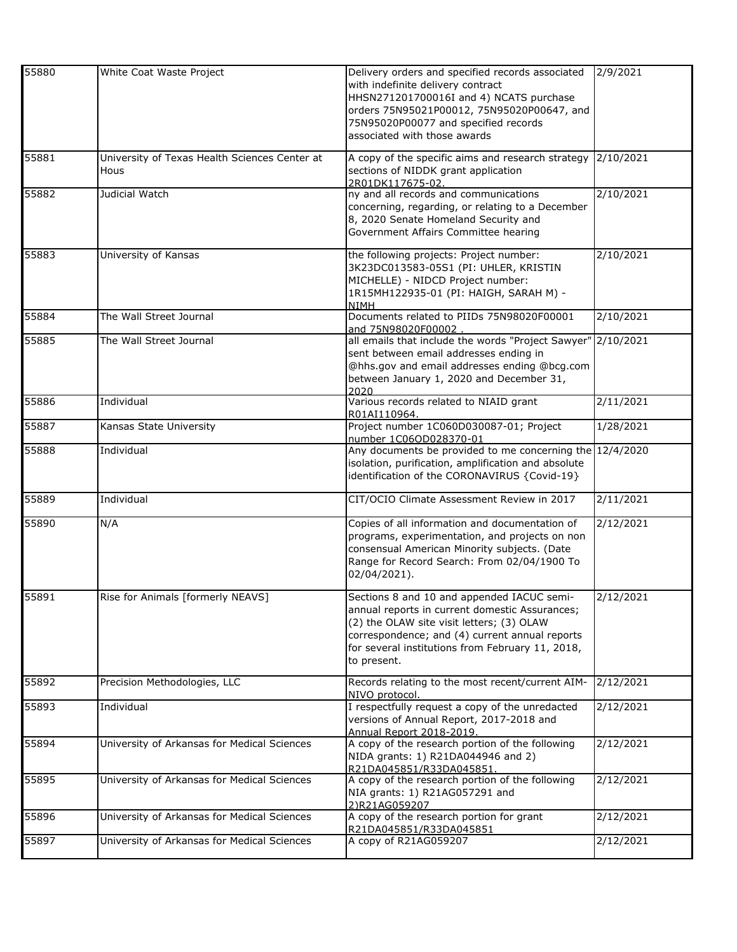| 55880 | White Coat Waste Project                              | Delivery orders and specified records associated<br>with indefinite delivery contract<br>HHSN271201700016I and 4) NCATS purchase                                                                                                                               | 2/9/2021           |
|-------|-------------------------------------------------------|----------------------------------------------------------------------------------------------------------------------------------------------------------------------------------------------------------------------------------------------------------------|--------------------|
|       |                                                       | orders 75N95021P00012, 75N95020P00647, and<br>75N95020P00077 and specified records<br>associated with those awards                                                                                                                                             |                    |
| 55881 | University of Texas Health Sciences Center at<br>Hous | A copy of the specific aims and research strategy<br>sections of NIDDK grant application<br>2R01DK117675-02.                                                                                                                                                   | 2/10/2021          |
| 55882 | Judicial Watch                                        | ny and all records and communications<br>concerning, regarding, or relating to a December<br>8, 2020 Senate Homeland Security and<br>Government Affairs Committee hearing                                                                                      | 2/10/2021          |
| 55883 | University of Kansas                                  | the following projects: Project number:<br>3K23DC013583-05S1 (PI: UHLER, KRISTIN<br>MICHELLE) - NIDCD Project number:<br>1R15MH122935-01 (PI: HAIGH, SARAH M) -<br><b>NIMH</b>                                                                                 | 2/10/2021          |
| 55884 | The Wall Street Journal                               | Documents related to PIIDs 75N98020F00001<br>and 75N98020F00002                                                                                                                                                                                                | 2/10/2021          |
| 55885 | The Wall Street Journal                               | all emails that include the words "Project Sawyer" 2/10/2021<br>sent between email addresses ending in<br>@hhs.gov and email addresses ending @bcg.com<br>between January 1, 2020 and December 31,<br>2020                                                     |                    |
| 55886 | Individual                                            | Various records related to NIAID grant<br>R01AI110964.                                                                                                                                                                                                         | 2/11/2021          |
| 55887 | Kansas State University                               | Project number 1C060D030087-01; Project<br>number 1C06OD028370-01                                                                                                                                                                                              | 1/28/2021          |
| 55888 | Individual                                            | Any documents be provided to me concerning the 12/4/2020<br>isolation, purification, amplification and absolute<br>identification of the CORONAVIRUS {Covid-19}                                                                                                |                    |
| 55889 | Individual                                            | CIT/OCIO Climate Assessment Review in 2017                                                                                                                                                                                                                     | 2/11/2021          |
| 55890 | N/A                                                   | Copies of all information and documentation of<br>programs, experimentation, and projects on non<br>consensual American Minority subjects. (Date<br>Range for Record Search: From 02/04/1900 To<br>02/04/2021).                                                | 2/12/2021          |
| 55891 | Rise for Animals [formerly NEAVS]                     | Sections 8 and 10 and appended IACUC semi-<br>annual reports in current domestic Assurances;<br>(2) the OLAW site visit letters; (3) OLAW<br>correspondence; and (4) current annual reports<br>for several institutions from February 11, 2018,<br>to present. | 2/12/2021          |
| 55892 | Precision Methodologies, LLC                          | Records relating to the most recent/current AIM-<br>NIVO protocol.                                                                                                                                                                                             | 2/12/2021          |
| 55893 | Individual                                            | I respectfully request a copy of the unredacted<br>versions of Annual Report, 2017-2018 and<br>Annual Report 2018-2019.                                                                                                                                        | 2/12/2021          |
| 55894 | University of Arkansas for Medical Sciences           | A copy of the research portion of the following<br>NIDA grants: 1) R21DA044946 and 2)<br>R21DA045851/R33DA045851                                                                                                                                               | 2/12/2021          |
| 55895 | University of Arkansas for Medical Sciences           | A copy of the research portion of the following<br>NIA grants: 1) R21AG057291 and<br>2)R21AG059207                                                                                                                                                             | 2/12/2021          |
| 55896 | University of Arkansas for Medical Sciences           | A copy of the research portion for grant<br>R21DA045851/R33DA045851                                                                                                                                                                                            | 2/12/2021          |
| 55897 | University of Arkansas for Medical Sciences           | A copy of R21AG059207                                                                                                                                                                                                                                          | $\sqrt{2}/12/2021$ |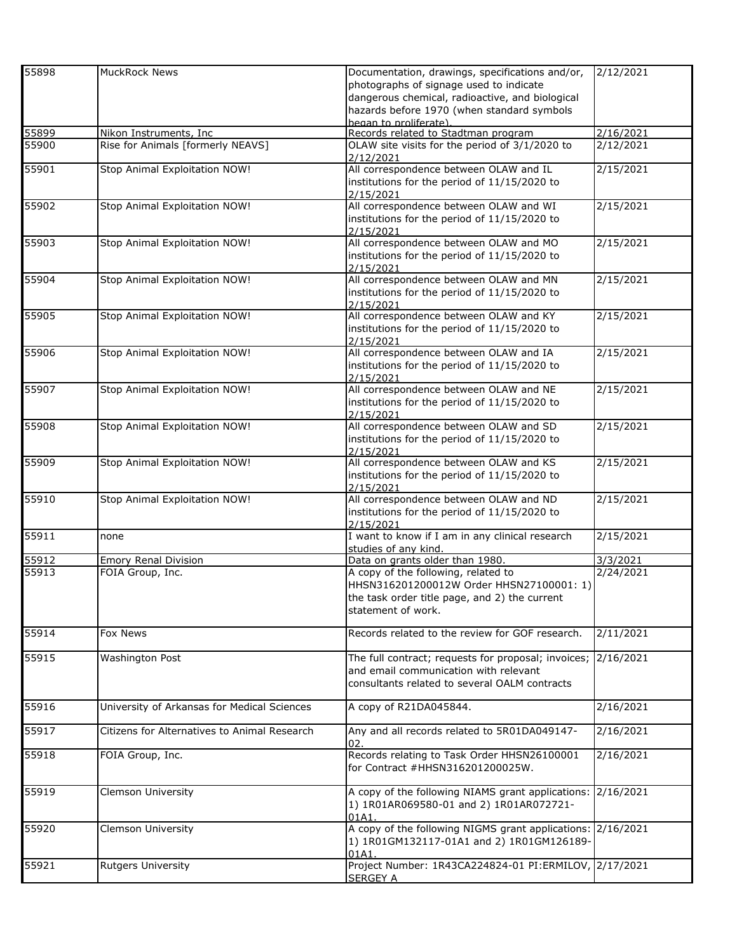| 55898          | <b>MuckRock News</b>                            | Documentation, drawings, specifications and/or,                        | 2/12/2021             |
|----------------|-------------------------------------------------|------------------------------------------------------------------------|-----------------------|
|                |                                                 | photographs of signage used to indicate                                |                       |
|                |                                                 | dangerous chemical, radioactive, and biological                        |                       |
|                |                                                 | hazards before 1970 (when standard symbols                             |                       |
|                |                                                 | began to proliferate).                                                 |                       |
| 55899          | Nikon Instruments, Inc                          | Records related to Stadtman program                                    | 2/16/2021             |
| 55900          | Rise for Animals [formerly NEAVS]               | OLAW site visits for the period of 3/1/2020 to                         | 2/12/2021             |
|                |                                                 | 2/12/2021                                                              |                       |
| 55901          | Stop Animal Exploitation NOW!                   | All correspondence between OLAW and IL                                 | 2/15/2021             |
|                |                                                 | institutions for the period of 11/15/2020 to                           |                       |
|                |                                                 | 2/15/2021                                                              |                       |
| 55902          | Stop Animal Exploitation NOW!                   | All correspondence between OLAW and WI                                 | 2/15/2021             |
|                |                                                 | institutions for the period of 11/15/2020 to                           |                       |
|                |                                                 | 2/15/2021                                                              |                       |
| 55903          | Stop Animal Exploitation NOW!                   | All correspondence between OLAW and MO                                 | 2/15/2021             |
|                |                                                 | institutions for the period of 11/15/2020 to                           |                       |
|                |                                                 | 2/15/2021                                                              |                       |
| 55904          | Stop Animal Exploitation NOW!                   | All correspondence between OLAW and MN                                 | 2/15/2021             |
|                |                                                 | institutions for the period of 11/15/2020 to                           |                       |
| 55905          | Stop Animal Exploitation NOW!                   | 2/15/2021<br>All correspondence between OLAW and KY                    | 2/15/2021             |
|                |                                                 | institutions for the period of 11/15/2020 to                           |                       |
|                |                                                 | 2/15/2021                                                              |                       |
| 55906          | Stop Animal Exploitation NOW!                   | All correspondence between OLAW and IA                                 | 2/15/2021             |
|                |                                                 | institutions for the period of 11/15/2020 to                           |                       |
|                |                                                 | 2/15/2021                                                              |                       |
| 55907          | Stop Animal Exploitation NOW!                   | All correspondence between OLAW and NE                                 | 2/15/2021             |
|                |                                                 | institutions for the period of 11/15/2020 to                           |                       |
|                |                                                 | 2/15/2021                                                              |                       |
| 55908          | Stop Animal Exploitation NOW!                   | All correspondence between OLAW and SD                                 | 2/15/2021             |
|                |                                                 | institutions for the period of 11/15/2020 to                           |                       |
|                |                                                 | 2/15/2021                                                              |                       |
| 55909          | Stop Animal Exploitation NOW!                   | All correspondence between OLAW and KS                                 | 2/15/2021             |
|                |                                                 | institutions for the period of 11/15/2020 to                           |                       |
|                |                                                 | 2/15/2021                                                              |                       |
| 55910          | Stop Animal Exploitation NOW!                   | All correspondence between OLAW and ND                                 | 2/15/2021             |
|                |                                                 | institutions for the period of 11/15/2020 to                           |                       |
|                |                                                 | 2/15/2021                                                              |                       |
| 55911          | none                                            | I want to know if I am in any clinical research                        | 2/15/2021             |
|                |                                                 | studies of any kind.                                                   |                       |
| 55912<br>55913 | <b>Emory Renal Division</b><br>FOIA Group, Inc. | Data on grants older than 1980.<br>A copy of the following, related to | 3/3/2021<br>2/24/2021 |
|                |                                                 | HHSN316201200012W Order HHSN27100001: 1)                               |                       |
|                |                                                 | the task order title page, and 2) the current                          |                       |
|                |                                                 | statement of work.                                                     |                       |
|                |                                                 |                                                                        |                       |
| 55914          | Fox News                                        | Records related to the review for GOF research.                        | 2/11/2021             |
|                |                                                 |                                                                        |                       |
| 55915          | Washington Post                                 | The full contract; requests for proposal; invoices;                    | 2/16/2021             |
|                |                                                 | and email communication with relevant                                  |                       |
|                |                                                 | consultants related to several OALM contracts                          |                       |
|                |                                                 |                                                                        |                       |
| 55916          | University of Arkansas for Medical Sciences     | A copy of R21DA045844.                                                 | 2/16/2021             |
|                |                                                 |                                                                        |                       |
| 55917          | Citizens for Alternatives to Animal Research    | Any and all records related to 5R01DA049147-                           | 2/16/2021             |
|                |                                                 | 02.                                                                    |                       |
| 55918          | FOIA Group, Inc.                                | Records relating to Task Order HHSN26100001                            | 2/16/2021             |
|                |                                                 | for Contract #HHSN316201200025W.                                       |                       |
| 55919          | Clemson University                              | A copy of the following NIAMS grant applications:                      | 2/16/2021             |
|                |                                                 | 1) 1R01AR069580-01 and 2) 1R01AR072721-                                |                       |
|                |                                                 | 01A1.                                                                  |                       |
| 55920          | Clemson University                              | A copy of the following NIGMS grant applications: 2/16/2021            |                       |
|                |                                                 | 1) 1R01GM132117-01A1 and 2) 1R01GM126189-                              |                       |
|                |                                                 | 01A1.                                                                  |                       |
| 55921          | Rutgers University                              | Project Number: 1R43CA224824-01 PI:ERMILOV, 2/17/2021                  |                       |
|                |                                                 | <b>SERGEY A</b>                                                        |                       |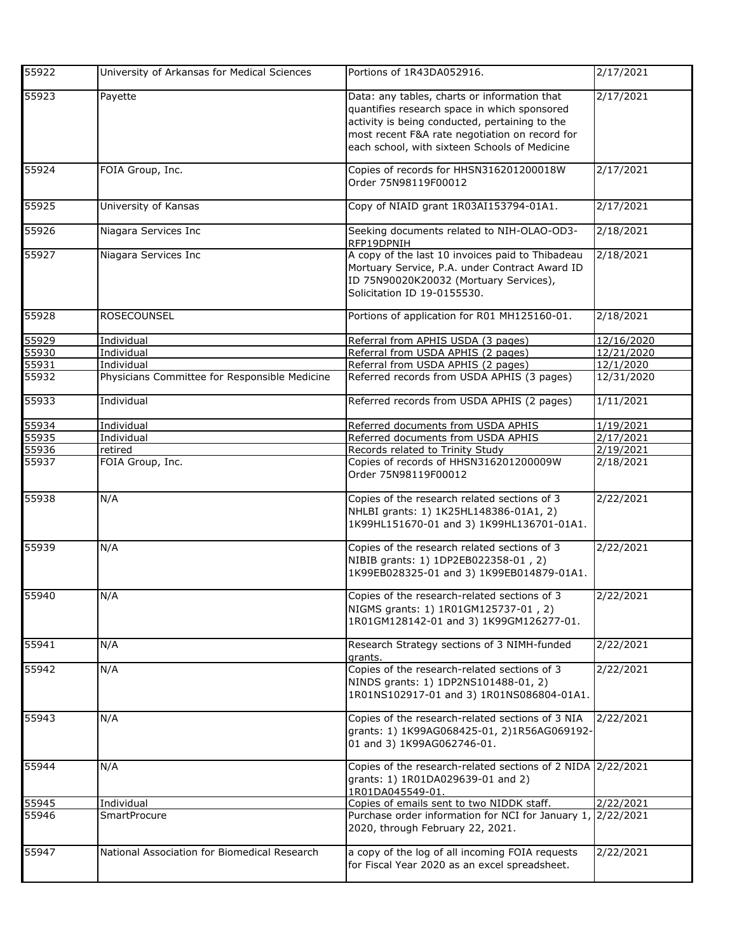| 55922 | University of Arkansas for Medical Sciences   | Portions of 1R43DA052916.                                                                                                                                                                                                                         | 2/17/2021  |
|-------|-----------------------------------------------|---------------------------------------------------------------------------------------------------------------------------------------------------------------------------------------------------------------------------------------------------|------------|
| 55923 | Payette                                       | Data: any tables, charts or information that<br>quantifies research space in which sponsored<br>activity is being conducted, pertaining to the<br>most recent F&A rate negotiation on record for<br>each school, with sixteen Schools of Medicine | 2/17/2021  |
| 55924 | FOIA Group, Inc.                              | Copies of records for HHSN316201200018W<br>Order 75N98119F00012                                                                                                                                                                                   | 2/17/2021  |
| 55925 | University of Kansas                          | Copy of NIAID grant 1R03AI153794-01A1.                                                                                                                                                                                                            | 2/17/2021  |
| 55926 | Niagara Services Inc                          | Seeking documents related to NIH-OLAO-OD3-<br>RFP19DPNIH                                                                                                                                                                                          | 2/18/2021  |
| 55927 | Niagara Services Inc                          | A copy of the last 10 invoices paid to Thibadeau<br>Mortuary Service, P.A. under Contract Award ID<br>ID 75N90020K20032 (Mortuary Services),<br>Solicitation ID 19-0155530.                                                                       | 2/18/2021  |
| 55928 | <b>ROSECOUNSEL</b>                            | Portions of application for R01 MH125160-01.                                                                                                                                                                                                      | 2/18/2021  |
| 55929 | Individual                                    | Referral from APHIS USDA (3 pages)                                                                                                                                                                                                                | 12/16/2020 |
| 55930 | Individual                                    | Referral from USDA APHIS (2 pages)                                                                                                                                                                                                                | 12/21/2020 |
| 55931 | Individual                                    | Referral from USDA APHIS (2 pages)                                                                                                                                                                                                                | 12/1/2020  |
| 55932 | Physicians Committee for Responsible Medicine | Referred records from USDA APHIS (3 pages)                                                                                                                                                                                                        | 12/31/2020 |
| 55933 | Individual                                    | Referred records from USDA APHIS (2 pages)                                                                                                                                                                                                        | 1/11/2021  |
| 55934 | Individual                                    | Referred documents from USDA APHIS                                                                                                                                                                                                                | 1/19/2021  |
| 55935 | Individual                                    | Referred documents from USDA APHIS                                                                                                                                                                                                                | 2/17/2021  |
| 55936 | retired                                       | Records related to Trinity Study                                                                                                                                                                                                                  | 2/19/2021  |
| 55937 | FOIA Group, Inc.                              | Copies of records of HHSN316201200009W<br>Order 75N98119F00012                                                                                                                                                                                    | 2/18/2021  |
| 55938 | N/A                                           | Copies of the research related sections of 3<br>NHLBI grants: 1) 1K25HL148386-01A1, 2)<br>1K99HL151670-01 and 3) 1K99HL136701-01A1.                                                                                                               | 2/22/2021  |
| 55939 | N/A                                           | Copies of the research related sections of 3<br>NIBIB grants: 1) 1DP2EB022358-01, 2)<br>1K99EB028325-01 and 3) 1K99EB014879-01A1.                                                                                                                 | 2/22/2021  |
| 55940 | N/A                                           | Copies of the research-related sections of 3<br>NIGMS grants: 1) 1R01GM125737-01, 2)<br>1R01GM128142-01 and 3) 1K99GM126277-01.                                                                                                                   | 2/22/2021  |
| 55941 | N/A                                           | Research Strategy sections of 3 NIMH-funded<br>grants.                                                                                                                                                                                            | 2/22/2021  |
| 55942 | N/A                                           | Copies of the research-related sections of 3<br>NINDS grants: 1) 1DP2NS101488-01, 2)<br>1R01NS102917-01 and 3) 1R01NS086804-01A1.                                                                                                                 | 2/22/2021  |
| 55943 | N/A                                           | Copies of the research-related sections of 3 NIA<br>grants: 1) 1K99AG068425-01, 2)1R56AG069192-<br>01 and 3) 1K99AG062746-01.                                                                                                                     | 2/22/2021  |
| 55944 | N/A                                           | Copies of the research-related sections of 2 NIDA 2/22/2021<br>grants: 1) 1R01DA029639-01 and 2)<br>1R01DA045549-01.                                                                                                                              |            |
| 55945 | Individual                                    | Copies of emails sent to two NIDDK staff.                                                                                                                                                                                                         | 2/22/2021  |
| 55946 | <b>SmartProcure</b>                           | Purchase order information for NCI for January 1, 2/22/2021<br>2020, through February 22, 2021.                                                                                                                                                   |            |
| 55947 | National Association for Biomedical Research  | a copy of the log of all incoming FOIA requests<br>for Fiscal Year 2020 as an excel spreadsheet.                                                                                                                                                  | 2/22/2021  |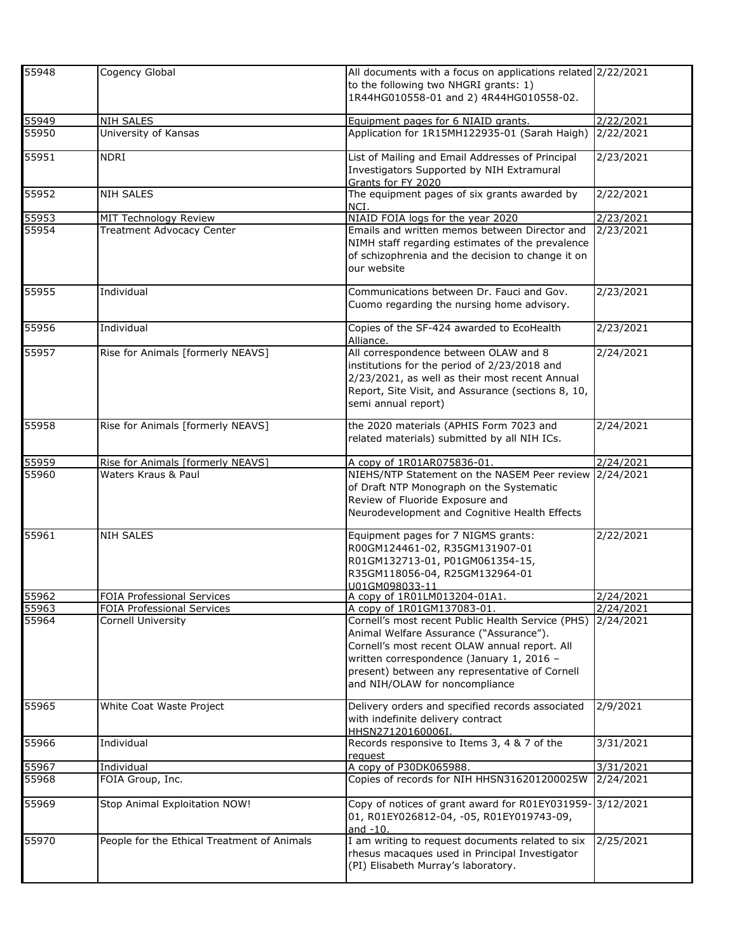| 55948 | Cogency Global                              | All documents with a focus on applications related 2/22/2021<br>to the following two NHGRI grants: 1)<br>1R44HG010558-01 and 2) 4R44HG010558-02.                                                                                                                               |           |
|-------|---------------------------------------------|--------------------------------------------------------------------------------------------------------------------------------------------------------------------------------------------------------------------------------------------------------------------------------|-----------|
| 55949 | <b>NIH SALES</b>                            | Equipment pages for 6 NIAID grants.                                                                                                                                                                                                                                            | 2/22/2021 |
| 55950 | University of Kansas                        | Application for 1R15MH122935-01 (Sarah Haigh)                                                                                                                                                                                                                                  | 2/22/2021 |
| 55951 | <b>NDRI</b>                                 | List of Mailing and Email Addresses of Principal<br>Investigators Supported by NIH Extramural<br>Grants for FY 2020                                                                                                                                                            | 2/23/2021 |
| 55952 | <b>NIH SALES</b>                            | The equipment pages of six grants awarded by<br>NCI.                                                                                                                                                                                                                           | 2/22/2021 |
| 55953 | MIT Technology Review                       | NIAID FOIA logs for the year 2020                                                                                                                                                                                                                                              | 2/23/2021 |
| 55954 | Treatment Advocacy Center                   | Emails and written memos between Director and<br>NIMH staff regarding estimates of the prevalence<br>of schizophrenia and the decision to change it on<br>our website                                                                                                          | 2/23/2021 |
| 55955 | Individual                                  | Communications between Dr. Fauci and Gov.<br>Cuomo regarding the nursing home advisory.                                                                                                                                                                                        | 2/23/2021 |
| 55956 | Individual                                  | Copies of the SF-424 awarded to EcoHealth<br>Alliance.                                                                                                                                                                                                                         | 2/23/2021 |
| 55957 | Rise for Animals [formerly NEAVS]           | All correspondence between OLAW and 8<br>institutions for the period of 2/23/2018 and<br>2/23/2021, as well as their most recent Annual<br>Report, Site Visit, and Assurance (sections 8, 10,<br>semi annual report)                                                           | 2/24/2021 |
| 55958 | Rise for Animals [formerly NEAVS]           | the 2020 materials (APHIS Form 7023 and<br>related materials) submitted by all NIH ICs.                                                                                                                                                                                        | 2/24/2021 |
| 55959 | Rise for Animals [formerly NEAVS]           | A copy of 1R01AR075836-01.                                                                                                                                                                                                                                                     | 2/24/2021 |
| 55960 | Waters Kraus & Paul                         | NIEHS/NTP Statement on the NASEM Peer review<br>of Draft NTP Monograph on the Systematic<br>Review of Fluoride Exposure and<br>Neurodevelopment and Cognitive Health Effects                                                                                                   | 2/24/2021 |
| 55961 | <b>NIH SALES</b>                            | Equipment pages for 7 NIGMS grants:<br>R00GM124461-02, R35GM131907-01<br>R01GM132713-01, P01GM061354-15,<br>R35GM118056-04, R25GM132964-01<br>U01GM098033-11                                                                                                                   | 2/22/2021 |
| 55962 | <b>FOIA Professional Services</b>           | A copy of 1R01LM013204-01A1.                                                                                                                                                                                                                                                   | 2/24/2021 |
| 55963 | FOIA Professional Services                  | A copy of 1R01GM137083-01.                                                                                                                                                                                                                                                     | 2/24/2021 |
| 55964 | <b>Cornell University</b>                   | Cornell's most recent Public Health Service (PHS)<br>Animal Welfare Assurance ("Assurance").<br>Cornell's most recent OLAW annual report. All<br>written correspondence (January 1, 2016 -<br>present) between any representative of Cornell<br>and NIH/OLAW for noncompliance | 2/24/2021 |
| 55965 | White Coat Waste Project                    | Delivery orders and specified records associated<br>with indefinite delivery contract<br>HHSN27120160006I.                                                                                                                                                                     | 2/9/2021  |
| 55966 | Individual                                  | Records responsive to Items 3, 4 & 7 of the<br>request                                                                                                                                                                                                                         | 3/31/2021 |
| 55967 | Individual                                  | A copy of P30DK065988.                                                                                                                                                                                                                                                         | 3/31/2021 |
| 55968 | FOIA Group, Inc.                            | Copies of records for NIH HHSN316201200025W                                                                                                                                                                                                                                    | 2/24/2021 |
| 55969 | Stop Animal Exploitation NOW!               | Copy of notices of grant award for R01EY031959-3/12/2021<br>01, R01EY026812-04, -05, R01EY019743-09,<br>and $-10$ .                                                                                                                                                            |           |
| 55970 | People for the Ethical Treatment of Animals | I am writing to request documents related to six<br>rhesus macaques used in Principal Investigator<br>(PI) Elisabeth Murray's laboratory.                                                                                                                                      | 2/25/2021 |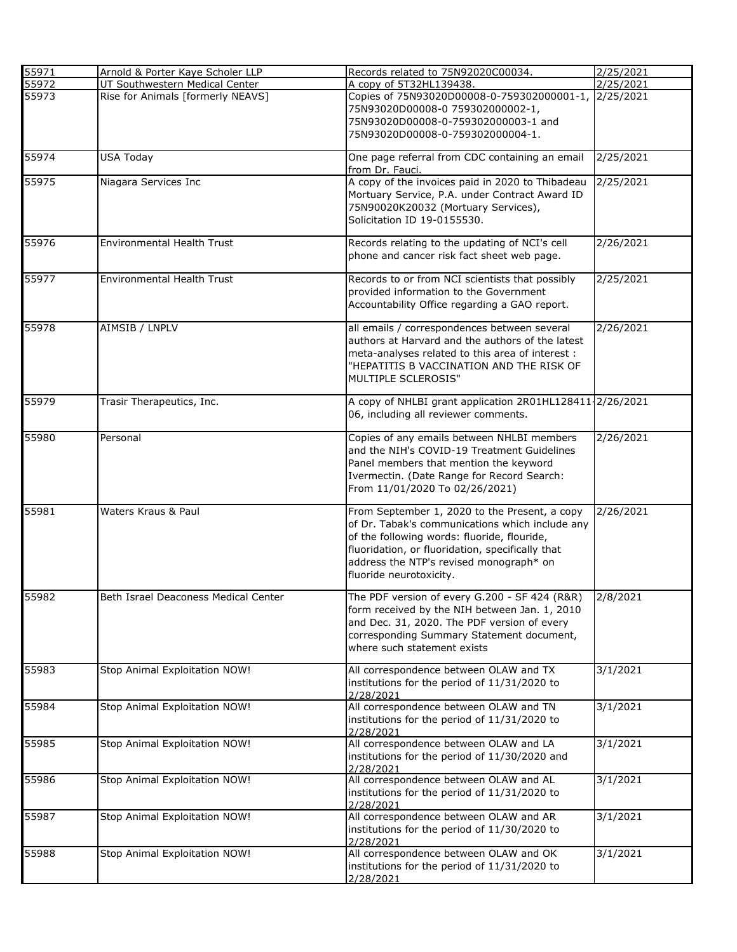| 55971 | Arnold & Porter Kaye Scholer LLP     | Records related to 75N92020C00034.                       | 2/25/2021 |
|-------|--------------------------------------|----------------------------------------------------------|-----------|
| 55972 | UT Southwestern Medical Center       | A copy of 5T32HL139438.                                  | 2/25/2021 |
| 55973 | Rise for Animals [formerly NEAVS]    | Copies of 75N93020D00008-0-759302000001-1,               | 2/25/2021 |
|       |                                      | 75N93020D00008-0 759302000002-1,                         |           |
|       |                                      | 75N93020D00008-0-759302000003-1 and                      |           |
|       |                                      | 75N93020D00008-0-759302000004-1.                         |           |
|       |                                      |                                                          |           |
| 55974 | <b>USA Today</b>                     | One page referral from CDC containing an email           | 2/25/2021 |
|       |                                      | from Dr. Fauci.                                          |           |
| 55975 | Niagara Services Inc                 | A copy of the invoices paid in 2020 to Thibadeau         | 2/25/2021 |
|       |                                      | Mortuary Service, P.A. under Contract Award ID           |           |
|       |                                      | 75N90020K20032 (Mortuary Services),                      |           |
|       |                                      | Solicitation ID 19-0155530.                              |           |
|       |                                      |                                                          |           |
| 55976 | Environmental Health Trust           | Records relating to the updating of NCI's cell           | 2/26/2021 |
|       |                                      | phone and cancer risk fact sheet web page.               |           |
|       |                                      |                                                          |           |
| 55977 | Environmental Health Trust           | Records to or from NCI scientists that possibly          | 2/25/2021 |
|       |                                      | provided information to the Government                   |           |
|       |                                      | Accountability Office regarding a GAO report.            |           |
|       |                                      |                                                          |           |
| 55978 | AIMSIB / LNPLV                       | all emails / correspondences between several             | 2/26/2021 |
|       |                                      | authors at Harvard and the authors of the latest         |           |
|       |                                      | meta-analyses related to this area of interest :         |           |
|       |                                      | "HEPATITIS B VACCINATION AND THE RISK OF                 |           |
|       |                                      | MULTIPLE SCLEROSIS"                                      |           |
|       |                                      |                                                          |           |
| 55979 | Trasir Therapeutics, Inc.            | A copy of NHLBI grant application 2R01HL128411-2/26/2021 |           |
|       |                                      | 06, including all reviewer comments.                     |           |
|       |                                      |                                                          |           |
| 55980 | Personal                             | Copies of any emails between NHLBI members               | 2/26/2021 |
|       |                                      | and the NIH's COVID-19 Treatment Guidelines              |           |
|       |                                      | Panel members that mention the keyword                   |           |
|       |                                      | Ivermectin. (Date Range for Record Search:               |           |
|       |                                      | From 11/01/2020 To 02/26/2021)                           |           |
|       |                                      |                                                          |           |
| 55981 | Waters Kraus & Paul                  | From September 1, 2020 to the Present, a copy            | 2/26/2021 |
|       |                                      | of Dr. Tabak's communications which include any          |           |
|       |                                      | of the following words: fluoride, flouride,              |           |
|       |                                      | fluoridation, or fluoridation, specifically that         |           |
|       |                                      | address the NTP's revised monograph* on                  |           |
|       |                                      | fluoride neurotoxicity.                                  |           |
|       |                                      |                                                          |           |
| 55982 | Beth Israel Deaconess Medical Center | The PDF version of every G.200 - SF 424 (R&R)            | 2/8/2021  |
|       |                                      | form received by the NIH between Jan. 1, 2010            |           |
|       |                                      | and Dec. 31, 2020. The PDF version of every              |           |
|       |                                      | corresponding Summary Statement document,                |           |
|       |                                      | where such statement exists                              |           |
|       |                                      |                                                          |           |
| 55983 | Stop Animal Exploitation NOW!        | All correspondence between OLAW and TX                   | 3/1/2021  |
|       |                                      | institutions for the period of 11/31/2020 to             |           |
|       |                                      | 2/28/2021                                                |           |
| 55984 | Stop Animal Exploitation NOW!        | All correspondence between OLAW and TN                   | 3/1/2021  |
|       |                                      | institutions for the period of 11/31/2020 to             |           |
|       |                                      | 2/28/2021                                                |           |
| 55985 | Stop Animal Exploitation NOW!        | All correspondence between OLAW and LA                   | 3/1/2021  |
|       |                                      | institutions for the period of 11/30/2020 and            |           |
|       |                                      | 2/28/2021                                                |           |
| 55986 | Stop Animal Exploitation NOW!        | All correspondence between OLAW and AL                   | 3/1/2021  |
|       |                                      | institutions for the period of 11/31/2020 to             |           |
| 55987 | Stop Animal Exploitation NOW!        | 2/28/2021<br>All correspondence between OLAW and AR      | 3/1/2021  |
|       |                                      | institutions for the period of 11/30/2020 to             |           |
|       |                                      | 2/28/2021                                                |           |
| 55988 | Stop Animal Exploitation NOW!        | All correspondence between OLAW and OK                   | 3/1/2021  |
|       |                                      |                                                          |           |
|       |                                      | institutions for the period of 11/31/2020 to             |           |
|       |                                      | 2/28/2021                                                |           |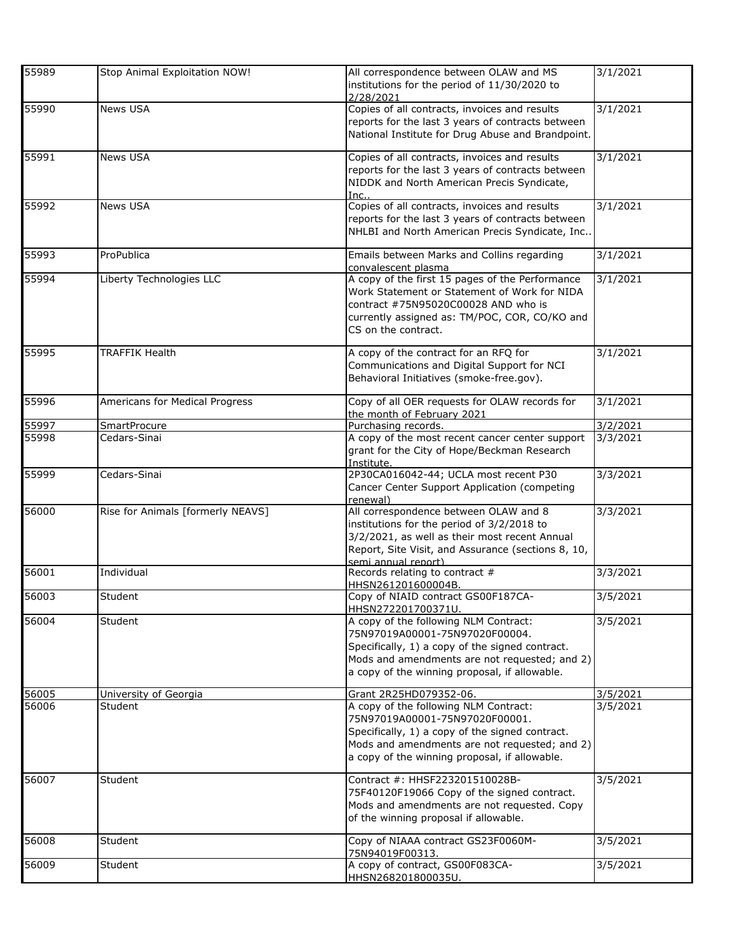| 55989 | Stop Animal Exploitation NOW!     | All correspondence between OLAW and MS<br>institutions for the period of 11/30/2020 to<br>2/28/2021                                                                                                                          | 3/1/2021 |
|-------|-----------------------------------|------------------------------------------------------------------------------------------------------------------------------------------------------------------------------------------------------------------------------|----------|
| 55990 | News USA                          | Copies of all contracts, invoices and results<br>reports for the last 3 years of contracts between<br>National Institute for Drug Abuse and Brandpoint.                                                                      | 3/1/2021 |
| 55991 | News USA                          | Copies of all contracts, invoices and results<br>reports for the last 3 years of contracts between<br>NIDDK and North American Precis Syndicate,<br>Inc.                                                                     | 3/1/2021 |
| 55992 | News USA                          | Copies of all contracts, invoices and results<br>reports for the last 3 years of contracts between<br>NHLBI and North American Precis Syndicate, Inc                                                                         | 3/1/2021 |
| 55993 | ProPublica                        | Emails between Marks and Collins regarding<br>convalescent plasma                                                                                                                                                            | 3/1/2021 |
| 55994 | Liberty Technologies LLC          | A copy of the first 15 pages of the Performance<br>Work Statement or Statement of Work for NIDA<br>contract #75N95020C00028 AND who is<br>currently assigned as: TM/POC, COR, CO/KO and<br>CS on the contract.               | 3/1/2021 |
| 55995 | <b>TRAFFIK Health</b>             | A copy of the contract for an RFQ for<br>Communications and Digital Support for NCI<br>Behavioral Initiatives (smoke-free.gov).                                                                                              | 3/1/2021 |
| 55996 | Americans for Medical Progress    | Copy of all OER requests for OLAW records for<br>the month of February 2021                                                                                                                                                  | 3/1/2021 |
| 55997 | <b>SmartProcure</b>               | Purchasing records.                                                                                                                                                                                                          | 3/2/2021 |
| 55998 | Cedars-Sinai                      | A copy of the most recent cancer center support<br>grant for the City of Hope/Beckman Research<br>Institute.                                                                                                                 | 3/3/2021 |
| 55999 | Cedars-Sinai                      | 2P30CA016042-44; UCLA most recent P30<br>Cancer Center Support Application (competing<br>renewal)                                                                                                                            | 3/3/2021 |
| 56000 | Rise for Animals [formerly NEAVS] | All correspondence between OLAW and 8<br>institutions for the period of 3/2/2018 to<br>3/2/2021, as well as their most recent Annual<br>Report, Site Visit, and Assurance (sections 8, 10,<br>semi annual report)            | 3/3/2021 |
| 56001 | Individual                        | Records relating to contract #<br>HHSN261201600004B.                                                                                                                                                                         | 3/3/2021 |
| 56003 | Student                           | Copy of NIAID contract GS00F187CA-<br>HHSN272201700371U.                                                                                                                                                                     | 3/5/2021 |
| 56004 | Student                           | A copy of the following NLM Contract:<br>75N97019A00001-75N97020F00004.<br>Specifically, 1) a copy of the signed contract.<br>Mods and amendments are not requested; and 2)<br>a copy of the winning proposal, if allowable. | 3/5/2021 |
| 56005 | University of Georgia             | Grant 2R25HD079352-06.                                                                                                                                                                                                       | 3/5/2021 |
| 56006 | Student                           | A copy of the following NLM Contract:<br>75N97019A00001-75N97020F00001.<br>Specifically, 1) a copy of the signed contract.<br>Mods and amendments are not requested; and 2)<br>a copy of the winning proposal, if allowable. | 3/5/2021 |
| 56007 | Student                           | Contract #: HHSF223201510028B-<br>75F40120F19066 Copy of the signed contract.<br>Mods and amendments are not requested. Copy<br>of the winning proposal if allowable.                                                        | 3/5/2021 |
| 56008 | Student                           | Copy of NIAAA contract GS23F0060M-<br>75N94019F00313.                                                                                                                                                                        | 3/5/2021 |
| 56009 | Student                           | A copy of contract, GS00F083CA-<br>HHSN268201800035U.                                                                                                                                                                        | 3/5/2021 |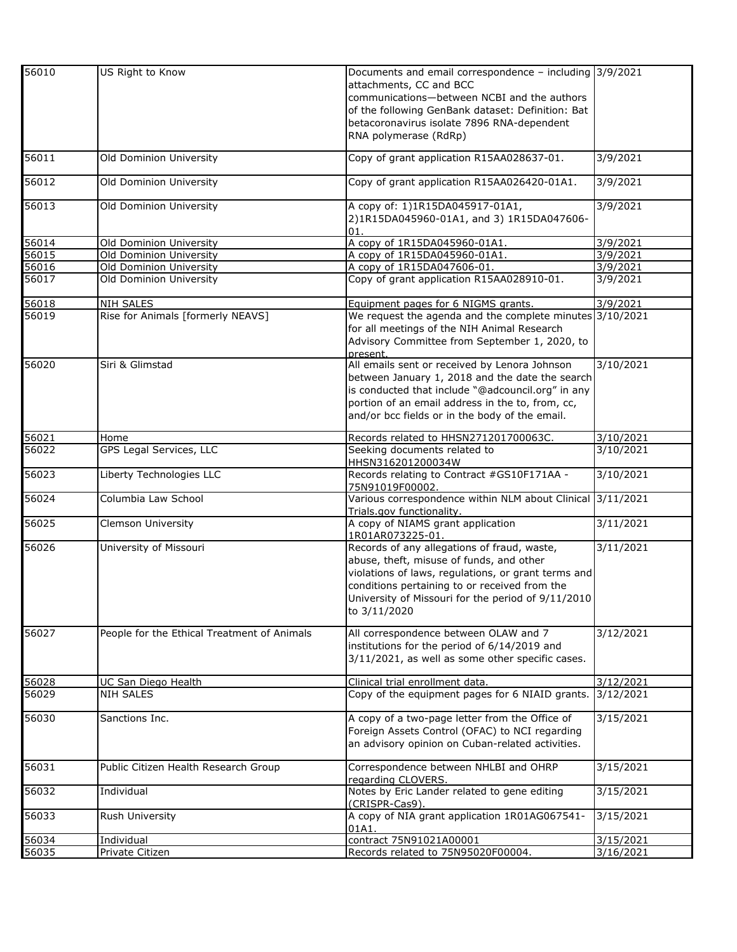| 56010 | US Right to Know                            | Documents and email correspondence - including 3/9/2021               |                   |
|-------|---------------------------------------------|-----------------------------------------------------------------------|-------------------|
|       |                                             | attachments, CC and BCC                                               |                   |
|       |                                             | communications-between NCBI and the authors                           |                   |
|       |                                             |                                                                       |                   |
|       |                                             | of the following GenBank dataset: Definition: Bat                     |                   |
|       |                                             | betacoronavirus isolate 7896 RNA-dependent                            |                   |
|       |                                             | RNA polymerase (RdRp)                                                 |                   |
| 56011 | Old Dominion University                     | Copy of grant application R15AA028637-01.                             | 3/9/2021          |
| 56012 | Old Dominion University                     | Copy of grant application R15AA026420-01A1.                           | 3/9/2021          |
|       |                                             |                                                                       |                   |
| 56013 | Old Dominion University                     | A copy of: 1)1R15DA045917-01A1,                                       | 3/9/2021          |
|       |                                             | 2)1R15DA045960-01A1, and 3) 1R15DA047606-                             |                   |
|       |                                             | 01.                                                                   |                   |
| 56014 | Old Dominion University                     | A copy of 1R15DA045960-01A1.                                          | 3/9/2021          |
| 56015 | Old Dominion University                     | A copy of 1R15DA045960-01A1.                                          | 3/9/2021          |
| 56016 | Old Dominion University                     | A copy of 1R15DA047606-01.                                            | 3/9/2021          |
| 56017 | Old Dominion University                     | Copy of grant application R15AA028910-01.                             | 3/9/2021          |
| 56018 | <b>NIH SALES</b>                            | Equipment pages for 6 NIGMS grants.                                   | 3/9/2021          |
| 56019 | Rise for Animals [formerly NEAVS]           | We request the agenda and the complete minutes 3/10/2021              |                   |
|       |                                             | for all meetings of the NIH Animal Research                           |                   |
|       |                                             | Advisory Committee from September 1, 2020, to                         |                   |
|       |                                             | present.                                                              |                   |
| 56020 | Siri & Glimstad                             | All emails sent or received by Lenora Johnson                         | 3/10/2021         |
|       |                                             | between January 1, 2018 and the date the search                       |                   |
|       |                                             | is conducted that include "@adcouncil.org" in any                     |                   |
|       |                                             | portion of an email address in the to, from, cc,                      |                   |
|       |                                             | and/or bcc fields or in the body of the email.                        |                   |
|       |                                             |                                                                       | 3/10/2021         |
| 56021 | Home<br>GPS Legal Services, LLC             | Records related to HHSN271201700063C.<br>Seeking documents related to |                   |
| 56022 |                                             |                                                                       | 3/10/2021         |
| 56023 | Liberty Technologies LLC                    | HHSN316201200034W<br>Records relating to Contract #GS10F171AA -       | 3/10/2021         |
|       |                                             | 75N91019F00002.                                                       |                   |
| 56024 | Columbia Law School                         | Various correspondence within NLM about Clinical 3/11/2021            |                   |
|       |                                             | Trials.gov functionality.                                             |                   |
| 56025 | Clemson University                          | A copy of NIAMS grant application                                     | 3/11/2021         |
|       |                                             | 1R01AR073225-01.                                                      |                   |
| 56026 | University of Missouri                      | Records of any allegations of fraud, waste,                           | 3/11/2021         |
|       |                                             | abuse, theft, misuse of funds, and other                              |                   |
|       |                                             | violations of laws, regulations, or grant terms and                   |                   |
|       |                                             | conditions pertaining to or received from the                         |                   |
|       |                                             | University of Missouri for the period of 9/11/2010                    |                   |
|       |                                             | to 3/11/2020                                                          |                   |
|       |                                             |                                                                       |                   |
| 56027 | People for the Ethical Treatment of Animals | All correspondence between OLAW and 7                                 | 3/12/2021         |
|       |                                             | institutions for the period of 6/14/2019 and                          |                   |
|       |                                             | 3/11/2021, as well as some other specific cases.                      |                   |
|       |                                             |                                                                       |                   |
| 56028 | UC San Diego Health                         | Clinical trial enrollment data.                                       | $\frac{12}{2021}$ |
| 56029 | <b>NIH SALES</b>                            | Copy of the equipment pages for 6 NIAID grants.                       | 3/12/2021         |
| 56030 | Sanctions Inc.                              | A copy of a two-page letter from the Office of                        | 3/15/2021         |
|       |                                             | Foreign Assets Control (OFAC) to NCI regarding                        |                   |
|       |                                             | an advisory opinion on Cuban-related activities.                      |                   |
|       |                                             |                                                                       |                   |
| 56031 | Public Citizen Health Research Group        | Correspondence between NHLBI and OHRP                                 | 3/15/2021         |
|       |                                             | regarding CLOVERS.                                                    |                   |
| 56032 | Individual                                  | Notes by Eric Lander related to gene editing                          | 3/15/2021         |
|       |                                             | (CRISPR-Cas9).                                                        |                   |
| 56033 | Rush University                             | A copy of NIA grant application 1R01AG067541-                         | 3/15/2021         |
|       |                                             | 01A1.                                                                 |                   |
| 56034 | Individual                                  | contract 75N91021A00001                                               | 3/15/2021         |
| 56035 | Private Citizen                             | Records related to 75N95020F00004.                                    | 3/16/2021         |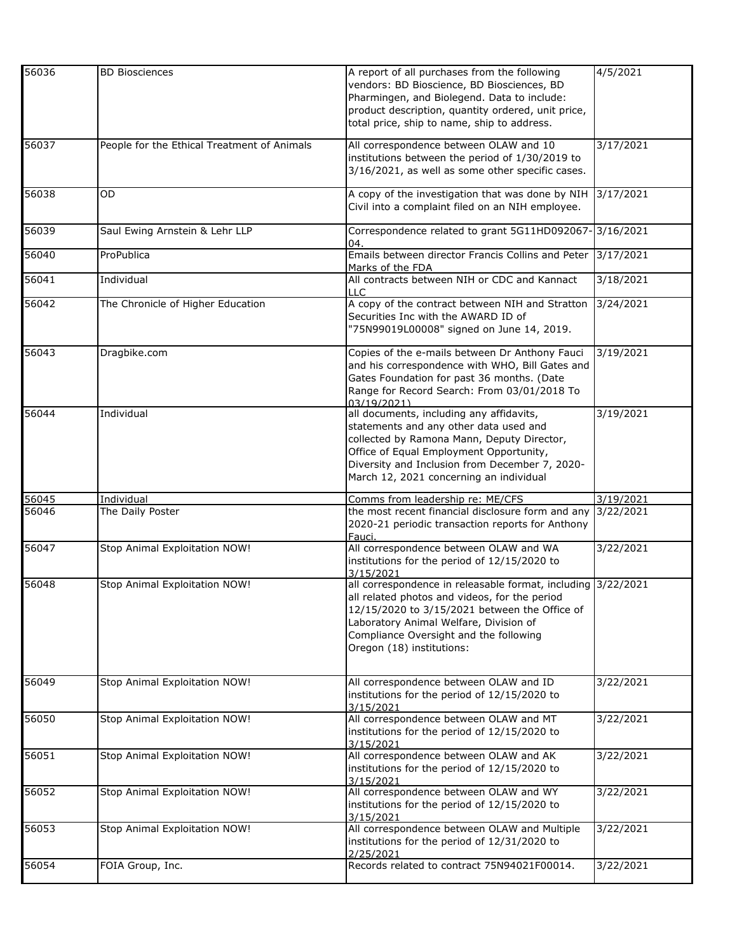| 56036 | <b>BD Biosciences</b>                       | A report of all purchases from the following<br>vendors: BD Bioscience, BD Biosciences, BD<br>Pharmingen, and Biolegend. Data to include:<br>product description, quantity ordered, unit price,<br>total price, ship to name, ship to address.                                  | 4/5/2021     |
|-------|---------------------------------------------|---------------------------------------------------------------------------------------------------------------------------------------------------------------------------------------------------------------------------------------------------------------------------------|--------------|
| 56037 | People for the Ethical Treatment of Animals | All correspondence between OLAW and 10<br>institutions between the period of 1/30/2019 to<br>3/16/2021, as well as some other specific cases.                                                                                                                                   | 3/17/2021    |
| 56038 | OD                                          | A copy of the investigation that was done by NIH<br>Civil into a complaint filed on an NIH employee.                                                                                                                                                                            | 3/17/2021    |
| 56039 | Saul Ewing Arnstein & Lehr LLP              | Correspondence related to grant 5G11HD092067-<br>04.                                                                                                                                                                                                                            | $-3/16/2021$ |
| 56040 | ProPublica                                  | Emails between director Francis Collins and Peter<br>Marks of the FDA                                                                                                                                                                                                           | 3/17/2021    |
| 56041 | Individual                                  | All contracts between NIH or CDC and Kannact<br>LLC                                                                                                                                                                                                                             | 3/18/2021    |
| 56042 | The Chronicle of Higher Education           | A copy of the contract between NIH and Stratton<br>Securities Inc with the AWARD ID of<br>"75N99019L00008" signed on June 14, 2019.                                                                                                                                             | 3/24/2021    |
| 56043 | Dragbike.com                                | Copies of the e-mails between Dr Anthony Fauci<br>and his correspondence with WHO, Bill Gates and<br>Gates Foundation for past 36 months. (Date<br>Range for Record Search: From 03/01/2018 To<br>03/19/2021)                                                                   | 3/19/2021    |
| 56044 | Individual                                  | all documents, including any affidavits,<br>statements and any other data used and<br>collected by Ramona Mann, Deputy Director,<br>Office of Equal Employment Opportunity,<br>Diversity and Inclusion from December 7, 2020-<br>March 12, 2021 concerning an individual        | 3/19/2021    |
| 56045 | Individual                                  | Comms from leadership re: ME/CFS                                                                                                                                                                                                                                                | 3/19/2021    |
| 56046 | The Daily Poster                            | the most recent financial disclosure form and any<br>2020-21 periodic transaction reports for Anthony<br>Fauci.                                                                                                                                                                 | 3/22/2021    |
| 56047 | Stop Animal Exploitation NOW!               | All correspondence between OLAW and WA<br>institutions for the period of 12/15/2020 to<br>3/15/2021                                                                                                                                                                             | 3/22/2021    |
| 56048 | Stop Animal Exploitation NOW!               | all correspondence in releasable format, including 3/22/2021<br>all related photos and videos, for the period<br>12/15/2020 to 3/15/2021 between the Office of<br>Laboratory Animal Welfare, Division of<br>Compliance Oversight and the following<br>Oregon (18) institutions: |              |
| 56049 | Stop Animal Exploitation NOW!               | All correspondence between OLAW and ID<br>institutions for the period of 12/15/2020 to<br>3/15/2021                                                                                                                                                                             | 3/22/2021    |
| 56050 | Stop Animal Exploitation NOW!               | All correspondence between OLAW and MT<br>institutions for the period of 12/15/2020 to<br>3/15/2021                                                                                                                                                                             | 3/22/2021    |
| 56051 | Stop Animal Exploitation NOW!               | All correspondence between OLAW and AK<br>institutions for the period of 12/15/2020 to<br>3/15/2021                                                                                                                                                                             | 3/22/2021    |
| 56052 | Stop Animal Exploitation NOW!               | All correspondence between OLAW and WY<br>institutions for the period of 12/15/2020 to<br>3/15/2021                                                                                                                                                                             | 3/22/2021    |
| 56053 | Stop Animal Exploitation NOW!               | All correspondence between OLAW and Multiple<br>institutions for the period of 12/31/2020 to<br>2/25/2021                                                                                                                                                                       | 3/22/2021    |
| 56054 | FOIA Group, Inc.                            | Records related to contract 75N94021F00014.                                                                                                                                                                                                                                     | 3/22/2021    |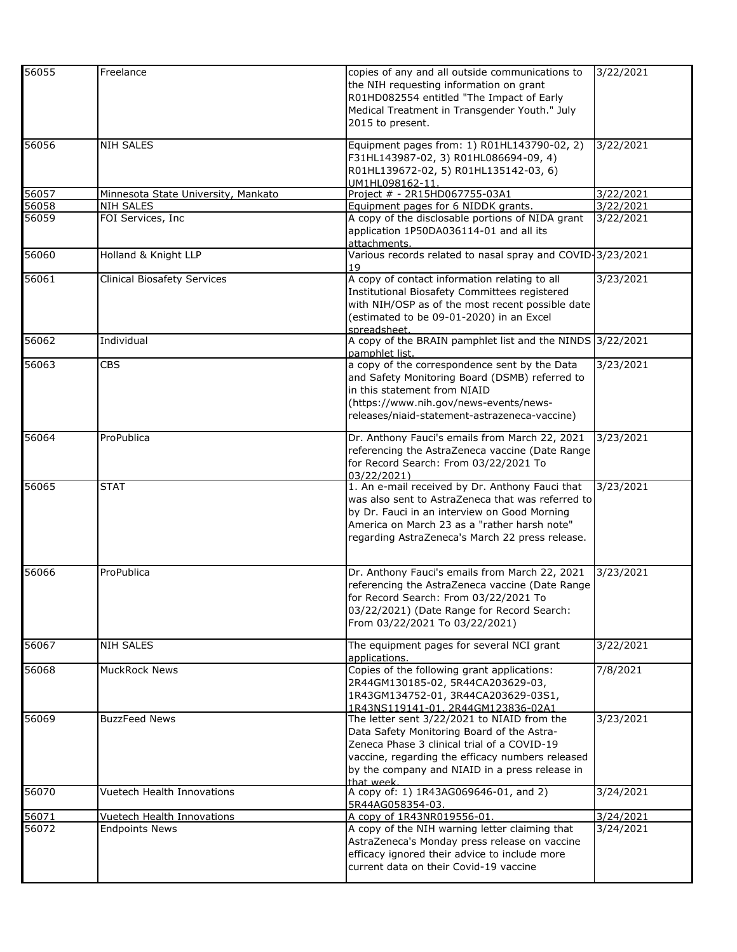| 56055 | Freelance                           | copies of any and all outside communications to<br>the NIH requesting information on grant<br>R01HD082554 entitled "The Impact of Early<br>Medical Treatment in Transgender Youth." July<br>2015 to present.                                                 | 3/22/2021 |
|-------|-------------------------------------|--------------------------------------------------------------------------------------------------------------------------------------------------------------------------------------------------------------------------------------------------------------|-----------|
| 56056 | <b>NIH SALES</b>                    | Equipment pages from: 1) R01HL143790-02, 2)<br>F31HL143987-02, 3) R01HL086694-09, 4)<br>R01HL139672-02, 5) R01HL135142-03, 6)<br>UM1HL098162-11.                                                                                                             | 3/22/2021 |
| 56057 | Minnesota State University, Mankato | Project # - 2R15HD067755-03A1                                                                                                                                                                                                                                | 3/22/2021 |
| 56058 | <b>NIH SALES</b>                    | Equipment pages for 6 NIDDK grants.                                                                                                                                                                                                                          | 3/22/2021 |
| 56059 | FOI Services, Inc                   | A copy of the disclosable portions of NIDA grant<br>application 1P50DA036114-01 and all its<br>attachments.                                                                                                                                                  | 3/22/2021 |
| 56060 | Holland & Knight LLP                | Various records related to nasal spray and COVID-3/23/2021<br>19                                                                                                                                                                                             |           |
| 56061 | Clinical Biosafety Services         | A copy of contact information relating to all<br>Institutional Biosafety Committees registered<br>with NIH/OSP as of the most recent possible date<br>(estimated to be 09-01-2020) in an Excel<br>spreadsheet.                                               | 3/23/2021 |
| 56062 | Individual                          | A copy of the BRAIN pamphlet list and the NINDS 3/22/2021<br>pamphlet list.                                                                                                                                                                                  |           |
| 56063 | <b>CBS</b>                          | a copy of the correspondence sent by the Data<br>and Safety Monitoring Board (DSMB) referred to<br>in this statement from NIAID<br>(https://www.nih.gov/news-events/news-<br>releases/niaid-statement-astrazeneca-vaccine)                                   | 3/23/2021 |
| 56064 | ProPublica                          | Dr. Anthony Fauci's emails from March 22, 2021<br>referencing the AstraZeneca vaccine (Date Range<br>for Record Search: From 03/22/2021 To<br>03/22/2021)                                                                                                    | 3/23/2021 |
| 56065 | <b>STAT</b>                         | 1. An e-mail received by Dr. Anthony Fauci that<br>was also sent to AstraZeneca that was referred to<br>by Dr. Fauci in an interview on Good Morning<br>America on March 23 as a "rather harsh note"<br>regarding AstraZeneca's March 22 press release.      | 3/23/2021 |
| 56066 | ProPublica                          | Dr. Anthony Fauci's emails from March 22, 2021<br>referencing the AstraZeneca vaccine (Date Range<br>for Record Search: From 03/22/2021 To<br>03/22/2021) (Date Range for Record Search:<br>From 03/22/2021 To 03/22/2021)                                   | 3/23/2021 |
| 56067 | <b>NIH SALES</b>                    | The equipment pages for several NCI grant<br>applications.                                                                                                                                                                                                   | 3/22/2021 |
| 56068 | <b>MuckRock News</b>                | Copies of the following grant applications:<br>2R44GM130185-02, 5R44CA203629-03,<br>1R43GM134752-01, 3R44CA203629-03S1,<br>1R43NS119141-01, 2R44GM123836-02A1                                                                                                | 7/8/2021  |
| 56069 | <b>BuzzFeed News</b>                | The letter sent 3/22/2021 to NIAID from the<br>Data Safety Monitoring Board of the Astra-<br>Zeneca Phase 3 clinical trial of a COVID-19<br>vaccine, regarding the efficacy numbers released<br>by the company and NIAID in a press release in<br>that week. | 3/23/2021 |
| 56070 | Vuetech Health Innovations          | A copy of: 1) 1R43AG069646-01, and 2)<br>5R44AG058354-03.                                                                                                                                                                                                    | 3/24/2021 |
| 56071 | Vuetech Health Innovations          | A copy of 1R43NR019556-01.                                                                                                                                                                                                                                   | 3/24/2021 |
| 56072 | <b>Endpoints News</b>               | A copy of the NIH warning letter claiming that<br>AstraZeneca's Monday press release on vaccine<br>efficacy ignored their advice to include more<br>current data on their Covid-19 vaccine                                                                   | 3/24/2021 |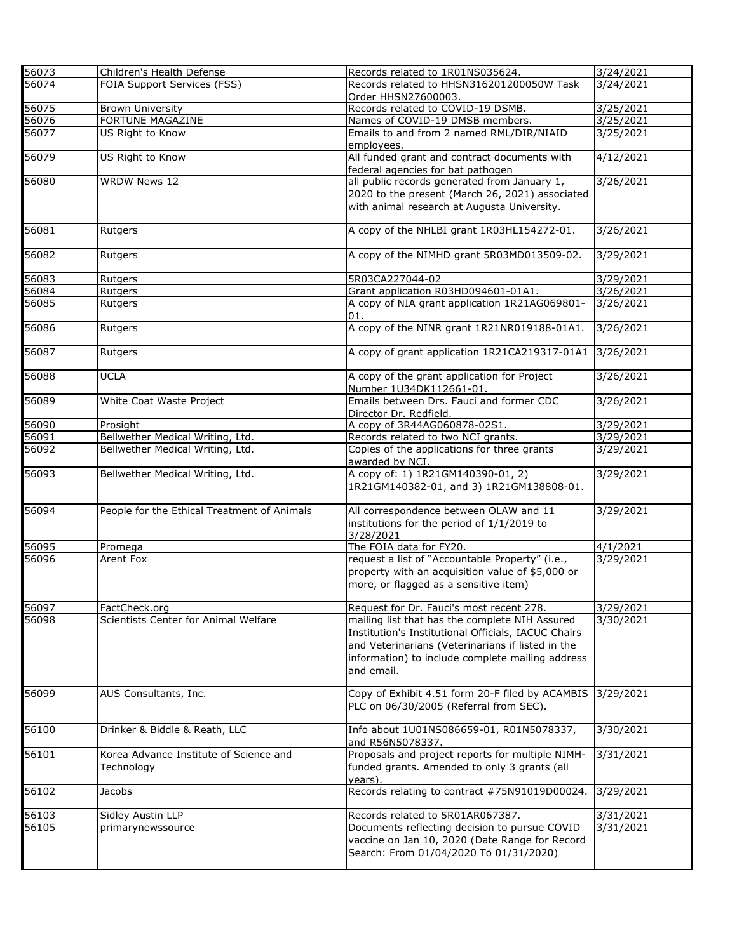| 56073             | Children's Health Defense                            | Records related to 1R01NS035624.                                                                                                                                                                                             | 3/24/2021              |
|-------------------|------------------------------------------------------|------------------------------------------------------------------------------------------------------------------------------------------------------------------------------------------------------------------------------|------------------------|
| $\frac{1}{56074}$ | FOIA Support Services (FSS)                          | Records related to HHSN316201200050W Task<br>Order HHSN27600003.                                                                                                                                                             | $3/24/20\overline{21}$ |
| 56075             | <b>Brown University</b>                              | Records related to COVID-19 DSMB.                                                                                                                                                                                            | 3/25/2021              |
| 56076             | FORTUNE MAGAZINE                                     | Names of COVID-19 DMSB members.                                                                                                                                                                                              | 3/25/2021              |
| 56077             | US Right to Know                                     | Emails to and from 2 named RML/DIR/NIAID<br>employees.                                                                                                                                                                       | 3/25/2021              |
| 56079             | US Right to Know                                     | All funded grant and contract documents with<br>federal agencies for bat pathogen                                                                                                                                            | 4/12/2021              |
| 56080             | <b>WRDW News 12</b>                                  | all public records generated from January 1,                                                                                                                                                                                 | 3/26/2021              |
|                   |                                                      | 2020 to the present (March 26, 2021) associated                                                                                                                                                                              |                        |
|                   |                                                      | with animal research at Augusta University.                                                                                                                                                                                  |                        |
| 56081             | Rutgers                                              | A copy of the NHLBI grant 1R03HL154272-01.                                                                                                                                                                                   | 3/26/2021              |
| 56082             | Rutgers                                              | A copy of the NIMHD grant 5R03MD013509-02.                                                                                                                                                                                   | 3/29/2021              |
| 56083             | Rutgers                                              | 5R03CA227044-02                                                                                                                                                                                                              | 3/29/2021              |
| 56084             | Rutgers                                              | Grant application R03HD094601-01A1.                                                                                                                                                                                          | 3/26/2021              |
| 56085             | Rutgers                                              | A copy of NIA grant application 1R21AG069801-<br>01.                                                                                                                                                                         | 3/26/2021              |
| 56086             | Rutgers                                              | A copy of the NINR grant 1R21NR019188-01A1.                                                                                                                                                                                  | 3/26/2021              |
| 56087             | Rutgers                                              | A copy of grant application 1R21CA219317-01A1                                                                                                                                                                                | 3/26/2021              |
| 56088             | <b>UCLA</b>                                          | A copy of the grant application for Project<br>Number 1U34DK112661-01.                                                                                                                                                       | 3/26/2021              |
| 56089             | White Coat Waste Project                             | Emails between Drs. Fauci and former CDC<br>Director Dr. Redfield.                                                                                                                                                           | 3/26/2021              |
| 56090             | Prosight                                             | A copy of 3R44AG060878-02S1.                                                                                                                                                                                                 | 3/29/2021              |
| 56091             | Bellwether Medical Writing, Ltd.                     | Records related to two NCI grants.                                                                                                                                                                                           | 3/29/2021              |
| 56092             | Bellwether Medical Writing, Ltd.                     | Copies of the applications for three grants<br>awarded by NCI.                                                                                                                                                               | 3/29/2021              |
| 56093             | Bellwether Medical Writing, Ltd.                     | A copy of: 1) 1R21GM140390-01, 2)<br>1R21GM140382-01, and 3) 1R21GM138808-01.                                                                                                                                                | 3/29/2021              |
| 56094             | People for the Ethical Treatment of Animals          | All correspondence between OLAW and 11<br>institutions for the period of 1/1/2019 to<br>3/28/2021                                                                                                                            | 3/29/2021              |
| 56095             | Promega                                              | The FOIA data for FY20.                                                                                                                                                                                                      | 4/1/2021               |
| 56096             | Arent Fox                                            | request a list of "Accountable Property" (i.e.,<br>property with an acquisition value of \$5,000 or<br>more, or flagged as a sensitive item)                                                                                 | 3/29/2021              |
| 56097             | FactCheck.org                                        | Request for Dr. Fauci's most recent 278.                                                                                                                                                                                     | 3/29/2021              |
| 56098             | Scientists Center for Animal Welfare                 | mailing list that has the complete NIH Assured<br>Institution's Institutional Officials, IACUC Chairs<br>and Veterinarians (Veterinarians if listed in the<br>information) to include complete mailing address<br>and email. | 3/30/2021              |
| 56099             | AUS Consultants, Inc.                                | Copy of Exhibit 4.51 form 20-F filed by ACAMBIS<br>PLC on 06/30/2005 (Referral from SEC).                                                                                                                                    | 3/29/2021              |
| 56100             | Drinker & Biddle & Reath, LLC                        | Info about 1U01NS086659-01, R01N5078337,<br>and R56N5078337.                                                                                                                                                                 | 3/30/2021              |
| 56101             | Korea Advance Institute of Science and<br>Technology | Proposals and project reports for multiple NIMH-<br>funded grants. Amended to only 3 grants (all<br>years).                                                                                                                  | 3/31/2021              |
| 56102             | Jacobs                                               | Records relating to contract #75N91019D00024.                                                                                                                                                                                | 3/29/2021              |
| 56103             | <b>Sidley Austin LLP</b>                             | Records related to 5R01AR067387.                                                                                                                                                                                             | 3/31/2021              |
| 56105             | primarynewssource                                    | Documents reflecting decision to pursue COVID<br>vaccine on Jan 10, 2020 (Date Range for Record<br>Search: From 01/04/2020 To 01/31/2020)                                                                                    | 3/31/2021              |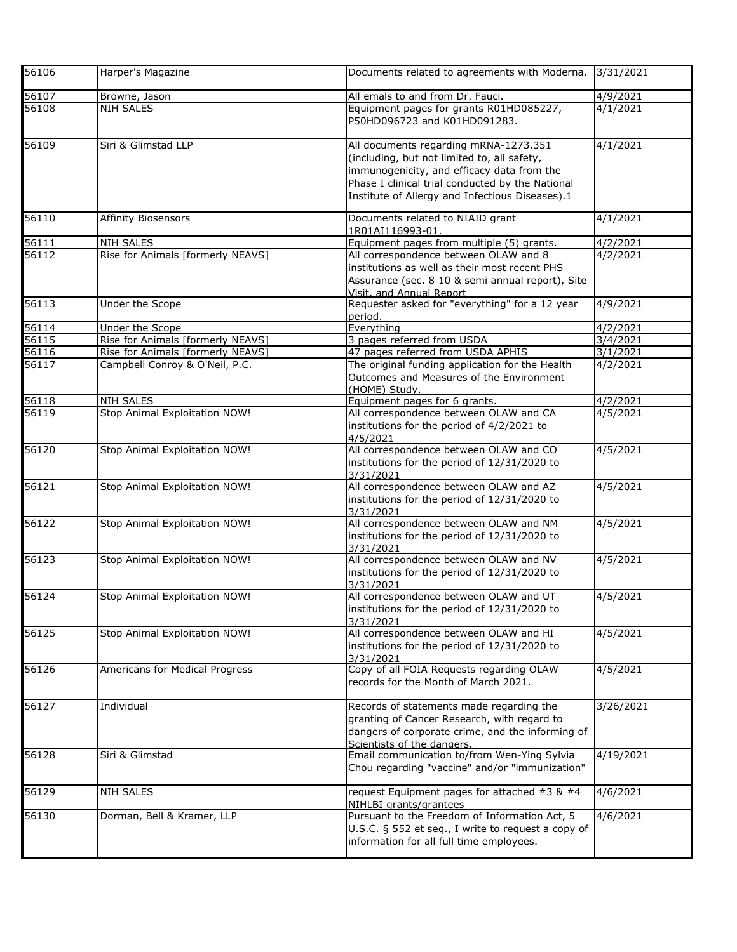| 56106 | Harper's Magazine                 | Documents related to agreements with Moderna.                                                                                                                                                                                             | 3/31/2021          |
|-------|-----------------------------------|-------------------------------------------------------------------------------------------------------------------------------------------------------------------------------------------------------------------------------------------|--------------------|
| 56107 | Browne, Jason                     | All emals to and from Dr. Fauci.                                                                                                                                                                                                          | 4/9/2021           |
| 56108 | <b>NIH SALES</b>                  | Equipment pages for grants R01HD085227,<br>P50HD096723 and K01HD091283.                                                                                                                                                                   | 4/1/2021           |
| 56109 | Siri & Glimstad LLP               | All documents regarding mRNA-1273.351<br>(including, but not limited to, all safety,<br>immunogenicity, and efficacy data from the<br>Phase I clinical trial conducted by the National<br>Institute of Allergy and Infectious Diseases).1 | 4/1/2021           |
| 56110 | <b>Affinity Biosensors</b>        | Documents related to NIAID grant<br>1R01AI116993-01                                                                                                                                                                                       | 4/1/2021           |
| 56111 | <b>NIH SALES</b>                  | Equipment pages from multiple (5) grants.                                                                                                                                                                                                 | 4/2/2021           |
| 56112 | Rise for Animals [formerly NEAVS] | All correspondence between OLAW and 8<br>institutions as well as their most recent PHS<br>Assurance (sec. 8 10 & semi annual report), Site<br>Visit, and Annual Report                                                                    | 4/2/2021           |
| 56113 | Under the Scope                   | Requester asked for "everything" for a 12 year<br>period.                                                                                                                                                                                 | 4/9/2021           |
| 56114 | Under the Scope                   | Everything                                                                                                                                                                                                                                | 4/2/2021           |
| 56115 | Rise for Animals [formerly NEAVS] | 3 pages referred from USDA                                                                                                                                                                                                                | 3/4/2021           |
| 56116 | Rise for Animals [formerly NEAVS] | 47 pages referred from USDA APHIS                                                                                                                                                                                                         | 3/1/2021           |
| 56117 | Campbell Conroy & O'Neil, P.C.    | The original funding application for the Health<br>Outcomes and Measures of the Environment<br>(HOME) Study.                                                                                                                              | 4/2/2021           |
| 56118 | <b>NIH SALES</b>                  | Equipment pages for 6 grants.                                                                                                                                                                                                             | 4/2/2021           |
| 56119 | Stop Animal Exploitation NOW!     | All correspondence between OLAW and CA<br>institutions for the period of 4/2/2021 to<br>4/5/2021                                                                                                                                          | $\frac{4}{5}/2021$ |
| 56120 | Stop Animal Exploitation NOW!     | All correspondence between OLAW and CO<br>institutions for the period of 12/31/2020 to<br>3/31/2021                                                                                                                                       | 4/5/2021           |
| 56121 | Stop Animal Exploitation NOW!     | All correspondence between OLAW and AZ<br>institutions for the period of 12/31/2020 to<br>3/31/2021                                                                                                                                       | 4/5/2021           |
| 56122 | Stop Animal Exploitation NOW!     | All correspondence between OLAW and NM<br>institutions for the period of 12/31/2020 to<br>3/31/2021                                                                                                                                       | 4/5/2021           |
| 56123 | Stop Animal Exploitation NOW!     | All correspondence between OLAW and NV<br>institutions for the period of 12/31/2020 to<br>3/31/2021                                                                                                                                       | 4/5/2021           |
| 56124 | Stop Animal Exploitation NOW!     | All correspondence between OLAW and UT<br>institutions for the period of 12/31/2020 to<br>3/31/2021                                                                                                                                       | 4/5/2021           |
| 56125 | Stop Animal Exploitation NOW!     | All correspondence between OLAW and HI<br>institutions for the period of 12/31/2020 to<br>3/31/2021                                                                                                                                       | 4/5/2021           |
| 56126 | Americans for Medical Progress    | Copy of all FOIA Requests regarding OLAW<br>records for the Month of March 2021.                                                                                                                                                          | 4/5/2021           |
| 56127 | Individual                        | Records of statements made regarding the<br>granting of Cancer Research, with regard to<br>dangers of corporate crime, and the informing of<br>Scientists of the dangers.                                                                 | 3/26/2021          |
| 56128 | Siri & Glimstad                   | Email communication to/from Wen-Ying Sylvia<br>Chou regarding "vaccine" and/or "immunization"                                                                                                                                             | 4/19/2021          |
| 56129 | <b>NIH SALES</b>                  | request Equipment pages for attached $#3$ & $#4$<br>NIHLBI grants/grantees                                                                                                                                                                | 4/6/2021           |
| 56130 | Dorman, Bell & Kramer, LLP        | Pursuant to the Freedom of Information Act, 5<br>U.S.C. § 552 et seq., I write to request a copy of<br>information for all full time employees.                                                                                           | 4/6/2021           |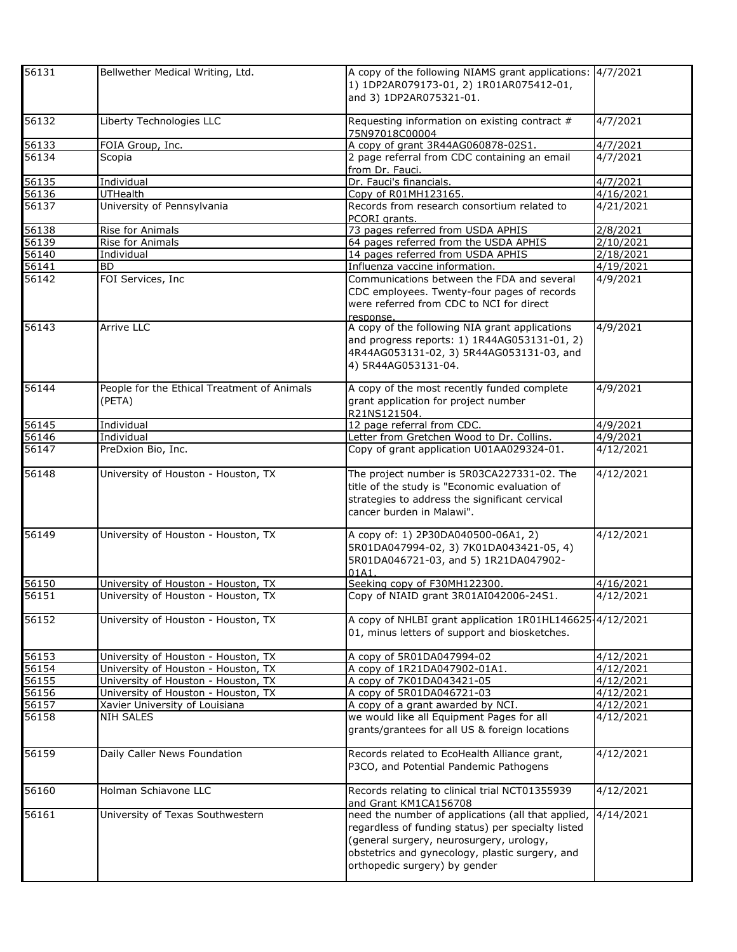| 56131              | Bellwether Medical Writing, Ltd.                      | A copy of the following NIAMS grant applications: 4/7/2021<br>1) 1DP2AR079173-01, 2) 1R01AR075412-01,<br>and 3) 1DP2AR075321-01.                                                                                                         |                    |
|--------------------|-------------------------------------------------------|------------------------------------------------------------------------------------------------------------------------------------------------------------------------------------------------------------------------------------------|--------------------|
| 56132              | Liberty Technologies LLC                              | Requesting information on existing contract #<br>75N97018C00004                                                                                                                                                                          | 4/7/2021           |
| 56133              | FOIA Group, Inc.                                      | A copy of grant 3R44AG060878-02S1.                                                                                                                                                                                                       | 4/7/2021           |
| 56134              | Scopia                                                | 2 page referral from CDC containing an email<br>from Dr. Fauci.                                                                                                                                                                          | 4/7/2021           |
| 56135              | Individual                                            | Dr. Fauci's financials.                                                                                                                                                                                                                  | 4/7/2021           |
| 56136<br>56137     | UTHealth                                              | Copy of R01MH123165.                                                                                                                                                                                                                     | 4/16/2021          |
|                    | University of Pennsylvania                            | Records from research consortium related to<br>PCORI grants.                                                                                                                                                                             | 4/21/2021          |
| 56138              | Rise for Animals                                      | 73 pages referred from USDA APHIS                                                                                                                                                                                                        | 2/8/2021           |
| 56139              | Rise for Animals                                      | 64 pages referred from the USDA APHIS                                                                                                                                                                                                    | 2/10/2021          |
| 56140              | Individual                                            | 14 pages referred from USDA APHIS                                                                                                                                                                                                        | 2/18/2021          |
| 56141              | <b>BD</b>                                             | Influenza vaccine information.                                                                                                                                                                                                           | 4/19/2021          |
| 56142              | FOI Services, Inc                                     | Communications between the FDA and several<br>CDC employees. Twenty-four pages of records<br>were referred from CDC to NCI for direct<br>response.                                                                                       | 4/9/2021           |
| 56143              | Arrive LLC                                            | A copy of the following NIA grant applications<br>and progress reports: 1) 1R44AG053131-01, 2)<br>4R44AG053131-02, 3) 5R44AG053131-03, and<br>4) 5R44AG053131-04.                                                                        | 4/9/2021           |
| $\overline{56144}$ | People for the Ethical Treatment of Animals<br>(PETA) | A copy of the most recently funded complete<br>grant application for project number<br>R21NS121504.                                                                                                                                      | 4/9/2021           |
| 56145              | Individual                                            | 12 page referral from CDC.                                                                                                                                                                                                               | 4/9/2021           |
| 56146              | Individual                                            | Letter from Gretchen Wood to Dr. Collins.                                                                                                                                                                                                | 4/9/2021           |
| 56147              | PreDxion Bio, Inc.                                    | Copy of grant application U01AA029324-01.                                                                                                                                                                                                | 4/12/2021          |
| 56148              | University of Houston - Houston, TX                   | The project number is 5R03CA227331-02. The<br>title of the study is "Economic evaluation of<br>strategies to address the significant cervical<br>cancer burden in Malawi".                                                               | 4/12/2021          |
| 56149              | University of Houston - Houston, TX                   | A copy of: 1) 2P30DA040500-06A1, 2)<br>5R01DA047994-02, 3) 7K01DA043421-05, 4)<br>5R01DA046721-03, and 5) 1R21DA047902-<br>01A1.                                                                                                         | 4/12/2021          |
|                    | University of Houston - Houston, TX                   | Seeking copy of F30MH122300.                                                                                                                                                                                                             | 4/16/2021          |
| 56150<br>56151     | University of Houston - Houston, TX                   | Copy of NIAID grant 3R01AI042006-24S1.                                                                                                                                                                                                   | 4/12/2021          |
| 56152              | University of Houston - Houston, TX                   | A copy of NHLBI grant application 1R01HL146625-4/12/2021<br>01, minus letters of support and biosketches.                                                                                                                                |                    |
| 56153              | University of Houston - Houston, TX                   | A copy of 5R01DA047994-02                                                                                                                                                                                                                | 4/12/2021          |
| 56154              | University of Houston - Houston, TX                   | A copy of 1R21DA047902-01A1.                                                                                                                                                                                                             | 4/12/2021          |
| 56155              | University of Houston - Houston, TX                   | A copy of 7K01DA043421-05                                                                                                                                                                                                                | 4/12/2021          |
| 56156              | University of Houston - Houston, TX                   | A copy of 5R01DA046721-03                                                                                                                                                                                                                | 4/12/2021          |
| 56157              | Xavier University of Louisiana                        | A copy of a grant awarded by NCI.                                                                                                                                                                                                        | 4/12/2021          |
| 56158              | NIH SALES                                             | we would like all Equipment Pages for all<br>grants/grantees for all US & foreign locations                                                                                                                                              | $\sqrt{4}/12/2021$ |
| 56159              | Daily Caller News Foundation                          | Records related to EcoHealth Alliance grant,<br>P3CO, and Potential Pandemic Pathogens                                                                                                                                                   | 4/12/2021          |
| 56160              | Holman Schiavone LLC                                  | Records relating to clinical trial NCT01355939<br>and Grant KM1CA156708                                                                                                                                                                  | 4/12/2021          |
| 56161              | University of Texas Southwestern                      | need the number of applications (all that applied,<br>regardless of funding status) per specialty listed<br>(general surgery, neurosurgery, urology,<br>obstetrics and gynecology, plastic surgery, and<br>orthopedic surgery) by gender | 4/14/2021          |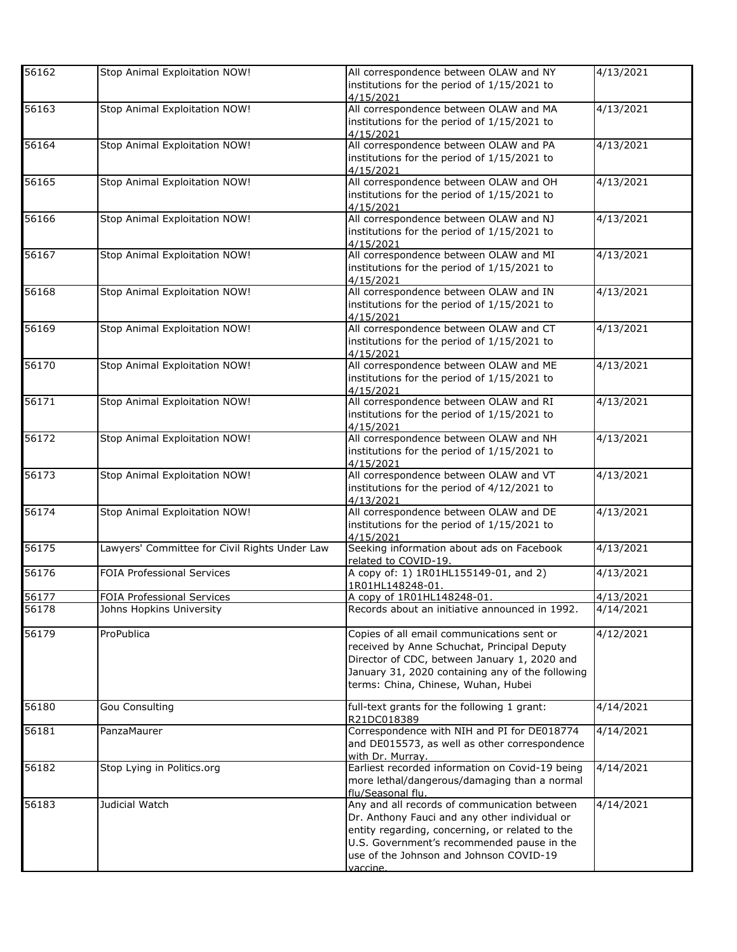| 56162          | Stop Animal Exploitation NOW!                                 | All correspondence between OLAW and NY<br>institutions for the period of 1/15/2021 to<br>4/15/2021                                                                                                                                                           | 4/13/2021              |
|----------------|---------------------------------------------------------------|--------------------------------------------------------------------------------------------------------------------------------------------------------------------------------------------------------------------------------------------------------------|------------------------|
| 56163          | Stop Animal Exploitation NOW!                                 | All correspondence between OLAW and MA<br>institutions for the period of 1/15/2021 to<br>4/15/2021                                                                                                                                                           | 4/13/2021              |
| 56164          | Stop Animal Exploitation NOW!                                 | All correspondence between OLAW and PA<br>institutions for the period of 1/15/2021 to<br>4/15/2021                                                                                                                                                           | 4/13/2021              |
| 56165          | Stop Animal Exploitation NOW!                                 | All correspondence between OLAW and OH<br>institutions for the period of 1/15/2021 to<br>4/15/2021                                                                                                                                                           | 4/13/2021              |
| 56166          | Stop Animal Exploitation NOW!                                 | All correspondence between OLAW and NJ<br>institutions for the period of 1/15/2021 to<br>4/15/2021                                                                                                                                                           | 4/13/2021              |
| 56167          | Stop Animal Exploitation NOW!                                 | All correspondence between OLAW and MI<br>institutions for the period of 1/15/2021 to<br>4/15/2021                                                                                                                                                           | 4/13/2021              |
| 56168          | Stop Animal Exploitation NOW!                                 | All correspondence between OLAW and IN<br>institutions for the period of 1/15/2021 to<br>4/15/2021                                                                                                                                                           | 4/13/2021              |
| 56169          | Stop Animal Exploitation NOW!                                 | All correspondence between OLAW and CT<br>institutions for the period of 1/15/2021 to<br>4/15/2021                                                                                                                                                           | 4/13/2021              |
| 56170          | Stop Animal Exploitation NOW!                                 | All correspondence between OLAW and ME<br>institutions for the period of 1/15/2021 to<br>4/15/2021                                                                                                                                                           | 4/13/2021              |
| 56171          | Stop Animal Exploitation NOW!                                 | All correspondence between OLAW and RI<br>institutions for the period of 1/15/2021 to<br>4/15/2021                                                                                                                                                           | 4/13/2021              |
| 56172          | Stop Animal Exploitation NOW!                                 | All correspondence between OLAW and NH<br>institutions for the period of 1/15/2021 to<br>4/15/2021                                                                                                                                                           | 4/13/2021              |
| 56173          | Stop Animal Exploitation NOW!                                 | All correspondence between OLAW and VT<br>institutions for the period of 4/12/2021 to<br>4/13/2021                                                                                                                                                           | 4/13/2021              |
| 56174          | Stop Animal Exploitation NOW!                                 | All correspondence between OLAW and DE<br>institutions for the period of 1/15/2021 to<br>4/15/2021                                                                                                                                                           | 4/13/2021              |
| 56175          | Lawyers' Committee for Civil Rights Under Law                 | Seeking information about ads on Facebook<br>related to COVID-19.                                                                                                                                                                                            | 4/13/2021              |
| 56176          | <b>FOIA Professional Services</b>                             | A copy of: 1) 1R01HL155149-01, and 2)<br>1R01HL148248-01.                                                                                                                                                                                                    | $\sqrt{4}/13/2021$     |
| 56177<br>56178 | <b>FOIA Professional Services</b><br>Johns Hopkins University | A copy of 1R01HL148248-01.<br>Records about an initiative announced in 1992.                                                                                                                                                                                 | 4/13/2021<br>4/14/2021 |
| 56179          | ProPublica                                                    | Copies of all email communications sent or<br>received by Anne Schuchat, Principal Deputy<br>Director of CDC, between January 1, 2020 and<br>January 31, 2020 containing any of the following<br>terms: China, Chinese, Wuhan, Hubei                         | 4/12/2021              |
| 56180          | Gou Consulting                                                | full-text grants for the following 1 grant:<br>R21DC018389                                                                                                                                                                                                   | 4/14/2021              |
| 56181          | PanzaMaurer                                                   | Correspondence with NIH and PI for DE018774<br>and DE015573, as well as other correspondence<br>with Dr. Murrav.                                                                                                                                             | 4/14/2021              |
| 56182          | Stop Lying in Politics.org                                    | Earliest recorded information on Covid-19 being<br>more lethal/dangerous/damaging than a normal<br>flu/Seasonal flu.                                                                                                                                         | 4/14/2021              |
| 56183          | Judicial Watch                                                | Any and all records of communication between<br>Dr. Anthony Fauci and any other individual or<br>entity regarding, concerning, or related to the<br>U.S. Government's recommended pause in the<br>use of the Johnson and Johnson COVID-19<br><i>r</i> accine | 4/14/2021              |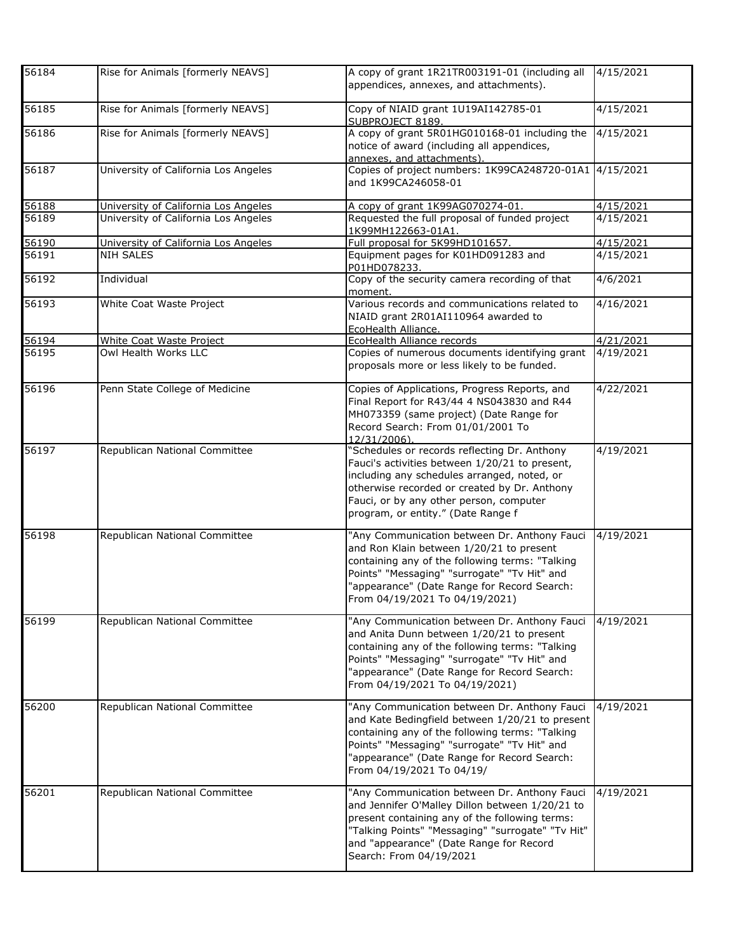| 56184 | Rise for Animals [formerly NEAVS]    | A copy of grant 1R21TR003191-01 (including all<br>appendices, annexes, and attachments).                                                                                                                                                                                       | 4/15/2021 |
|-------|--------------------------------------|--------------------------------------------------------------------------------------------------------------------------------------------------------------------------------------------------------------------------------------------------------------------------------|-----------|
| 56185 | Rise for Animals [formerly NEAVS]    | Copy of NIAID grant 1U19AI142785-01<br>SUBPROJECT 8189.                                                                                                                                                                                                                        | 4/15/2021 |
| 56186 | Rise for Animals [formerly NEAVS]    | A copy of grant 5R01HG010168-01 including the<br>notice of award (including all appendices,<br>annexes, and attachments).                                                                                                                                                      | 4/15/2021 |
| 56187 | University of California Los Angeles | Copies of project numbers: 1K99CA248720-01A1 4/15/2021<br>and 1K99CA246058-01                                                                                                                                                                                                  |           |
| 56188 | University of California Los Angeles | A copy of grant 1K99AG070274-01.                                                                                                                                                                                                                                               | 4/15/2021 |
| 56189 | University of California Los Angeles | Requested the full proposal of funded project<br>1K99MH122663-01A1.                                                                                                                                                                                                            | 4/15/2021 |
| 56190 | University of California Los Angeles | Full proposal for 5K99HD101657.                                                                                                                                                                                                                                                | 4/15/2021 |
| 56191 | <b>NIH SALES</b>                     | Equipment pages for K01HD091283 and<br>P01HD078233.                                                                                                                                                                                                                            | 4/15/2021 |
| 56192 | Individual                           | Copy of the security camera recording of that<br>moment.                                                                                                                                                                                                                       | 4/6/2021  |
| 56193 | White Coat Waste Project             | Various records and communications related to<br>NIAID grant 2R01AI110964 awarded to<br>EcoHealth Alliance.                                                                                                                                                                    | 4/16/2021 |
| 56194 | White Coat Waste Project             | EcoHealth Alliance records                                                                                                                                                                                                                                                     | 4/21/2021 |
| 56195 | Owl Health Works LLC                 | Copies of numerous documents identifying grant<br>proposals more or less likely to be funded.                                                                                                                                                                                  | 4/19/2021 |
| 56196 | Penn State College of Medicine       | Copies of Applications, Progress Reports, and<br>Final Report for R43/44 4 NS043830 and R44<br>MH073359 (same project) (Date Range for<br>Record Search: From 01/01/2001 To<br>12/31/2006)                                                                                     | 4/22/2021 |
| 56197 | Republican National Committee        | "Schedules or records reflecting Dr. Anthony<br>Fauci's activities between 1/20/21 to present,<br>including any schedules arranged, noted, or<br>otherwise recorded or created by Dr. Anthony<br>Fauci, or by any other person, computer<br>program, or entity." (Date Range f | 4/19/2021 |
| 56198 | Republican National Committee        | "Any Communication between Dr. Anthony Fauci<br>and Ron Klain between 1/20/21 to present<br>containing any of the following terms: "Talking<br>Points" "Messaging" "surrogate" "Tv Hit" and<br>"appearance" (Date Range for Record Search:<br>From 04/19/2021 To 04/19/2021)   | 4/19/2021 |
| 56199 | Republican National Committee        | "Any Communication between Dr. Anthony Fauci<br>and Anita Dunn between 1/20/21 to present<br>containing any of the following terms: "Talking<br>Points" "Messaging" "surrogate" "Tv Hit" and<br>"appearance" (Date Range for Record Search:<br>From 04/19/2021 To 04/19/2021)  | 4/19/2021 |
| 56200 | Republican National Committee        | "Any Communication between Dr. Anthony Fauci<br>and Kate Bedingfield between 1/20/21 to present<br>containing any of the following terms: "Talking<br>Points" "Messaging" "surrogate" "Tv Hit" and<br>"appearance" (Date Range for Record Search:<br>From 04/19/2021 To 04/19/ | 4/19/2021 |
| 56201 | Republican National Committee        | "Any Communication between Dr. Anthony Fauci<br>and Jennifer O'Malley Dillon between 1/20/21 to<br>present containing any of the following terms:<br>"Talking Points" "Messaging" "surrogate" "Tv Hit"<br>and "appearance" (Date Range for Record<br>Search: From 04/19/2021   | 4/19/2021 |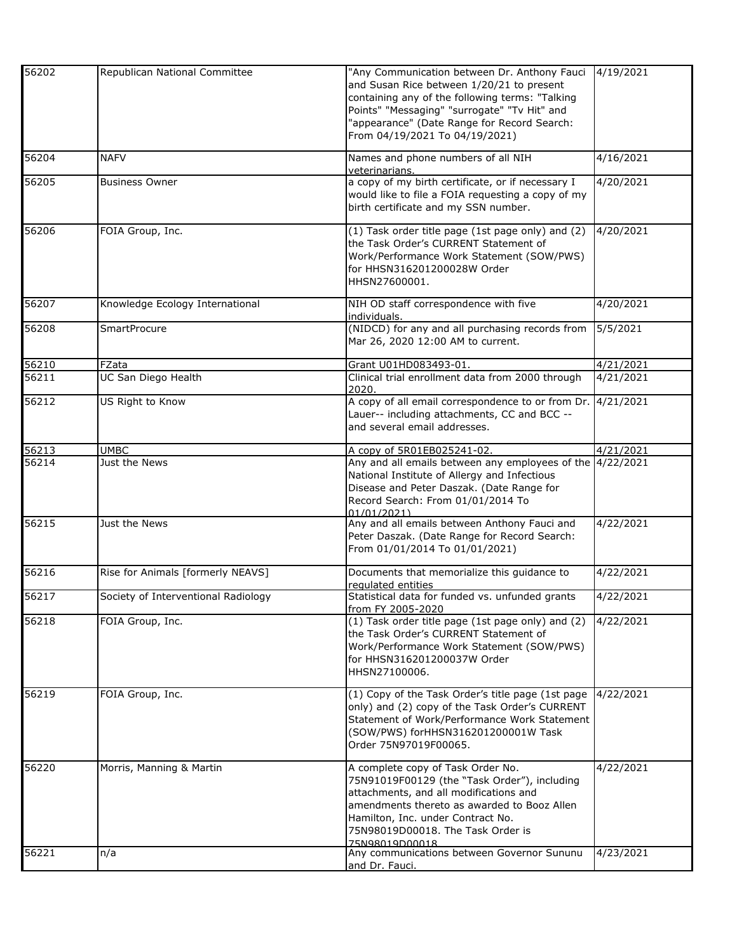| 56202 | Republican National Committee       | "Any Communication between Dr. Anthony Fauci                | 4/19/2021           |
|-------|-------------------------------------|-------------------------------------------------------------|---------------------|
|       |                                     | and Susan Rice between 1/20/21 to present                   |                     |
|       |                                     | containing any of the following terms: "Talking             |                     |
|       |                                     |                                                             |                     |
|       |                                     | Points" "Messaging" "surrogate" "Tv Hit" and                |                     |
|       |                                     | "appearance" (Date Range for Record Search:                 |                     |
|       |                                     | From 04/19/2021 To 04/19/2021)                              |                     |
|       |                                     |                                                             |                     |
| 56204 | <b>NAFV</b>                         | Names and phone numbers of all NIH                          | 4/16/2021           |
|       |                                     | veterinarians.                                              |                     |
| 56205 | <b>Business Owner</b>               | a copy of my birth certificate, or if necessary I           | 4/20/2021           |
|       |                                     | would like to file a FOIA requesting a copy of my           |                     |
|       |                                     |                                                             |                     |
|       |                                     | birth certificate and my SSN number.                        |                     |
| 56206 | FOIA Group, Inc.                    |                                                             | 4/20/2021           |
|       |                                     | (1) Task order title page (1st page only) and (2)           |                     |
|       |                                     | the Task Order's CURRENT Statement of                       |                     |
|       |                                     | Work/Performance Work Statement (SOW/PWS)                   |                     |
|       |                                     | for HHSN316201200028W Order                                 |                     |
|       |                                     | HHSN27600001.                                               |                     |
|       |                                     |                                                             |                     |
| 56207 | Knowledge Ecology International     | NIH OD staff correspondence with five                       | 4/20/2021           |
|       |                                     | individuals.                                                |                     |
|       |                                     | (NIDCD) for any and all purchasing records from             |                     |
| 56208 | <b>SmartProcure</b>                 |                                                             | 5/5/2021            |
|       |                                     | Mar 26, 2020 12:00 AM to current.                           |                     |
|       |                                     |                                                             |                     |
| 56210 | FZata                               | Grant U01HD083493-01                                        | 4/21/2021           |
| 56211 | UC San Diego Health                 | Clinical trial enrollment data from 2000 through            | 4/21/2021           |
|       |                                     | 2020.                                                       |                     |
| 56212 | US Right to Know                    | A copy of all email correspondence to or from Dr. 4/21/2021 |                     |
|       |                                     | Lauer-- including attachments, CC and BCC --                |                     |
|       |                                     | and several email addresses.                                |                     |
|       |                                     |                                                             |                     |
| 56213 | <b>UMBC</b>                         | A copy of 5R01EB025241-02.                                  | $\frac{4}{21}/2021$ |
|       |                                     |                                                             |                     |
| 56214 | Just the News                       | Any and all emails between any employees of the 4/22/2021   |                     |
|       |                                     | National Institute of Allergy and Infectious                |                     |
|       |                                     | Disease and Peter Daszak. (Date Range for                   |                     |
|       |                                     | Record Search: From 01/01/2014 To                           |                     |
|       |                                     | 01/01/2021)                                                 |                     |
| 56215 | Just the News                       | Any and all emails between Anthony Fauci and                | 4/22/2021           |
|       |                                     | Peter Daszak. (Date Range for Record Search:                |                     |
|       |                                     |                                                             |                     |
|       |                                     | From 01/01/2014 To 01/01/2021)                              |                     |
|       |                                     |                                                             |                     |
| 56216 | Rise for Animals [formerly NEAVS]   | Documents that memorialize this guidance to                 | 4/22/2021           |
|       |                                     | requlated entities                                          |                     |
| 56217 | Society of Interventional Radiology | Statistical data for funded vs. unfunded grants             | 4/22/2021           |
|       |                                     | from FY 2005-2020                                           |                     |
| 56218 | FOIA Group, Inc.                    | (1) Task order title page (1st page only) and (2)           | 4/22/2021           |
|       |                                     | the Task Order's CURRENT Statement of                       |                     |
|       |                                     | Work/Performance Work Statement (SOW/PWS)                   |                     |
|       |                                     | for HHSN316201200037W Order                                 |                     |
|       |                                     |                                                             |                     |
|       |                                     | HHSN27100006.                                               |                     |
|       |                                     |                                                             |                     |
| 56219 | FOIA Group, Inc.                    | (1) Copy of the Task Order's title page (1st page           | 4/22/2021           |
|       |                                     | only) and (2) copy of the Task Order's CURRENT              |                     |
|       |                                     | Statement of Work/Performance Work Statement                |                     |
|       |                                     | (SOW/PWS) forHHSN316201200001W Task                         |                     |
|       |                                     | Order 75N97019F00065.                                       |                     |
|       |                                     |                                                             |                     |
| 56220 | Morris, Manning & Martin            | A complete copy of Task Order No.                           | 4/22/2021           |
|       |                                     | 75N91019F00129 (the "Task Order"), including                |                     |
|       |                                     |                                                             |                     |
|       |                                     | attachments, and all modifications and                      |                     |
|       |                                     | amendments thereto as awarded to Booz Allen                 |                     |
|       |                                     | Hamilton, Inc. under Contract No.                           |                     |
|       |                                     | 75N98019D00018. The Task Order is                           |                     |
|       |                                     | 75N98019D00018                                              |                     |
| 56221 | n/a                                 | Any communications between Governor Sununu                  | 4/23/2021           |
|       |                                     | and Dr. Fauci.                                              |                     |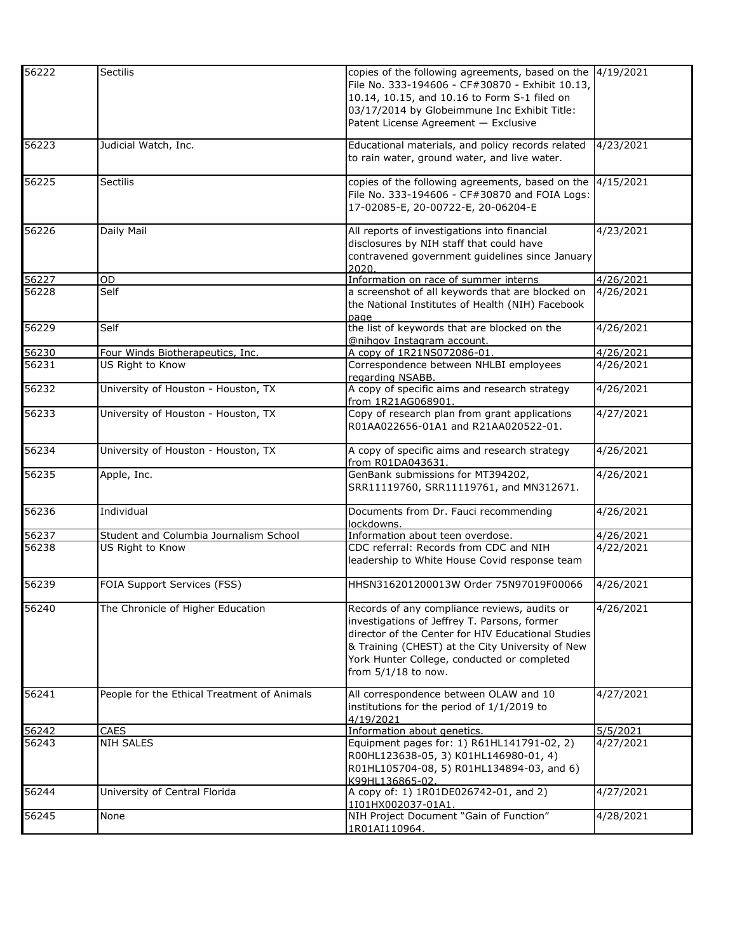| 56222 | Sectilis                                    | copies of the following agreements, based on the 4/19/2021<br>File No. 333-194606 - CF#30870 - Exhibit 10.13,<br>10.14, 10.15, and 10.16 to Form S-1 filed on<br>03/17/2014 by Globeimmune Inc Exhibit Title:<br>Patent License Agreement - Exclusive                          |                    |
|-------|---------------------------------------------|--------------------------------------------------------------------------------------------------------------------------------------------------------------------------------------------------------------------------------------------------------------------------------|--------------------|
| 56223 | Judicial Watch, Inc.                        | Educational materials, and policy records related<br>to rain water, ground water, and live water.                                                                                                                                                                              | 4/23/2021          |
| 56225 | <b>Sectilis</b>                             | copies of the following agreements, based on the<br>File No. 333-194606 - CF#30870 and FOIA Logs:<br>17-02085-E, 20-00722-E, 20-06204-E                                                                                                                                        | 4/15/2021          |
| 56226 | Daily Mail                                  | All reports of investigations into financial<br>disclosures by NIH staff that could have<br>contravened government guidelines since January<br>2020.                                                                                                                           | 4/23/2021          |
| 56227 | OD                                          | Information on race of summer interns                                                                                                                                                                                                                                          | 4/26/2021          |
| 56228 | Self                                        | a screenshot of all keywords that are blocked on<br>the National Institutes of Health (NIH) Facebook<br>page                                                                                                                                                                   | 4/26/2021          |
| 56229 | Self                                        | the list of keywords that are blocked on the<br>@nihgov Instagram account.                                                                                                                                                                                                     | 4/26/2021          |
| 56230 | Four Winds Biotherapeutics, Inc.            | A copy of 1R21NS072086-01                                                                                                                                                                                                                                                      | 4/26/2021          |
| 56231 | US Right to Know                            | Correspondence between NHLBI employees<br>regarding NSABB.                                                                                                                                                                                                                     | 4/26/2021          |
| 56232 | University of Houston - Houston, TX         | A copy of specific aims and research strategy<br>from 1R21AG068901.                                                                                                                                                                                                            | 4/26/2021          |
| 56233 | University of Houston - Houston, TX         | Copy of research plan from grant applications<br>R01AA022656-01A1 and R21AA020522-01.                                                                                                                                                                                          | 4/27/2021          |
| 56234 | University of Houston - Houston, TX         | A copy of specific aims and research strategy<br>from R01DA043631.                                                                                                                                                                                                             | 4/26/2021          |
| 56235 | Apple, Inc.                                 | GenBank submissions for MT394202,<br>SRR11119760, SRR11119761, and MN312671.                                                                                                                                                                                                   | $\sqrt{4}/26/2021$ |
| 56236 | Individual                                  | Documents from Dr. Fauci recommending<br>lockdowns.                                                                                                                                                                                                                            | 4/26/2021          |
| 56237 | Student and Columbia Journalism School      | Information about teen overdose.                                                                                                                                                                                                                                               | 4/26/2021          |
| 56238 | US Right to Know                            | CDC referral: Records from CDC and NIH<br>leadership to White House Covid response team                                                                                                                                                                                        | 4/22/2021          |
| 56239 | FOIA Support Services (FSS)                 | HHSN316201200013W Order 75N97019F00066                                                                                                                                                                                                                                         | 4/26/2021          |
| 56240 | The Chronicle of Higher Education           | Records of any compliance reviews, audits or<br>investigations of Jeffrey T. Parsons, former<br>director of the Center for HIV Educational Studies<br>& Training (CHEST) at the City University of New<br>York Hunter College, conducted or completed<br>from $5/1/18$ to now. | 4/26/2021          |
| 56241 | People for the Ethical Treatment of Animals | All correspondence between OLAW and 10<br>institutions for the period of 1/1/2019 to<br>4/19/2021                                                                                                                                                                              | 4/27/2021          |
| 56242 | CAES                                        | Information about genetics.                                                                                                                                                                                                                                                    | 5/5/2021           |
| 56243 | NIH SALES                                   | Equipment pages for: 1) R61HL141791-02, 2)<br>R00HL123638-05, 3) K01HL146980-01, 4)<br>R01HL105704-08, 5) R01HL134894-03, and 6)<br>K99HL136865-02.                                                                                                                            | 4/27/2021          |
| 56244 | University of Central Florida               | A copy of: 1) 1R01DE026742-01, and 2)<br>1I01HX002037-01A1                                                                                                                                                                                                                     | 4/27/2021          |
| 56245 | None                                        | NIH Project Document "Gain of Function"<br>1R01AI110964.                                                                                                                                                                                                                       | 4/28/2021          |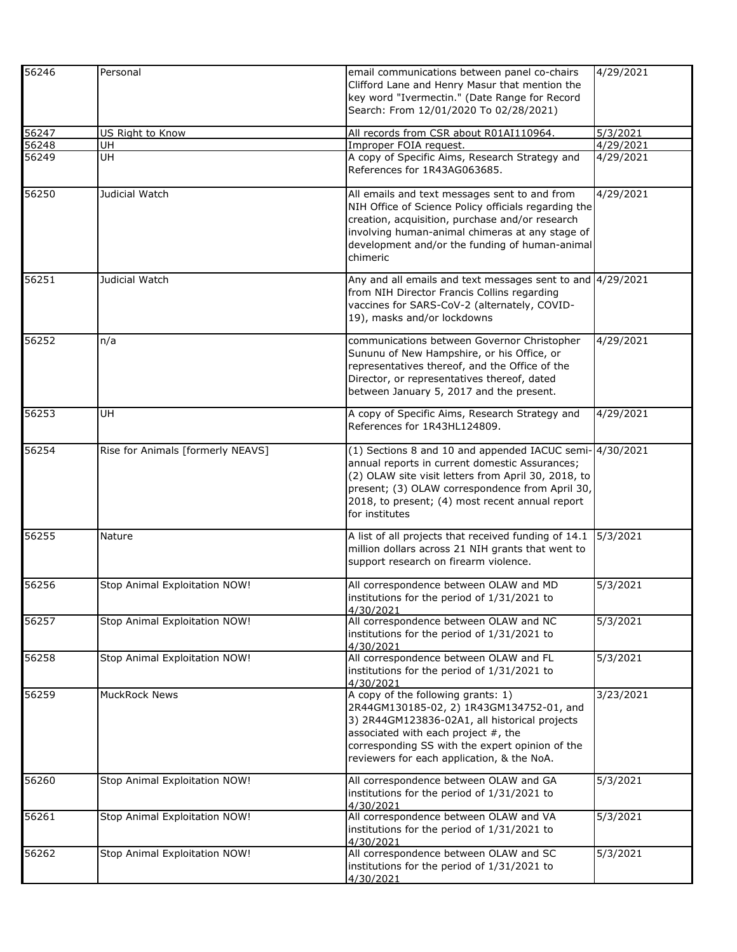| 56246 | Personal                          | email communications between panel co-chairs               | 4/29/2021 |
|-------|-----------------------------------|------------------------------------------------------------|-----------|
|       |                                   |                                                            |           |
|       |                                   | Clifford Lane and Henry Masur that mention the             |           |
|       |                                   | key word "Ivermectin." (Date Range for Record              |           |
|       |                                   | Search: From 12/01/2020 To 02/28/2021)                     |           |
| 56247 | US Right to Know                  | All records from CSR about R01AI110964.                    | 5/3/2021  |
| 56248 | UH                                | Improper FOIA request.                                     | 4/29/2021 |
| 56249 | UH                                | A copy of Specific Aims, Research Strategy and             | 4/29/2021 |
|       |                                   | References for 1R43AG063685.                               |           |
| 56250 | Judicial Watch                    | All emails and text messages sent to and from              | 4/29/2021 |
|       |                                   | NIH Office of Science Policy officials regarding the       |           |
|       |                                   | creation, acquisition, purchase and/or research            |           |
|       |                                   | involving human-animal chimeras at any stage of            |           |
|       |                                   | development and/or the funding of human-animal             |           |
|       |                                   | chimeric                                                   |           |
| 56251 | Judicial Watch                    | Any and all emails and text messages sent to and 4/29/2021 |           |
|       |                                   | from NIH Director Francis Collins regarding                |           |
|       |                                   | vaccines for SARS-CoV-2 (alternately, COVID-               |           |
|       |                                   | 19), masks and/or lockdowns                                |           |
| 56252 | n/a                               | communications between Governor Christopher                | 4/29/2021 |
|       |                                   | Sununu of New Hampshire, or his Office, or                 |           |
|       |                                   | representatives thereof, and the Office of the             |           |
|       |                                   | Director, or representatives thereof, dated                |           |
|       |                                   | between January 5, 2017 and the present.                   |           |
| 56253 | <b>UH</b>                         | A copy of Specific Aims, Research Strategy and             | 4/29/2021 |
|       |                                   | References for 1R43HL124809.                               |           |
| 56254 | Rise for Animals [formerly NEAVS] | (1) Sections 8 and 10 and appended IACUC semi- 4/30/2021   |           |
|       |                                   | annual reports in current domestic Assurances;             |           |
|       |                                   | (2) OLAW site visit letters from April 30, 2018, to        |           |
|       |                                   |                                                            |           |
|       |                                   | present; (3) OLAW correspondence from April 30,            |           |
|       |                                   | 2018, to present; (4) most recent annual report            |           |
|       |                                   | for institutes                                             |           |
| 56255 | Nature                            | A list of all projects that received funding of 14.1       | 5/3/2021  |
|       |                                   | million dollars across 21 NIH grants that went to          |           |
|       |                                   | support research on firearm violence.                      |           |
| 56256 | Stop Animal Exploitation NOW!     | All correspondence between OLAW and MD                     | 5/3/2021  |
|       |                                   | institutions for the period of 1/31/2021 to                |           |
|       |                                   | 4/30/2021                                                  |           |
| 56257 | Stop Animal Exploitation NOW!     | All correspondence between OLAW and NC                     | 5/3/2021  |
|       |                                   | institutions for the period of 1/31/2021 to                |           |
|       |                                   | 4/30/2021                                                  |           |
| 56258 | Stop Animal Exploitation NOW!     | All correspondence between OLAW and FL                     | 5/3/2021  |
|       |                                   | institutions for the period of 1/31/2021 to                |           |
|       |                                   | 4/30/2021                                                  |           |
| 56259 | MuckRock News                     | A copy of the following grants: 1)                         | 3/23/2021 |
|       |                                   | 2R44GM130185-02, 2) 1R43GM134752-01, and                   |           |
|       |                                   | 3) 2R44GM123836-02A1, all historical projects              |           |
|       |                                   | associated with each project #, the                        |           |
|       |                                   | corresponding SS with the expert opinion of the            |           |
|       |                                   | reviewers for each application, & the NoA.                 |           |
|       |                                   |                                                            |           |
| 56260 | Stop Animal Exploitation NOW!     | All correspondence between OLAW and GA                     | 5/3/2021  |
|       |                                   | institutions for the period of 1/31/2021 to                |           |
|       |                                   | 4/30/2021                                                  |           |
| 56261 | Stop Animal Exploitation NOW!     | All correspondence between OLAW and VA                     | 5/3/2021  |
|       |                                   | institutions for the period of 1/31/2021 to                |           |
|       |                                   | 4/30/2021                                                  |           |
| 56262 | Stop Animal Exploitation NOW!     | All correspondence between OLAW and SC                     | 5/3/2021  |
|       |                                   | institutions for the period of 1/31/2021 to                |           |
|       |                                   | 4/30/2021                                                  |           |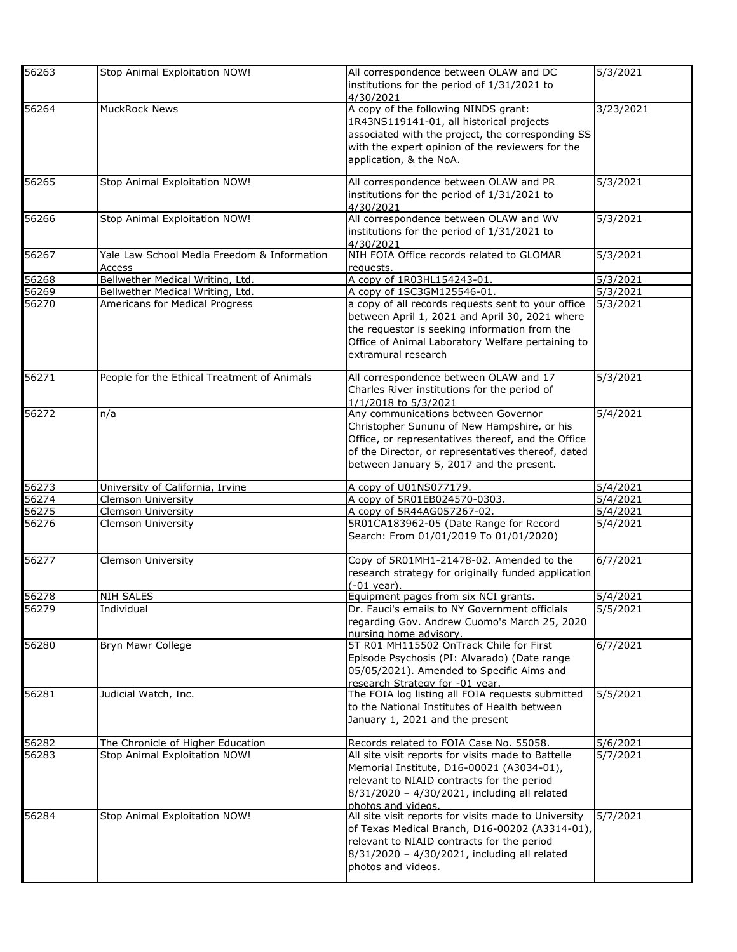| 56263 | Stop Animal Exploitation NOW!                         | All correspondence between OLAW and DC<br>institutions for the period of 1/31/2021 to<br>4/30/2021                                                                                                                                         | 5/3/2021  |
|-------|-------------------------------------------------------|--------------------------------------------------------------------------------------------------------------------------------------------------------------------------------------------------------------------------------------------|-----------|
| 56264 | <b>MuckRock News</b>                                  | A copy of the following NINDS grant:<br>1R43NS119141-01, all historical projects<br>associated with the project, the corresponding SS<br>with the expert opinion of the reviewers for the<br>application, & the NoA.                       | 3/23/2021 |
| 56265 | Stop Animal Exploitation NOW!                         | All correspondence between OLAW and PR<br>institutions for the period of 1/31/2021 to<br>4/30/2021                                                                                                                                         | 5/3/2021  |
| 56266 | Stop Animal Exploitation NOW!                         | All correspondence between OLAW and WV<br>institutions for the period of 1/31/2021 to<br>4/30/2021                                                                                                                                         | 5/3/2021  |
| 56267 | Yale Law School Media Freedom & Information<br>Access | NIH FOIA Office records related to GLOMAR<br>requests.                                                                                                                                                                                     | 5/3/2021  |
| 56268 | Bellwether Medical Writing, Ltd.                      | A copy of 1R03HL154243-01.                                                                                                                                                                                                                 | 5/3/2021  |
| 56269 | Bellwether Medical Writing, Ltd.                      | A copy of 1SC3GM125546-01.                                                                                                                                                                                                                 | 5/3/2021  |
| 56270 | Americans for Medical Progress                        | a copy of all records requests sent to your office<br>between April 1, 2021 and April 30, 2021 where<br>the requestor is seeking information from the<br>Office of Animal Laboratory Welfare pertaining to<br>extramural research          | 5/3/2021  |
| 56271 | People for the Ethical Treatment of Animals           | All correspondence between OLAW and 17<br>Charles River institutions for the period of<br>1/1/2018 to 5/3/2021                                                                                                                             | 5/3/2021  |
| 56272 | n/a                                                   | Any communications between Governor<br>Christopher Sununu of New Hampshire, or his<br>Office, or representatives thereof, and the Office<br>of the Director, or representatives thereof, dated<br>between January 5, 2017 and the present. | 5/4/2021  |
| 56273 | University of California, Irvine                      | A copy of U01NS077179.                                                                                                                                                                                                                     | 5/4/2021  |
| 56274 | <b>Clemson University</b>                             | A copy of 5R01EB024570-0303.                                                                                                                                                                                                               | 5/4/2021  |
| 56275 | <b>Clemson University</b>                             | A copy of 5R44AG057267-02.                                                                                                                                                                                                                 | 5/4/2021  |
| 56276 | Clemson University                                    | 5R01CA183962-05 (Date Range for Record<br>Search: From 01/01/2019 To 01/01/2020)                                                                                                                                                           | 5/4/2021  |
| 56277 | Clemson University                                    | Copy of 5R01MH1-21478-02. Amended to the<br>research strategy for originally funded application<br>$(-01 \text{ year})$                                                                                                                    | 6/7/2021  |
| 56278 | <b>NIH SALES</b>                                      | Equipment pages from six NCI grants.                                                                                                                                                                                                       | 5/4/2021  |
| 56279 | Individual                                            | Dr. Fauci's emails to NY Government officials<br>regarding Gov. Andrew Cuomo's March 25, 2020<br>nursing home advisory.                                                                                                                    | 5/5/2021  |
| 56280 | Bryn Mawr College                                     | 5T R01 MH115502 OnTrack Chile for First<br>Episode Psychosis (PI: Alvarado) (Date range<br>05/05/2021). Amended to Specific Aims and<br>research Strategy for -01 year.                                                                    | 6/7/2021  |
| 56281 | Judicial Watch, Inc.                                  | The FOIA log listing all FOIA requests submitted<br>to the National Institutes of Health between<br>January 1, 2021 and the present                                                                                                        | 5/5/2021  |
| 56282 | The Chronicle of Higher Education                     | Records related to FOIA Case No. 55058.                                                                                                                                                                                                    | 5/6/2021  |
| 56283 | Stop Animal Exploitation NOW!                         | All site visit reports for visits made to Battelle<br>Memorial Institute, D16-00021 (A3034-01),<br>relevant to NIAID contracts for the period<br>8/31/2020 - 4/30/2021, including all related<br>photos and videos.                        | 5/7/2021  |
| 56284 | Stop Animal Exploitation NOW!                         | All site visit reports for visits made to University<br>of Texas Medical Branch, D16-00202 (A3314-01),<br>relevant to NIAID contracts for the period<br>8/31/2020 - 4/30/2021, including all related<br>photos and videos.                 | 5/7/2021  |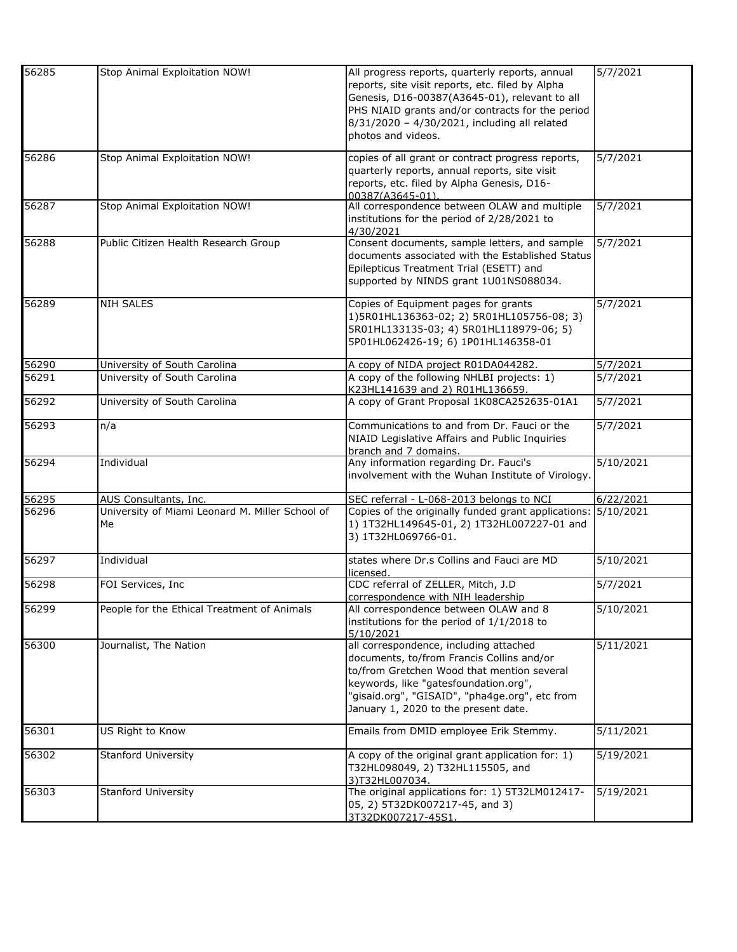| 56285 | Stop Animal Exploitation NOW!                         | All progress reports, quarterly reports, annual<br>reports, site visit reports, etc. filed by Alpha<br>Genesis, D16-00387(A3645-01), relevant to all<br>PHS NIAID grants and/or contracts for the period<br>8/31/2020 - 4/30/2021, including all related<br>photos and videos. | 5/7/2021  |
|-------|-------------------------------------------------------|--------------------------------------------------------------------------------------------------------------------------------------------------------------------------------------------------------------------------------------------------------------------------------|-----------|
| 56286 | Stop Animal Exploitation NOW!                         | copies of all grant or contract progress reports,<br>quarterly reports, annual reports, site visit<br>reports, etc. filed by Alpha Genesis, D16-<br>00387(A3645-01).                                                                                                           | 5/7/2021  |
| 56287 | Stop Animal Exploitation NOW!                         | All correspondence between OLAW and multiple<br>institutions for the period of 2/28/2021 to<br>4/30/2021                                                                                                                                                                       | 5/7/2021  |
| 56288 | Public Citizen Health Research Group                  | Consent documents, sample letters, and sample<br>documents associated with the Established Status<br>Epilepticus Treatment Trial (ESETT) and<br>supported by NINDS grant 1U01NS088034.                                                                                         | 5/7/2021  |
| 56289 | <b>NIH SALES</b>                                      | Copies of Equipment pages for grants<br>1)5R01HL136363-02; 2) 5R01HL105756-08; 3)<br>5R01HL133135-03; 4) 5R01HL118979-06; 5)<br>5P01HL062426-19; 6) 1P01HL146358-01                                                                                                            | 5/7/2021  |
| 56290 | University of South Carolina                          | A copy of NIDA project R01DA044282.                                                                                                                                                                                                                                            | 5/7/2021  |
| 56291 | University of South Carolina                          | A copy of the following NHLBI projects: 1)<br>K23HL141639 and 2) R01HL136659.                                                                                                                                                                                                  | 5/7/2021  |
| 56292 | University of South Carolina                          | A copy of Grant Proposal 1K08CA252635-01A1                                                                                                                                                                                                                                     | 5/7/2021  |
| 56293 | n/a                                                   | Communications to and from Dr. Fauci or the<br>NIAID Legislative Affairs and Public Inquiries<br>branch and 7 domains.                                                                                                                                                         | 5/7/2021  |
| 56294 | Individual                                            | Any information regarding Dr. Fauci's<br>involvement with the Wuhan Institute of Virology.                                                                                                                                                                                     | 5/10/2021 |
| 56295 | AUS Consultants, Inc.                                 | SEC referral - L-068-2013 belongs to NCI                                                                                                                                                                                                                                       | 6/22/2021 |
| 56296 | University of Miami Leonard M. Miller School of<br>Me | Copies of the originally funded grant applications:<br>1) 1T32HL149645-01, 2) 1T32HL007227-01 and<br>3) 1T32HL069766-01.                                                                                                                                                       | 5/10/2021 |
| 56297 | Individual                                            | states where Dr.s Collins and Fauci are MD<br>licensed.                                                                                                                                                                                                                        | 5/10/2021 |
| 56298 | FOI Services, Inc.                                    | CDC referral of ZELLER, Mitch, J.D<br>correspondence with NIH leadership                                                                                                                                                                                                       | 5/7/2021  |
| 56299 | People for the Ethical Treatment of Animals           | All correspondence between OLAW and 8<br>institutions for the period of 1/1/2018 to<br>5/10/2021                                                                                                                                                                               | 5/10/2021 |
| 56300 | Journalist, The Nation                                | all correspondence, including attached<br>documents, to/from Francis Collins and/or<br>to/from Gretchen Wood that mention several<br>keywords, like "gatesfoundation.org",<br>"gisaid.org", "GISAID", "pha4ge.org", etc from<br>January 1, 2020 to the present date.           | 5/11/2021 |
| 56301 | US Right to Know                                      | Emails from DMID employee Erik Stemmy.                                                                                                                                                                                                                                         | 5/11/2021 |
| 56302 | Stanford University                                   | A copy of the original grant application for: 1)<br>T32HL098049, 2) T32HL115505, and<br>3)T32HL007034.                                                                                                                                                                         | 5/19/2021 |
| 56303 | Stanford University                                   | The original applications for: 1) 5T32LM012417-<br>05, 2) 5T32DK007217-45, and 3)<br>3T32DK007217-45S1.                                                                                                                                                                        | 5/19/2021 |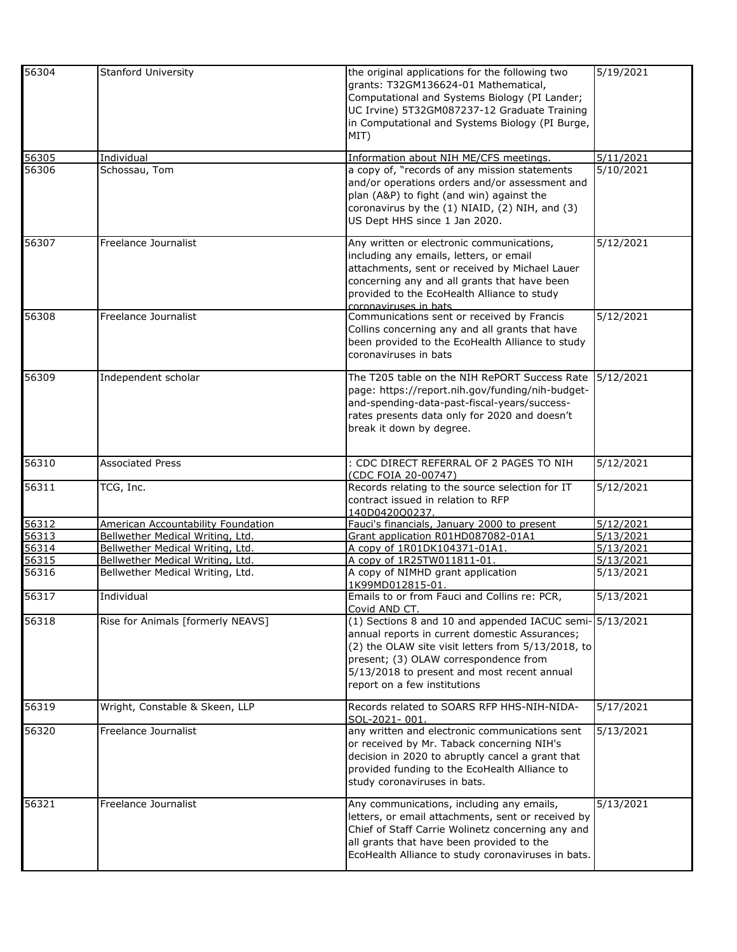| 56304              | Stanford University                | the original applications for the following two<br>grants: T32GM136624-01 Mathematical,<br>Computational and Systems Biology (PI Lander;<br>UC Irvine) 5T32GM087237-12 Graduate Training<br>in Computational and Systems Biology (PI Burge,<br>MIT)                                      | 5/19/2021              |
|--------------------|------------------------------------|------------------------------------------------------------------------------------------------------------------------------------------------------------------------------------------------------------------------------------------------------------------------------------------|------------------------|
| 56305<br>56306     | Individual<br>Schossau, Tom        | Information about NIH ME/CFS meetings.<br>a copy of, "records of any mission statements<br>and/or operations orders and/or assessment and<br>plan (A&P) to fight (and win) against the<br>coronavirus by the (1) NIAID, (2) NIH, and (3)<br>US Dept HHS since 1 Jan 2020.                | 5/11/2021<br>5/10/2021 |
| 56307              | Freelance Journalist               | Any written or electronic communications,<br>including any emails, letters, or email<br>attachments, sent or received by Michael Lauer<br>concerning any and all grants that have been<br>provided to the EcoHealth Alliance to study<br>coronaviruses in bats                           | 5/12/2021              |
| 56308              | Freelance Journalist               | Communications sent or received by Francis<br>Collins concerning any and all grants that have<br>been provided to the EcoHealth Alliance to study<br>coronaviruses in bats                                                                                                               | 5/12/2021              |
| 56309              | Independent scholar                | The T205 table on the NIH RePORT Success Rate<br>page: https://report.nih.gov/funding/nih-budget-<br>and-spending-data-past-fiscal-years/success-<br>rates presents data only for 2020 and doesn't<br>break it down by degree.                                                           | 5/12/2021              |
| 56310              | <b>Associated Press</b>            | : CDC DIRECT REFERRAL OF 2 PAGES TO NIH<br>(CDC FOIA 20-00747)                                                                                                                                                                                                                           | 5/12/2021              |
| 56311              | TCG, Inc.                          | Records relating to the source selection for IT<br>contract issued in relation to RFP<br>140D0420Q0237.                                                                                                                                                                                  | 5/12/2021              |
| 56312              | American Accountability Foundation | Fauci's financials, January 2000 to present                                                                                                                                                                                                                                              | 5/12/2021              |
| $\overline{56313}$ | Bellwether Medical Writing, Ltd.   | Grant application R01HD087082-01A1                                                                                                                                                                                                                                                       | 5/13/2021              |
| 56314              | Bellwether Medical Writing, Ltd.   | A copy of 1R01DK104371-01A1.                                                                                                                                                                                                                                                             | 5/13/2021              |
|                    | Bellwether Medical Writing, Ltd.   | A copy of 1R25TW011811-01.                                                                                                                                                                                                                                                               | 5/13/2021              |
| 56315              |                                    |                                                                                                                                                                                                                                                                                          |                        |
| 56316              | Bellwether Medical Writing, Ltd.   | A copy of NIMHD grant application<br>1K99MD012815-01.                                                                                                                                                                                                                                    | 5/13/2021              |
| 56317              | Individual                         | Emails to or from Fauci and Collins re: PCR,<br>Covid AND CT.                                                                                                                                                                                                                            | 5/13/2021              |
| 56318              | Rise for Animals [formerly NEAVS]  | (1) Sections 8 and 10 and appended IACUC semi- 5/13/2021<br>annual reports in current domestic Assurances;<br>(2) the OLAW site visit letters from 5/13/2018, to<br>present; (3) OLAW correspondence from<br>5/13/2018 to present and most recent annual<br>report on a few institutions |                        |
| 56319              | Wright, Constable & Skeen, LLP     | Records related to SOARS RFP HHS-NIH-NIDA-<br>SOL-2021-001.                                                                                                                                                                                                                              | 5/17/2021              |
| 56320              | Freelance Journalist               | any written and electronic communications sent<br>or received by Mr. Taback concerning NIH's<br>decision in 2020 to abruptly cancel a grant that<br>provided funding to the EcoHealth Alliance to<br>study coronaviruses in bats.                                                        | 5/13/2021              |
| 56321              | Freelance Journalist               | Any communications, including any emails,<br>letters, or email attachments, sent or received by<br>Chief of Staff Carrie Wolinetz concerning any and<br>all grants that have been provided to the<br>EcoHealth Alliance to study coronaviruses in bats.                                  | 5/13/2021              |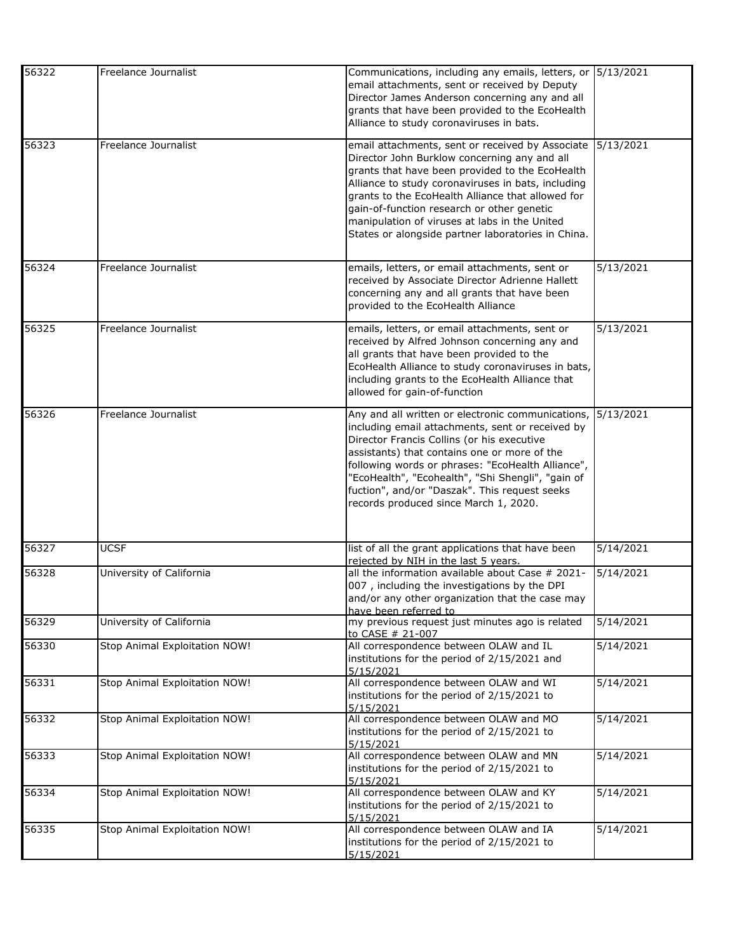| 56322 | Freelance Journalist          | Communications, including any emails, letters, or 5/13/2021<br>email attachments, sent or received by Deputy<br>Director James Anderson concerning any and all<br>grants that have been provided to the EcoHealth                                                                                                                                                                                                   |           |
|-------|-------------------------------|---------------------------------------------------------------------------------------------------------------------------------------------------------------------------------------------------------------------------------------------------------------------------------------------------------------------------------------------------------------------------------------------------------------------|-----------|
|       |                               | Alliance to study coronaviruses in bats.                                                                                                                                                                                                                                                                                                                                                                            |           |
| 56323 | Freelance Journalist          | email attachments, sent or received by Associate<br>Director John Burklow concerning any and all<br>grants that have been provided to the EcoHealth<br>Alliance to study coronaviruses in bats, including<br>grants to the EcoHealth Alliance that allowed for<br>gain-of-function research or other genetic<br>manipulation of viruses at labs in the United<br>States or alongside partner laboratories in China. | 5/13/2021 |
| 56324 | Freelance Journalist          | emails, letters, or email attachments, sent or<br>received by Associate Director Adrienne Hallett<br>concerning any and all grants that have been<br>provided to the EcoHealth Alliance                                                                                                                                                                                                                             | 5/13/2021 |
| 56325 | Freelance Journalist          | emails, letters, or email attachments, sent or<br>received by Alfred Johnson concerning any and<br>all grants that have been provided to the<br>EcoHealth Alliance to study coronaviruses in bats,<br>including grants to the EcoHealth Alliance that<br>allowed for gain-of-function                                                                                                                               | 5/13/2021 |
| 56326 | Freelance Journalist          | Any and all written or electronic communications,<br>including email attachments, sent or received by<br>Director Francis Collins (or his executive<br>assistants) that contains one or more of the<br>following words or phrases: "EcoHealth Alliance",<br>"EcoHealth", "Ecohealth", "Shi Shengli", "gain of<br>fuction", and/or "Daszak". This request seeks<br>records produced since March 1, 2020.             | 5/13/2021 |
| 56327 | <b>UCSF</b>                   | list of all the grant applications that have been<br>rejected by NIH in the last 5 years.                                                                                                                                                                                                                                                                                                                           | 5/14/2021 |
| 56328 | University of California      | all the information available about Case # 2021-<br>007, including the investigations by the DPI<br>and/or any other organization that the case may<br>have been referred to                                                                                                                                                                                                                                        | 5/14/2021 |
| 56329 | University of California      | my previous request just minutes ago is related<br>to CASE # 21-007                                                                                                                                                                                                                                                                                                                                                 | 5/14/2021 |
| 56330 | Stop Animal Exploitation NOW! | All correspondence between OLAW and IL<br>institutions for the period of 2/15/2021 and<br>5/15/2021                                                                                                                                                                                                                                                                                                                 | 5/14/2021 |
| 56331 | Stop Animal Exploitation NOW! | All correspondence between OLAW and WI<br>institutions for the period of 2/15/2021 to<br>5/15/2021                                                                                                                                                                                                                                                                                                                  | 5/14/2021 |
| 56332 | Stop Animal Exploitation NOW! | All correspondence between OLAW and MO<br>institutions for the period of 2/15/2021 to<br>5/15/2021                                                                                                                                                                                                                                                                                                                  | 5/14/2021 |
| 56333 | Stop Animal Exploitation NOW! | All correspondence between OLAW and MN<br>institutions for the period of 2/15/2021 to<br>5/15/2021                                                                                                                                                                                                                                                                                                                  | 5/14/2021 |
| 56334 | Stop Animal Exploitation NOW! | All correspondence between OLAW and KY<br>institutions for the period of 2/15/2021 to<br>5/15/2021                                                                                                                                                                                                                                                                                                                  | 5/14/2021 |
| 56335 | Stop Animal Exploitation NOW! | All correspondence between OLAW and IA<br>institutions for the period of 2/15/2021 to<br>5/15/2021                                                                                                                                                                                                                                                                                                                  | 5/14/2021 |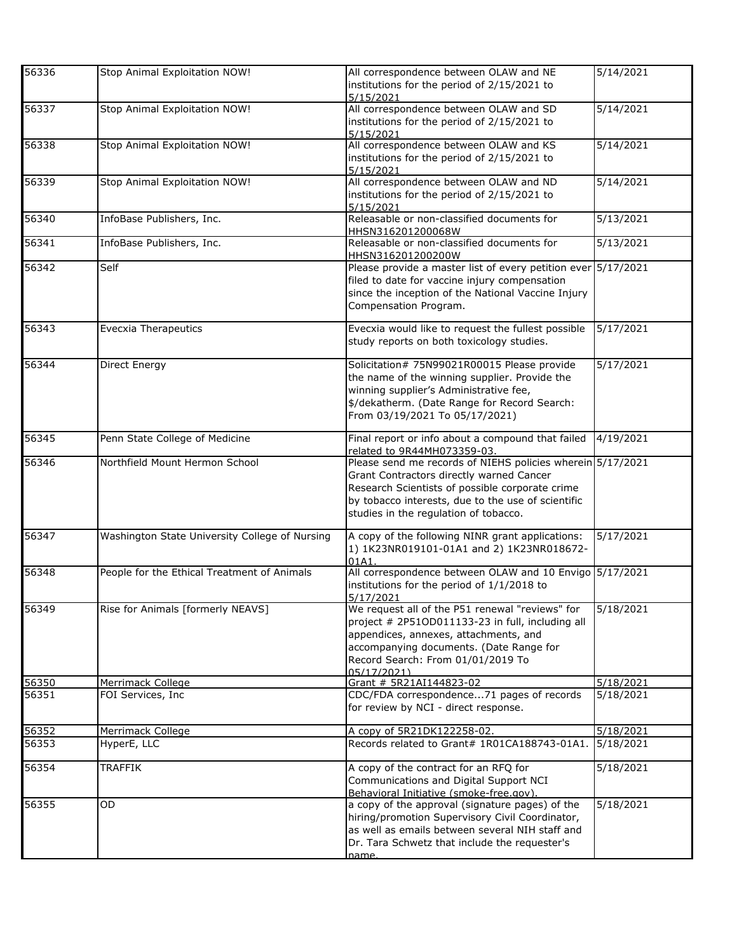| 56336 | Stop Animal Exploitation NOW!                  | All correspondence between OLAW and NE<br>institutions for the period of 2/15/2021 to<br>5/15/2021                                                                                                                                                       | 5/14/2021 |
|-------|------------------------------------------------|----------------------------------------------------------------------------------------------------------------------------------------------------------------------------------------------------------------------------------------------------------|-----------|
| 56337 | Stop Animal Exploitation NOW!                  | All correspondence between OLAW and SD<br>institutions for the period of 2/15/2021 to<br>5/15/2021                                                                                                                                                       | 5/14/2021 |
| 56338 | Stop Animal Exploitation NOW!                  | All correspondence between OLAW and KS<br>institutions for the period of 2/15/2021 to<br>5/15/2021                                                                                                                                                       | 5/14/2021 |
| 56339 | Stop Animal Exploitation NOW!                  | All correspondence between OLAW and ND<br>institutions for the period of 2/15/2021 to<br>5/15/2021                                                                                                                                                       | 5/14/2021 |
| 56340 | InfoBase Publishers, Inc.                      | Releasable or non-classified documents for<br>HHSN316201200068W                                                                                                                                                                                          | 5/13/2021 |
| 56341 | InfoBase Publishers, Inc.                      | Releasable or non-classified documents for<br>HHSN316201200200W                                                                                                                                                                                          | 5/13/2021 |
| 56342 | Self                                           | Please provide a master list of every petition ever 5/17/2021<br>filed to date for vaccine injury compensation<br>since the inception of the National Vaccine Injury<br>Compensation Program.                                                            |           |
| 56343 | <b>Evecxia Therapeutics</b>                    | Evecxia would like to request the fullest possible<br>study reports on both toxicology studies.                                                                                                                                                          | 5/17/2021 |
| 56344 | Direct Energy                                  | Solicitation# 75N99021R00015 Please provide<br>the name of the winning supplier. Provide the<br>winning supplier's Administrative fee,<br>\$/dekatherm. (Date Range for Record Search:<br>From 03/19/2021 To 05/17/2021)                                 | 5/17/2021 |
| 56345 | Penn State College of Medicine                 | Final report or info about a compound that failed<br>related to 9R44MH073359-03.                                                                                                                                                                         | 4/19/2021 |
| 56346 | Northfield Mount Hermon School                 | Please send me records of NIEHS policies wherein 5/17/2021<br>Grant Contractors directly warned Cancer<br>Research Scientists of possible corporate crime<br>by tobacco interests, due to the use of scientific<br>studies in the regulation of tobacco. |           |
| 56347 | Washington State University College of Nursing | A copy of the following NINR grant applications:<br>1) 1K23NR019101-01A1 and 2) 1K23NR018672-<br>01A1.                                                                                                                                                   | 5/17/2021 |
| 56348 | People for the Ethical Treatment of Animals    | All correspondence between OLAW and 10 Envigo 5/17/2021<br>institutions for the period of 1/1/2018 to<br>5/17/2021                                                                                                                                       |           |
| 56349 | Rise for Animals [formerly NEAVS]              | We request all of the P51 renewal "reviews" for<br>project # 2P51OD011133-23 in full, including all<br>appendices, annexes, attachments, and<br>accompanying documents. (Date Range for<br>Record Search: From 01/01/2019 To<br>05/17/2021               | 5/18/2021 |
| 56350 | Merrimack College                              | Grant # 5R21AI144823-02                                                                                                                                                                                                                                  | 5/18/2021 |
| 56351 | FOI Services, Inc                              | CDC/FDA correspondence71 pages of records<br>for review by NCI - direct response.                                                                                                                                                                        | 5/18/2021 |
| 56352 | Merrimack College                              | A copy of 5R21DK122258-02.                                                                                                                                                                                                                               | 5/18/2021 |
| 56353 | HyperE, LLC                                    | Records related to Grant# 1R01CA188743-01A1.                                                                                                                                                                                                             | 5/18/2021 |
| 56354 | <b>TRAFFIK</b>                                 | A copy of the contract for an RFQ for<br>Communications and Digital Support NCI<br>Behavioral Initiative (smoke-free.gov).                                                                                                                               | 5/18/2021 |
| 56355 | <b>OD</b>                                      | a copy of the approval (signature pages) of the<br>hiring/promotion Supervisory Civil Coordinator,<br>as well as emails between several NIH staff and<br>Dr. Tara Schwetz that include the requester's<br>name.                                          | 5/18/2021 |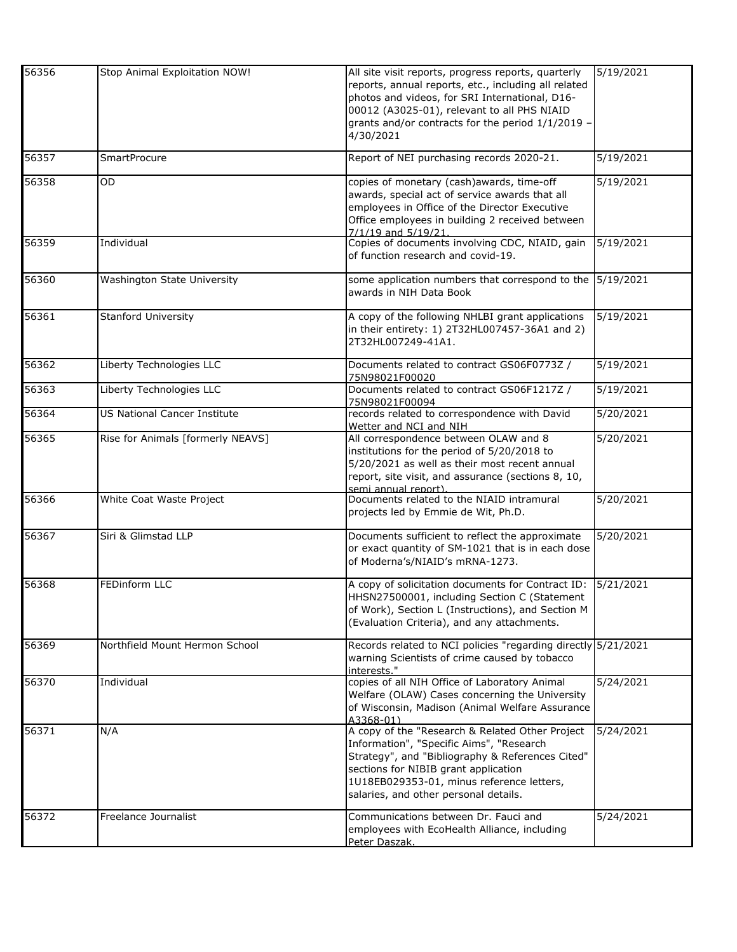| 56356 | Stop Animal Exploitation NOW!     | All site visit reports, progress reports, quarterly<br>reports, annual reports, etc., including all related<br>photos and videos, for SRI International, D16-<br>00012 (A3025-01), relevant to all PHS NIAID                                                                  | 5/19/2021 |
|-------|-----------------------------------|-------------------------------------------------------------------------------------------------------------------------------------------------------------------------------------------------------------------------------------------------------------------------------|-----------|
|       |                                   | grants and/or contracts for the period 1/1/2019 -<br>4/30/2021                                                                                                                                                                                                                |           |
| 56357 | <b>SmartProcure</b>               | Report of NEI purchasing records 2020-21.                                                                                                                                                                                                                                     | 5/19/2021 |
| 56358 | <b>OD</b>                         | copies of monetary (cash)awards, time-off<br>awards, special act of service awards that all<br>employees in Office of the Director Executive<br>Office employees in building 2 received between<br>7/1/19 and 5/19/21.                                                        | 5/19/2021 |
| 56359 | Individual                        | Copies of documents involving CDC, NIAID, gain<br>of function research and covid-19.                                                                                                                                                                                          | 5/19/2021 |
| 56360 | Washington State University       | some application numbers that correspond to the 5/19/2021<br>awards in NIH Data Book                                                                                                                                                                                          |           |
| 56361 | <b>Stanford University</b>        | A copy of the following NHLBI grant applications<br>in their entirety: 1) 2T32HL007457-36A1 and 2)<br>2T32HL007249-41A1.                                                                                                                                                      | 5/19/2021 |
| 56362 | Liberty Technologies LLC          | Documents related to contract GS06F0773Z /<br>75N98021F00020                                                                                                                                                                                                                  | 5/19/2021 |
| 56363 | Liberty Technologies LLC          | Documents related to contract GS06F1217Z /<br>75N98021F00094                                                                                                                                                                                                                  | 5/19/2021 |
| 56364 | US National Cancer Institute      | records related to correspondence with David<br>Wetter and NCI and NIH                                                                                                                                                                                                        | 5/20/2021 |
| 56365 | Rise for Animals [formerly NEAVS] | All correspondence between OLAW and 8<br>institutions for the period of 5/20/2018 to<br>5/20/2021 as well as their most recent annual<br>report, site visit, and assurance (sections 8, 10,<br>semi annual report).                                                           | 5/20/2021 |
| 56366 | White Coat Waste Project          | Documents related to the NIAID intramural<br>projects led by Emmie de Wit, Ph.D.                                                                                                                                                                                              | 5/20/2021 |
| 56367 | Siri & Glimstad LLP               | Documents sufficient to reflect the approximate<br>or exact quantity of SM-1021 that is in each dose<br>of Moderna's/NIAID's mRNA-1273.                                                                                                                                       | 5/20/2021 |
| 56368 | FEDinform LLC                     | A copy of solicitation documents for Contract ID:<br>HHSN27500001, including Section C (Statement<br>of Work), Section L (Instructions), and Section M<br>(Evaluation Criteria), and any attachments.                                                                         | 5/21/2021 |
| 56369 | Northfield Mount Hermon School    | Records related to NCI policies "regarding directly 5/21/2021<br>warning Scientists of crime caused by tobacco<br>interests."                                                                                                                                                 |           |
| 56370 | Individual                        | copies of all NIH Office of Laboratory Animal<br>Welfare (OLAW) Cases concerning the University<br>of Wisconsin, Madison (Animal Welfare Assurance<br>A3368-01)                                                                                                               | 5/24/2021 |
| 56371 | N/A                               | A copy of the "Research & Related Other Project<br>Information", "Specific Aims", "Research<br>Strategy", and "Bibliography & References Cited"<br>sections for NIBIB grant application<br>1U18EB029353-01, minus reference letters,<br>salaries, and other personal details. | 5/24/2021 |
| 56372 | Freelance Journalist              | Communications between Dr. Fauci and<br>employees with EcoHealth Alliance, including<br>Peter Daszak.                                                                                                                                                                         | 5/24/2021 |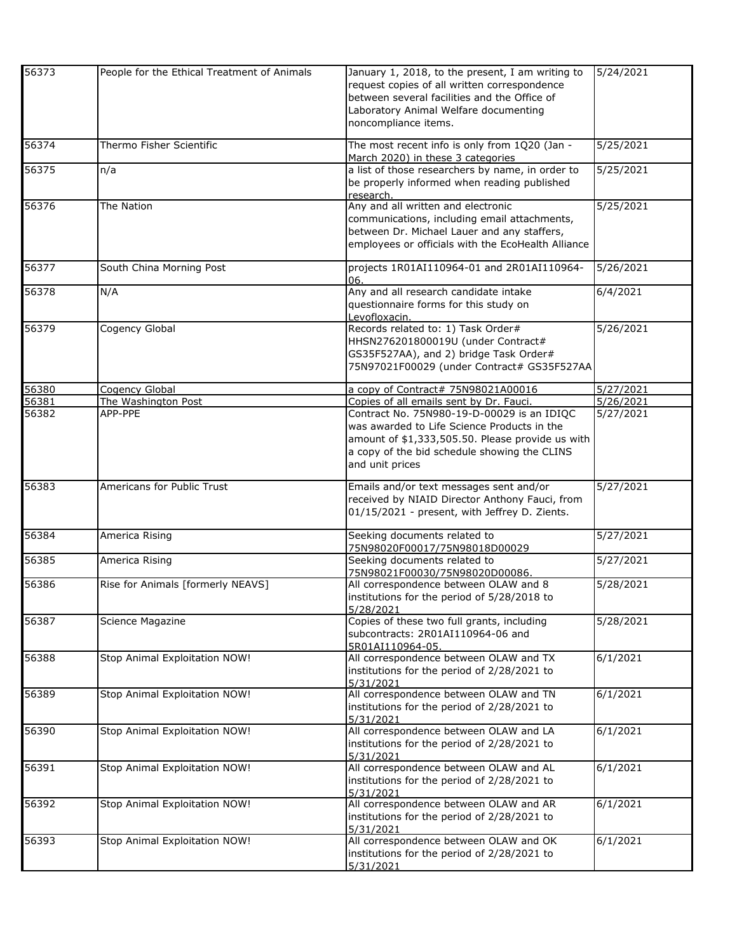| 56373 | People for the Ethical Treatment of Animals | January 1, 2018, to the present, I am writing to<br>request copies of all written correspondence<br>between several facilities and the Office of<br>Laboratory Animal Welfare documenting<br>noncompliance items. | 5/24/2021 |
|-------|---------------------------------------------|-------------------------------------------------------------------------------------------------------------------------------------------------------------------------------------------------------------------|-----------|
| 56374 | Thermo Fisher Scientific                    | The most recent info is only from 1Q20 (Jan -<br>March 2020) in these 3 categories                                                                                                                                | 5/25/2021 |
| 56375 | n/a                                         | a list of those researchers by name, in order to<br>be properly informed when reading published<br>research.                                                                                                      | 5/25/2021 |
| 56376 | The Nation                                  | Any and all written and electronic<br>communications, including email attachments,<br>between Dr. Michael Lauer and any staffers,<br>employees or officials with the EcoHealth Alliance                           | 5/25/2021 |
| 56377 | South China Morning Post                    | projects 1R01AI110964-01 and 2R01AI110964-<br>06.                                                                                                                                                                 | 5/26/2021 |
| 56378 | N/A                                         | Any and all research candidate intake<br>questionnaire forms for this study on<br>Levofloxacin.                                                                                                                   | 6/4/2021  |
| 56379 | Cogency Global                              | Records related to: 1) Task Order#<br>HHSN276201800019U (under Contract#<br>GS35F527AA), and 2) bridge Task Order#<br>75N97021F00029 (under Contract# GS35F527AA                                                  | 5/26/2021 |
| 56380 | Cogency Global                              | a copy of Contract# 75N98021A00016                                                                                                                                                                                | 5/27/2021 |
| 56381 | The Washington Post                         | Copies of all emails sent by Dr. Fauci.                                                                                                                                                                           | 5/26/2021 |
| 56382 | APP-PPE                                     | Contract No. 75N980-19-D-00029 is an IDIQC<br>was awarded to Life Science Products in the<br>amount of \$1,333,505.50. Please provide us with<br>a copy of the bid schedule showing the CLINS<br>and unit prices  | 5/27/2021 |
| 56383 | Americans for Public Trust                  | Emails and/or text messages sent and/or<br>received by NIAID Director Anthony Fauci, from<br>01/15/2021 - present, with Jeffrey D. Zients.                                                                        | 5/27/2021 |
| 56384 | America Rising                              | Seeking documents related to<br>75N98020F00017/75N98018D00029                                                                                                                                                     | 5/27/2021 |
| 56385 | America Rising                              | Seeking documents related to<br>75N98021F00030/75N98020D00086.                                                                                                                                                    | 5/27/2021 |
| 56386 | Rise for Animals [formerly NEAVS]           | All correspondence between OLAW and 8<br>institutions for the period of 5/28/2018 to<br>5/28/2021                                                                                                                 | 5/28/2021 |
| 56387 | Science Magazine                            | Copies of these two full grants, including<br>subcontracts: 2R01AI110964-06 and<br>5R01AI110964-05.                                                                                                               | 5/28/2021 |
| 56388 | Stop Animal Exploitation NOW!               | All correspondence between OLAW and TX<br>institutions for the period of 2/28/2021 to<br>5/31/2021                                                                                                                | 6/1/2021  |
| 56389 | Stop Animal Exploitation NOW!               | All correspondence between OLAW and TN<br>institutions for the period of 2/28/2021 to<br>5/31/2021                                                                                                                | 6/1/2021  |
| 56390 | Stop Animal Exploitation NOW!               | All correspondence between OLAW and LA<br>institutions for the period of 2/28/2021 to<br>5/31/2021                                                                                                                | 6/1/2021  |
| 56391 | Stop Animal Exploitation NOW!               | All correspondence between OLAW and AL<br>institutions for the period of 2/28/2021 to<br>5/31/2021                                                                                                                | 6/1/2021  |
| 56392 | Stop Animal Exploitation NOW!               | All correspondence between OLAW and AR<br>institutions for the period of 2/28/2021 to<br>5/31/2021                                                                                                                | 6/1/2021  |
| 56393 | Stop Animal Exploitation NOW!               | All correspondence between OLAW and OK<br>institutions for the period of 2/28/2021 to<br>5/31/2021                                                                                                                | 6/1/2021  |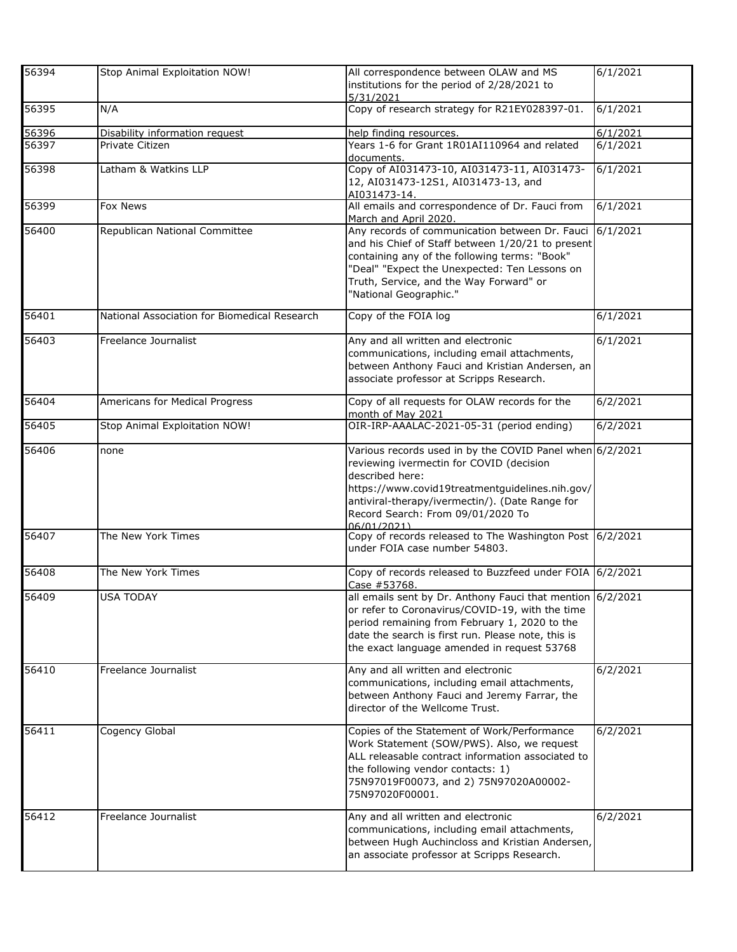| 56394 | Stop Animal Exploitation NOW!                | All correspondence between OLAW and MS<br>institutions for the period of 2/28/2021 to<br>5/31/2021                                                                                                                                                                                | 6/1/2021 |
|-------|----------------------------------------------|-----------------------------------------------------------------------------------------------------------------------------------------------------------------------------------------------------------------------------------------------------------------------------------|----------|
| 56395 | N/A                                          | Copy of research strategy for R21EY028397-01.                                                                                                                                                                                                                                     | 6/1/2021 |
| 56396 | Disability information request               | help finding resources.                                                                                                                                                                                                                                                           | 6/1/2021 |
| 56397 | Private Citizen                              | Years 1-6 for Grant 1R01AI110964 and related<br>documents.                                                                                                                                                                                                                        | 6/1/2021 |
| 56398 | Latham & Watkins LLP                         | Copy of AI031473-10, AI031473-11, AI031473-<br>12, AI031473-12S1, AI031473-13, and<br>AI031473-14.                                                                                                                                                                                | 6/1/2021 |
| 56399 | Fox News                                     | All emails and correspondence of Dr. Fauci from<br>March and April 2020.                                                                                                                                                                                                          | 6/1/2021 |
| 56400 | Republican National Committee                | Any records of communication between Dr. Fauci<br>and his Chief of Staff between 1/20/21 to present<br>containing any of the following terms: "Book"<br>"Deal" "Expect the Unexpected: Ten Lessons on<br>Truth, Service, and the Way Forward" or<br>"National Geographic."        | 6/1/2021 |
| 56401 | National Association for Biomedical Research | Copy of the FOIA log                                                                                                                                                                                                                                                              | 6/1/2021 |
| 56403 | Freelance Journalist                         | Any and all written and electronic<br>communications, including email attachments,<br>between Anthony Fauci and Kristian Andersen, an<br>associate professor at Scripps Research.                                                                                                 | 6/1/2021 |
| 56404 | Americans for Medical Progress               | Copy of all requests for OLAW records for the<br>month of May 2021                                                                                                                                                                                                                | 6/2/2021 |
| 56405 | Stop Animal Exploitation NOW!                | OIR-IRP-AAALAC-2021-05-31 (period ending)                                                                                                                                                                                                                                         | 6/2/2021 |
| 56406 | none                                         | Various records used in by the COVID Panel when 6/2/2021<br>reviewing ivermectin for COVID (decision<br>described here:<br>https://www.covid19treatmentguidelines.nih.gov/<br>antiviral-therapy/ivermectin/). (Date Range for<br>Record Search: From 09/01/2020 To<br>06/01/2021) |          |
| 56407 | The New York Times                           | Copy of records released to The Washington Post 6/2/2021<br>under FOIA case number 54803.                                                                                                                                                                                         |          |
| 56408 | The New York Times                           | Copy of records released to Buzzfeed under FOIA 6/2/2021<br>Case #53768.                                                                                                                                                                                                          |          |
| 56409 | <b>USA TODAY</b>                             | all emails sent by Dr. Anthony Fauci that mention 6/2/2021<br>or refer to Coronavirus/COVID-19, with the time<br>period remaining from February 1, 2020 to the<br>date the search is first run. Please note, this is<br>the exact language amended in request 53768               |          |
| 56410 | Freelance Journalist                         | Any and all written and electronic<br>communications, including email attachments,<br>between Anthony Fauci and Jeremy Farrar, the<br>director of the Wellcome Trust.                                                                                                             | 6/2/2021 |
| 56411 | Cogency Global                               | Copies of the Statement of Work/Performance<br>Work Statement (SOW/PWS). Also, we request<br>ALL releasable contract information associated to<br>the following vendor contacts: 1)<br>75N97019F00073, and 2) 75N97020A00002-<br>75N97020F00001.                                  | 6/2/2021 |
| 56412 | Freelance Journalist                         | Any and all written and electronic<br>communications, including email attachments,<br>between Hugh Auchincloss and Kristian Andersen,<br>an associate professor at Scripps Research.                                                                                              | 6/2/2021 |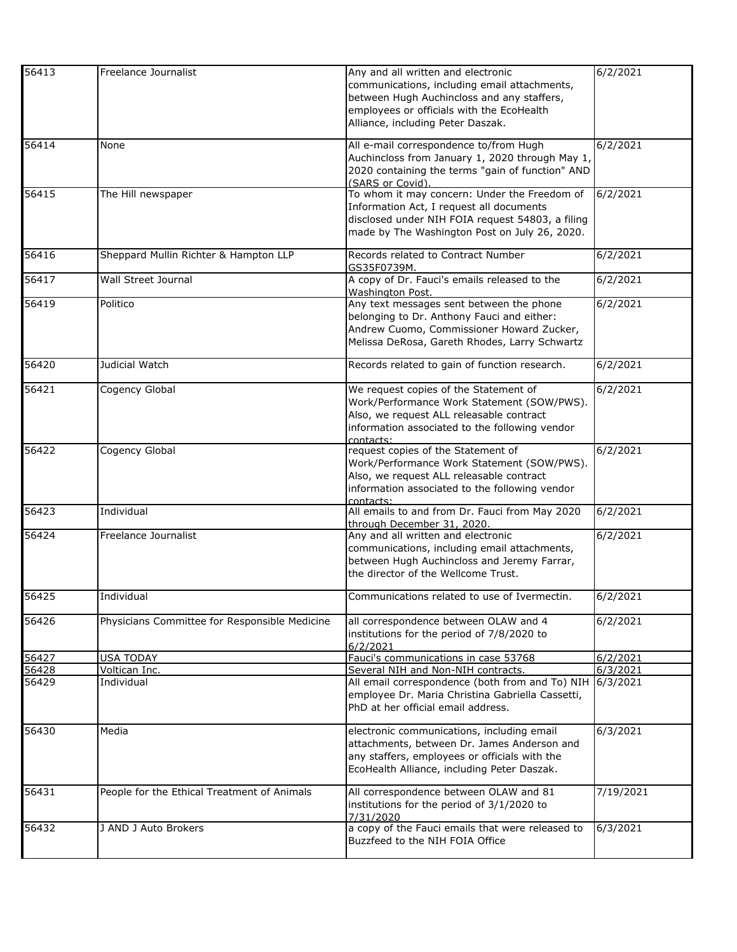| 56413             | Freelance Journalist                          | Any and all written and electronic<br>communications, including email attachments,<br>between Hugh Auchincloss and any staffers,<br>employees or officials with the EcoHealth<br>Alliance, including Peter Daszak. | 6/2/2021  |
|-------------------|-----------------------------------------------|--------------------------------------------------------------------------------------------------------------------------------------------------------------------------------------------------------------------|-----------|
| 56414             | None                                          | All e-mail correspondence to/from Hugh<br>Auchincloss from January 1, 2020 through May 1,<br>2020 containing the terms "gain of function" AND<br>(SARS or Covid).                                                  | 6/2/2021  |
| 56415             | The Hill newspaper                            | To whom it may concern: Under the Freedom of<br>Information Act, I request all documents<br>disclosed under NIH FOIA request 54803, a filing<br>made by The Washington Post on July 26, 2020.                      | 6/2/2021  |
| 56416             | Sheppard Mullin Richter & Hampton LLP         | Records related to Contract Number<br>GS35F0739M.                                                                                                                                                                  | 6/2/2021  |
| 56417             | Wall Street Journal                           | A copy of Dr. Fauci's emails released to the<br>Washington Post.                                                                                                                                                   | 6/2/2021  |
| 56419             | Politico                                      | Any text messages sent between the phone<br>belonging to Dr. Anthony Fauci and either:<br>Andrew Cuomo, Commissioner Howard Zucker,<br>Melissa DeRosa, Gareth Rhodes, Larry Schwartz                               | 6/2/2021  |
| 56420             | Judicial Watch                                | Records related to gain of function research.                                                                                                                                                                      | 6/2/2021  |
| 56421             | Cogency Global                                | We request copies of the Statement of<br>Work/Performance Work Statement (SOW/PWS).<br>Also, we request ALL releasable contract<br>information associated to the following vendor<br>contacts:                     | 6/2/2021  |
| 56422             | Cogency Global                                | request copies of the Statement of<br>Work/Performance Work Statement (SOW/PWS).<br>Also, we request ALL releasable contract<br>information associated to the following vendor<br>contacts:                        | 6/2/2021  |
| $\frac{1}{56423}$ | Individual                                    | All emails to and from Dr. Fauci from May 2020<br>through December 31, 2020.                                                                                                                                       | 6/2/2021  |
| 56424             | Freelance Journalist                          | Any and all written and electronic<br>communications, including email attachments,<br>between Hugh Auchincloss and Jeremy Farrar,<br>the director of the Wellcome Trust.                                           | 6/2/2021  |
| 56425             | Individual                                    | Communications related to use of Ivermectin.                                                                                                                                                                       | 6/2/2021  |
| 56426             | Physicians Committee for Responsible Medicine | all correspondence between OLAW and 4<br>institutions for the period of 7/8/2020 to<br>6/2/2021                                                                                                                    | 6/2/2021  |
| 56427             | <b>USA TODAY</b>                              | Fauci's communications in case 53768                                                                                                                                                                               | 6/2/2021  |
| 56428             | Voltican Inc.                                 | Several NIH and Non-NIH contracts.                                                                                                                                                                                 | 6/3/2021  |
| 56429             | Individual                                    | All email correspondence (both from and To) NIH<br>employee Dr. Maria Christina Gabriella Cassetti,<br>PhD at her official email address.                                                                          | 6/3/2021  |
| 56430             | Media                                         | electronic communications, including email<br>attachments, between Dr. James Anderson and<br>any staffers, employees or officials with the<br>EcoHealth Alliance, including Peter Daszak.                          | 6/3/2021  |
| 56431             | People for the Ethical Treatment of Animals   | All correspondence between OLAW and 81<br>institutions for the period of 3/1/2020 to<br>7/31/2020                                                                                                                  | 7/19/2021 |
| 56432             | J AND J Auto Brokers                          | a copy of the Fauci emails that were released to<br>Buzzfeed to the NIH FOIA Office                                                                                                                                | 6/3/2021  |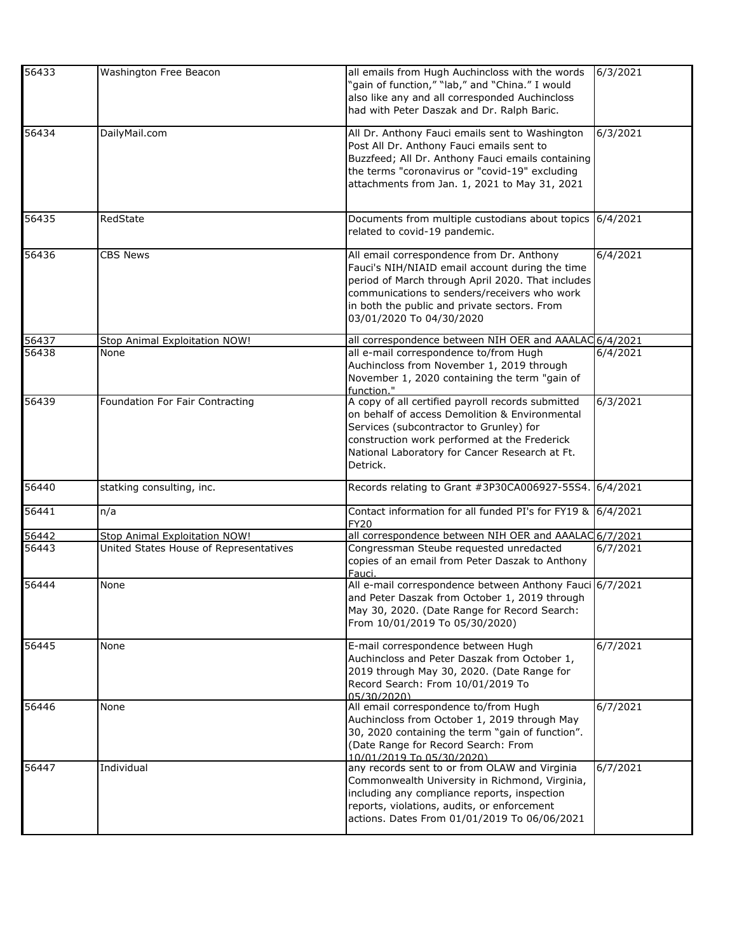| 56433 | Washington Free Beacon                 | all emails from Hugh Auchincloss with the words<br>'gain of function," "lab," and "China." I would<br>also like any and all corresponded Auchincloss<br>had with Peter Daszak and Dr. Ralph Baric.                                                                            | 6/3/2021 |
|-------|----------------------------------------|-------------------------------------------------------------------------------------------------------------------------------------------------------------------------------------------------------------------------------------------------------------------------------|----------|
| 56434 | DailyMail.com                          | All Dr. Anthony Fauci emails sent to Washington<br>Post All Dr. Anthony Fauci emails sent to<br>Buzzfeed; All Dr. Anthony Fauci emails containing<br>the terms "coronavirus or "covid-19" excluding<br>attachments from Jan. 1, 2021 to May 31, 2021                          | 6/3/2021 |
| 56435 | RedState                               | Documents from multiple custodians about topics 6/4/2021<br>related to covid-19 pandemic.                                                                                                                                                                                     |          |
| 56436 | <b>CBS News</b>                        | All email correspondence from Dr. Anthony<br>Fauci's NIH/NIAID email account during the time<br>period of March through April 2020. That includes<br>communications to senders/receivers who work<br>in both the public and private sectors. From<br>03/01/2020 To 04/30/2020 | 6/4/2021 |
| 56437 | Stop Animal Exploitation NOW!          | all correspondence between NIH OER and AAALAC 6/4/2021                                                                                                                                                                                                                        |          |
| 56438 | None                                   | all e-mail correspondence to/from Hugh<br>Auchincloss from November 1, 2019 through<br>November 1, 2020 containing the term "gain of<br>function."                                                                                                                            | 6/4/2021 |
| 56439 | Foundation For Fair Contracting        | A copy of all certified payroll records submitted<br>on behalf of access Demolition & Environmental<br>Services (subcontractor to Grunley) for<br>construction work performed at the Frederick<br>National Laboratory for Cancer Research at Ft.<br>Detrick.                  | 6/3/2021 |
| 56440 | statking consulting, inc.              | Records relating to Grant #3P30CA006927-55S4. 6/4/2021                                                                                                                                                                                                                        |          |
| 56441 | n/a                                    | Contact information for all funded PI's for FY19 & 6/4/2021<br><b>FY20</b>                                                                                                                                                                                                    |          |
| 56442 | Stop Animal Exploitation NOW!          | all correspondence between NIH OER and AAALAC 6/7/2021                                                                                                                                                                                                                        |          |
| 56443 | United States House of Representatives | Congressman Steube requested unredacted<br>copies of an email from Peter Daszak to Anthony<br>Fauci.                                                                                                                                                                          | 6/7/2021 |
| 56444 | None                                   | All e-mail correspondence between Anthony Fauci 6/7/2021<br>and Peter Daszak from October 1, 2019 through<br>May 30, 2020. (Date Range for Record Search:<br>From 10/01/2019 To 05/30/2020)                                                                                   |          |
| 56445 | None                                   | E-mail correspondence between Hugh<br>Auchincloss and Peter Daszak from October 1,<br>2019 through May 30, 2020. (Date Range for<br>Record Search: From 10/01/2019 To<br>05/30/2020)                                                                                          | 6/7/2021 |
| 56446 | None                                   | All email correspondence to/from Hugh<br>Auchincloss from October 1, 2019 through May<br>30, 2020 containing the term "gain of function".<br>(Date Range for Record Search: From<br>10/01/2019 To 05/30/2020)                                                                 | 6/7/2021 |
| 56447 | Individual                             | any records sent to or from OLAW and Virginia<br>Commonwealth University in Richmond, Virginia,<br>including any compliance reports, inspection<br>reports, violations, audits, or enforcement<br>actions. Dates From 01/01/2019 To 06/06/2021                                | 6/7/2021 |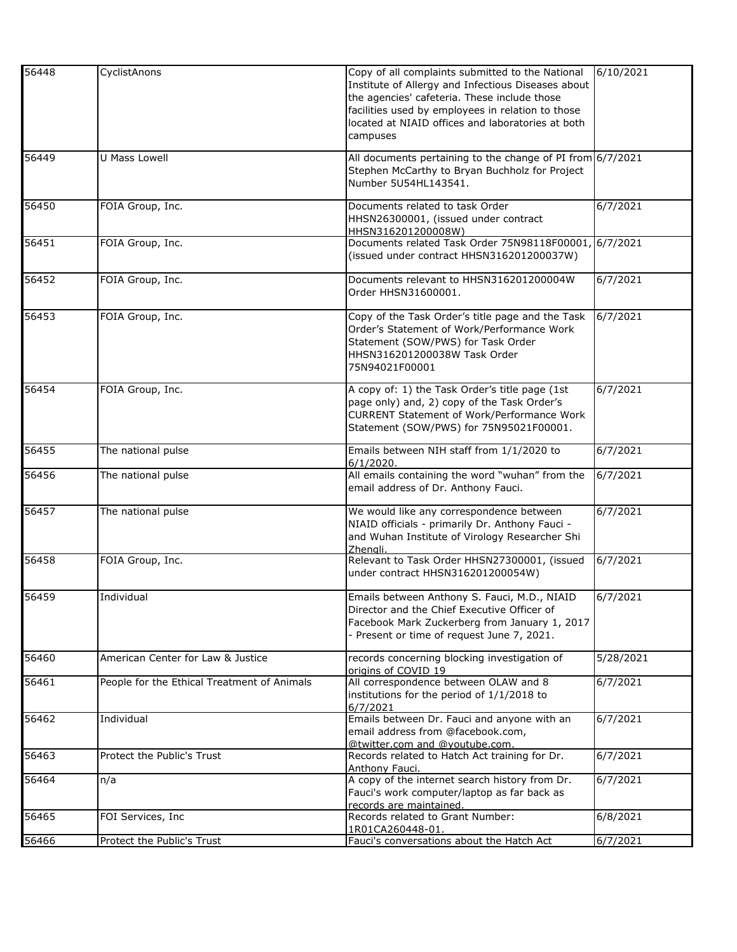| 56448 | CyclistAnons                                | Copy of all complaints submitted to the National<br>Institute of Allergy and Infectious Diseases about | 6/10/2021 |
|-------|---------------------------------------------|--------------------------------------------------------------------------------------------------------|-----------|
|       |                                             | the agencies' cafeteria. These include those                                                           |           |
|       |                                             | facilities used by employees in relation to those                                                      |           |
|       |                                             | located at NIAID offices and laboratories at both<br>campuses                                          |           |
|       |                                             |                                                                                                        |           |
| 56449 | U Mass Lowell                               | All documents pertaining to the change of PI from $6/7/2021$                                           |           |
|       |                                             | Stephen McCarthy to Bryan Buchholz for Project<br>Number 5U54HL143541.                                 |           |
|       |                                             |                                                                                                        |           |
| 56450 | FOIA Group, Inc.                            | Documents related to task Order                                                                        | 6/7/2021  |
|       |                                             | HHSN26300001, (issued under contract<br>HHSN316201200008W)                                             |           |
| 56451 | FOIA Group, Inc.                            | Documents related Task Order 75N98118F00001, 6/7/2021                                                  |           |
|       |                                             | (issued under contract HHSN316201200037W)                                                              |           |
| 56452 | FOIA Group, Inc.                            | Documents relevant to HHSN316201200004W                                                                | 6/7/2021  |
|       |                                             | Order HHSN31600001.                                                                                    |           |
| 56453 | FOIA Group, Inc.                            | Copy of the Task Order's title page and the Task                                                       | 6/7/2021  |
|       |                                             | Order's Statement of Work/Performance Work                                                             |           |
|       |                                             | Statement (SOW/PWS) for Task Order<br>HHSN316201200038W Task Order                                     |           |
|       |                                             | 75N94021F00001                                                                                         |           |
|       |                                             |                                                                                                        |           |
| 56454 | FOIA Group, Inc.                            | A copy of: 1) the Task Order's title page (1st<br>page only) and, 2) copy of the Task Order's          | 6/7/2021  |
|       |                                             | <b>CURRENT Statement of Work/Performance Work</b>                                                      |           |
|       |                                             | Statement (SOW/PWS) for 75N95021F00001.                                                                |           |
| 56455 | The national pulse                          | Emails between NIH staff from 1/1/2020 to                                                              | 6/7/2021  |
|       |                                             | 6/1/2020.                                                                                              |           |
| 56456 | The national pulse                          | All emails containing the word "wuhan" from the<br>email address of Dr. Anthony Fauci.                 | 6/7/2021  |
|       |                                             |                                                                                                        |           |
| 56457 | The national pulse                          | We would like any correspondence between                                                               | 6/7/2021  |
|       |                                             | NIAID officials - primarily Dr. Anthony Fauci -<br>and Wuhan Institute of Virology Researcher Shi      |           |
|       |                                             | Zhenali.                                                                                               |           |
| 56458 | FOIA Group, Inc.                            | Relevant to Task Order HHSN27300001, (issued                                                           | 6/7/2021  |
|       |                                             | under contract HHSN316201200054W)                                                                      |           |
| 56459 | Individual                                  | Emails between Anthony S. Fauci, M.D., NIAID                                                           | 6/7/2021  |
|       |                                             | Director and the Chief Executive Officer of                                                            |           |
|       |                                             | Facebook Mark Zuckerberg from January 1, 2017<br>- Present or time of request June 7, 2021.            |           |
|       |                                             |                                                                                                        |           |
| 56460 | American Center for Law & Justice           | records concerning blocking investigation of<br>origins of COVID 19                                    | 5/28/2021 |
| 56461 | People for the Ethical Treatment of Animals | All correspondence between OLAW and 8                                                                  | 6/7/2021  |
|       |                                             | institutions for the period of 1/1/2018 to                                                             |           |
| 56462 | Individual                                  | 6/7/2021<br>Emails between Dr. Fauci and anyone with an                                                | 6/7/2021  |
|       |                                             | email address from @facebook.com,                                                                      |           |
|       |                                             | @twitter.com and @voutube.com.                                                                         |           |
| 56463 | Protect the Public's Trust                  | Records related to Hatch Act training for Dr.<br>Anthony Fauci.                                        | 6/7/2021  |
| 56464 | n/a                                         | A copy of the internet search history from Dr.                                                         | 6/7/2021  |
|       |                                             | Fauci's work computer/laptop as far back as                                                            |           |
|       |                                             | records are maintained.<br>Records related to Grant Number:                                            | 6/8/2021  |
| 56465 | FOI Services, Inc.                          | 1R01CA260448-01.                                                                                       |           |
| 56466 | Protect the Public's Trust                  | Fauci's conversations about the Hatch Act                                                              | 6/7/2021  |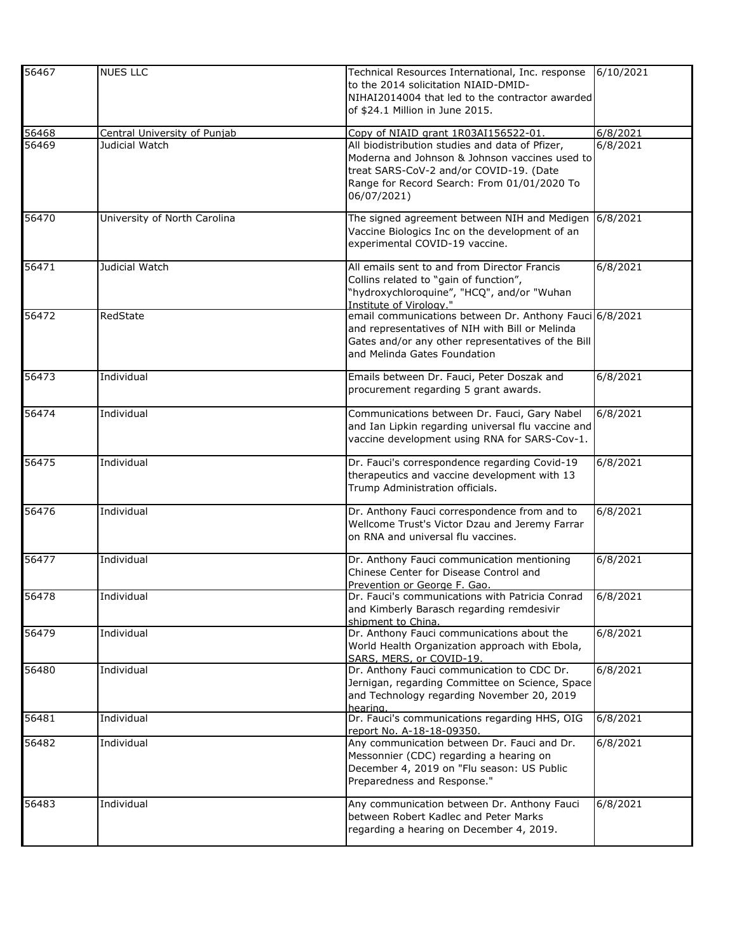| 56467 | <b>NUES LLC</b>              | Technical Resources International, Inc. response<br>to the 2014 solicitation NIAID-DMID-<br>NIHAI2014004 that led to the contractor awarded | 6/10/2021 |
|-------|------------------------------|---------------------------------------------------------------------------------------------------------------------------------------------|-----------|
|       |                              | of \$24.1 Million in June 2015.                                                                                                             |           |
| 56468 | Central University of Punjab | Copy of NIAID grant 1R03AI156522-01.                                                                                                        | 6/8/2021  |
| 56469 | Judicial Watch               | All biodistribution studies and data of Pfizer,                                                                                             | 6/8/2021  |
|       |                              | Moderna and Johnson & Johnson vaccines used to                                                                                              |           |
|       |                              | treat SARS-CoV-2 and/or COVID-19. (Date                                                                                                     |           |
|       |                              | Range for Record Search: From 01/01/2020 To                                                                                                 |           |
|       |                              | 06/07/2021)                                                                                                                                 |           |
| 56470 | University of North Carolina | The signed agreement between NIH and Medigen                                                                                                | 6/8/2021  |
|       |                              | Vaccine Biologics Inc on the development of an                                                                                              |           |
|       |                              | experimental COVID-19 vaccine.                                                                                                              |           |
| 56471 | Judicial Watch               | All emails sent to and from Director Francis                                                                                                | 6/8/2021  |
|       |                              | Collins related to "gain of function",                                                                                                      |           |
|       |                              | "hydroxychloroquine", "HCQ", and/or "Wuhan                                                                                                  |           |
| 56472 | RedState                     | Institute of Virology."<br>email communications between Dr. Anthony Fauci 6/8/2021                                                          |           |
|       |                              | and representatives of NIH with Bill or Melinda                                                                                             |           |
|       |                              | Gates and/or any other representatives of the Bill                                                                                          |           |
|       |                              | and Melinda Gates Foundation                                                                                                                |           |
| 56473 | Individual                   | Emails between Dr. Fauci, Peter Doszak and                                                                                                  | 6/8/2021  |
|       |                              | procurement regarding 5 grant awards.                                                                                                       |           |
| 56474 | Individual                   | Communications between Dr. Fauci, Gary Nabel                                                                                                | 6/8/2021  |
|       |                              | and Ian Lipkin regarding universal flu vaccine and                                                                                          |           |
|       |                              | vaccine development using RNA for SARS-Cov-1.                                                                                               |           |
| 56475 | Individual                   | Dr. Fauci's correspondence regarding Covid-19                                                                                               | 6/8/2021  |
|       |                              | therapeutics and vaccine development with 13                                                                                                |           |
|       |                              | Trump Administration officials.                                                                                                             |           |
| 56476 | Individual                   | Dr. Anthony Fauci correspondence from and to                                                                                                | 6/8/2021  |
|       |                              | Wellcome Trust's Victor Dzau and Jeremy Farrar                                                                                              |           |
|       |                              | on RNA and universal flu vaccines.                                                                                                          |           |
| 56477 | Individual                   | Dr. Anthony Fauci communication mentioning                                                                                                  | 6/8/2021  |
|       |                              | Chinese Center for Disease Control and                                                                                                      |           |
| 56478 | Individual                   | Prevention or George F. Gao.<br>Dr. Fauci's communications with Patricia Conrad                                                             | 6/8/2021  |
|       |                              | and Kimberly Barasch regarding remdesivir                                                                                                   |           |
|       |                              | shipment to China.                                                                                                                          |           |
| 56479 | Individual                   | Dr. Anthony Fauci communications about the                                                                                                  | 6/8/2021  |
|       |                              | World Health Organization approach with Ebola,                                                                                              |           |
|       |                              | SARS, MERS, or COVID-19.                                                                                                                    |           |
| 56480 | Individual                   | Dr. Anthony Fauci communication to CDC Dr.                                                                                                  | 6/8/2021  |
|       |                              | Jernigan, regarding Committee on Science, Space                                                                                             |           |
|       |                              | and Technology regarding November 20, 2019<br>hearing.                                                                                      |           |
| 56481 | Individual                   | Dr. Fauci's communications regarding HHS, OIG                                                                                               | 6/8/2021  |
|       |                              | report No. A-18-18-09350.                                                                                                                   |           |
| 56482 | Individual                   | Any communication between Dr. Fauci and Dr.<br>Messonnier (CDC) regarding a hearing on                                                      | 6/8/2021  |
|       |                              | December 4, 2019 on "Flu season: US Public                                                                                                  |           |
|       |                              | Preparedness and Response."                                                                                                                 |           |
|       |                              |                                                                                                                                             |           |
| 56483 | Individual                   | Any communication between Dr. Anthony Fauci                                                                                                 | 6/8/2021  |
|       |                              | between Robert Kadlec and Peter Marks                                                                                                       |           |
|       |                              | regarding a hearing on December 4, 2019.                                                                                                    |           |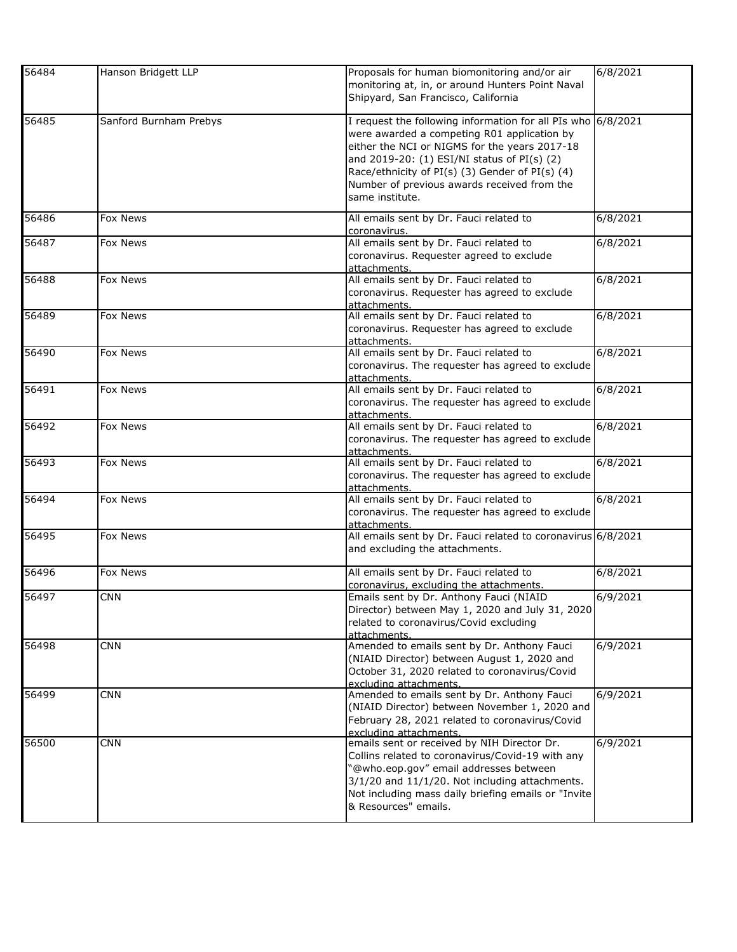| 56484 | Hanson Bridgett LLP    | Proposals for human biomonitoring and/or air<br>monitoring at, in, or around Hunters Point Naval<br>Shipyard, San Francisco, California                                                                                                                                                                                          | 6/8/2021 |
|-------|------------------------|----------------------------------------------------------------------------------------------------------------------------------------------------------------------------------------------------------------------------------------------------------------------------------------------------------------------------------|----------|
| 56485 | Sanford Burnham Prebys | I request the following information for all PIs who 6/8/2021<br>were awarded a competing R01 application by<br>either the NCI or NIGMS for the years 2017-18<br>and 2019-20: (1) ESI/NI status of PI(s) (2)<br>Race/ethnicity of PI(s) (3) Gender of PI(s) (4)<br>Number of previous awards received from the<br>same institute. |          |
| 56486 | Fox News               | All emails sent by Dr. Fauci related to<br>coronavirus.                                                                                                                                                                                                                                                                          | 6/8/2021 |
| 56487 | Fox News               | All emails sent by Dr. Fauci related to<br>coronavirus. Requester agreed to exclude<br>attachments.                                                                                                                                                                                                                              | 6/8/2021 |
| 56488 | Fox News               | All emails sent by Dr. Fauci related to<br>coronavirus. Requester has agreed to exclude<br>attachments.                                                                                                                                                                                                                          | 6/8/2021 |
| 56489 | Fox News               | All emails sent by Dr. Fauci related to<br>coronavirus. Requester has agreed to exclude<br>attachments.                                                                                                                                                                                                                          | 6/8/2021 |
| 56490 | Fox News               | All emails sent by Dr. Fauci related to<br>coronavirus. The requester has agreed to exclude<br>attachments.                                                                                                                                                                                                                      | 6/8/2021 |
| 56491 | <b>Fox News</b>        | All emails sent by Dr. Fauci related to<br>coronavirus. The requester has agreed to exclude<br>attachments.                                                                                                                                                                                                                      | 6/8/2021 |
| 56492 | Fox News               | All emails sent by Dr. Fauci related to<br>coronavirus. The requester has agreed to exclude<br>attachments.                                                                                                                                                                                                                      | 6/8/2021 |
| 56493 | Fox News               | All emails sent by Dr. Fauci related to<br>coronavirus. The requester has agreed to exclude<br>attachments.                                                                                                                                                                                                                      | 6/8/2021 |
| 56494 | Fox News               | All emails sent by Dr. Fauci related to<br>coronavirus. The requester has agreed to exclude<br>attachments.                                                                                                                                                                                                                      | 6/8/2021 |
| 56495 | Fox News               | All emails sent by Dr. Fauci related to coronavirus 6/8/2021<br>and excluding the attachments.                                                                                                                                                                                                                                   |          |
| 56496 | Fox News               | All emails sent by Dr. Fauci related to<br>coronavirus, excluding the attachments.                                                                                                                                                                                                                                               | 6/8/2021 |
| 56497 | <b>CNN</b>             | Emails sent by Dr. Anthony Fauci (NIAID<br>Director) between May 1, 2020 and July 31, 2020<br>related to coronavirus/Covid excluding<br>attachments.                                                                                                                                                                             | 6/9/2021 |
| 56498 | <b>CNN</b>             | Amended to emails sent by Dr. Anthony Fauci<br>(NIAID Director) between August 1, 2020 and<br>October 31, 2020 related to coronavirus/Covid<br>excluding attachments.                                                                                                                                                            | 6/9/2021 |
| 56499 | <b>CNN</b>             | Amended to emails sent by Dr. Anthony Fauci<br>(NIAID Director) between November 1, 2020 and<br>February 28, 2021 related to coronavirus/Covid<br>excluding attachments.                                                                                                                                                         | 6/9/2021 |
| 56500 | <b>CNN</b>             | emails sent or received by NIH Director Dr.<br>Collins related to coronavirus/Covid-19 with any<br>'@who.eop.gov" email addresses between<br>3/1/20 and 11/1/20. Not including attachments.<br>Not including mass daily briefing emails or "Invite<br>& Resources" emails.                                                       | 6/9/2021 |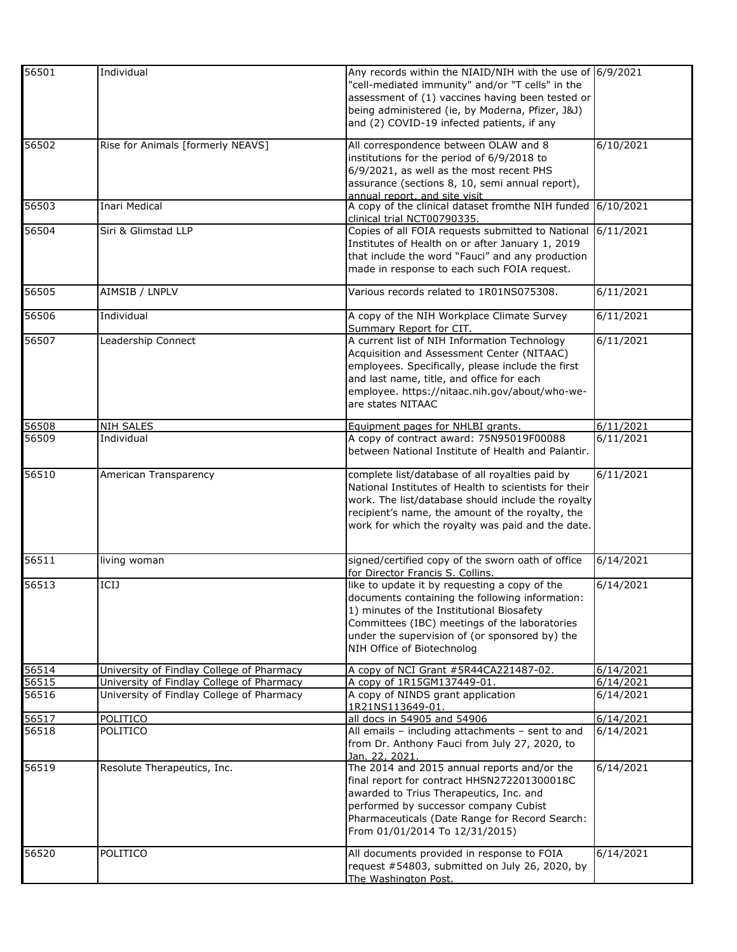| 56501 | Individual                                | Any records within the NIAID/NIH with the use of 6/9/2021                                              |                    |
|-------|-------------------------------------------|--------------------------------------------------------------------------------------------------------|--------------------|
|       |                                           | "cell-mediated immunity" and/or "T cells" in the                                                       |                    |
|       |                                           | assessment of (1) vaccines having been tested or                                                       |                    |
|       |                                           | being administered (ie, by Moderna, Pfizer, J&J)                                                       |                    |
|       |                                           | and (2) COVID-19 infected patients, if any                                                             |                    |
| 56502 | Rise for Animals [formerly NEAVS]         | All correspondence between OLAW and 8                                                                  | 6/10/2021          |
|       |                                           | institutions for the period of 6/9/2018 to                                                             |                    |
|       |                                           | 6/9/2021, as well as the most recent PHS                                                               |                    |
|       |                                           | assurance (sections 8, 10, semi annual report),                                                        |                    |
|       |                                           | annual report, and site visit                                                                          |                    |
| 56503 | Inari Medical                             | A copy of the clinical dataset fromthe NIH funded 6/10/2021<br>clinical trial NCT00790335.             |                    |
| 56504 | Siri & Glimstad LLP                       | Copies of all FOIA requests submitted to National                                                      | 6/11/2021          |
|       |                                           | Institutes of Health on or after January 1, 2019                                                       |                    |
|       |                                           | that include the word "Fauci" and any production                                                       |                    |
|       |                                           | made in response to each such FOIA request.                                                            |                    |
| 56505 | AIMSIB / LNPLV                            | Various records related to 1R01NS075308.                                                               | 6/11/2021          |
|       |                                           |                                                                                                        |                    |
| 56506 | Individual                                | A copy of the NIH Workplace Climate Survey<br>Summary Report for CIT.                                  | 6/11/2021          |
| 56507 | Leadership Connect                        | A current list of NIH Information Technology                                                           | 6/11/2021          |
|       |                                           | Acquisition and Assessment Center (NITAAC)                                                             |                    |
|       |                                           | employees. Specifically, please include the first                                                      |                    |
|       |                                           | and last name, title, and office for each                                                              |                    |
|       |                                           | employee. https://nitaac.nih.gov/about/who-we-                                                         |                    |
|       |                                           | are states NITAAC                                                                                      |                    |
| 56508 | <b>NIH SALES</b>                          | Equipment pages for NHLBI grants.                                                                      | 6/11/2021          |
| 56509 | Individual                                | A copy of contract award: 75N95019F00088                                                               | 6/11/2021          |
|       |                                           | between National Institute of Health and Palantir.                                                     |                    |
|       |                                           |                                                                                                        |                    |
| 56510 | American Transparency                     | complete list/database of all royalties paid by                                                        | 6/11/2021          |
|       |                                           | National Institutes of Health to scientists for their                                                  |                    |
|       |                                           | work. The list/database should include the royalty<br>recipient's name, the amount of the royalty, the |                    |
|       |                                           | work for which the royalty was paid and the date.                                                      |                    |
|       |                                           |                                                                                                        |                    |
| 56511 | living woman                              | signed/certified copy of the sworn oath of office                                                      | 6/14/2021          |
|       |                                           | for Director Francis S. Collins.                                                                       |                    |
| 56513 | ICIJ                                      | like to update it by requesting a copy of the                                                          | 6/14/2021          |
|       |                                           | documents containing the following information:                                                        |                    |
|       |                                           | 1) minutes of the Institutional Biosafety                                                              |                    |
|       |                                           | Committees (IBC) meetings of the laboratories                                                          |                    |
|       |                                           | under the supervision of (or sponsored by) the                                                         |                    |
|       |                                           | NIH Office of Biotechnolog                                                                             |                    |
| 56514 | University of Findlay College of Pharmacy | A copy of NCI Grant #5R44CA221487-02.                                                                  | 6/14/2021          |
| 56515 | University of Findlay College of Pharmacy | A copy of 1R15GM137449-01.                                                                             | 6/14/2021          |
| 56516 | University of Findlay College of Pharmacy | A copy of NINDS grant application<br>1R21NS113649-01.                                                  | 6/14/2021          |
| 56517 | POLITICO                                  | all docs in 54905 and 54906                                                                            | $\sqrt{6/14/2021}$ |
| 56518 | POLITICO                                  | All emails - including attachments - sent to and                                                       | 6/14/2021          |
|       |                                           | from Dr. Anthony Fauci from July 27, 2020, to                                                          |                    |
|       |                                           | <u>Jan. 22, 2021.</u>                                                                                  |                    |
| 56519 | Resolute Therapeutics, Inc.               | The 2014 and 2015 annual reports and/or the<br>final report for contract HHSN272201300018C             | 6/14/2021          |
|       |                                           | awarded to Trius Therapeutics, Inc. and                                                                |                    |
|       |                                           | performed by successor company Cubist                                                                  |                    |
|       |                                           | Pharmaceuticals (Date Range for Record Search:                                                         |                    |
|       |                                           | From 01/01/2014 To 12/31/2015)                                                                         |                    |
|       |                                           |                                                                                                        |                    |
| 56520 | POLITICO                                  | All documents provided in response to FOIA<br>request #54803, submitted on July 26, 2020, by           | 6/14/2021          |
|       |                                           | The Washington Post.                                                                                   |                    |
|       |                                           |                                                                                                        |                    |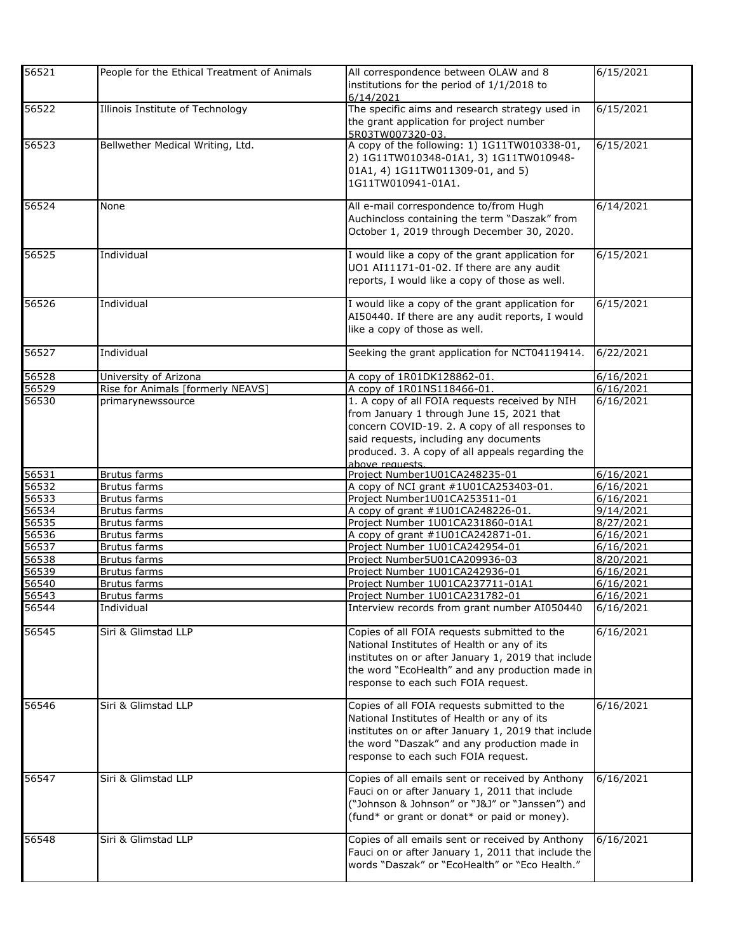| 56521 | People for the Ethical Treatment of Animals | All correspondence between OLAW and 8<br>institutions for the period of 1/1/2018 to<br>6/14/2021                                                                                                                                                                | 6/15/2021 |
|-------|---------------------------------------------|-----------------------------------------------------------------------------------------------------------------------------------------------------------------------------------------------------------------------------------------------------------------|-----------|
| 56522 | Illinois Institute of Technology            | The specific aims and research strategy used in<br>the grant application for project number<br>5R03TW007320-03.                                                                                                                                                 | 6/15/2021 |
| 56523 | Bellwether Medical Writing, Ltd.            | A copy of the following: 1) 1G11TW010338-01,<br>2) 1G11TW010348-01A1, 3) 1G11TW010948-<br>01A1, 4) 1G11TW011309-01, and 5)<br>1G11TW010941-01A1.                                                                                                                | 6/15/2021 |
| 56524 | None                                        | All e-mail correspondence to/from Hugh<br>Auchincloss containing the term "Daszak" from<br>October 1, 2019 through December 30, 2020.                                                                                                                           | 6/14/2021 |
| 56525 | Individual                                  | I would like a copy of the grant application for<br>UO1 AI11171-01-02. If there are any audit<br>reports, I would like a copy of those as well.                                                                                                                 | 6/15/2021 |
| 56526 | Individual                                  | I would like a copy of the grant application for<br>AI50440. If there are any audit reports, I would<br>like a copy of those as well.                                                                                                                           | 6/15/2021 |
| 56527 | Individual                                  | Seeking the grant application for NCT04119414.                                                                                                                                                                                                                  | 6/22/2021 |
| 56528 | University of Arizona                       | A copy of 1R01DK128862-01.                                                                                                                                                                                                                                      | 6/16/2021 |
| 56529 | Rise for Animals [formerly NEAVS]           | A copy of 1R01NS118466-01.                                                                                                                                                                                                                                      | 6/16/2021 |
| 56530 | primarynewssource                           | 1. A copy of all FOIA requests received by NIH<br>from January 1 through June 15, 2021 that<br>concern COVID-19. 2. A copy of all responses to<br>said requests, including any documents<br>produced. 3. A copy of all appeals regarding the<br>above requests. | 6/16/2021 |
| 56531 | <b>Brutus farms</b>                         | Project Number1U01CA248235-01                                                                                                                                                                                                                                   | 6/16/2021 |
| 56532 | Brutus farms                                | A copy of NCI grant #1U01CA253403-01.                                                                                                                                                                                                                           | 6/16/2021 |
| 56533 | <b>Brutus farms</b>                         | Project Number1U01CA253511-01                                                                                                                                                                                                                                   | 6/16/2021 |
| 56534 | <b>Brutus farms</b>                         | A copy of grant #1U01CA248226-01.                                                                                                                                                                                                                               | 9/14/2021 |
| 56535 | Brutus farms                                | Project Number 1U01CA231860-01A1                                                                                                                                                                                                                                | 8/27/2021 |
| 56536 | Brutus farms                                | A copy of grant #1U01CA242871-01.                                                                                                                                                                                                                               | 6/16/2021 |
| 56537 | Brutus farms                                | Project Number 1U01CA242954-01                                                                                                                                                                                                                                  | 6/16/2021 |
| 56538 | Brutus farms                                | Project Number5U01CA209936-03                                                                                                                                                                                                                                   | 8/20/2021 |
| 56539 | <b>Brutus farms</b>                         | Project Number 1U01CA242936-01                                                                                                                                                                                                                                  | 6/16/2021 |
| 56540 | <b>Brutus farms</b>                         | Project Number 1U01CA237711-01A1                                                                                                                                                                                                                                | 6/16/2021 |
| 56543 | <b>Brutus farms</b>                         | Project Number 1U01CA231782-01                                                                                                                                                                                                                                  | 6/16/2021 |
| 56544 | Individual                                  | Interview records from grant number AI050440                                                                                                                                                                                                                    | 6/16/2021 |
| 56545 | Siri & Glimstad LLP                         | Copies of all FOIA requests submitted to the<br>National Institutes of Health or any of its<br>institutes on or after January 1, 2019 that include<br>the word "EcoHealth" and any production made in<br>response to each such FOIA request.                    | 6/16/2021 |
| 56546 | Siri & Glimstad LLP                         | Copies of all FOIA requests submitted to the<br>National Institutes of Health or any of its<br>institutes on or after January 1, 2019 that include<br>the word "Daszak" and any production made in<br>response to each such FOIA request.                       | 6/16/2021 |
| 56547 | Siri & Glimstad LLP                         | Copies of all emails sent or received by Anthony<br>Fauci on or after January 1, 2011 that include<br>("Johnson & Johnson" or "J&J" or "Janssen") and<br>(fund* or grant or donat* or paid or money).                                                           | 6/16/2021 |
| 56548 | Siri & Glimstad LLP                         | Copies of all emails sent or received by Anthony<br>Fauci on or after January 1, 2011 that include the<br>words "Daszak" or "EcoHealth" or "Eco Health."                                                                                                        | 6/16/2021 |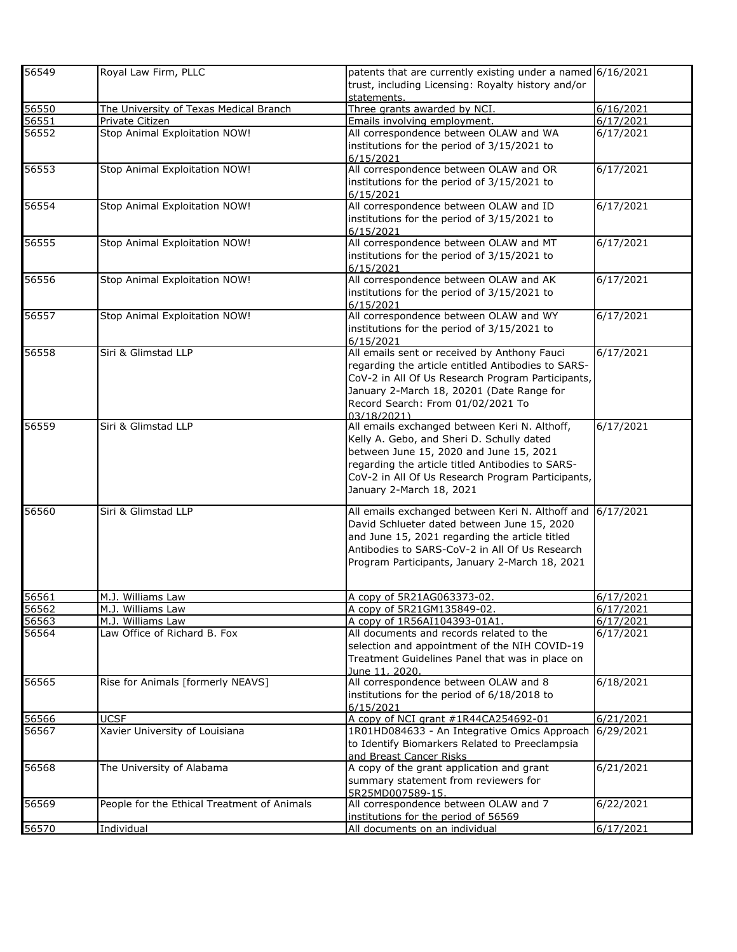| 56549 | Royal Law Firm, PLLC                        | patents that are currently existing under a named 6/16/2021          |           |
|-------|---------------------------------------------|----------------------------------------------------------------------|-----------|
|       |                                             | trust, including Licensing: Royalty history and/or<br>statements.    |           |
| 56550 | The University of Texas Medical Branch      | Three grants awarded by NCI.                                         | 6/16/2021 |
| 56551 | Private Citizen                             | Emails involving employment.                                         | 6/17/2021 |
| 56552 | Stop Animal Exploitation NOW!               | All correspondence between OLAW and WA                               | 6/17/2021 |
|       |                                             | institutions for the period of 3/15/2021 to<br>6/15/2021             |           |
| 56553 | Stop Animal Exploitation NOW!               | All correspondence between OLAW and OR                               | 6/17/2021 |
|       |                                             | institutions for the period of 3/15/2021 to                          |           |
| 56554 |                                             | 6/15/2021<br>All correspondence between OLAW and ID                  | 6/17/2021 |
|       | Stop Animal Exploitation NOW!               | institutions for the period of 3/15/2021 to                          |           |
|       |                                             | 6/15/2021                                                            |           |
| 56555 | Stop Animal Exploitation NOW!               | All correspondence between OLAW and MT                               | 6/17/2021 |
|       |                                             | institutions for the period of 3/15/2021 to                          |           |
| 56556 | Stop Animal Exploitation NOW!               | 6/15/2021<br>All correspondence between OLAW and AK                  | 6/17/2021 |
|       |                                             | institutions for the period of 3/15/2021 to                          |           |
|       |                                             | 6/15/2021                                                            |           |
| 56557 | Stop Animal Exploitation NOW!               | All correspondence between OLAW and WY                               | 6/17/2021 |
|       |                                             | institutions for the period of 3/15/2021 to                          |           |
|       |                                             | 6/15/2021                                                            |           |
| 56558 | Siri & Glimstad LLP                         | All emails sent or received by Anthony Fauci                         | 6/17/2021 |
|       |                                             | regarding the article entitled Antibodies to SARS-                   |           |
|       |                                             | CoV-2 in All Of Us Research Program Participants,                    |           |
|       |                                             | January 2-March 18, 20201 (Date Range for                            |           |
|       |                                             | Record Search: From 01/02/2021 To<br>03/18/2021)                     |           |
| 56559 | Siri & Glimstad LLP                         | All emails exchanged between Keri N. Althoff,                        | 6/17/2021 |
|       |                                             | Kelly A. Gebo, and Sheri D. Schully dated                            |           |
|       |                                             | between June 15, 2020 and June 15, 2021                              |           |
|       |                                             | regarding the article titled Antibodies to SARS-                     |           |
|       |                                             | CoV-2 in All Of Us Research Program Participants,                    |           |
|       |                                             | January 2-March 18, 2021                                             |           |
| 56560 | Siri & Glimstad LLP                         | All emails exchanged between Keri N. Althoff and                     | 6/17/2021 |
|       |                                             | David Schlueter dated between June 15, 2020                          |           |
|       |                                             | and June 15, 2021 regarding the article titled                       |           |
|       |                                             | Antibodies to SARS-CoV-2 in All Of Us Research                       |           |
|       |                                             | Program Participants, January 2-March 18, 2021                       |           |
|       |                                             |                                                                      |           |
| 56561 | M.J. Williams Law                           | A copy of 5R21AG063373-02.                                           | 6/17/2021 |
| 56562 | M.J. Williams Law                           | A copy of 5R21GM135849-02.                                           | 6/17/2021 |
| 56563 | M.J. Williams Law                           | A copy of 1R56AI104393-01A1.                                         | 6/17/2021 |
| 56564 | Law Office of Richard B. Fox                | All documents and records related to the                             | 6/17/2021 |
|       |                                             | selection and appointment of the NIH COVID-19                        |           |
|       |                                             | Treatment Guidelines Panel that was in place on<br>June 11, 2020.    |           |
| 56565 | Rise for Animals [formerly NEAVS]           | All correspondence between OLAW and 8                                | 6/18/2021 |
|       |                                             | institutions for the period of 6/18/2018 to                          |           |
|       |                                             | 6/15/2021                                                            |           |
| 56566 | <b>UCSF</b>                                 | A copy of NCI grant #1R44CA254692-01                                 | 6/21/2021 |
| 56567 | Xavier University of Louisiana              | 1R01HD084633 - An Integrative Omics Approach                         | 6/29/2021 |
|       |                                             | to Identify Biomarkers Related to Preeclampsia                       |           |
| 56568 | The University of Alabama                   | and Breast Cancer Risks<br>A copy of the grant application and grant | 6/21/2021 |
|       |                                             | summary statement from reviewers for                                 |           |
|       |                                             | 5R25MD007589-15.                                                     |           |
| 56569 | People for the Ethical Treatment of Animals | All correspondence between OLAW and 7                                | 6/22/2021 |
|       |                                             | institutions for the period of 56569                                 |           |
| 56570 | Individual                                  | All documents on an individual                                       | 6/17/2021 |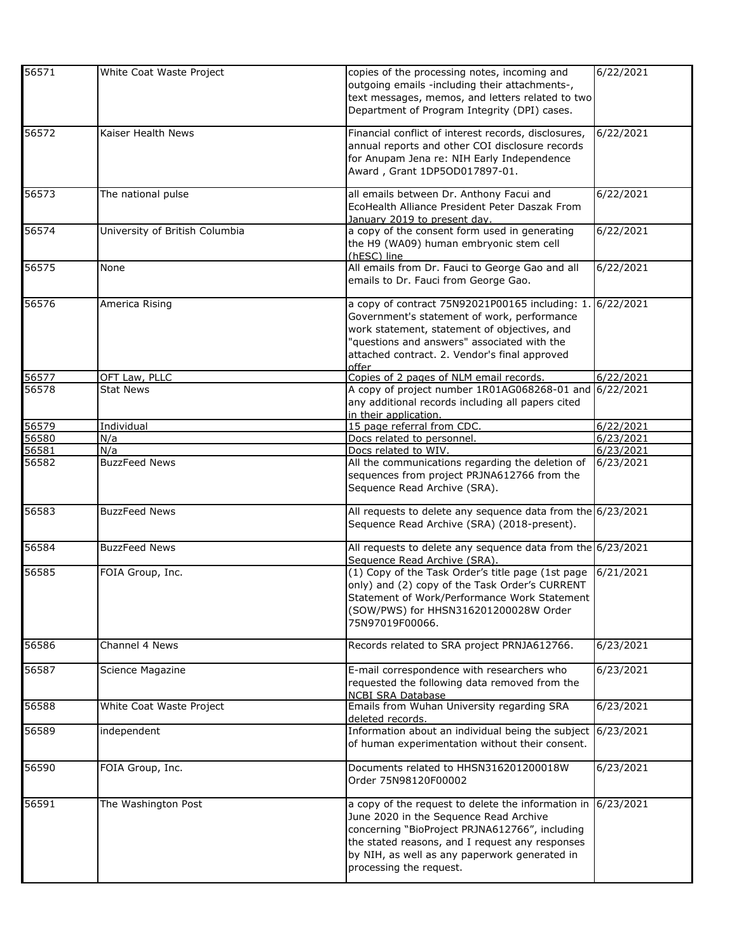| 56571 | White Coat Waste Project       | copies of the processing notes, incoming and<br>outgoing emails -including their attachments-,<br>text messages, memos, and letters related to two<br>Department of Program Integrity (DPI) cases.                                                                            | 6/22/2021 |
|-------|--------------------------------|-------------------------------------------------------------------------------------------------------------------------------------------------------------------------------------------------------------------------------------------------------------------------------|-----------|
| 56572 | Kaiser Health News             | Financial conflict of interest records, disclosures,<br>annual reports and other COI disclosure records<br>for Anupam Jena re: NIH Early Independence<br>Award, Grant 1DP5OD017897-01.                                                                                        | 6/22/2021 |
| 56573 | The national pulse             | all emails between Dr. Anthony Facui and<br>EcoHealth Alliance President Peter Daszak From<br>January 2019 to present day.                                                                                                                                                    | 6/22/2021 |
| 56574 | University of British Columbia | a copy of the consent form used in generating<br>the H9 (WA09) human embryonic stem cell<br>(hESC) line                                                                                                                                                                       | 6/22/2021 |
| 56575 | None                           | All emails from Dr. Fauci to George Gao and all<br>emails to Dr. Fauci from George Gao.                                                                                                                                                                                       | 6/22/2021 |
| 56576 | America Rising                 | a copy of contract 75N92021P00165 including: 1<br>Government's statement of work, performance<br>work statement, statement of objectives, and<br>"questions and answers" associated with the<br>attached contract. 2. Vendor's final approved<br>offer                        | 6/22/2021 |
| 56577 | OFT Law, PLLC                  | Copies of 2 pages of NLM email records.                                                                                                                                                                                                                                       | 6/22/2021 |
| 56578 | <b>Stat News</b>               | A copy of project number 1R01AG068268-01 and<br>any additional records including all papers cited<br>in their application.                                                                                                                                                    | 6/22/2021 |
| 56579 | Individual                     | 15 page referral from CDC.                                                                                                                                                                                                                                                    | 6/22/2021 |
| 56580 | N/a                            | Docs related to personnel.                                                                                                                                                                                                                                                    | 6/23/2021 |
| 56581 | N/a                            | Docs related to WIV.                                                                                                                                                                                                                                                          | 6/23/2021 |
| 56582 | <b>BuzzFeed News</b>           | All the communications regarding the deletion of<br>sequences from project PRJNA612766 from the<br>Sequence Read Archive (SRA).                                                                                                                                               | 6/23/2021 |
| 56583 | <b>BuzzFeed News</b>           | All requests to delete any sequence data from the 6/23/2021<br>Sequence Read Archive (SRA) (2018-present).                                                                                                                                                                    |           |
| 56584 | <b>BuzzFeed News</b>           | All requests to delete any sequence data from the 6/23/2021<br>Sequence Read Archive (SRA).                                                                                                                                                                                   |           |
| 56585 | FOIA Group, Inc.               | (1) Copy of the Task Order's title page (1st page<br>only) and (2) copy of the Task Order's CURRENT<br>Statement of Work/Performance Work Statement<br>(SOW/PWS) for HHSN316201200028W Order<br>75N97019F00066.                                                               | 6/21/2021 |
| 56586 | Channel 4 News                 | Records related to SRA project PRNJA612766.                                                                                                                                                                                                                                   | 6/23/2021 |
| 56587 | Science Magazine               | E-mail correspondence with researchers who<br>requested the following data removed from the<br><b>NCBI SRA Database</b>                                                                                                                                                       | 6/23/2021 |
| 56588 | White Coat Waste Project       | Emails from Wuhan University regarding SRA<br>deleted records.                                                                                                                                                                                                                | 6/23/2021 |
| 56589 | independent                    | Information about an individual being the subject<br>of human experimentation without their consent.                                                                                                                                                                          | 6/23/2021 |
| 56590 | FOIA Group, Inc.               | Documents related to HHSN316201200018W<br>Order 75N98120F00002                                                                                                                                                                                                                | 6/23/2021 |
| 56591 | The Washington Post            | a copy of the request to delete the information in<br>June 2020 in the Sequence Read Archive<br>concerning "BioProject PRJNA612766", including<br>the stated reasons, and I request any responses<br>by NIH, as well as any paperwork generated in<br>processing the request. | 6/23/2021 |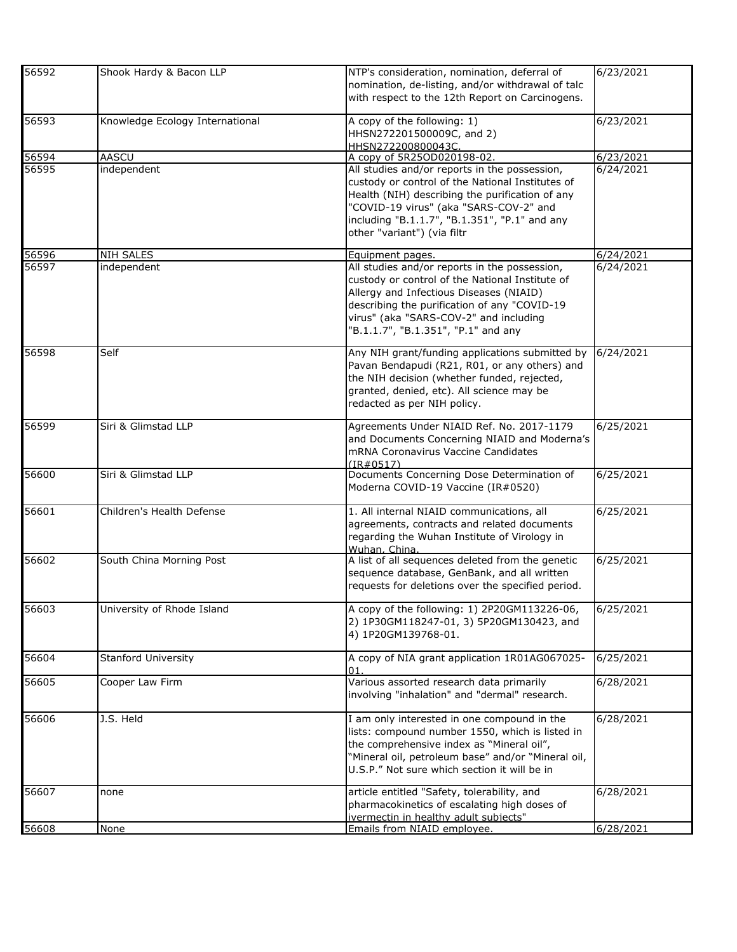| 56592 | Shook Hardy & Bacon LLP         | NTP's consideration, nomination, deferral of<br>nomination, de-listing, and/or withdrawal of talc<br>with respect to the 12th Report on Carcinogens.                                                                                                                           | 6/23/2021 |
|-------|---------------------------------|--------------------------------------------------------------------------------------------------------------------------------------------------------------------------------------------------------------------------------------------------------------------------------|-----------|
| 56593 | Knowledge Ecology International | A copy of the following: 1)<br>HHSN272201500009C, and 2)<br>HHSN272200800043C.                                                                                                                                                                                                 | 6/23/2021 |
| 56594 | AASCU                           | A copy of 5R25OD020198-02.                                                                                                                                                                                                                                                     | 6/23/2021 |
| 56595 | independent                     | All studies and/or reports in the possession,<br>custody or control of the National Institutes of<br>Health (NIH) describing the purification of any<br>"COVID-19 virus" (aka "SARS-COV-2" and<br>including "B.1.1.7", "B.1.351", "P.1" and any<br>other "variant") (via filtr | 6/24/2021 |
| 56596 | NIH SALES                       | Equipment pages.                                                                                                                                                                                                                                                               | 6/24/2021 |
| 56597 | independent                     | All studies and/or reports in the possession,<br>custody or control of the National Institute of<br>Allergy and Infectious Diseases (NIAID)<br>describing the purification of any "COVID-19<br>virus" (aka "SARS-COV-2" and including<br>"B.1.1.7", "B.1.351", "P.1" and any   | 6/24/2021 |
| 56598 | Self                            | Any NIH grant/funding applications submitted by<br>Pavan Bendapudi (R21, R01, or any others) and<br>the NIH decision (whether funded, rejected,<br>granted, denied, etc). All science may be<br>redacted as per NIH policy.                                                    | 6/24/2021 |
| 56599 | Siri & Glimstad LLP             | Agreements Under NIAID Ref. No. 2017-1179<br>and Documents Concerning NIAID and Moderna's<br>mRNA Coronavirus Vaccine Candidates<br>(IR#0517)                                                                                                                                  | 6/25/2021 |
| 56600 | Siri & Glimstad LLP             | Documents Concerning Dose Determination of<br>Moderna COVID-19 Vaccine (IR#0520)                                                                                                                                                                                               | 6/25/2021 |
| 56601 | Children's Health Defense       | 1. All internal NIAID communications, all<br>agreements, contracts and related documents<br>regarding the Wuhan Institute of Virology in<br>Wuhan, China.                                                                                                                      | 6/25/2021 |
| 56602 | South China Morning Post        | A list of all sequences deleted from the genetic<br>sequence database, GenBank, and all written<br>requests for deletions over the specified period.                                                                                                                           | 6/25/2021 |
| 56603 | University of Rhode Island      | A copy of the following: 1) 2P20GM113226-06,<br>2) 1P30GM118247-01, 3) 5P20GM130423, and<br>4) 1P20GM139768-01.                                                                                                                                                                | 6/25/2021 |
| 56604 | <b>Stanford University</b>      | A copy of NIA grant application 1R01AG067025-<br>01.                                                                                                                                                                                                                           | 6/25/2021 |
| 56605 | Cooper Law Firm                 | Various assorted research data primarily<br>involving "inhalation" and "dermal" research.                                                                                                                                                                                      | 6/28/2021 |
| 56606 | J.S. Held                       | I am only interested in one compound in the<br>lists: compound number 1550, which is listed in<br>the comprehensive index as "Mineral oil",<br>"Mineral oil, petroleum base" and/or "Mineral oil,<br>U.S.P." Not sure which section it will be in                              | 6/28/2021 |
| 56607 | none                            | article entitled "Safety, tolerability, and<br>pharmacokinetics of escalating high doses of<br>ivermectin in healthy adult subjects"                                                                                                                                           | 6/28/2021 |
| 56608 | None                            | Emails from NIAID employee.                                                                                                                                                                                                                                                    | 6/28/2021 |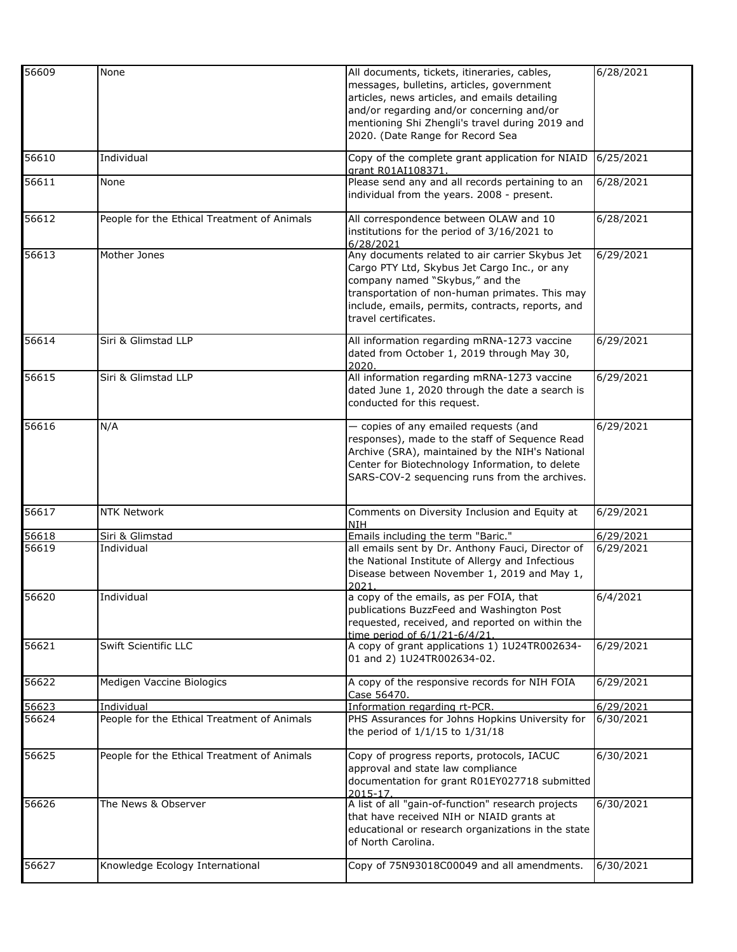| 56609          | None                                        | All documents, tickets, itineraries, cables,<br>messages, bulletins, articles, government | 6/28/2021              |
|----------------|---------------------------------------------|-------------------------------------------------------------------------------------------|------------------------|
|                |                                             | articles, news articles, and emails detailing                                             |                        |
|                |                                             | and/or regarding and/or concerning and/or                                                 |                        |
|                |                                             | mentioning Shi Zhengli's travel during 2019 and                                           |                        |
|                |                                             | 2020. (Date Range for Record Sea                                                          |                        |
| 56610          | Individual                                  | Copy of the complete grant application for NIAID<br>grant R01AI108371.                    | 6/25/2021              |
| 56611          | None                                        | Please send any and all records pertaining to an                                          | 6/28/2021              |
|                |                                             | individual from the years. 2008 - present.                                                |                        |
| 56612          | People for the Ethical Treatment of Animals | All correspondence between OLAW and 10<br>institutions for the period of 3/16/2021 to     | 6/28/2021              |
|                |                                             | 6/28/2021                                                                                 |                        |
| 56613          | Mother Jones                                | Any documents related to air carrier Skybus Jet                                           | 6/29/2021              |
|                |                                             | Cargo PTY Ltd, Skybus Jet Cargo Inc., or any                                              |                        |
|                |                                             | company named "Skybus," and the<br>transportation of non-human primates. This may         |                        |
|                |                                             | include, emails, permits, contracts, reports, and                                         |                        |
|                |                                             | travel certificates.                                                                      |                        |
| 56614          | Siri & Glimstad LLP                         | All information regarding mRNA-1273 vaccine                                               | 6/29/2021              |
|                |                                             | dated from October 1, 2019 through May 30,                                                |                        |
| 56615          | Siri & Glimstad LLP                         | 2020<br>All information regarding mRNA-1273 vaccine                                       | 6/29/2021              |
|                |                                             | dated June 1, 2020 through the date a search is                                           |                        |
|                |                                             | conducted for this request.                                                               |                        |
| 56616          | N/A                                         | - copies of any emailed requests (and                                                     | 6/29/2021              |
|                |                                             | responses), made to the staff of Sequence Read                                            |                        |
|                |                                             | Archive (SRA), maintained by the NIH's National                                           |                        |
|                |                                             | Center for Biotechnology Information, to delete                                           |                        |
|                |                                             | SARS-COV-2 sequencing runs from the archives.                                             |                        |
| 56617          | <b>NTK Network</b>                          | Comments on Diversity Inclusion and Equity at                                             | 6/29/2021              |
|                |                                             | <b>NIH</b>                                                                                |                        |
| 56618<br>56619 | Siri & Glimstad<br>Individual               | Emails including the term "Baric."<br>all emails sent by Dr. Anthony Fauci, Director of   | 6/29/2021<br>6/29/2021 |
|                |                                             | the National Institute of Allergy and Infectious                                          |                        |
|                |                                             | Disease between November 1, 2019 and May 1,<br>2021                                       |                        |
| 56620          | Individual                                  | a copy of the emails, as per FOIA, that                                                   | 6/4/2021               |
|                |                                             | publications BuzzFeed and Washington Post                                                 |                        |
|                |                                             | requested, received, and reported on within the                                           |                        |
| 56621          | Swift Scientific LLC                        | time period of 6/1/21-6/4/21.<br>A copy of grant applications 1) 1U24TR002634-            | 6/29/2021              |
|                |                                             | 01 and 2) 1U24TR002634-02.                                                                |                        |
| 56622          | Medigen Vaccine Biologics                   | A copy of the responsive records for NIH FOIA<br>Case 56470.                              | 6/29/2021              |
| 56623          | Individual                                  | Information regarding rt-PCR.                                                             | 6/29/2021              |
| 56624          | People for the Ethical Treatment of Animals | PHS Assurances for Johns Hopkins University for<br>the period of 1/1/15 to 1/31/18        | 6/30/2021              |
| 56625          | People for the Ethical Treatment of Animals | Copy of progress reports, protocols, IACUC                                                | 6/30/2021              |
|                |                                             | approval and state law compliance                                                         |                        |
|                |                                             | documentation for grant R01EY027718 submitted                                             |                        |
| 56626          | The News & Observer                         | 2015-17.<br>A list of all "gain-of-function" research projects                            | 6/30/2021              |
|                |                                             | that have received NIH or NIAID grants at                                                 |                        |
|                |                                             | educational or research organizations in the state                                        |                        |
|                |                                             | of North Carolina.                                                                        |                        |
| 56627          | Knowledge Ecology International             | Copy of 75N93018C00049 and all amendments.                                                | 6/30/2021              |
|                |                                             |                                                                                           |                        |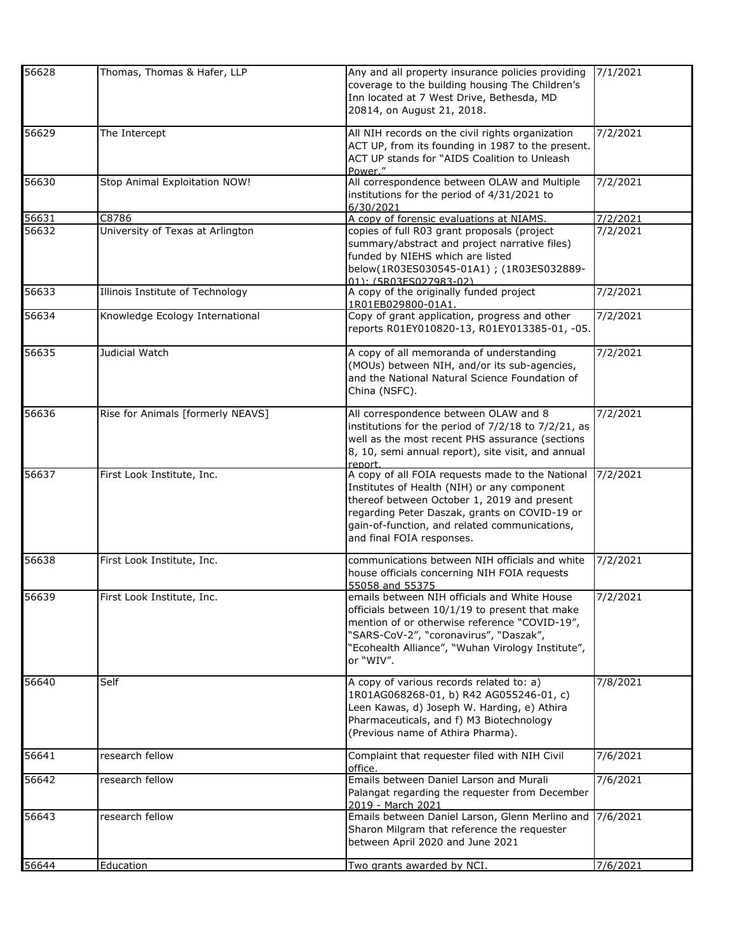| 56628 | Thomas, Thomas & Hafer, LLP       | Any and all property insurance policies providing<br>coverage to the building housing The Children's<br>Inn located at 7 West Drive, Bethesda, MD<br>20814, on August 21, 2018.                                                                                               | 7/1/2021 |
|-------|-----------------------------------|-------------------------------------------------------------------------------------------------------------------------------------------------------------------------------------------------------------------------------------------------------------------------------|----------|
| 56629 | The Intercept                     | All NIH records on the civil rights organization<br>ACT UP, from its founding in 1987 to the present.<br>ACT UP stands for "AIDS Coalition to Unleash<br>Power."                                                                                                              | 7/2/2021 |
| 56630 | Stop Animal Exploitation NOW!     | All correspondence between OLAW and Multiple<br>institutions for the period of 4/31/2021 to<br>6/30/2021                                                                                                                                                                      | 7/2/2021 |
| 56631 | C8786                             | A copy of forensic evaluations at NIAMS.                                                                                                                                                                                                                                      | 7/2/2021 |
| 56632 | University of Texas at Arlington  | copies of full R03 grant proposals (project<br>summary/abstract and project narrative files)<br>funded by NIEHS which are listed<br>below(1R03ES030545-01A1); (1R03ES032889-<br>01): (5R03ES027983-02)                                                                        | 7/2/2021 |
| 56633 | Illinois Institute of Technology  | A copy of the originally funded project<br>1R01EB029800-01A1.                                                                                                                                                                                                                 | 7/2/2021 |
| 56634 | Knowledge Ecology International   | Copy of grant application, progress and other<br>reports R01EY010820-13, R01EY013385-01, -05.                                                                                                                                                                                 | 7/2/2021 |
| 56635 | Judicial Watch                    | A copy of all memoranda of understanding<br>(MOUs) between NIH, and/or its sub-agencies,<br>and the National Natural Science Foundation of<br>China (NSFC).                                                                                                                   | 7/2/2021 |
| 56636 | Rise for Animals [formerly NEAVS] | All correspondence between OLAW and 8<br>institutions for the period of 7/2/18 to 7/2/21, as<br>well as the most recent PHS assurance (sections<br>8, 10, semi annual report), site visit, and annual<br>report.                                                              | 7/2/2021 |
| 56637 | First Look Institute, Inc.        | A copy of all FOIA requests made to the National<br>Institutes of Health (NIH) or any component<br>thereof between October 1, 2019 and present<br>regarding Peter Daszak, grants on COVID-19 or<br>gain-of-function, and related communications,<br>and final FOIA responses. | 7/2/2021 |
| 56638 | First Look Institute, Inc.        | communications between NIH officials and white<br>house officials concerning NIH FOIA requests<br>55058 and 55375                                                                                                                                                             | 7/2/2021 |
| 56639 | First Look Institute, Inc.        | emails between NIH officials and White House<br>officials between 10/1/19 to present that make<br>mention of or otherwise reference "COVID-19",<br>"SARS-CoV-2", "coronavirus", "Daszak",<br>"Ecohealth Alliance", "Wuhan Virology Institute",<br>or "WIV".                   | 7/2/2021 |
| 56640 | Self                              | A copy of various records related to: a)<br>1R01AG068268-01, b) R42 AG055246-01, c)<br>Leen Kawas, d) Joseph W. Harding, e) Athira<br>Pharmaceuticals, and f) M3 Biotechnology<br>(Previous name of Athira Pharma).                                                           | 7/8/2021 |
| 56641 | research fellow                   | Complaint that requester filed with NIH Civil<br>office.                                                                                                                                                                                                                      | 7/6/2021 |
| 56642 | research fellow                   | Emails between Daniel Larson and Murali<br>Palangat regarding the requester from December<br>2019 - March 2021                                                                                                                                                                | 7/6/2021 |
| 56643 | research fellow                   | Emails between Daniel Larson, Glenn Merlino and<br>Sharon Milgram that reference the requester<br>between April 2020 and June 2021                                                                                                                                            | 7/6/2021 |
| 56644 | Education                         | Two grants awarded by NCI.                                                                                                                                                                                                                                                    | 7/6/2021 |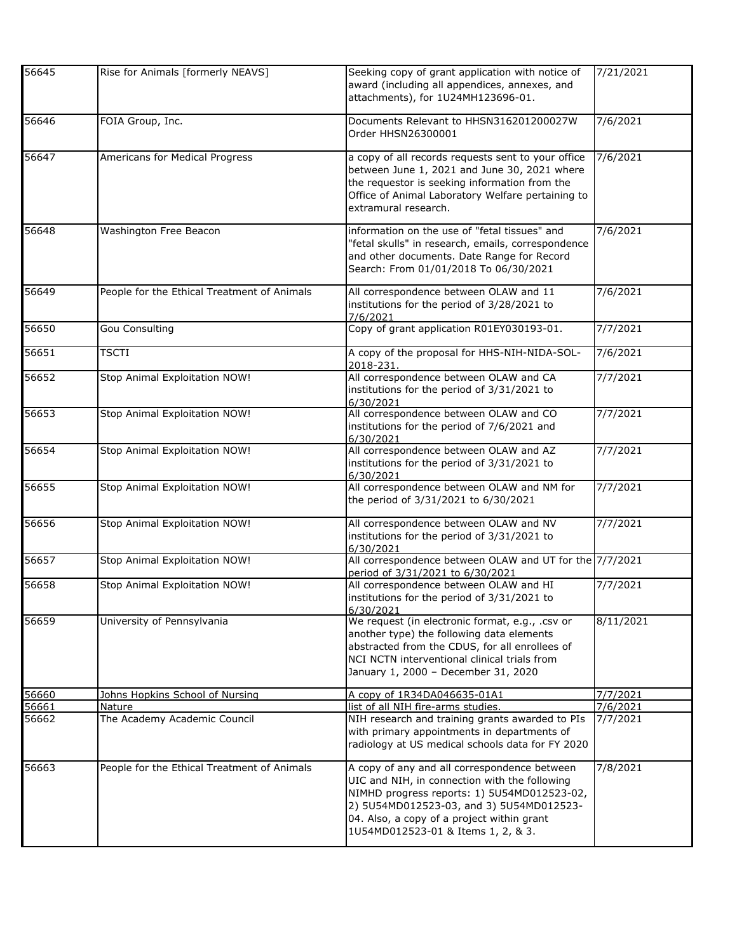| 56645 | Rise for Animals [formerly NEAVS]           | Seeking copy of grant application with notice of<br>award (including all appendices, annexes, and<br>attachments), for 1U24MH123696-01.                                                                                                                                      | 7/21/2021 |
|-------|---------------------------------------------|------------------------------------------------------------------------------------------------------------------------------------------------------------------------------------------------------------------------------------------------------------------------------|-----------|
| 56646 | FOIA Group, Inc.                            | Documents Relevant to HHSN316201200027W<br>Order HHSN26300001                                                                                                                                                                                                                | 7/6/2021  |
| 56647 | Americans for Medical Progress              | a copy of all records requests sent to your office<br>between June 1, 2021 and June 30, 2021 where<br>the requestor is seeking information from the<br>Office of Animal Laboratory Welfare pertaining to<br>extramural research.                                             | 7/6/2021  |
| 56648 | Washington Free Beacon                      | information on the use of "fetal tissues" and<br>"fetal skulls" in research, emails, correspondence<br>and other documents. Date Range for Record<br>Search: From 01/01/2018 To 06/30/2021                                                                                   | 7/6/2021  |
| 56649 | People for the Ethical Treatment of Animals | All correspondence between OLAW and 11<br>institutions for the period of 3/28/2021 to<br>7/6/2021                                                                                                                                                                            | 7/6/2021  |
| 56650 | <b>Gou Consulting</b>                       | Copy of grant application R01EY030193-01.                                                                                                                                                                                                                                    | 7/7/2021  |
| 56651 | <b>TSCTI</b>                                | A copy of the proposal for HHS-NIH-NIDA-SOL-<br>2018-231.                                                                                                                                                                                                                    | 7/6/2021  |
| 56652 | Stop Animal Exploitation NOW!               | All correspondence between OLAW and CA<br>institutions for the period of 3/31/2021 to<br>6/30/2021                                                                                                                                                                           | 7/7/2021  |
| 56653 | Stop Animal Exploitation NOW!               | All correspondence between OLAW and CO<br>institutions for the period of 7/6/2021 and<br>6/30/2021                                                                                                                                                                           | 7/7/2021  |
| 56654 | Stop Animal Exploitation NOW!               | All correspondence between OLAW and AZ<br>institutions for the period of 3/31/2021 to<br>6/30/2021                                                                                                                                                                           | 7/7/2021  |
| 56655 | Stop Animal Exploitation NOW!               | All correspondence between OLAW and NM for<br>the period of 3/31/2021 to 6/30/2021                                                                                                                                                                                           | 7/7/2021  |
| 56656 | Stop Animal Exploitation NOW!               | All correspondence between OLAW and NV<br>institutions for the period of 3/31/2021 to<br>6/30/2021                                                                                                                                                                           | 7/7/2021  |
| 56657 | Stop Animal Exploitation NOW!               | All correspondence between OLAW and UT for the 7/7/2021<br>period of 3/31/2021 to 6/30/2021                                                                                                                                                                                  |           |
| 56658 | Stop Animal Exploitation NOW!               | All correspondence between OLAW and HI<br>institutions for the period of 3/31/2021 to<br>6/30/2021                                                                                                                                                                           | 7/7/2021  |
| 56659 | University of Pennsylvania                  | We request (in electronic format, e.g., .csv or<br>another type) the following data elements<br>abstracted from the CDUS, for all enrollees of<br>NCI NCTN interventional clinical trials from<br>January 1, 2000 - December 31, 2020                                        | 8/11/2021 |
| 56660 | Johns Hopkins School of Nursing             | A copy of 1R34DA046635-01A1                                                                                                                                                                                                                                                  | 7/7/2021  |
| 56661 | Nature                                      | list of all NIH fire-arms studies.                                                                                                                                                                                                                                           | 7/6/2021  |
| 56662 | The Academy Academic Council                | NIH research and training grants awarded to PIs<br>with primary appointments in departments of<br>radiology at US medical schools data for FY 2020                                                                                                                           | 7/7/2021  |
| 56663 | People for the Ethical Treatment of Animals | A copy of any and all correspondence between<br>UIC and NIH, in connection with the following<br>NIMHD progress reports: 1) 5U54MD012523-02,<br>2) 5U54MD012523-03, and 3) 5U54MD012523-<br>04. Also, a copy of a project within grant<br>1U54MD012523-01 & Items 1, 2, & 3. | 7/8/2021  |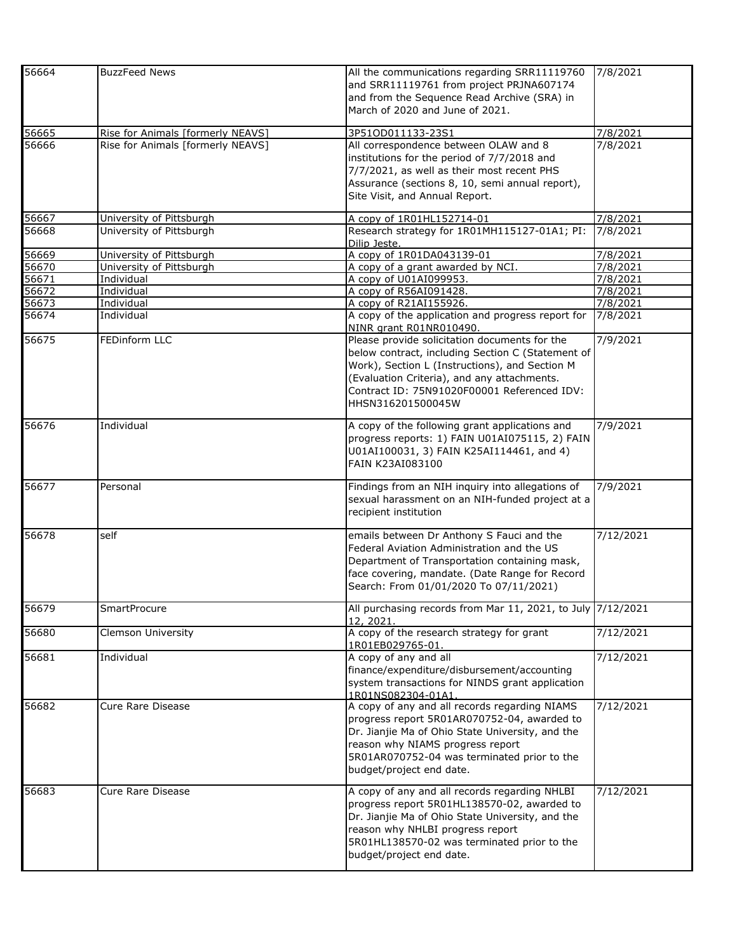| 56664          | <b>BuzzFeed News</b>                                                   | All the communications regarding SRR11119760<br>and SRR11119761 from project PRJNA607174<br>and from the Sequence Read Archive (SRA) in<br>March of 2020 and June of 2021.                                                                                              | 7/8/2021             |
|----------------|------------------------------------------------------------------------|-------------------------------------------------------------------------------------------------------------------------------------------------------------------------------------------------------------------------------------------------------------------------|----------------------|
| 56665<br>56666 | Rise for Animals [formerly NEAVS]<br>Rise for Animals [formerly NEAVS] | 3P51OD011133-23S1<br>All correspondence between OLAW and 8<br>institutions for the period of 7/7/2018 and<br>7/7/2021, as well as their most recent PHS<br>Assurance (sections 8, 10, semi annual report),<br>Site Visit, and Annual Report.                            | 7/8/2021<br>7/8/2021 |
| 56667          | University of Pittsburgh                                               | A copy of 1R01HL152714-01                                                                                                                                                                                                                                               | 7/8/2021             |
| 56668          | University of Pittsburgh                                               | Research strategy for 1R01MH115127-01A1; PI:<br>Dilip Jeste.                                                                                                                                                                                                            | 7/8/2021             |
| 56669          | University of Pittsburgh                                               | A copy of 1R01DA043139-01                                                                                                                                                                                                                                               | 7/8/2021             |
| 56670          | University of Pittsburgh                                               | A copy of a grant awarded by NCI                                                                                                                                                                                                                                        | 7/8/2021             |
| 56671          | Individual                                                             | A copy of U01AI099953.                                                                                                                                                                                                                                                  | 7/8/2021             |
| 56672          | Individual                                                             | A copy of R56AI091428.                                                                                                                                                                                                                                                  | 7/8/2021             |
| 56673          | Individual                                                             | A copy of R21AI155926.                                                                                                                                                                                                                                                  | 7/8/2021             |
| 56674          | Individual                                                             | A copy of the application and progress report for<br>NINR grant R01NR010490.                                                                                                                                                                                            | 7/8/2021             |
| 56675          | FEDinform LLC                                                          | Please provide solicitation documents for the<br>below contract, including Section C (Statement of<br>Work), Section L (Instructions), and Section M<br>(Evaluation Criteria), and any attachments.<br>Contract ID: 75N91020F00001 Referenced IDV:<br>HHSN316201500045W | 7/9/2021             |
| 56676          | Individual                                                             | A copy of the following grant applications and<br>progress reports: 1) FAIN U01AI075115, 2) FAIN<br>U01AI100031, 3) FAIN K25AI114461, and 4)<br><b>FAIN K23AI083100</b>                                                                                                 | 7/9/2021             |
| 56677          | Personal                                                               | Findings from an NIH inquiry into allegations of<br>sexual harassment on an NIH-funded project at a<br>recipient institution                                                                                                                                            | 7/9/2021             |
| 56678          | self                                                                   | emails between Dr Anthony S Fauci and the<br>Federal Aviation Administration and the US<br>Department of Transportation containing mask,<br>face covering, mandate. (Date Range for Record<br>Search: From 01/01/2020 To 07/11/2021)                                    | 7/12/2021            |
| 56679          | SmartProcure                                                           | All purchasing records from Mar 11, 2021, to July 7/12/2021<br>12, 2021.                                                                                                                                                                                                |                      |
| 56680          | Clemson University                                                     | A copy of the research strategy for grant<br>1R01EB029765-01.                                                                                                                                                                                                           | 7/12/2021            |
| 56681          | Individual                                                             | A copy of any and all<br>finance/expenditure/disbursement/accounting<br>system transactions for NINDS grant application<br>1R01NS082304-01A1                                                                                                                            | 7/12/2021            |
| 56682          | <b>Cure Rare Disease</b>                                               | A copy of any and all records regarding NIAMS<br>progress report 5R01AR070752-04, awarded to<br>Dr. Jianjie Ma of Ohio State University, and the<br>reason why NIAMS progress report<br>5R01AR070752-04 was terminated prior to the<br>budget/project end date.         | 7/12/2021            |
| 56683          | <b>Cure Rare Disease</b>                                               | A copy of any and all records regarding NHLBI<br>progress report 5R01HL138570-02, awarded to<br>Dr. Jianjie Ma of Ohio State University, and the<br>reason why NHLBI progress report<br>5R01HL138570-02 was terminated prior to the<br>budget/project end date.         | 7/12/2021            |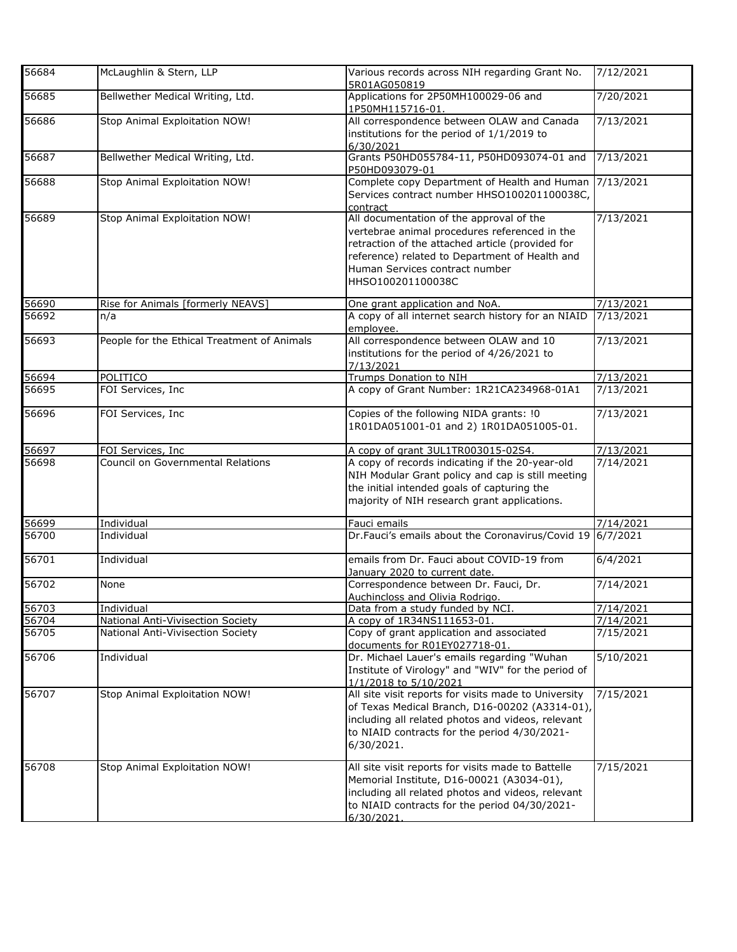| 56684 | McLaughlin & Stern, LLP                     | Various records across NIH regarding Grant No.<br>5R01AG050819                                                                                                                                                                                         | 7/12/2021 |
|-------|---------------------------------------------|--------------------------------------------------------------------------------------------------------------------------------------------------------------------------------------------------------------------------------------------------------|-----------|
| 56685 | Bellwether Medical Writing, Ltd.            | Applications for 2P50MH100029-06 and<br>1P50MH115716-01.                                                                                                                                                                                               | 7/20/2021 |
| 56686 | Stop Animal Exploitation NOW!               | All correspondence between OLAW and Canada<br>institutions for the period of 1/1/2019 to<br>6/30/2021                                                                                                                                                  | 7/13/2021 |
| 56687 | Bellwether Medical Writing, Ltd.            | Grants P50HD055784-11, P50HD093074-01 and<br>P50HD093079-01                                                                                                                                                                                            | 7/13/2021 |
| 56688 | Stop Animal Exploitation NOW!               | Complete copy Department of Health and Human<br>Services contract number HHSO100201100038C,<br>contract                                                                                                                                                | 7/13/2021 |
| 56689 | Stop Animal Exploitation NOW!               | All documentation of the approval of the<br>vertebrae animal procedures referenced in the<br>retraction of the attached article (provided for<br>reference) related to Department of Health and<br>Human Services contract number<br>HHSO100201100038C | 7/13/2021 |
| 56690 | Rise for Animals [formerly NEAVS]           | One grant application and NoA.                                                                                                                                                                                                                         | 7/13/2021 |
| 56692 | n/a                                         | A copy of all internet search history for an NIAID<br>employee.                                                                                                                                                                                        | 7/13/2021 |
| 56693 | People for the Ethical Treatment of Animals | All correspondence between OLAW and 10<br>institutions for the period of 4/26/2021 to<br>7/13/2021                                                                                                                                                     | 7/13/2021 |
| 56694 | POLITICO                                    | Trumps Donation to NIH                                                                                                                                                                                                                                 | 7/13/2021 |
| 56695 | FOI Services, Inc                           | A copy of Grant Number: 1R21CA234968-01A1                                                                                                                                                                                                              | 7/13/2021 |
| 56696 | FOI Services, Inc.                          | Copies of the following NIDA grants: !0<br>1R01DA051001-01 and 2) 1R01DA051005-01.                                                                                                                                                                     | 7/13/2021 |
| 56697 | FOI Services, Inc                           | A copy of grant 3UL1TR003015-02S4.                                                                                                                                                                                                                     | 7/13/2021 |
| 56698 | Council on Governmental Relations           | A copy of records indicating if the 20-year-old<br>NIH Modular Grant policy and cap is still meeting<br>the initial intended goals of capturing the<br>majority of NIH research grant applications.                                                    | 7/14/2021 |
| 56699 | Individual                                  | Fauci emails                                                                                                                                                                                                                                           | 7/14/2021 |
| 56700 | Individual                                  | Dr.Fauci's emails about the Coronavirus/Covid 19                                                                                                                                                                                                       | 6/7/2021  |
| 56701 | Individual                                  | emails from Dr. Fauci about COVID-19 from<br>January 2020 to current date.                                                                                                                                                                             | 6/4/2021  |
| 56702 | None                                        | Correspondence between Dr. Fauci, Dr.<br>Auchincloss and Olivia Rodrigo.                                                                                                                                                                               | 7/14/2021 |
| 56703 | Individual                                  | Data from a study funded by NCI.                                                                                                                                                                                                                       | 7/14/2021 |
| 56704 | <b>National Anti-Vivisection Society</b>    | A copy of 1R34NS111653-01.                                                                                                                                                                                                                             | 7/14/2021 |
| 56705 | National Anti-Vivisection Society           | Copy of grant application and associated<br>documents for R01EY027718-01.                                                                                                                                                                              | 7/15/2021 |
| 56706 | Individual                                  | Dr. Michael Lauer's emails regarding "Wuhan<br>Institute of Virology" and "WIV" for the period of<br>1/1/2018 to 5/10/2021                                                                                                                             | 5/10/2021 |
| 56707 | Stop Animal Exploitation NOW!               | All site visit reports for visits made to University<br>of Texas Medical Branch, D16-00202 (A3314-01),<br>including all related photos and videos, relevant<br>to NIAID contracts for the period 4/30/2021-<br>6/30/2021.                              | 7/15/2021 |
| 56708 | Stop Animal Exploitation NOW!               | All site visit reports for visits made to Battelle<br>Memorial Institute, D16-00021 (A3034-01),<br>including all related photos and videos, relevant<br>to NIAID contracts for the period 04/30/2021-<br>6/30/2021.                                    | 7/15/2021 |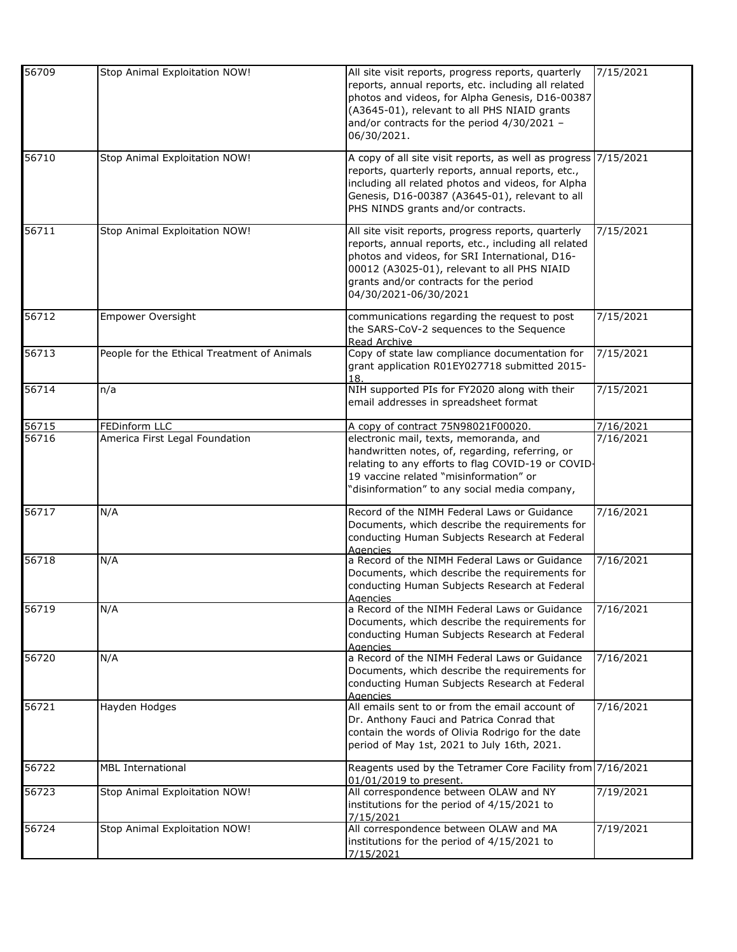| 56709 | Stop Animal Exploitation NOW!               | All site visit reports, progress reports, quarterly<br>reports, annual reports, etc. including all related<br>photos and videos, for Alpha Genesis, D16-00387<br>(A3645-01), relevant to all PHS NIAID grants<br>and/or contracts for the period 4/30/2021 -<br>06/30/2021.     | 7/15/2021 |
|-------|---------------------------------------------|---------------------------------------------------------------------------------------------------------------------------------------------------------------------------------------------------------------------------------------------------------------------------------|-----------|
| 56710 | Stop Animal Exploitation NOW!               | A copy of all site visit reports, as well as progress<br>reports, quarterly reports, annual reports, etc.,<br>including all related photos and videos, for Alpha<br>Genesis, D16-00387 (A3645-01), relevant to all<br>PHS NINDS grants and/or contracts.                        | 7/15/2021 |
| 56711 | Stop Animal Exploitation NOW!               | All site visit reports, progress reports, quarterly<br>reports, annual reports, etc., including all related<br>photos and videos, for SRI International, D16-<br>00012 (A3025-01), relevant to all PHS NIAID<br>grants and/or contracts for the period<br>04/30/2021-06/30/2021 | 7/15/2021 |
| 56712 | <b>Empower Oversight</b>                    | communications regarding the request to post<br>the SARS-CoV-2 sequences to the Sequence<br>Read Archive                                                                                                                                                                        | 7/15/2021 |
| 56713 | People for the Ethical Treatment of Animals | Copy of state law compliance documentation for<br>grant application R01EY027718 submitted 2015-<br>18.                                                                                                                                                                          | 7/15/2021 |
| 56714 | n/a                                         | NIH supported PIs for FY2020 along with their<br>email addresses in spreadsheet format                                                                                                                                                                                          | 7/15/2021 |
| 56715 | FEDinform LLC                               | A copy of contract 75N98021F00020.                                                                                                                                                                                                                                              | 7/16/2021 |
| 56716 | America First Legal Foundation              | electronic mail, texts, memoranda, and<br>handwritten notes, of, regarding, referring, or<br>relating to any efforts to flag COVID-19 or COVID-<br>19 vaccine related "misinformation" or<br>'disinformation" to any social media company,                                      | 7/16/2021 |
| 56717 | N/A                                         | Record of the NIMH Federal Laws or Guidance<br>Documents, which describe the requirements for<br>conducting Human Subjects Research at Federal<br>Agencies                                                                                                                      | 7/16/2021 |
| 56718 | N/A                                         | a Record of the NIMH Federal Laws or Guidance<br>Documents, which describe the requirements for<br>conducting Human Subjects Research at Federal<br>Agencies                                                                                                                    | 7/16/2021 |
| 56719 | N/A                                         | a Record of the NIMH Federal Laws or Guidance<br>Documents, which describe the requirements for<br>conducting Human Subjects Research at Federal<br>Agencies                                                                                                                    | 7/16/2021 |
| 56720 | N/A                                         | a Record of the NIMH Federal Laws or Guidance<br>Documents, which describe the requirements for<br>conducting Human Subjects Research at Federal<br>Agencies                                                                                                                    | 7/16/2021 |
| 56721 | Hayden Hodges                               | All emails sent to or from the email account of<br>Dr. Anthony Fauci and Patrica Conrad that<br>contain the words of Olivia Rodrigo for the date<br>period of May 1st, 2021 to July 16th, 2021.                                                                                 | 7/16/2021 |
| 56722 | <b>MBL International</b>                    | Reagents used by the Tetramer Core Facility from 7/16/2021<br>01/01/2019 to present.                                                                                                                                                                                            |           |
| 56723 | Stop Animal Exploitation NOW!               | All correspondence between OLAW and NY<br>institutions for the period of 4/15/2021 to<br>7/15/2021                                                                                                                                                                              | 7/19/2021 |
| 56724 | Stop Animal Exploitation NOW!               | All correspondence between OLAW and MA<br>institutions for the period of 4/15/2021 to<br>7/15/2021                                                                                                                                                                              | 7/19/2021 |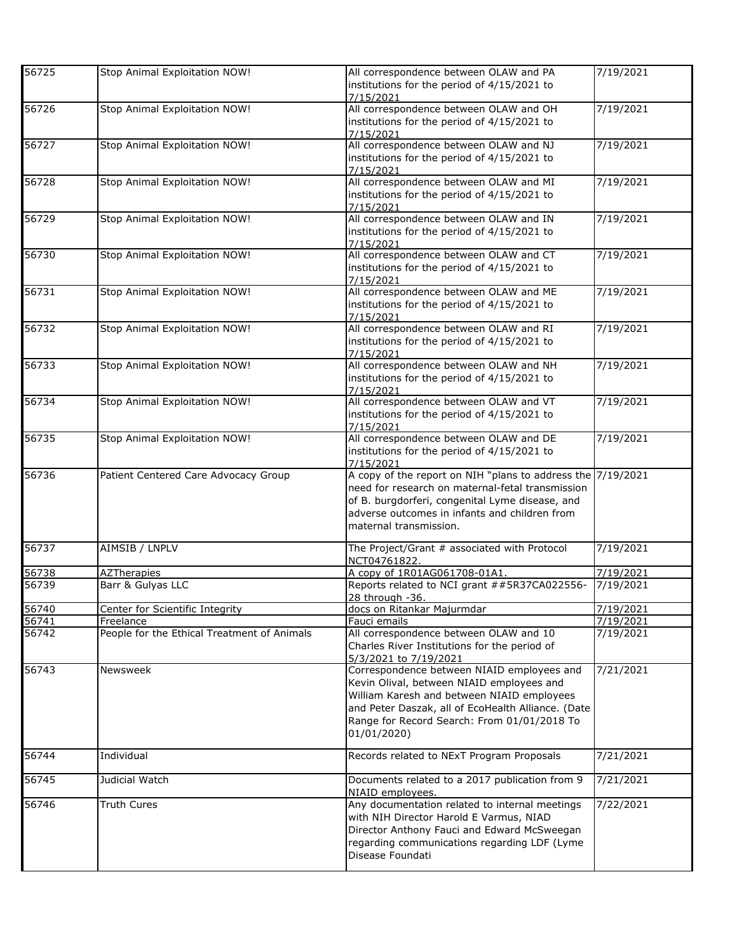| 56725 | Stop Animal Exploitation NOW!               | All correspondence between OLAW and PA<br>institutions for the period of 4/15/2021 to | 7/19/2021 |
|-------|---------------------------------------------|---------------------------------------------------------------------------------------|-----------|
|       |                                             | 7/15/2021                                                                             |           |
| 56726 | Stop Animal Exploitation NOW!               | All correspondence between OLAW and OH                                                | 7/19/2021 |
|       |                                             | institutions for the period of 4/15/2021 to                                           |           |
|       |                                             | 7/15/2021                                                                             |           |
| 56727 | Stop Animal Exploitation NOW!               | All correspondence between OLAW and NJ                                                | 7/19/2021 |
|       |                                             | institutions for the period of 4/15/2021 to                                           |           |
|       |                                             | 7/15/2021                                                                             |           |
| 56728 | Stop Animal Exploitation NOW!               | All correspondence between OLAW and MI                                                | 7/19/2021 |
|       |                                             | institutions for the period of 4/15/2021 to                                           |           |
|       |                                             | 7/15/2021                                                                             |           |
| 56729 | Stop Animal Exploitation NOW!               | All correspondence between OLAW and IN                                                | 7/19/2021 |
|       |                                             | institutions for the period of 4/15/2021 to                                           |           |
|       |                                             | 7/15/2021                                                                             |           |
| 56730 | Stop Animal Exploitation NOW!               | All correspondence between OLAW and CT                                                | 7/19/2021 |
|       |                                             |                                                                                       |           |
|       |                                             | institutions for the period of 4/15/2021 to                                           |           |
|       |                                             | 7/15/2021                                                                             |           |
| 56731 | Stop Animal Exploitation NOW!               | All correspondence between OLAW and ME                                                | 7/19/2021 |
|       |                                             | institutions for the period of 4/15/2021 to                                           |           |
|       |                                             | 7/15/2021                                                                             |           |
| 56732 | Stop Animal Exploitation NOW!               | All correspondence between OLAW and RI                                                | 7/19/2021 |
|       |                                             | institutions for the period of 4/15/2021 to                                           |           |
|       |                                             | 7/15/2021                                                                             |           |
| 56733 | Stop Animal Exploitation NOW!               | All correspondence between OLAW and NH                                                | 7/19/2021 |
|       |                                             | institutions for the period of 4/15/2021 to                                           |           |
|       |                                             | 7/15/2021                                                                             |           |
| 56734 | Stop Animal Exploitation NOW!               | All correspondence between OLAW and VT                                                | 7/19/2021 |
|       |                                             | institutions for the period of 4/15/2021 to                                           |           |
|       |                                             |                                                                                       |           |
| 56735 |                                             | 7/15/2021                                                                             |           |
|       | Stop Animal Exploitation NOW!               | All correspondence between OLAW and DE                                                | 7/19/2021 |
|       |                                             | institutions for the period of 4/15/2021 to                                           |           |
|       |                                             | 7/15/2021                                                                             |           |
| 56736 | Patient Centered Care Advocacy Group        | A copy of the report on NIH "plans to address the 7/19/2021                           |           |
|       |                                             | need for research on maternal-fetal transmission                                      |           |
|       |                                             | of B. burgdorferi, congenital Lyme disease, and                                       |           |
|       |                                             | adverse outcomes in infants and children from                                         |           |
|       |                                             | maternal transmission.                                                                |           |
|       |                                             |                                                                                       |           |
| 56737 | AIMSIB / LNPLV                              | The Project/Grant # associated with Protocol                                          | 7/19/2021 |
|       |                                             | NCT04761822.                                                                          |           |
| 56738 | <b>AZTherapies</b>                          | A copy of 1R01AG061708-01A1.                                                          | 7/19/2021 |
| 56739 | Barr & Gulyas LLC                           | Reports related to NCI grant ##5R37CA022556-                                          | 7/19/2021 |
|       |                                             | 28 through -36.                                                                       |           |
| 56740 | Center for Scientific Integrity             | docs on Ritankar Majurmdar                                                            | 7/19/2021 |
| 56741 | Freelance                                   | Fauci emails                                                                          | 7/19/2021 |
| 56742 | People for the Ethical Treatment of Animals | All correspondence between OLAW and 10                                                | 7/19/2021 |
|       |                                             |                                                                                       |           |
|       |                                             | Charles River Institutions for the period of                                          |           |
|       |                                             | 5/3/2021 to 7/19/2021                                                                 |           |
| 56743 | Newsweek                                    | Correspondence between NIAID employees and                                            | 7/21/2021 |
|       |                                             | Kevin Olival, between NIAID employees and                                             |           |
|       |                                             | William Karesh and between NIAID employees                                            |           |
|       |                                             | and Peter Daszak, all of EcoHealth Alliance. (Date                                    |           |
|       |                                             | Range for Record Search: From 01/01/2018 To                                           |           |
|       |                                             | 01/01/2020)                                                                           |           |
|       |                                             |                                                                                       |           |
| 56744 | Individual                                  | Records related to NExT Program Proposals                                             | 7/21/2021 |
|       |                                             |                                                                                       |           |
| 56745 | Judicial Watch                              | Documents related to a 2017 publication from 9                                        | 7/21/2021 |
|       |                                             | NIAID employees.                                                                      |           |
| 56746 | <b>Truth Cures</b>                          | Any documentation related to internal meetings                                        | 7/22/2021 |
|       |                                             | with NIH Director Harold E Varmus, NIAD                                               |           |
|       |                                             | Director Anthony Fauci and Edward McSweegan                                           |           |
|       |                                             |                                                                                       |           |
|       |                                             | regarding communications regarding LDF (Lyme                                          |           |
|       |                                             |                                                                                       |           |
|       |                                             | Disease Foundati                                                                      |           |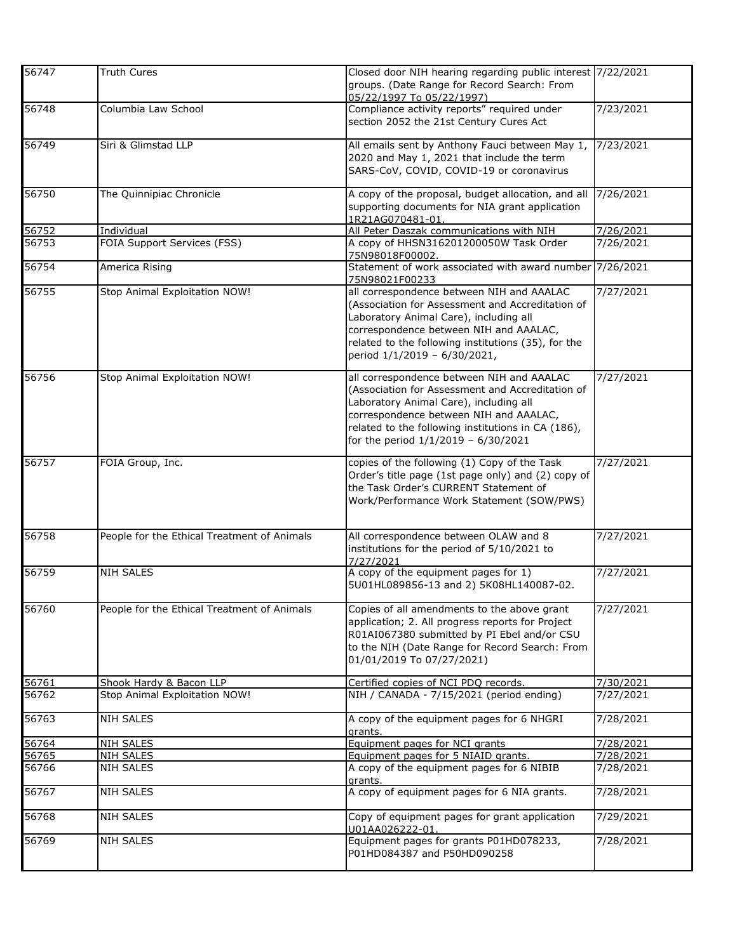| 56747 | <b>Truth Cures</b>                          | Closed door NIH hearing regarding public interest 7/22/2021<br>groups. (Date Range for Record Search: From<br>05/22/1997 To 05/22/1997)                                                                                                                                        |           |
|-------|---------------------------------------------|--------------------------------------------------------------------------------------------------------------------------------------------------------------------------------------------------------------------------------------------------------------------------------|-----------|
| 56748 | Columbia Law School                         | Compliance activity reports" required under<br>section 2052 the 21st Century Cures Act                                                                                                                                                                                         | 7/23/2021 |
| 56749 | Siri & Glimstad LLP                         | All emails sent by Anthony Fauci between May 1,<br>2020 and May 1, 2021 that include the term<br>SARS-CoV, COVID, COVID-19 or coronavirus                                                                                                                                      | 7/23/2021 |
| 56750 | The Quinnipiac Chronicle                    | A copy of the proposal, budget allocation, and all<br>supporting documents for NIA grant application<br>1R21AG070481-01.                                                                                                                                                       | 7/26/2021 |
| 56752 | Individual                                  | All Peter Daszak communications with NIH                                                                                                                                                                                                                                       | 7/26/2021 |
| 56753 | FOIA Support Services (FSS)                 | A copy of HHSN316201200050W Task Order<br>75N98018F00002.                                                                                                                                                                                                                      | 7/26/2021 |
| 56754 | America Rising                              | Statement of work associated with award number 7/26/2021<br>75N98021F00233                                                                                                                                                                                                     |           |
| 56755 | Stop Animal Exploitation NOW!               | all correspondence between NIH and AAALAC<br>(Association for Assessment and Accreditation of<br>Laboratory Animal Care), including all<br>correspondence between NIH and AAALAC,<br>related to the following institutions (35), for the<br>period 1/1/2019 - 6/30/2021,       | 7/27/2021 |
| 56756 | Stop Animal Exploitation NOW!               | all correspondence between NIH and AAALAC<br>(Association for Assessment and Accreditation of<br>Laboratory Animal Care), including all<br>correspondence between NIH and AAALAC,<br>related to the following institutions in CA (186),<br>for the period 1/1/2019 - 6/30/2021 | 7/27/2021 |
| 56757 | FOIA Group, Inc.                            | copies of the following (1) Copy of the Task<br>Order's title page (1st page only) and (2) copy of<br>the Task Order's CURRENT Statement of<br>Work/Performance Work Statement (SOW/PWS)                                                                                       | 7/27/2021 |
| 56758 | People for the Ethical Treatment of Animals | All correspondence between OLAW and 8<br>institutions for the period of 5/10/2021 to<br>7/27/2021                                                                                                                                                                              | 7/27/2021 |
| 56759 | <b>NIH SALES</b>                            | A copy of the equipment pages for 1)<br>5U01HL089856-13 and 2) 5K08HL140087-02.                                                                                                                                                                                                | 7/27/2021 |
| 56760 | People for the Ethical Treatment of Animals | Copies of all amendments to the above grant<br>application; 2. All progress reports for Project<br>R01AI067380 submitted by PI Ebel and/or CSU<br>to the NIH (Date Range for Record Search: From<br>01/01/2019 To 07/27/2021)                                                  | 7/27/2021 |
| 56761 | Shook Hardy & Bacon LLP                     | Certified copies of NCI PDQ records.                                                                                                                                                                                                                                           | 7/30/2021 |
| 56762 | Stop Animal Exploitation NOW!               | NIH / CANADA - 7/15/2021 (period ending)                                                                                                                                                                                                                                       | 7/27/2021 |
| 56763 | <b>NIH SALES</b>                            | A copy of the equipment pages for 6 NHGRI<br>grants.                                                                                                                                                                                                                           | 7/28/2021 |
| 56764 | <b>NIH SALES</b>                            | Equipment pages for NCI grants                                                                                                                                                                                                                                                 | 7/28/2021 |
| 56765 | <b>NIH SALES</b>                            | Equipment pages for 5 NIAID grants.                                                                                                                                                                                                                                            | 7/28/2021 |
| 56766 | <b>NIH SALES</b>                            | A copy of the equipment pages for 6 NIBIB<br>grants.                                                                                                                                                                                                                           | 7/28/2021 |
| 56767 | <b>NIH SALES</b>                            | A copy of equipment pages for 6 NIA grants.                                                                                                                                                                                                                                    | 7/28/2021 |
| 56768 | <b>NIH SALES</b>                            | Copy of equipment pages for grant application<br>U01AA026222-01.                                                                                                                                                                                                               | 7/29/2021 |
| 56769 | <b>NIH SALES</b>                            | Equipment pages for grants P01HD078233,<br>P01HD084387 and P50HD090258                                                                                                                                                                                                         | 7/28/2021 |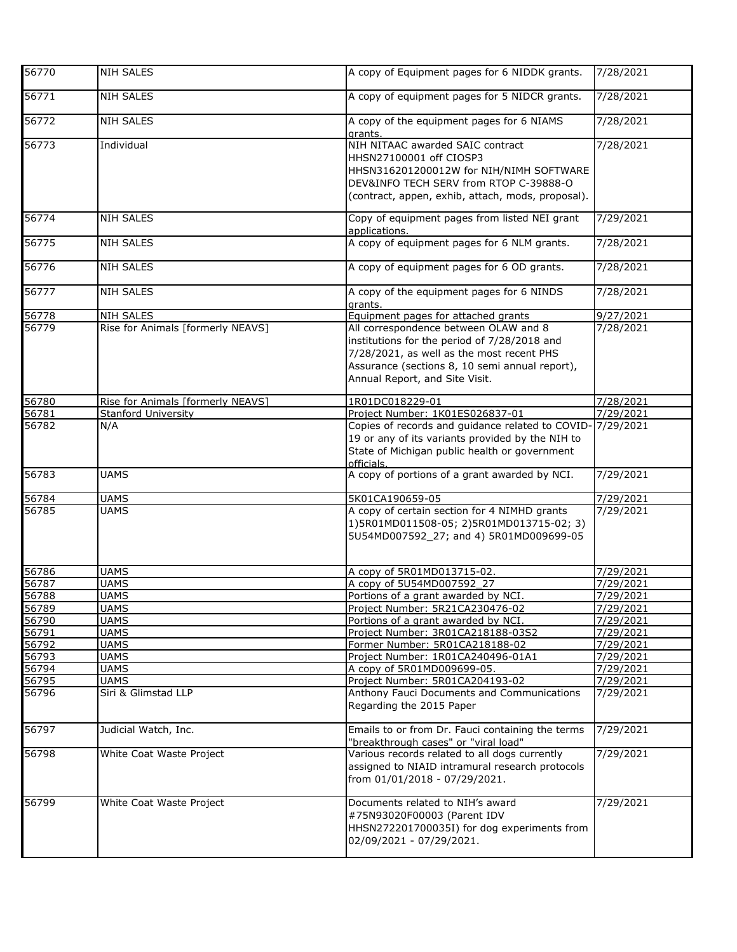| 56770              | NIH SALES                         | A copy of Equipment pages for 6 NIDDK grants.                                                                                                                                                                          | 7/28/2021 |
|--------------------|-----------------------------------|------------------------------------------------------------------------------------------------------------------------------------------------------------------------------------------------------------------------|-----------|
| 56771              | <b>NIH SALES</b>                  | A copy of equipment pages for 5 NIDCR grants.                                                                                                                                                                          | 7/28/2021 |
| 56772              | <b>NIH SALES</b>                  | A copy of the equipment pages for 6 NIAMS<br>grants.                                                                                                                                                                   | 7/28/2021 |
| $\overline{5677}3$ | Individual                        | NIH NITAAC awarded SAIC contract<br>HHSN27100001 off CIOSP3<br>HHSN316201200012W for NIH/NIMH SOFTWARE<br>DEV&INFO TECH SERV from RTOP C-39888-O<br>(contract, appen, exhib, attach, mods, proposal).                  | 7/28/2021 |
| 56774              | <b>NIH SALES</b>                  | Copy of equipment pages from listed NEI grant<br>applications.                                                                                                                                                         | 7/29/2021 |
| 56775              | <b>NIH SALES</b>                  | A copy of equipment pages for 6 NLM grants.                                                                                                                                                                            | 7/28/2021 |
| 56776              | <b>NIH SALES</b>                  | A copy of equipment pages for 6 OD grants.                                                                                                                                                                             | 7/28/2021 |
| 56777              | <b>NIH SALES</b>                  | A copy of the equipment pages for 6 NINDS<br>grants.                                                                                                                                                                   | 7/28/2021 |
| 56778              | <b>NIH SALES</b>                  | Equipment pages for attached grants                                                                                                                                                                                    | 9/27/2021 |
| 56779              | Rise for Animals [formerly NEAVS] | All correspondence between OLAW and 8<br>institutions for the period of 7/28/2018 and<br>7/28/2021, as well as the most recent PHS<br>Assurance (sections 8, 10 semi annual report),<br>Annual Report, and Site Visit. | 7/28/2021 |
| 56780              | Rise for Animals [formerly NEAVS] | 1R01DC018229-01                                                                                                                                                                                                        | 7/28/2021 |
| 56781              | <b>Stanford University</b>        | Project Number: 1K01ES026837-01                                                                                                                                                                                        | 7/29/2021 |
| 56782              | N/A                               | Copies of records and guidance related to COVID-<br>19 or any of its variants provided by the NIH to<br>State of Michigan public health or government<br>officials.                                                    | 7/29/2021 |
| 56783              | <b>UAMS</b>                       | A copy of portions of a grant awarded by NCI.                                                                                                                                                                          | 7/29/2021 |
| 56784              | <b>UAMS</b>                       | 5K01CA190659-05                                                                                                                                                                                                        | 7/29/2021 |
| 56785              | <b>UAMS</b>                       | A copy of certain section for 4 NIMHD grants<br>1)5R01MD011508-05; 2)5R01MD013715-02; 3)<br>5U54MD007592_27; and 4) 5R01MD009699-05                                                                                    | 7/29/2021 |
| 56786              | <b>UAMS</b>                       | A copy of 5R01MD013715-02.                                                                                                                                                                                             | 7/29/2021 |
| 56787              | <b>UAMS</b>                       | A copy of 5U54MD007592 27                                                                                                                                                                                              | 7/29/2021 |
| 56788              | <b>UAMS</b>                       | Portions of a grant awarded by NCI.                                                                                                                                                                                    | 7/29/2021 |
| 56789              | <b>UAMS</b>                       | Project Number: 5R21CA230476-02                                                                                                                                                                                        | 7/29/2021 |
| 56790              | <b>UAMS</b>                       | Portions of a grant awarded by NCI.                                                                                                                                                                                    | 7/29/2021 |
| 56791              | <b>UAMS</b>                       |                                                                                                                                                                                                                        |           |
|                    |                                   | Project Number: 3R01CA218188-03S2                                                                                                                                                                                      | 7/29/2021 |
| 56792              | <b>UAMS</b>                       | Former Number: 5R01CA218188-02                                                                                                                                                                                         | 7/29/2021 |
| 56793              | <b>UAMS</b>                       | Project Number: 1R01CA240496-01A1                                                                                                                                                                                      | 7/29/2021 |
| 56794              | <b>UAMS</b>                       | A copy of 5R01MD009699-05.                                                                                                                                                                                             | 7/29/2021 |
| 56795              | <b>UAMS</b>                       | Project Number: 5R01CA204193-02                                                                                                                                                                                        | 7/29/2021 |
| 56796              | Siri & Glimstad LLP               | Anthony Fauci Documents and Communications<br>Regarding the 2015 Paper                                                                                                                                                 | 7/29/2021 |
| 56797              | Judicial Watch, Inc.              | Emails to or from Dr. Fauci containing the terms<br>"breakthrough cases" or "viral load"                                                                                                                               | 7/29/2021 |
| 56798              | White Coat Waste Project          | Various records related to all dogs currently<br>assigned to NIAID intramural research protocols<br>from 01/01/2018 - 07/29/2021.                                                                                      | 7/29/2021 |
| 56799              | White Coat Waste Project          | Documents related to NIH's award<br>#75N93020F00003 (Parent IDV<br>HHSN272201700035I) for dog experiments from<br>02/09/2021 - 07/29/2021.                                                                             | 7/29/2021 |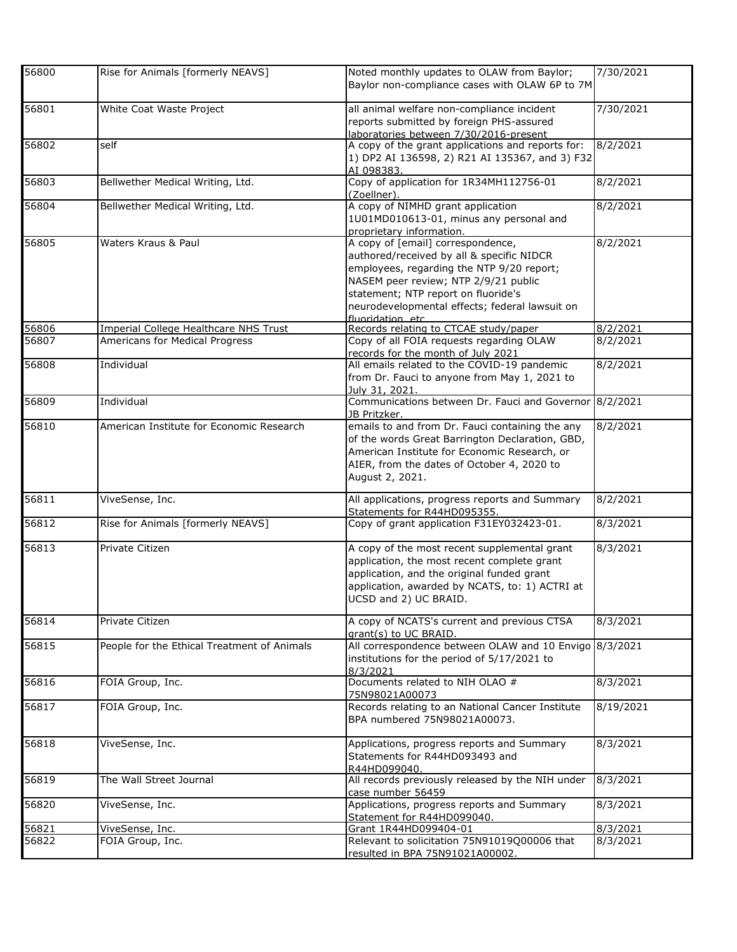| 56800 | Rise for Animals [formerly NEAVS]           | Noted monthly updates to OLAW from Baylor;<br>Baylor non-compliance cases with OLAW 6P to 7M                                                                                                                                                                                      | 7/30/2021 |
|-------|---------------------------------------------|-----------------------------------------------------------------------------------------------------------------------------------------------------------------------------------------------------------------------------------------------------------------------------------|-----------|
| 56801 | White Coat Waste Project                    | all animal welfare non-compliance incident<br>reports submitted by foreign PHS-assured<br>laboratories between 7/30/2016-present                                                                                                                                                  | 7/30/2021 |
| 56802 | self                                        | A copy of the grant applications and reports for:<br>1) DP2 AI 136598, 2) R21 AI 135367, and 3) F32<br>AI 098383.                                                                                                                                                                 | 8/2/2021  |
| 56803 | Bellwether Medical Writing, Ltd.            | Copy of application for 1R34MH112756-01<br>(Zoellner).                                                                                                                                                                                                                            | 8/2/2021  |
| 56804 | Bellwether Medical Writing, Ltd.            | A copy of NIMHD grant application<br>1U01MD010613-01, minus any personal and<br>proprietary information.                                                                                                                                                                          | 8/2/2021  |
| 56805 | Waters Kraus & Paul                         | A copy of [email] correspondence,<br>authored/received by all & specific NIDCR<br>employees, regarding the NTP 9/20 report;<br>NASEM peer review; NTP 2/9/21 public<br>statement; NTP report on fluoride's<br>neurodevelopmental effects; federal lawsuit on<br>fluoridation etc. | 8/2/2021  |
| 56806 | Imperial College Healthcare NHS Trust       | Records relating to CTCAE study/paper                                                                                                                                                                                                                                             | 8/2/2021  |
| 56807 | Americans for Medical Progress              | Copy of all FOIA requests regarding OLAW<br>records for the month of July 2021                                                                                                                                                                                                    | 8/2/2021  |
| 56808 | Individual                                  | All emails related to the COVID-19 pandemic<br>from Dr. Fauci to anyone from May 1, 2021 to<br>July 31, 2021.                                                                                                                                                                     | 8/2/2021  |
| 56809 | Individual                                  | Communications between Dr. Fauci and Governor 8/2/2021<br>JB Pritzker.                                                                                                                                                                                                            |           |
| 56810 | American Institute for Economic Research    | emails to and from Dr. Fauci containing the any<br>of the words Great Barrington Declaration, GBD,<br>American Institute for Economic Research, or<br>AIER, from the dates of October 4, 2020 to<br>August 2, 2021.                                                               | 8/2/2021  |
| 56811 | ViveSense, Inc.                             | All applications, progress reports and Summary<br>Statements for R44HD095355.                                                                                                                                                                                                     | 8/2/2021  |
| 56812 | Rise for Animals [formerly NEAVS]           | Copy of grant application F31EY032423-01.                                                                                                                                                                                                                                         | 8/3/2021  |
| 56813 | Private Citizen                             | A copy of the most recent supplemental grant<br>application, the most recent complete grant<br>application, and the original funded grant<br>application, awarded by NCATS, to: 1) ACTRI at<br>UCSD and 2) UC BRAID.                                                              | 8/3/2021  |
| 56814 | Private Citizen                             | A copy of NCATS's current and previous CTSA<br>grant(s) to UC BRAID.                                                                                                                                                                                                              | 8/3/2021  |
| 56815 | People for the Ethical Treatment of Animals | All correspondence between OLAW and 10 Envigo 8/3/2021<br>institutions for the period of 5/17/2021 to<br>8/3/2021                                                                                                                                                                 |           |
| 56816 | FOIA Group, Inc.                            | Documents related to NIH OLAO #<br>75N98021A00073                                                                                                                                                                                                                                 | 8/3/2021  |
| 56817 | FOIA Group, Inc.                            | Records relating to an National Cancer Institute<br>BPA numbered 75N98021A00073.                                                                                                                                                                                                  | 8/19/2021 |
| 56818 | ViveSense, Inc.                             | Applications, progress reports and Summary<br>Statements for R44HD093493 and<br>R44HD099040.                                                                                                                                                                                      | 8/3/2021  |
| 56819 | The Wall Street Journal                     | All records previously released by the NIH under<br>case number 56459                                                                                                                                                                                                             | 8/3/2021  |
| 56820 | ViveSense, Inc.                             | Applications, progress reports and Summary<br>Statement for R44HD099040.                                                                                                                                                                                                          | 8/3/2021  |
| 56821 | ViveSense, Inc.                             | Grant 1R44HD099404-01                                                                                                                                                                                                                                                             | 8/3/2021  |
| 56822 | FOIA Group, Inc.                            | Relevant to solicitation 75N91019Q00006 that<br>resulted in BPA 75N91021A00002.                                                                                                                                                                                                   | 8/3/2021  |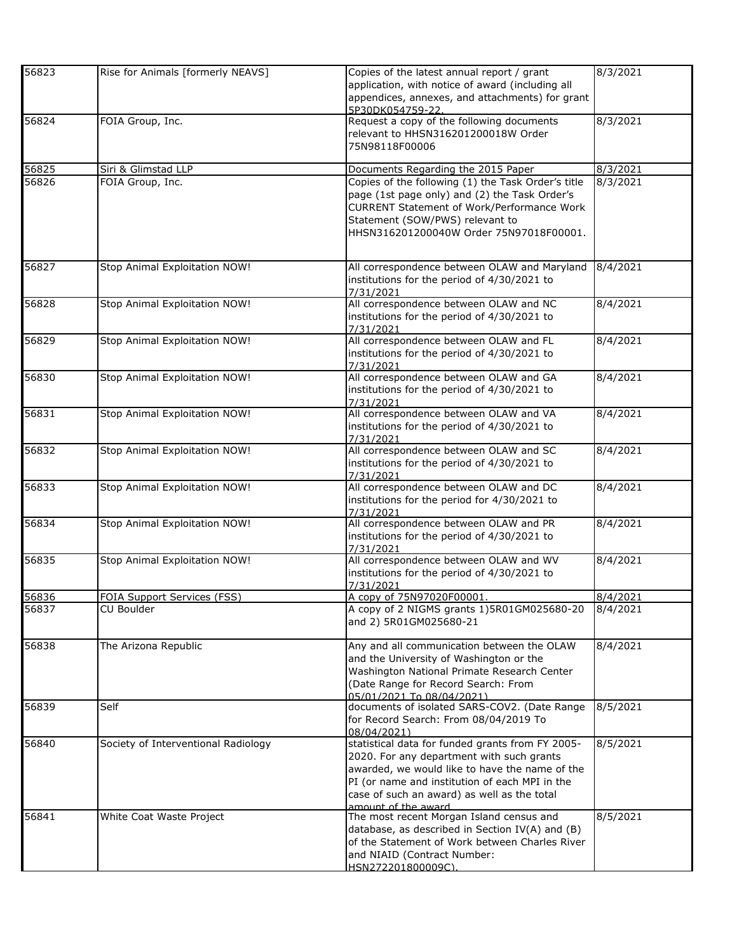| 56823 | Rise for Animals [formerly NEAVS]   | Copies of the latest annual report / grant<br>application, with notice of award (including all<br>appendices, annexes, and attachments) for grant                                                                                                                        | 8/3/2021 |
|-------|-------------------------------------|--------------------------------------------------------------------------------------------------------------------------------------------------------------------------------------------------------------------------------------------------------------------------|----------|
| 56824 | FOIA Group, Inc.                    | 5P30DK054759-22<br>Request a copy of the following documents<br>relevant to HHSN316201200018W Order                                                                                                                                                                      | 8/3/2021 |
|       |                                     | 75N98118F00006                                                                                                                                                                                                                                                           |          |
| 56825 | Siri & Glimstad LLP                 | Documents Regarding the 2015 Paper                                                                                                                                                                                                                                       | 8/3/2021 |
| 56826 | FOIA Group, Inc.                    | Copies of the following (1) the Task Order's title<br>page (1st page only) and (2) the Task Order's<br><b>CURRENT Statement of Work/Performance Work</b><br>Statement (SOW/PWS) relevant to<br>HHSN316201200040W Order 75N97018F00001.                                   | 8/3/2021 |
| 56827 | Stop Animal Exploitation NOW!       | All correspondence between OLAW and Maryland<br>institutions for the period of 4/30/2021 to<br>7/31/2021                                                                                                                                                                 | 8/4/2021 |
| 56828 | Stop Animal Exploitation NOW!       | All correspondence between OLAW and NC<br>institutions for the period of 4/30/2021 to<br>7/31/2021                                                                                                                                                                       | 8/4/2021 |
| 56829 | Stop Animal Exploitation NOW!       | All correspondence between OLAW and FL<br>institutions for the period of 4/30/2021 to<br>7/31/2021                                                                                                                                                                       | 8/4/2021 |
| 56830 | Stop Animal Exploitation NOW!       | All correspondence between OLAW and GA<br>institutions for the period of 4/30/2021 to<br>7/31/2021                                                                                                                                                                       | 8/4/2021 |
| 56831 | Stop Animal Exploitation NOW!       | All correspondence between OLAW and VA<br>institutions for the period of 4/30/2021 to<br>7/31/2021                                                                                                                                                                       | 8/4/2021 |
| 56832 | Stop Animal Exploitation NOW!       | All correspondence between OLAW and SC<br>institutions for the period of 4/30/2021 to<br>7/31/2021                                                                                                                                                                       | 8/4/2021 |
| 56833 | Stop Animal Exploitation NOW!       | All correspondence between OLAW and DC<br>institutions for the period for 4/30/2021 to<br>7/31/2021                                                                                                                                                                      | 8/4/2021 |
| 56834 | Stop Animal Exploitation NOW!       | All correspondence between OLAW and PR<br>institutions for the period of 4/30/2021 to<br>7/31/2021                                                                                                                                                                       | 8/4/2021 |
| 56835 | Stop Animal Exploitation NOW!       | All correspondence between OLAW and WV<br>institutions for the period of 4/30/2021 to<br>7/31/2021                                                                                                                                                                       | 8/4/2021 |
| 56836 | FOIA Support Services (FSS)         | A copy of 75N97020F00001.                                                                                                                                                                                                                                                | 8/4/2021 |
| 56837 | CU Boulder                          | A copy of 2 NIGMS grants 1)5R01GM025680-20<br>and 2) 5R01GM025680-21                                                                                                                                                                                                     | 8/4/2021 |
| 56838 | The Arizona Republic                | Any and all communication between the OLAW<br>and the University of Washington or the<br>Washington National Primate Research Center<br>(Date Range for Record Search: From<br>05/01/2021 To 08/04/2021)                                                                 | 8/4/2021 |
| 56839 | Self                                | documents of isolated SARS-COV2. (Date Range<br>for Record Search: From 08/04/2019 To<br>08/04/2021)                                                                                                                                                                     | 8/5/2021 |
| 56840 | Society of Interventional Radiology | statistical data for funded grants from FY 2005-<br>2020. For any department with such grants<br>awarded, we would like to have the name of the<br>PI (or name and institution of each MPI in the<br>case of such an award) as well as the total<br>amount of the award. | 8/5/2021 |
| 56841 | White Coat Waste Project            | The most recent Morgan Island census and<br>database, as described in Section IV(A) and (B)<br>of the Statement of Work between Charles River<br>and NIAID (Contract Number:<br>HSN272201800009C).                                                                       | 8/5/2021 |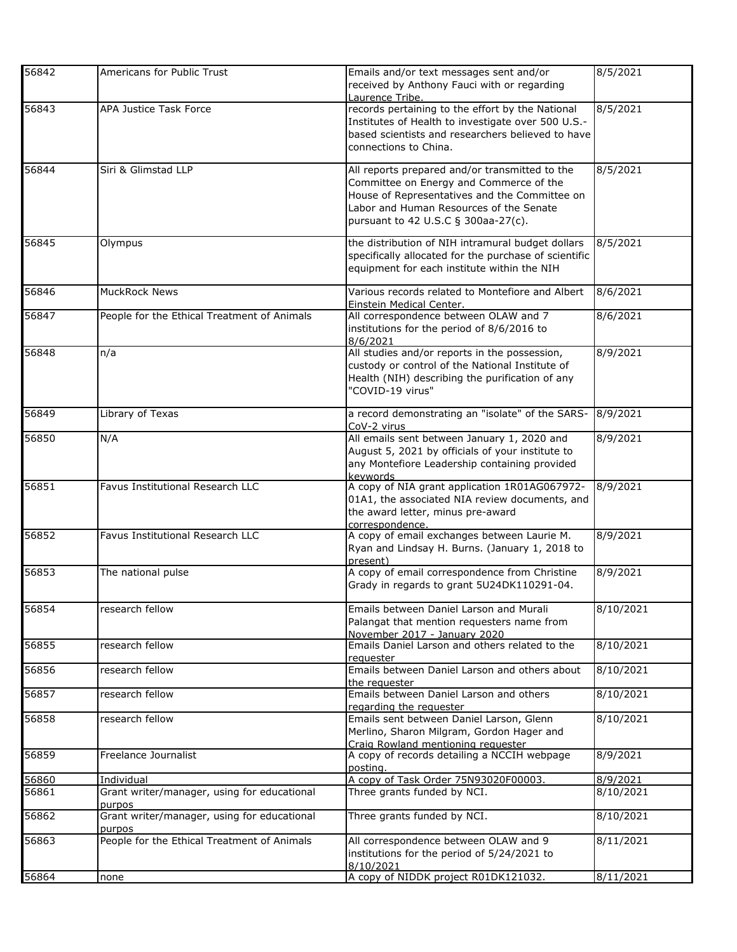| 56842 | Americans for Public Trust                            | Emails and/or text messages sent and/or<br>received by Anthony Fauci with or regarding                                                                                                                                       | 8/5/2021  |
|-------|-------------------------------------------------------|------------------------------------------------------------------------------------------------------------------------------------------------------------------------------------------------------------------------------|-----------|
| 56843 | APA Justice Task Force                                | Laurence Tribe.<br>records pertaining to the effort by the National<br>Institutes of Health to investigate over 500 U.S.-<br>based scientists and researchers believed to have<br>connections to China.                      | 8/5/2021  |
| 56844 | Siri & Glimstad LLP                                   | All reports prepared and/or transmitted to the<br>Committee on Energy and Commerce of the<br>House of Representatives and the Committee on<br>Labor and Human Resources of the Senate<br>pursuant to 42 U.S.C § 300aa-27(c). | 8/5/2021  |
| 56845 | Olympus                                               | the distribution of NIH intramural budget dollars<br>specifically allocated for the purchase of scientific<br>equipment for each institute within the NIH                                                                    | 8/5/2021  |
| 56846 | <b>MuckRock News</b>                                  | Various records related to Montefiore and Albert<br>Einstein Medical Center.                                                                                                                                                 | 8/6/2021  |
| 56847 | People for the Ethical Treatment of Animals           | All correspondence between OLAW and 7<br>institutions for the period of 8/6/2016 to<br>8/6/2021                                                                                                                              | 8/6/2021  |
| 56848 | n/a                                                   | All studies and/or reports in the possession,<br>custody or control of the National Institute of<br>Health (NIH) describing the purification of any<br>"COVID-19 virus"                                                      | 8/9/2021  |
| 56849 | Library of Texas                                      | a record demonstrating an "isolate" of the SARS-<br>CoV-2 virus                                                                                                                                                              | 8/9/2021  |
| 56850 | N/A                                                   | All emails sent between January 1, 2020 and<br>August 5, 2021 by officials of your institute to<br>any Montefiore Leadership containing provided<br>kevwords                                                                 | 8/9/2021  |
| 56851 | Favus Institutional Research LLC                      | A copy of NIA grant application 1R01AG067972-<br>01A1, the associated NIA review documents, and<br>the award letter, minus pre-award<br>correspondence.                                                                      | 8/9/2021  |
| 56852 | Favus Institutional Research LLC                      | A copy of email exchanges between Laurie M.<br>Ryan and Lindsay H. Burns. (January 1, 2018 to<br>present)                                                                                                                    | 8/9/2021  |
| 56853 | The national pulse                                    | A copy of email correspondence from Christine<br>Grady in regards to grant 5U24DK110291-04.                                                                                                                                  | 8/9/2021  |
| 56854 | research fellow                                       | Emails between Daniel Larson and Murali<br>Palangat that mention requesters name from<br>November 2017 - January 2020                                                                                                        | 8/10/2021 |
| 56855 | research fellow                                       | Emails Daniel Larson and others related to the<br>requester                                                                                                                                                                  | 8/10/2021 |
| 56856 | research fellow                                       | Emails between Daniel Larson and others about<br>the reauester                                                                                                                                                               | 8/10/2021 |
| 56857 | research fellow                                       | Emails between Daniel Larson and others<br>regarding the requester                                                                                                                                                           | 8/10/2021 |
| 56858 | research fellow                                       | Emails sent between Daniel Larson, Glenn<br>Merlino, Sharon Milgram, Gordon Hager and<br>Craig Rowland mentioning requester                                                                                                  | 8/10/2021 |
| 56859 | Freelance Journalist                                  | A copy of records detailing a NCCIH webpage<br>posting.                                                                                                                                                                      | 8/9/2021  |
| 56860 | Individual                                            | A copy of Task Order 75N93020F00003.                                                                                                                                                                                         | 8/9/2021  |
| 56861 | Grant writer/manager, using for educational<br>purpos | Three grants funded by NCI.                                                                                                                                                                                                  | 8/10/2021 |
| 56862 | Grant writer/manager, using for educational<br>purpos | Three grants funded by NCI.                                                                                                                                                                                                  | 8/10/2021 |
| 56863 | People for the Ethical Treatment of Animals           | All correspondence between OLAW and 9<br>institutions for the period of 5/24/2021 to<br>8/10/2021                                                                                                                            | 8/11/2021 |
| 56864 | none                                                  | A copy of NIDDK project R01DK121032.                                                                                                                                                                                         | 8/11/2021 |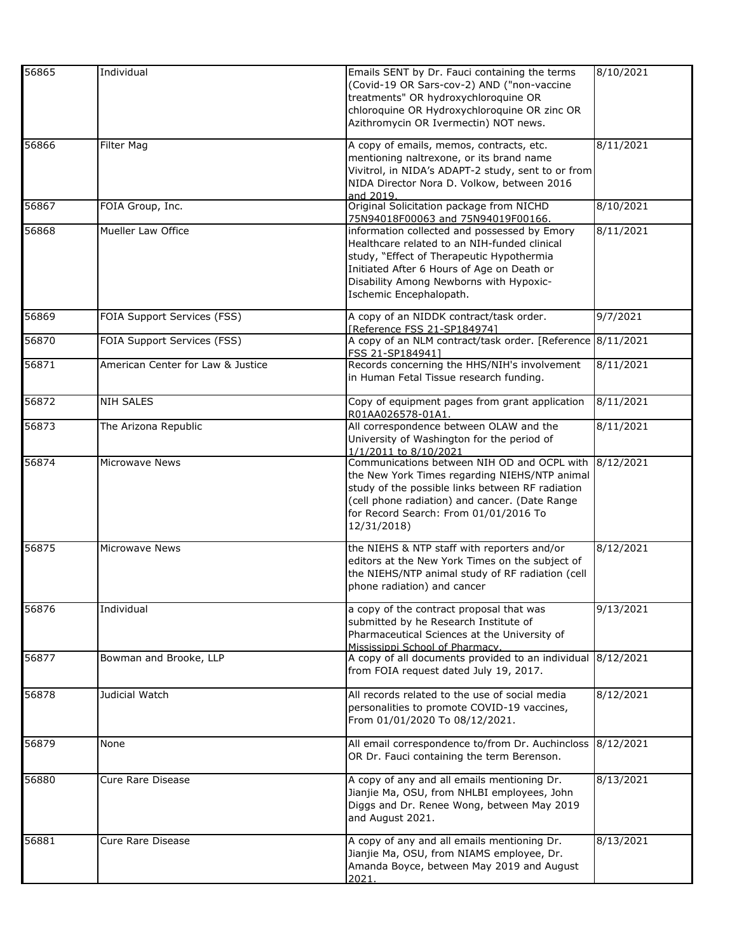| 56865 | Individual                        | Emails SENT by Dr. Fauci containing the terms<br>(Covid-19 OR Sars-cov-2) AND ("non-vaccine<br>treatments" OR hydroxychloroquine OR<br>chloroquine OR Hydroxychloroquine OR zinc OR<br>Azithromycin OR Ivermectin) NOT news.                                  | 8/10/2021 |
|-------|-----------------------------------|---------------------------------------------------------------------------------------------------------------------------------------------------------------------------------------------------------------------------------------------------------------|-----------|
| 56866 | Filter Mag                        | A copy of emails, memos, contracts, etc.<br>mentioning naltrexone, or its brand name<br>Vivitrol, in NIDA's ADAPT-2 study, sent to or from<br>NIDA Director Nora D. Volkow, between 2016<br>and 2019                                                          | 8/11/2021 |
| 56867 | FOIA Group, Inc.                  | Original Solicitation package from NICHD<br>75N94018F00063 and 75N94019F00166.                                                                                                                                                                                | 8/10/2021 |
| 56868 | Mueller Law Office                | information collected and possessed by Emory<br>Healthcare related to an NIH-funded clinical<br>study, "Effect of Therapeutic Hypothermia<br>Initiated After 6 Hours of Age on Death or<br>Disability Among Newborns with Hypoxic-<br>Ischemic Encephalopath. | 8/11/2021 |
| 56869 | FOIA Support Services (FSS)       | A copy of an NIDDK contract/task order.<br>[Reference FSS 21-SP184974]                                                                                                                                                                                        | 9/7/2021  |
| 56870 | FOIA Support Services (FSS)       | A copy of an NLM contract/task order. [Reference 8/11/2021<br>FSS 21-SP184941]                                                                                                                                                                                |           |
| 56871 | American Center for Law & Justice | Records concerning the HHS/NIH's involvement<br>in Human Fetal Tissue research funding.                                                                                                                                                                       | 8/11/2021 |
| 56872 | <b>NIH SALES</b>                  | Copy of equipment pages from grant application<br>R01AA026578-01A1.                                                                                                                                                                                           | 8/11/2021 |
| 56873 | The Arizona Republic              | All correspondence between OLAW and the<br>University of Washington for the period of<br>1/1/2011 to 8/10/2021                                                                                                                                                | 8/11/2021 |
| 56874 | <b>Microwave News</b>             | Communications between NIH OD and OCPL with<br>the New York Times regarding NIEHS/NTP animal<br>study of the possible links between RF radiation<br>(cell phone radiation) and cancer. (Date Range<br>for Record Search: From 01/01/2016 To<br>12/31/2018)    | 8/12/2021 |
| 56875 | <b>Microwave News</b>             | the NIEHS & NTP staff with reporters and/or<br>editors at the New York Times on the subject of<br>the NIEHS/NTP animal study of RF radiation (cell<br>phone radiation) and cancer                                                                             | 8/12/2021 |
| 56876 | Individual                        | a copy of the contract proposal that was<br>submitted by he Research Institute of<br>Pharmaceutical Sciences at the University of<br>Mississippi School of Pharmacy.                                                                                          | 9/13/2021 |
| 56877 | Bowman and Brooke, LLP            | A copy of all documents provided to an individual 8/12/2021<br>from FOIA request dated July 19, 2017.                                                                                                                                                         |           |
| 56878 | Judicial Watch                    | All records related to the use of social media<br>personalities to promote COVID-19 vaccines,<br>From 01/01/2020 To 08/12/2021.                                                                                                                               | 8/12/2021 |
| 56879 | None                              | All email correspondence to/from Dr. Auchincloss<br>OR Dr. Fauci containing the term Berenson.                                                                                                                                                                | 8/12/2021 |
| 56880 | Cure Rare Disease                 | A copy of any and all emails mentioning Dr.<br>Jianjie Ma, OSU, from NHLBI employees, John<br>Diggs and Dr. Renee Wong, between May 2019<br>and August 2021.                                                                                                  | 8/13/2021 |
| 56881 | Cure Rare Disease                 | A copy of any and all emails mentioning Dr.<br>Jianjie Ma, OSU, from NIAMS employee, Dr.<br>Amanda Boyce, between May 2019 and August<br>2021.                                                                                                                | 8/13/2021 |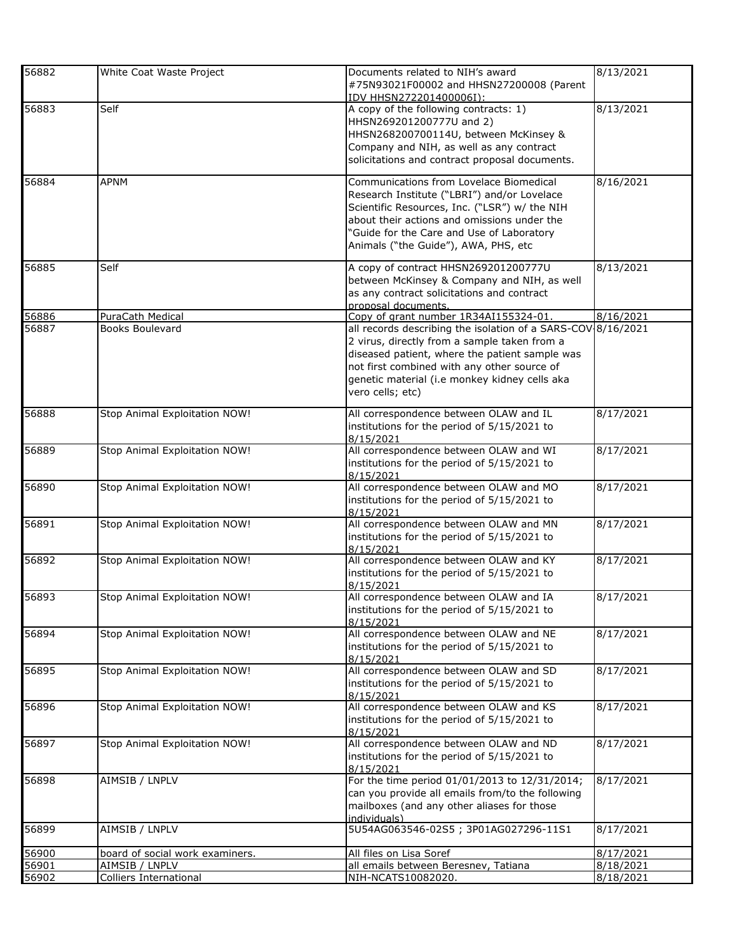| 56882          | White Coat Waste Project                        | Documents related to NIH's award                                                                      | 8/13/2021              |
|----------------|-------------------------------------------------|-------------------------------------------------------------------------------------------------------|------------------------|
|                |                                                 | #75N93021F00002 and HHSN27200008 (Parent<br>IDV HHSN272201400006I):                                   |                        |
| 56883          | Self                                            | A copy of the following contracts: 1)                                                                 | 8/13/2021              |
|                |                                                 | HHSN269201200777U and 2)                                                                              |                        |
|                |                                                 | HHSN268200700114U, between McKinsey &                                                                 |                        |
|                |                                                 | Company and NIH, as well as any contract<br>solicitations and contract proposal documents.            |                        |
|                |                                                 |                                                                                                       |                        |
| 56884          | <b>APNM</b>                                     | Communications from Lovelace Biomedical                                                               | 8/16/2021              |
|                |                                                 | Research Institute ("LBRI") and/or Lovelace                                                           |                        |
|                |                                                 | Scientific Resources, Inc. ("LSR") w/ the NIH<br>about their actions and omissions under the          |                        |
|                |                                                 | "Guide for the Care and Use of Laboratory                                                             |                        |
|                |                                                 | Animals ("the Guide"), AWA, PHS, etc                                                                  |                        |
| 56885          | Self                                            | A copy of contract HHSN269201200777U                                                                  | 8/13/2021              |
|                |                                                 | between McKinsey & Company and NIH, as well                                                           |                        |
|                |                                                 | as any contract solicitations and contract                                                            |                        |
|                |                                                 | proposal documents.                                                                                   |                        |
| 56886<br>56887 | PuraCath Medical<br>Books Boulevard             | Copy of grant number 1R34AI155324-01.<br>all records describing the isolation of a SARS-COV 8/16/2021 | 8/16/2021              |
|                |                                                 | 2 virus, directly from a sample taken from a                                                          |                        |
|                |                                                 | diseased patient, where the patient sample was                                                        |                        |
|                |                                                 | not first combined with any other source of                                                           |                        |
|                |                                                 | genetic material (i.e monkey kidney cells aka                                                         |                        |
|                |                                                 | vero cells; etc)                                                                                      |                        |
| 56888          | Stop Animal Exploitation NOW!                   | All correspondence between OLAW and IL                                                                | 8/17/2021              |
|                |                                                 | institutions for the period of 5/15/2021 to                                                           |                        |
| 56889          | Stop Animal Exploitation NOW!                   | 8/15/2021<br>All correspondence between OLAW and WI                                                   | 8/17/2021              |
|                |                                                 | institutions for the period of 5/15/2021 to                                                           |                        |
|                |                                                 | 8/15/2021                                                                                             |                        |
| 56890          | Stop Animal Exploitation NOW!                   | All correspondence between OLAW and MO                                                                | 8/17/2021              |
|                |                                                 | institutions for the period of 5/15/2021 to                                                           |                        |
| 56891          | Stop Animal Exploitation NOW!                   | 8/15/2021<br>All correspondence between OLAW and MN                                                   | 8/17/2021              |
|                |                                                 | institutions for the period of 5/15/2021 to                                                           |                        |
|                |                                                 | 8/15/2021                                                                                             |                        |
| 56892          | Stop Animal Exploitation NOW!                   | All correspondence between OLAW and KY                                                                | 8/17/2021              |
|                |                                                 | institutions for the period of 5/15/2021 to<br>8/15/2021                                              |                        |
| 56893          | Stop Animal Exploitation NOW!                   | All correspondence between OLAW and IA                                                                | 8/17/2021              |
|                |                                                 | institutions for the period of 5/15/2021 to                                                           |                        |
|                |                                                 | 8/15/2021                                                                                             |                        |
| 56894          | Stop Animal Exploitation NOW!                   | All correspondence between OLAW and NE<br>institutions for the period of 5/15/2021 to                 | 8/17/2021              |
|                |                                                 | 8/15/2021                                                                                             |                        |
| 56895          | Stop Animal Exploitation NOW!                   | All correspondence between OLAW and SD                                                                | 8/17/2021              |
|                |                                                 | institutions for the period of 5/15/2021 to                                                           |                        |
| 56896          | Stop Animal Exploitation NOW!                   | 8/15/2021<br>All correspondence between OLAW and KS                                                   | 8/17/2021              |
|                |                                                 | institutions for the period of 5/15/2021 to                                                           |                        |
|                |                                                 | 8/15/2021                                                                                             |                        |
| 56897          | Stop Animal Exploitation NOW!                   | All correspondence between OLAW and ND                                                                | 8/17/2021              |
|                |                                                 | institutions for the period of 5/15/2021 to<br>8/15/2021                                              |                        |
| 56898          | AIMSIB / LNPLV                                  | For the time period 01/01/2013 to 12/31/2014;                                                         | 8/17/2021              |
|                |                                                 | can you provide all emails from/to the following                                                      |                        |
|                |                                                 | mailboxes (and any other aliases for those                                                            |                        |
| 56899          | AIMSIB / LNPLV                                  | individuals)<br>5U54AG063546-02S5; 3P01AG027296-11S1                                                  | 8/17/2021              |
|                |                                                 |                                                                                                       |                        |
| 56900          | board of social work examiners.                 | All files on Lisa Soref                                                                               | 8/17/2021              |
| 56901<br>56902 | AIMSIB / LNPLV<br><b>Colliers International</b> | all emails between Beresnev, Tatiana<br>NIH-NCATS10082020.                                            | 8/18/2021<br>8/18/2021 |
|                |                                                 |                                                                                                       |                        |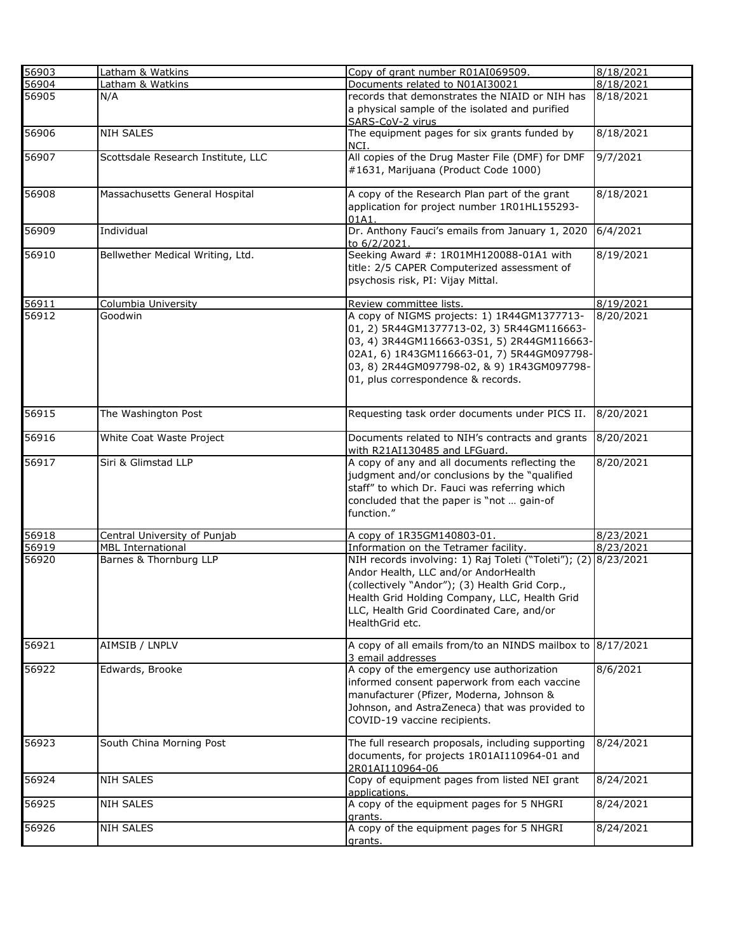| 56903 | Latham & Watkins                   | Copy of grant number R01AI069509.                                                                                                                                                                                                                                         | 8/18/2021 |
|-------|------------------------------------|---------------------------------------------------------------------------------------------------------------------------------------------------------------------------------------------------------------------------------------------------------------------------|-----------|
| 56904 | Latham & Watkins                   | Documents related to N01AI30021                                                                                                                                                                                                                                           | 8/18/2021 |
| 56905 | N/A                                | records that demonstrates the NIAID or NIH has<br>a physical sample of the isolated and purified                                                                                                                                                                          | 8/18/2021 |
| 56906 | <b>NIH SALES</b>                   | SARS-CoV-2 virus<br>The equipment pages for six grants funded by<br>NCI.                                                                                                                                                                                                  | 8/18/2021 |
| 56907 | Scottsdale Research Institute, LLC | All copies of the Drug Master File (DMF) for DMF<br>#1631, Marijuana (Product Code 1000)                                                                                                                                                                                  | 9/7/2021  |
| 56908 | Massachusetts General Hospital     | A copy of the Research Plan part of the grant<br>application for project number 1R01HL155293-<br>01A1.                                                                                                                                                                    | 8/18/2021 |
| 56909 | Individual                         | Dr. Anthony Fauci's emails from January 1, 2020<br>to 6/2/2021.                                                                                                                                                                                                           | 6/4/2021  |
| 56910 | Bellwether Medical Writing, Ltd.   | Seeking Award #: 1R01MH120088-01A1 with<br>title: 2/5 CAPER Computerized assessment of<br>psychosis risk, PI: Vijay Mittal.                                                                                                                                               | 8/19/2021 |
| 56911 | Columbia University                | Review committee lists.                                                                                                                                                                                                                                                   | 8/19/2021 |
| 56912 | Goodwin                            | A copy of NIGMS projects: 1) 1R44GM1377713-<br>01, 2) 5R44GM1377713-02, 3) 5R44GM116663-<br>03, 4) 3R44GM116663-03S1, 5) 2R44GM116663-<br>02A1, 6) 1R43GM116663-01, 7) 5R44GM097798-<br>03, 8) 2R44GM097798-02, & 9) 1R43GM097798-<br>01, plus correspondence & records.  | 8/20/2021 |
| 56915 | The Washington Post                | Requesting task order documents under PICS II.                                                                                                                                                                                                                            | 8/20/2021 |
| 56916 | White Coat Waste Project           | Documents related to NIH's contracts and grants<br>with R21AI130485 and LFGuard.                                                                                                                                                                                          | 8/20/2021 |
| 56917 | Siri & Glimstad LLP                | A copy of any and all documents reflecting the<br>judgment and/or conclusions by the "qualified<br>staff" to which Dr. Fauci was referring which<br>concluded that the paper is "not  gain-of<br>function."                                                               | 8/20/2021 |
| 56918 | Central University of Punjab       | A copy of 1R35GM140803-01.                                                                                                                                                                                                                                                | 8/23/2021 |
| 56919 | <b>MBL International</b>           | Information on the Tetramer facility.                                                                                                                                                                                                                                     | 8/23/2021 |
| 56920 | Barnes & Thornburg LLP             | NIH records involving: 1) Raj Toleti ("Toleti"); (2) 8/23/2021<br>Andor Health, LLC and/or AndorHealth<br>(collectively "Andor"); (3) Health Grid Corp.,<br>Health Grid Holding Company, LLC, Health Grid<br>LLC, Health Grid Coordinated Care, and/or<br>HealthGrid etc. |           |
| 56921 | AIMSIB / LNPLV                     | A copy of all emails from/to an NINDS mailbox to 8/17/2021<br>3 email addresses                                                                                                                                                                                           |           |
| 56922 | Edwards, Brooke                    | A copy of the emergency use authorization<br>informed consent paperwork from each vaccine<br>manufacturer (Pfizer, Moderna, Johnson &<br>Johnson, and AstraZeneca) that was provided to<br>COVID-19 vaccine recipients.                                                   | 8/6/2021  |
| 56923 | South China Morning Post           | The full research proposals, including supporting<br>documents, for projects 1R01AI110964-01 and<br>2R01AI110964-06                                                                                                                                                       | 8/24/2021 |
| 56924 | <b>NIH SALES</b>                   | Copy of equipment pages from listed NEI grant<br>applications.                                                                                                                                                                                                            | 8/24/2021 |
| 56925 | <b>NIH SALES</b>                   | A copy of the equipment pages for 5 NHGRI<br>grants.                                                                                                                                                                                                                      | 8/24/2021 |
| 56926 | <b>NIH SALES</b>                   | A copy of the equipment pages for 5 NHGRI<br>grants.                                                                                                                                                                                                                      | 8/24/2021 |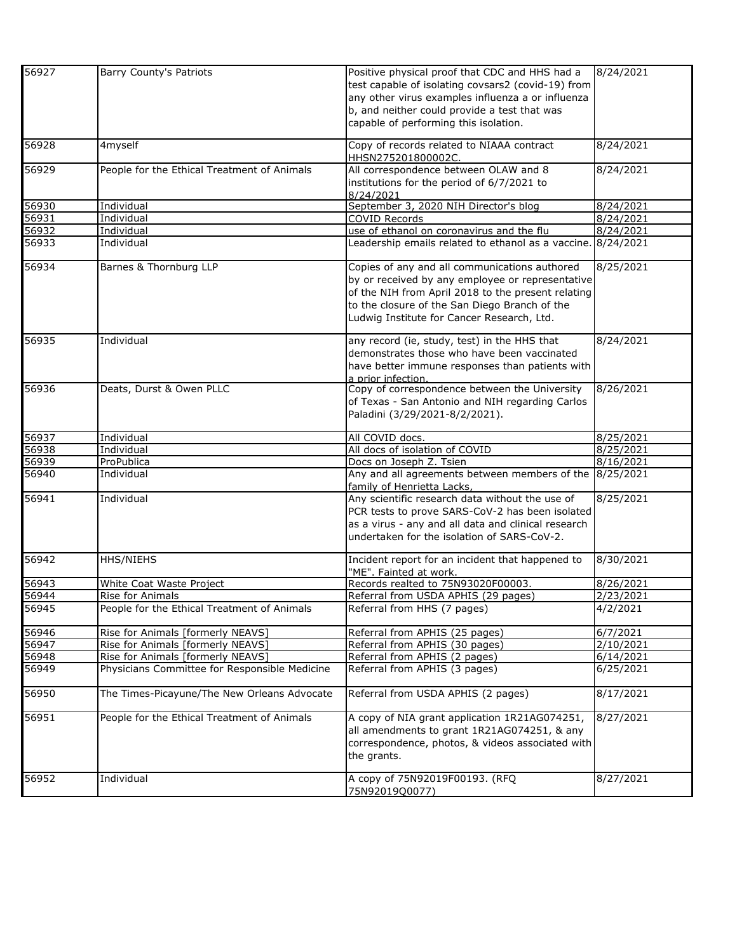| 56927 | Barry County's Patriots                       | Positive physical proof that CDC and HHS had a               | 8/24/2021 |
|-------|-----------------------------------------------|--------------------------------------------------------------|-----------|
|       |                                               | test capable of isolating covsars2 (covid-19) from           |           |
|       |                                               | any other virus examples influenza a or influenza            |           |
|       |                                               |                                                              |           |
|       |                                               | b, and neither could provide a test that was                 |           |
|       |                                               | capable of performing this isolation.                        |           |
| 56928 | 4myself                                       | Copy of records related to NIAAA contract                    | 8/24/2021 |
|       |                                               | HHSN275201800002C.                                           |           |
| 56929 | People for the Ethical Treatment of Animals   | All correspondence between OLAW and 8                        | 8/24/2021 |
|       |                                               | institutions for the period of 6/7/2021 to                   |           |
|       |                                               | 8/24/2021                                                    |           |
| 56930 |                                               | September 3, 2020 NIH Director's blog                        | 8/24/2021 |
|       | Individual                                    |                                                              |           |
| 56931 | Individual                                    | <b>COVID Records</b>                                         | 8/24/2021 |
| 56932 | Individual                                    | use of ethanol on coronavirus and the flu                    | 8/24/2021 |
| 56933 | Individual                                    | Leadership emails related to ethanol as a vaccine. 8/24/2021 |           |
| 56934 | Barnes & Thornburg LLP                        | Copies of any and all communications authored                | 8/25/2021 |
|       |                                               | by or received by any employee or representative             |           |
|       |                                               | of the NIH from April 2018 to the present relating           |           |
|       |                                               |                                                              |           |
|       |                                               | to the closure of the San Diego Branch of the                |           |
|       |                                               | Ludwig Institute for Cancer Research, Ltd.                   |           |
| 56935 | Individual                                    | any record (ie, study, test) in the HHS that                 | 8/24/2021 |
|       |                                               | demonstrates those who have been vaccinated                  |           |
|       |                                               | have better immune responses than patients with              |           |
|       |                                               | a prior infection.                                           |           |
| 56936 | Deats, Durst & Owen PLLC                      | Copy of correspondence between the University                | 8/26/2021 |
|       |                                               |                                                              |           |
|       |                                               | of Texas - San Antonio and NIH regarding Carlos              |           |
|       |                                               | Paladini (3/29/2021-8/2/2021).                               |           |
| 56937 | Individual                                    | All COVID docs.                                              | 8/25/2021 |
| 56938 | Individual                                    | All docs of isolation of COVID                               | 8/25/2021 |
| 56939 | ProPublica                                    | Docs on Joseph Z. Tsien                                      | 8/16/2021 |
| 56940 | Individual                                    | Any and all agreements between members of the                | 8/25/2021 |
|       |                                               | family of Henrietta Lacks,                                   |           |
| 56941 | Individual                                    | Any scientific research data without the use of              | 8/25/2021 |
|       |                                               | PCR tests to prove SARS-CoV-2 has been isolated              |           |
|       |                                               | as a virus - any and all data and clinical research          |           |
|       |                                               |                                                              |           |
|       |                                               | undertaken for the isolation of SARS-CoV-2.                  |           |
| 56942 | HHS/NIEHS                                     | Incident report for an incident that happened to             | 8/30/2021 |
|       |                                               | "ME". Fainted at work.                                       |           |
| 56943 | White Coat Waste Project                      | Records realted to 75N93020F00003.                           | 8/26/2021 |
| 56944 | Rise for Animals                              | Referral from USDA APHIS (29 pages)                          | 2/23/2021 |
| 56945 | People for the Ethical Treatment of Animals   | Referral from HHS (7 pages)                                  | 4/2/2021  |
| 56946 | Rise for Animals [formerly NEAVS]             | Referral from APHIS (25 pages)                               | 6/7/2021  |
| 56947 | Rise for Animals [formerly NEAVS]             | Referral from APHIS (30 pages)                               | 2/10/2021 |
| 56948 | Rise for Animals [formerly NEAVS]             | Referral from APHIS (2 pages)                                | 6/14/2021 |
| 56949 | Physicians Committee for Responsible Medicine | Referral from APHIS (3 pages)                                | 6/25/2021 |
|       |                                               |                                                              |           |
| 56950 | The Times-Picayune/The New Orleans Advocate   | Referral from USDA APHIS (2 pages)                           | 8/17/2021 |
| 56951 | People for the Ethical Treatment of Animals   | A copy of NIA grant application 1R21AG074251,                | 8/27/2021 |
|       |                                               | all amendments to grant 1R21AG074251, & any                  |           |
|       |                                               |                                                              |           |
|       |                                               | correspondence, photos, & videos associated with             |           |
|       |                                               | the grants.                                                  |           |
|       |                                               |                                                              |           |
| 56952 | Individual                                    | A copy of 75N92019F00193. (RFQ                               | 8/27/2021 |
|       |                                               | 75N92019Q0077)                                               |           |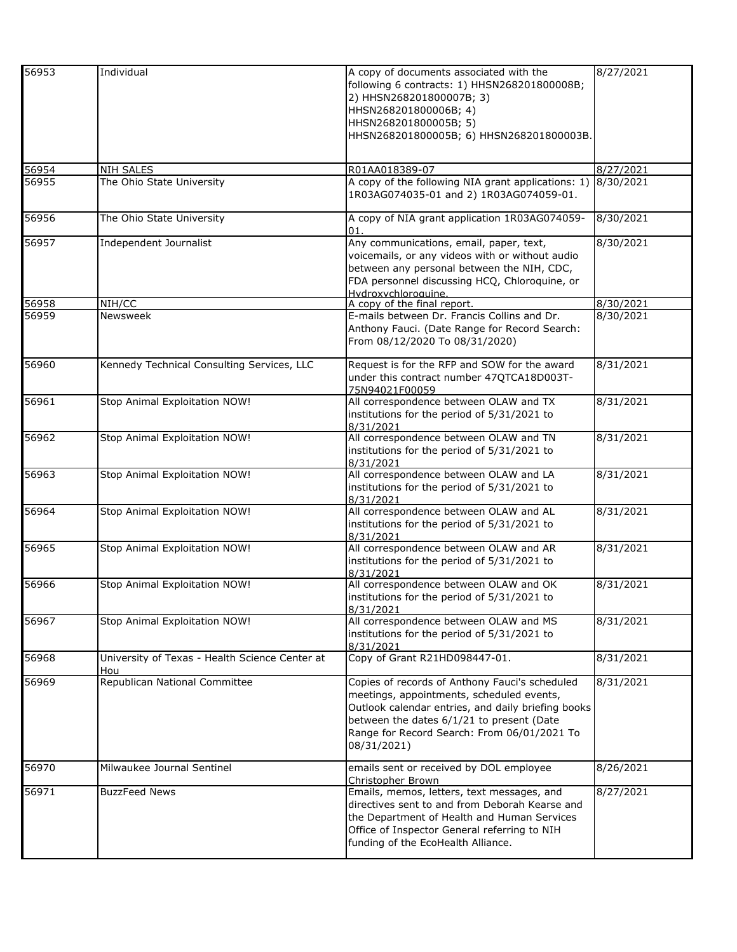| 56953 | Individual                                            | A copy of documents associated with the<br>following 6 contracts: 1) HHSN268201800008B;<br>2) HHSN268201800007B; 3)<br>HHSN268201800006B; 4)<br>HHSN268201800005B; 5)<br>HHSN268201800005B; 6) HHSN268201800003B.                                            | 8/27/2021 |
|-------|-------------------------------------------------------|--------------------------------------------------------------------------------------------------------------------------------------------------------------------------------------------------------------------------------------------------------------|-----------|
|       |                                                       |                                                                                                                                                                                                                                                              |           |
| 56954 | <b>NIH SALES</b>                                      | R01AA018389-07                                                                                                                                                                                                                                               | 8/27/2021 |
| 56955 | The Ohio State University                             | A copy of the following NIA grant applications: 1)<br>1R03AG074035-01 and 2) 1R03AG074059-01.                                                                                                                                                                | 8/30/2021 |
| 56956 | The Ohio State University                             | A copy of NIA grant application 1R03AG074059-<br>01.                                                                                                                                                                                                         | 8/30/2021 |
| 56957 | Independent Journalist                                | Any communications, email, paper, text,<br>voicemails, or any videos with or without audio<br>between any personal between the NIH, CDC,<br>FDA personnel discussing HCQ, Chloroquine, or<br>Hydroxychloroquine.                                             | 8/30/2021 |
| 56958 | NIH/CC                                                | A copy of the final report.                                                                                                                                                                                                                                  | 8/30/2021 |
| 56959 | Newsweek                                              | E-mails between Dr. Francis Collins and Dr.<br>Anthony Fauci. (Date Range for Record Search:<br>From 08/12/2020 To 08/31/2020)                                                                                                                               | 8/30/2021 |
| 56960 | Kennedy Technical Consulting Services, LLC            | Request is for the RFP and SOW for the award<br>under this contract number 47QTCA18D003T-<br>75N94021F00059                                                                                                                                                  | 8/31/2021 |
| 56961 | Stop Animal Exploitation NOW!                         | All correspondence between OLAW and TX<br>institutions for the period of 5/31/2021 to<br>8/31/2021                                                                                                                                                           | 8/31/2021 |
| 56962 | Stop Animal Exploitation NOW!                         | All correspondence between OLAW and TN<br>institutions for the period of 5/31/2021 to<br>8/31/2021                                                                                                                                                           | 8/31/2021 |
| 56963 | Stop Animal Exploitation NOW!                         | All correspondence between OLAW and LA<br>institutions for the period of 5/31/2021 to<br>8/31/2021                                                                                                                                                           | 8/31/2021 |
| 56964 | Stop Animal Exploitation NOW!                         | All correspondence between OLAW and AL<br>institutions for the period of 5/31/2021 to<br>8/31/2021                                                                                                                                                           | 8/31/2021 |
| 56965 | Stop Animal Exploitation NOW!                         | All correspondence between OLAW and AR<br>institutions for the period of 5/31/2021 to<br>8/31/2021                                                                                                                                                           | 8/31/2021 |
| 56966 | Stop Animal Exploitation NOW!                         | All correspondence between OLAW and OK<br>institutions for the period of 5/31/2021 to<br>8/31/2021                                                                                                                                                           | 8/31/2021 |
| 56967 | Stop Animal Exploitation NOW!                         | All correspondence between OLAW and MS<br>institutions for the period of 5/31/2021 to<br>8/31/2021                                                                                                                                                           | 8/31/2021 |
| 56968 | University of Texas - Health Science Center at<br>Hou | Copy of Grant R21HD098447-01.                                                                                                                                                                                                                                | 8/31/2021 |
| 56969 | Republican National Committee                         | Copies of records of Anthony Fauci's scheduled<br>meetings, appointments, scheduled events,<br>Outlook calendar entries, and daily briefing books<br>between the dates 6/1/21 to present (Date<br>Range for Record Search: From 06/01/2021 To<br>08/31/2021) | 8/31/2021 |
| 56970 | Milwaukee Journal Sentinel                            | emails sent or received by DOL employee<br>Christopher Brown                                                                                                                                                                                                 | 8/26/2021 |
| 56971 | <b>BuzzFeed News</b>                                  | Emails, memos, letters, text messages, and<br>directives sent to and from Deborah Kearse and<br>the Department of Health and Human Services<br>Office of Inspector General referring to NIH<br>funding of the EcoHealth Alliance.                            | 8/27/2021 |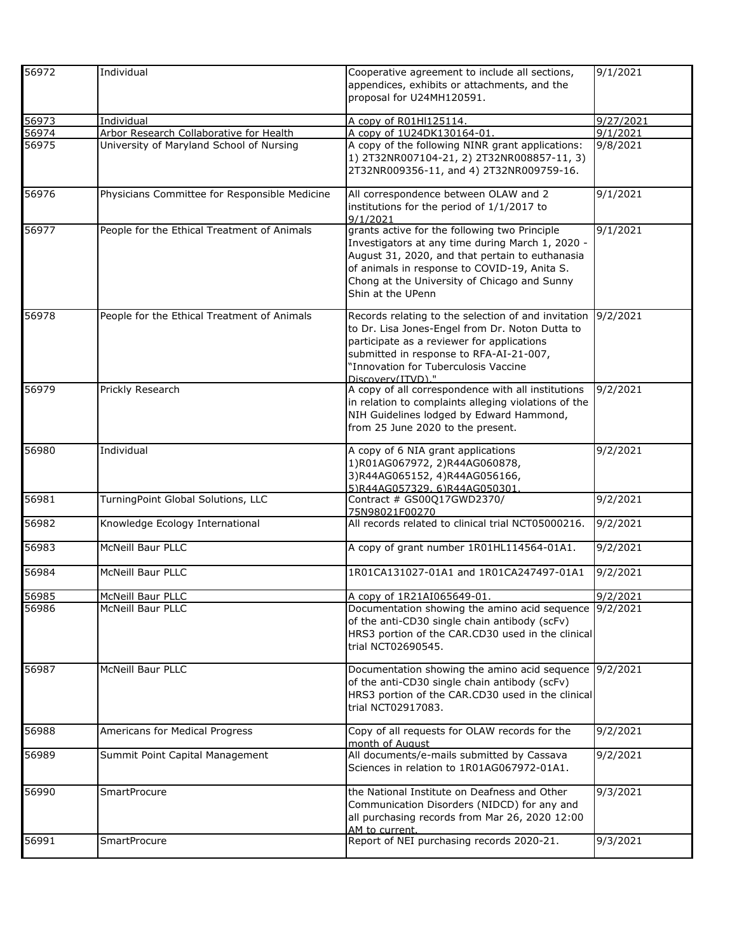| 56972 | Individual                                    | Cooperative agreement to include all sections,                                                                                                                                                                                                                            | 9/1/2021  |
|-------|-----------------------------------------------|---------------------------------------------------------------------------------------------------------------------------------------------------------------------------------------------------------------------------------------------------------------------------|-----------|
|       |                                               | appendices, exhibits or attachments, and the<br>proposal for U24MH120591.                                                                                                                                                                                                 |           |
| 56973 | Individual                                    | A copy of R01HI125114.                                                                                                                                                                                                                                                    | 9/27/2021 |
| 56974 | Arbor Research Collaborative for Health       | A copy of 1U24DK130164-01.                                                                                                                                                                                                                                                | 9/1/2021  |
| 56975 | University of Maryland School of Nursing      | A copy of the following NINR grant applications:<br>1) 2T32NR007104-21, 2) 2T32NR008857-11, 3)<br>2T32NR009356-11, and 4) 2T32NR009759-16.                                                                                                                                | 9/8/2021  |
| 56976 | Physicians Committee for Responsible Medicine | All correspondence between OLAW and 2<br>institutions for the period of 1/1/2017 to<br>9/1/2021                                                                                                                                                                           | 9/1/2021  |
| 56977 | People for the Ethical Treatment of Animals   | grants active for the following two Principle<br>Investigators at any time during March 1, 2020 -<br>August 31, 2020, and that pertain to euthanasia<br>of animals in response to COVID-19, Anita S.<br>Chong at the University of Chicago and Sunny<br>Shin at the UPenn | 9/1/2021  |
| 56978 | People for the Ethical Treatment of Animals   | Records relating to the selection of and invitation<br>to Dr. Lisa Jones-Engel from Dr. Noton Dutta to<br>participate as a reviewer for applications<br>submitted in response to RFA-AI-21-007,<br>"Innovation for Tuberculosis Vaccine<br>Discovery(ITVD) "              | 9/2/2021  |
| 56979 | Prickly Research                              | A copy of all correspondence with all institutions<br>in relation to complaints alleging violations of the<br>NIH Guidelines lodged by Edward Hammond,<br>from 25 June 2020 to the present.                                                                               | 9/2/2021  |
| 56980 | Individual                                    | A copy of 6 NIA grant applications<br>1)R01AG067972, 2)R44AG060878,<br>3)R44AG065152, 4)R44AG056166,<br>5)R44AG057329.6)R44AG050301                                                                                                                                       | 9/2/2021  |
| 56981 | TurningPoint Global Solutions, LLC            | Contract # GS00Q17GWD2370/<br>75N98021F00270                                                                                                                                                                                                                              | 9/2/2021  |
| 56982 | Knowledge Ecology International               | All records related to clinical trial NCT05000216.                                                                                                                                                                                                                        | 9/2/2021  |
| 56983 | McNeill Baur PLLC                             | A copy of grant number 1R01HL114564-01A1.                                                                                                                                                                                                                                 | 9/2/2021  |
| 56984 | McNeill Baur PLLC                             | 1R01CA131027-01A1 and 1R01CA247497-01A1                                                                                                                                                                                                                                   | 9/2/2021  |
| 56985 | McNeill Baur PLLC                             | A copy of 1R21AI065649-01.                                                                                                                                                                                                                                                | 9/2/2021  |
| 56986 | McNeill Baur PLLC                             | Documentation showing the amino acid sequence 9/2/2021<br>of the anti-CD30 single chain antibody (scFv)<br>HRS3 portion of the CAR.CD30 used in the clinical<br>trial NCT02690545.                                                                                        |           |
| 56987 | McNeill Baur PLLC                             | Documentation showing the amino acid sequence 9/2/2021<br>of the anti-CD30 single chain antibody (scFv)<br>HRS3 portion of the CAR.CD30 used in the clinical<br>trial NCT02917083.                                                                                        |           |
| 56988 | Americans for Medical Progress                | Copy of all requests for OLAW records for the<br>month of August                                                                                                                                                                                                          | 9/2/2021  |
| 56989 | Summit Point Capital Management               | All documents/e-mails submitted by Cassava<br>Sciences in relation to 1R01AG067972-01A1.                                                                                                                                                                                  | 9/2/2021  |
| 56990 | <b>SmartProcure</b>                           | the National Institute on Deafness and Other<br>Communication Disorders (NIDCD) for any and<br>all purchasing records from Mar 26, 2020 12:00<br>AM to current.                                                                                                           | 9/3/2021  |
| 56991 | <b>SmartProcure</b>                           | Report of NEI purchasing records 2020-21.                                                                                                                                                                                                                                 | 9/3/2021  |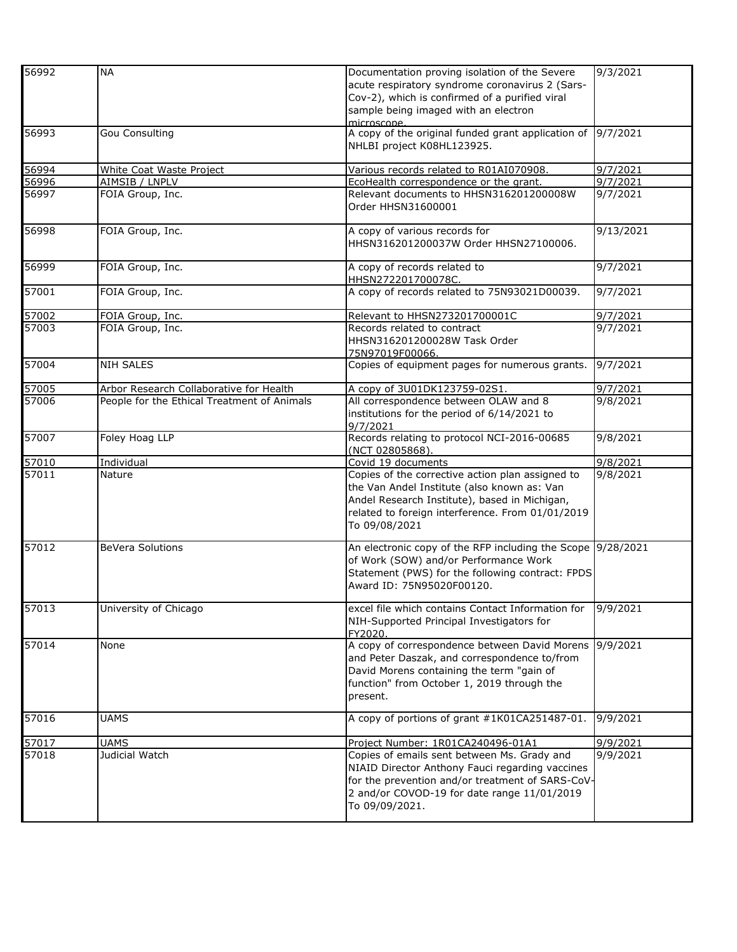| 56992          | <b>NA</b>                                   | Documentation proving isolation of the Severe<br>acute respiratory syndrome coronavirus 2 (Sars-<br>Cov-2), which is confirmed of a purified viral<br>sample being imaged with an electron<br>microscone.             | 9/3/2021  |
|----------------|---------------------------------------------|-----------------------------------------------------------------------------------------------------------------------------------------------------------------------------------------------------------------------|-----------|
| 56993          | <b>Gou Consulting</b>                       | A copy of the original funded grant application of 9/7/2021<br>NHLBI project K08HL123925.                                                                                                                             |           |
| 56994          | <b>White Coat Waste Project</b>             | Various records related to R01AI070908.                                                                                                                                                                               | 9/7/2021  |
| 56996          | AIMSIB / LNPLV                              | EcoHealth correspondence or the grant.                                                                                                                                                                                | 9/7/2021  |
| 56997          | FOIA Group, Inc.                            | Relevant documents to HHSN316201200008W<br>Order HHSN31600001                                                                                                                                                         | 9/7/2021  |
| 56998          | FOIA Group, Inc.                            | A copy of various records for<br>HHSN316201200037W Order HHSN27100006.                                                                                                                                                | 9/13/2021 |
| 56999          | FOIA Group, Inc.                            | A copy of records related to<br>HHSN272201700078C.                                                                                                                                                                    | 9/7/2021  |
| 57001          | FOIA Group, Inc.                            | A copy of records related to 75N93021D00039.                                                                                                                                                                          | 9/7/2021  |
| 57002<br>57003 | FOIA Group, Inc.                            | Relevant to HHSN273201700001C                                                                                                                                                                                         | 9/7/2021  |
|                | FOIA Group, Inc.                            | Records related to contract<br>HHSN316201200028W Task Order<br>75N97019F00066.                                                                                                                                        | 9/7/2021  |
| 57004          | <b>NIH SALES</b>                            | Copies of equipment pages for numerous grants.                                                                                                                                                                        | 9/7/2021  |
| 57005          | Arbor Research Collaborative for Health     | A copy of 3U01DK123759-02S1.                                                                                                                                                                                          | 9/7/2021  |
| 57006          | People for the Ethical Treatment of Animals | All correspondence between OLAW and 8<br>institutions for the period of 6/14/2021 to<br>9/7/2021                                                                                                                      | 9/8/2021  |
| 57007          | Foley Hoag LLP                              | Records relating to protocol NCI-2016-00685<br>(NCT 02805868).                                                                                                                                                        | 9/8/2021  |
| 57010          | Individual                                  | Covid 19 documents                                                                                                                                                                                                    | 9/8/2021  |
| 57011          | Nature                                      | Copies of the corrective action plan assigned to<br>the Van Andel Institute (also known as: Van<br>Andel Research Institute), based in Michigan,<br>related to foreign interference. From 01/01/2019<br>To 09/08/2021 | 9/8/2021  |
| 57012          | <b>BeVera Solutions</b>                     | An electronic copy of the RFP including the Scope 9/28/2021<br>of Work (SOW) and/or Performance Work<br>Statement (PWS) for the following contract: FPDS<br>Award ID: 75N95020F00120.                                 |           |
| 57013          | University of Chicago                       | excel file which contains Contact Information for<br>NIH-Supported Principal Investigators for<br>FY2020.                                                                                                             | 9/9/2021  |
| 57014          | None                                        | A copy of correspondence between David Morens<br>and Peter Daszak, and correspondence to/from<br>David Morens containing the term "gain of<br>function" from October 1, 2019 through the<br>present.                  | 9/9/2021  |
| 57016          | <b>UAMS</b>                                 | A copy of portions of grant #1K01CA251487-01.                                                                                                                                                                         | 9/9/2021  |
| 57017          | <b>UAMS</b>                                 | Project Number: 1R01CA240496-01A1                                                                                                                                                                                     | 9/9/2021  |
| 57018          | Judicial Watch                              | Copies of emails sent between Ms. Grady and<br>NIAID Director Anthony Fauci regarding vaccines<br>for the prevention and/or treatment of SARS-CoV-<br>2 and/or COVOD-19 for date range 11/01/2019<br>To 09/09/2021.   | 9/9/2021  |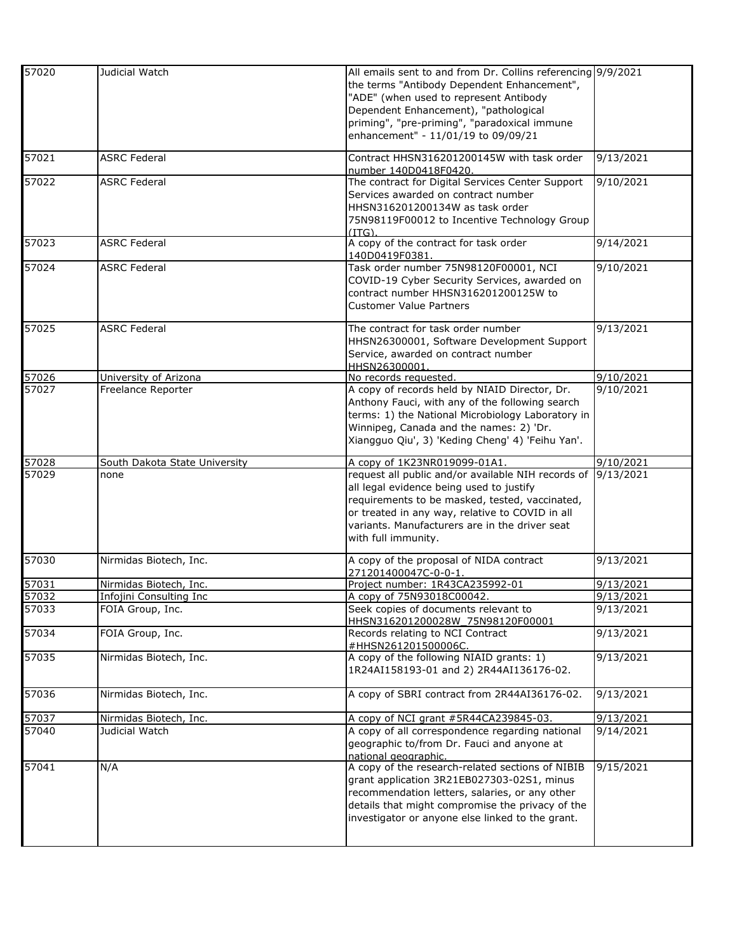| All emails sent to and from Dr. Collins referencing 9/9/2021<br>the terms "Antibody Dependent Enhancement",<br>"ADE" (when used to represent Antibody |
|-------------------------------------------------------------------------------------------------------------------------------------------------------|
|                                                                                                                                                       |
|                                                                                                                                                       |
|                                                                                                                                                       |
| Dependent Enhancement), "pathological                                                                                                                 |
| priming", "pre-priming", "paradoxical immune                                                                                                          |
| enhancement" - 11/01/19 to 09/09/21                                                                                                                   |
|                                                                                                                                                       |
| 9/13/2021<br>Contract HHSN316201200145W with task order                                                                                               |
|                                                                                                                                                       |
| The contract for Digital Services Center Support<br>9/10/2021                                                                                         |
| Services awarded on contract number                                                                                                                   |
| HHSN316201200134W as task order                                                                                                                       |
|                                                                                                                                                       |
| 75N98119F00012 to Incentive Technology Group                                                                                                          |
| A copy of the contract for task order<br>9/14/2021                                                                                                    |
|                                                                                                                                                       |
|                                                                                                                                                       |
| Task order number 75N98120F00001, NCI<br>9/10/2021                                                                                                    |
| COVID-19 Cyber Security Services, awarded on                                                                                                          |
| contract number HHSN316201200125W to                                                                                                                  |
|                                                                                                                                                       |
|                                                                                                                                                       |
| 9/13/2021<br>The contract for task order number                                                                                                       |
| HHSN26300001, Software Development Support                                                                                                            |
| Service, awarded on contract number                                                                                                                   |
|                                                                                                                                                       |
| 9/10/2021                                                                                                                                             |
| A copy of records held by NIAID Director, Dr.<br>9/10/2021                                                                                            |
| Anthony Fauci, with any of the following search                                                                                                       |
| terms: 1) the National Microbiology Laboratory in                                                                                                     |
|                                                                                                                                                       |
| Winnipeg, Canada and the names: 2) 'Dr.                                                                                                               |
| Xiangguo Qiu', 3) 'Keding Cheng' 4) 'Feihu Yan'.                                                                                                      |
|                                                                                                                                                       |
|                                                                                                                                                       |
| 9/10/2021                                                                                                                                             |
| request all public and/or available NIH records of<br>9/13/2021                                                                                       |
| all legal evidence being used to justify                                                                                                              |
| requirements to be masked, tested, vaccinated,                                                                                                        |
| or treated in any way, relative to COVID in all                                                                                                       |
| variants. Manufacturers are in the driver seat                                                                                                        |
|                                                                                                                                                       |
|                                                                                                                                                       |
| 9/13/2021                                                                                                                                             |
| A copy of the proposal of NIDA contract                                                                                                               |
| 9/13/2021                                                                                                                                             |
| Project number: 1R43CA235992-01                                                                                                                       |
| 9/13/2021                                                                                                                                             |
| Seek copies of documents relevant to<br>9/13/2021                                                                                                     |
| HHSN316201200028W 75N98120F00001                                                                                                                      |
| Records relating to NCI Contract<br>9/13/2021                                                                                                         |
|                                                                                                                                                       |
| A copy of the following NIAID grants: 1)<br>9/13/2021                                                                                                 |
| 1R24AI158193-01 and 2) 2R44AI136176-02.                                                                                                               |
|                                                                                                                                                       |
| A copy of SBRI contract from 2R44AI36176-02.<br>9/13/2021                                                                                             |
|                                                                                                                                                       |
| 9/13/2021<br>A copy of NCI grant #5R44CA239845-03.                                                                                                    |
| A copy of all correspondence regarding national<br>9/14/2021                                                                                          |
| geographic to/from Dr. Fauci and anyone at                                                                                                            |
|                                                                                                                                                       |
| A copy of the research-related sections of NIBIB<br>9/15/2021                                                                                         |
| grant application 3R21EB027303-02S1, minus                                                                                                            |
|                                                                                                                                                       |
| recommendation letters, salaries, or any other                                                                                                        |
| details that might compromise the privacy of the                                                                                                      |
| investigator or anyone else linked to the grant.                                                                                                      |
|                                                                                                                                                       |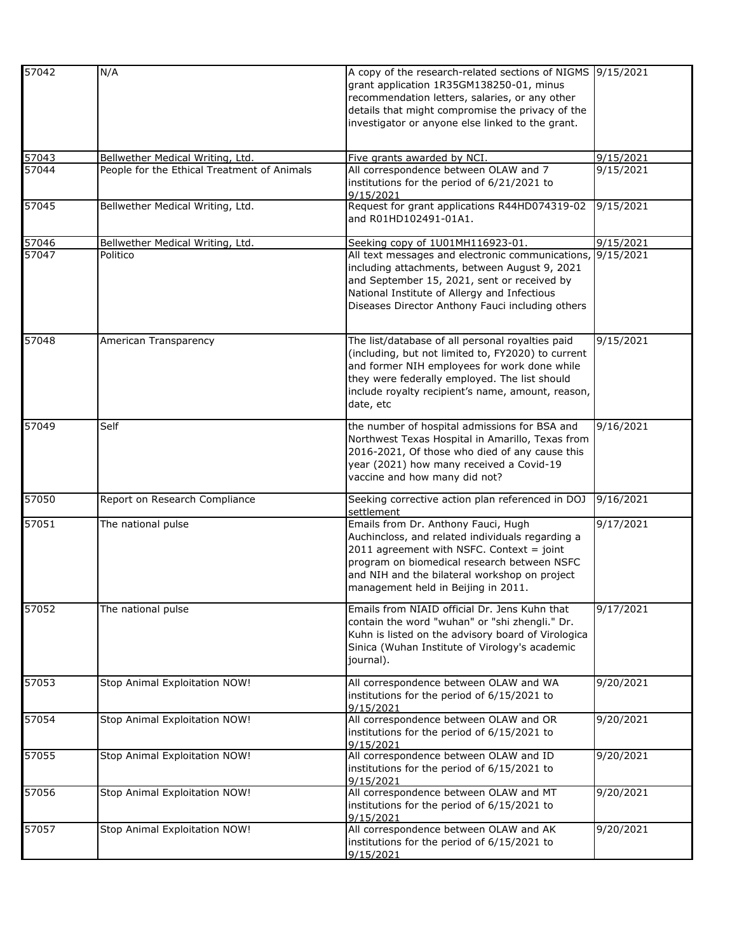| 57042 | N/A                                         | A copy of the research-related sections of NIGMS 9/15/2021<br>grant application 1R35GM138250-01, minus<br>recommendation letters, salaries, or any other<br>details that might compromise the privacy of the<br>investigator or anyone else linked to the grant.            |           |
|-------|---------------------------------------------|-----------------------------------------------------------------------------------------------------------------------------------------------------------------------------------------------------------------------------------------------------------------------------|-----------|
| 57043 | Bellwether Medical Writing, Ltd.            | Five grants awarded by NCI.                                                                                                                                                                                                                                                 | 9/15/2021 |
| 57044 | People for the Ethical Treatment of Animals | All correspondence between OLAW and 7<br>institutions for the period of 6/21/2021 to<br>9/15/2021                                                                                                                                                                           | 9/15/2021 |
| 57045 | Bellwether Medical Writing, Ltd.            | Request for grant applications R44HD074319-02<br>and R01HD102491-01A1.                                                                                                                                                                                                      | 9/15/2021 |
| 57046 | Bellwether Medical Writing, Ltd.            | Seeking copy of 1U01MH116923-01.                                                                                                                                                                                                                                            | 9/15/2021 |
| 57047 | Politico                                    | All text messages and electronic communications<br>including attachments, between August 9, 2021<br>and September 15, 2021, sent or received by<br>National Institute of Allergy and Infectious<br>Diseases Director Anthony Fauci including others                         | 9/15/2021 |
| 57048 | American Transparency                       | The list/database of all personal royalties paid<br>(including, but not limited to, FY2020) to current<br>and former NIH employees for work done while<br>they were federally employed. The list should<br>include royalty recipient's name, amount, reason,<br>date, etc   | 9/15/2021 |
| 57049 | Self                                        | the number of hospital admissions for BSA and<br>Northwest Texas Hospital in Amarillo, Texas from<br>2016-2021, Of those who died of any cause this<br>year (2021) how many received a Covid-19<br>vaccine and how many did not?                                            | 9/16/2021 |
| 57050 | Report on Research Compliance               | Seeking corrective action plan referenced in DOJ<br>settlement                                                                                                                                                                                                              | 9/16/2021 |
| 57051 | The national pulse                          | Emails from Dr. Anthony Fauci, Hugh<br>Auchincloss, and related individuals regarding a<br>2011 agreement with NSFC. Context = joint<br>program on biomedical research between NSFC<br>and NIH and the bilateral workshop on project<br>management held in Beijing in 2011. | 9/17/2021 |
| 57052 | The national pulse                          | Emails from NIAID official Dr. Jens Kuhn that<br>contain the word "wuhan" or "shi zhengli." Dr.<br>Kuhn is listed on the advisory board of Virologica<br>Sinica (Wuhan Institute of Virology's academic<br>journal).                                                        | 9/17/2021 |
| 57053 | Stop Animal Exploitation NOW!               | All correspondence between OLAW and WA<br>institutions for the period of 6/15/2021 to<br>9/15/2021                                                                                                                                                                          | 9/20/2021 |
| 57054 | Stop Animal Exploitation NOW!               | All correspondence between OLAW and OR<br>institutions for the period of 6/15/2021 to<br>9/15/2021                                                                                                                                                                          | 9/20/2021 |
| 57055 | Stop Animal Exploitation NOW!               | All correspondence between OLAW and ID<br>institutions for the period of 6/15/2021 to<br>9/15/2021                                                                                                                                                                          | 9/20/2021 |
| 57056 | Stop Animal Exploitation NOW!               | All correspondence between OLAW and MT<br>institutions for the period of 6/15/2021 to<br>9/15/2021                                                                                                                                                                          | 9/20/2021 |
| 57057 | Stop Animal Exploitation NOW!               | All correspondence between OLAW and AK<br>institutions for the period of 6/15/2021 to<br>9/15/2021                                                                                                                                                                          | 9/20/2021 |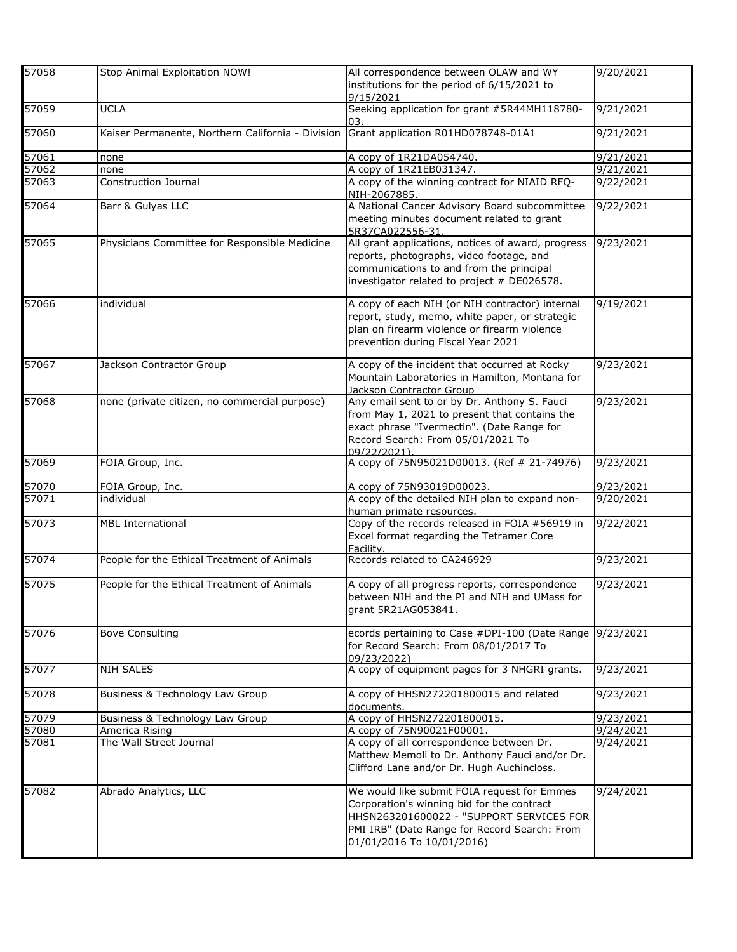| 57058 | Stop Animal Exploitation NOW!                     | All correspondence between OLAW and WY<br>institutions for the period of 6/15/2021 to<br>9/15/2021                                                                                                                 | 9/20/2021              |
|-------|---------------------------------------------------|--------------------------------------------------------------------------------------------------------------------------------------------------------------------------------------------------------------------|------------------------|
| 57059 | <b>UCLA</b>                                       | Seeking application for grant #5R44MH118780-<br>03.                                                                                                                                                                | 9/21/2021              |
| 57060 | Kaiser Permanente, Northern California - Division | Grant application R01HD078748-01A1                                                                                                                                                                                 | 9/21/2021              |
| 57061 | none                                              | A copy of 1R21DA054740.                                                                                                                                                                                            | 9/21/2021              |
| 57062 | none                                              | A copy of 1R21EB031347.                                                                                                                                                                                            | 9/21/2021              |
| 57063 | Construction Journal                              | A copy of the winning contract for NIAID RFQ-<br>NIH-2067885.                                                                                                                                                      | 9/22/2021              |
| 57064 | Barr & Gulyas LLC                                 | A National Cancer Advisory Board subcommittee<br>meeting minutes document related to grant<br>5R37CA022556-31.                                                                                                     | 9/22/2021              |
| 57065 | Physicians Committee for Responsible Medicine     | All grant applications, notices of award, progress<br>reports, photographs, video footage, and<br>communications to and from the principal<br>investigator related to project # DE026578.                          | 9/23/2021              |
| 57066 | individual                                        | A copy of each NIH (or NIH contractor) internal<br>report, study, memo, white paper, or strategic<br>plan on firearm violence or firearm violence<br>prevention during Fiscal Year 2021                            | 9/19/2021              |
| 57067 | Jackson Contractor Group                          | A copy of the incident that occurred at Rocky<br>Mountain Laboratories in Hamilton, Montana for<br>Jackson Contractor Group                                                                                        | 9/23/2021              |
| 57068 | none (private citizen, no commercial purpose)     | Any email sent to or by Dr. Anthony S. Fauci<br>from May 1, 2021 to present that contains the<br>exact phrase "Ivermectin". (Date Range for<br>Record Search: From 05/01/2021 To<br>09/22/2021)                    | 9/23/2021              |
| 57069 | FOIA Group, Inc.                                  | A copy of 75N95021D00013. (Ref # 21-74976)                                                                                                                                                                         | 9/23/2021              |
| 57070 | FOIA Group, Inc.                                  | A copy of 75N93019D00023.                                                                                                                                                                                          | 9/23/2021              |
| 57071 | individual                                        | A copy of the detailed NIH plan to expand non-<br>human primate resources.                                                                                                                                         | 9/20/2021              |
| 57073 | <b>MBL International</b>                          | Copy of the records released in FOIA #56919 in<br>Excel format regarding the Tetramer Core<br>Facility.                                                                                                            | $\overline{9/22/2021}$ |
| 57074 | People for the Ethical Treatment of Animals       | Records related to CA246929                                                                                                                                                                                        | 9/23/2021              |
| 57075 | People for the Ethical Treatment of Animals       | A copy of all progress reports, correspondence<br>between NIH and the PI and NIH and UMass for<br>grant 5R21AG053841.                                                                                              | 9/23/2021              |
| 57076 | <b>Bove Consulting</b>                            | ecords pertaining to Case #DPI-100 (Date Range<br>for Record Search: From 08/01/2017 To<br>09/23/2022)                                                                                                             | 9/23/2021              |
| 57077 | NIH SALES                                         | A copy of equipment pages for 3 NHGRI grants.                                                                                                                                                                      | 9/23/2021              |
| 57078 | Business & Technology Law Group                   | A copy of HHSN272201800015 and related<br>documents.                                                                                                                                                               | 9/23/2021              |
| 57079 | Business & Technology Law Group                   | A copy of HHSN272201800015.                                                                                                                                                                                        | 9/23/2021              |
| 57080 | America Rising                                    | A copy of 75N90021F00001.                                                                                                                                                                                          | 9/24/2021              |
| 57081 | The Wall Street Journal                           | A copy of all correspondence between Dr.<br>Matthew Memoli to Dr. Anthony Fauci and/or Dr.<br>Clifford Lane and/or Dr. Hugh Auchincloss.                                                                           | 9/24/2021              |
| 57082 | Abrado Analytics, LLC                             | We would like submit FOIA request for Emmes<br>Corporation's winning bid for the contract<br>HHSN263201600022 - "SUPPORT SERVICES FOR<br>PMI IRB" (Date Range for Record Search: From<br>01/01/2016 To 10/01/2016) | 9/24/2021              |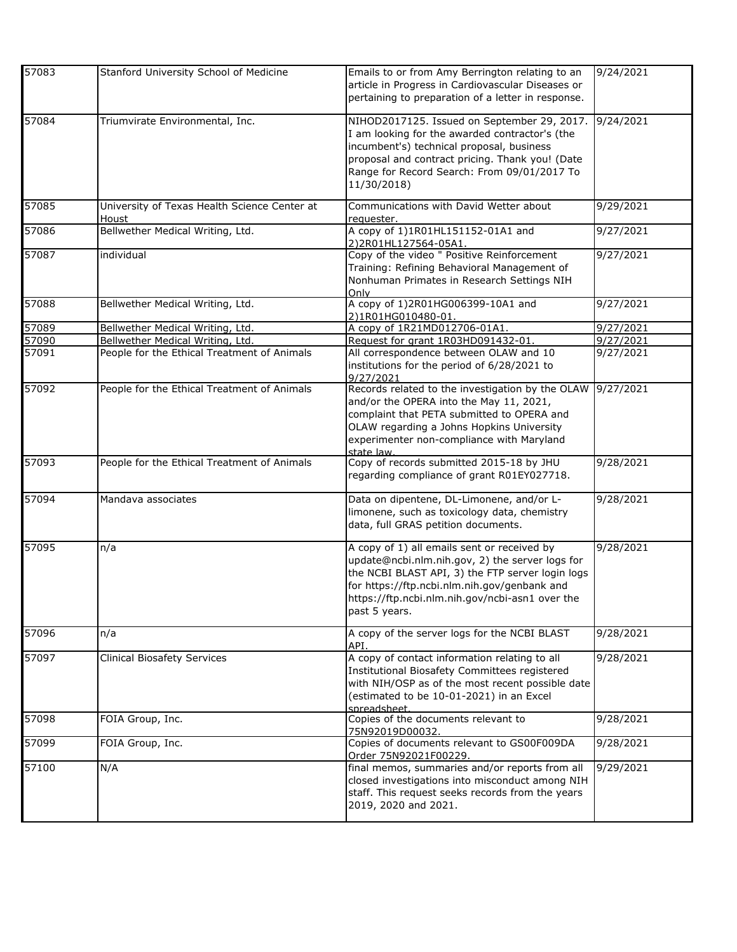| 57083 | Stanford University School of Medicine                | Emails to or from Amy Berrington relating to an<br>article in Progress in Cardiovascular Diseases or<br>pertaining to preparation of a letter in response.                                                                                                             | 9/24/2021 |
|-------|-------------------------------------------------------|------------------------------------------------------------------------------------------------------------------------------------------------------------------------------------------------------------------------------------------------------------------------|-----------|
| 57084 | Triumvirate Environmental, Inc.                       | NIHOD2017125. Issued on September 29, 2017.<br>I am looking for the awarded contractor's (the<br>incumbent's) technical proposal, business<br>proposal and contract pricing. Thank you! (Date<br>Range for Record Search: From 09/01/2017 To<br>11/30/2018)            | 9/24/2021 |
| 57085 | University of Texas Health Science Center at<br>Houst | Communications with David Wetter about<br>requester.                                                                                                                                                                                                                   | 9/29/2021 |
| 57086 | Bellwether Medical Writing, Ltd.                      | A copy of 1)1R01HL151152-01A1 and<br>2)2R01HL127564-05A1.                                                                                                                                                                                                              | 9/27/2021 |
| 57087 | individual                                            | Copy of the video " Positive Reinforcement<br>Training: Refining Behavioral Management of<br>Nonhuman Primates in Research Settings NIH<br>Only                                                                                                                        | 9/27/2021 |
| 57088 | Bellwether Medical Writing, Ltd.                      | A copy of 1)2R01HG006399-10A1 and<br>2)1R01HG010480-01                                                                                                                                                                                                                 | 9/27/2021 |
| 57089 | Bellwether Medical Writing, Ltd.                      | A copy of 1R21MD012706-01A1.                                                                                                                                                                                                                                           | 9/27/2021 |
| 57090 | Bellwether Medical Writing, Ltd.                      | Request for grant 1R03HD091432-01.                                                                                                                                                                                                                                     | 9/27/2021 |
| 57091 | People for the Ethical Treatment of Animals           | All correspondence between OLAW and 10<br>institutions for the period of 6/28/2021 to<br>9/27/2021                                                                                                                                                                     | 9/27/2021 |
| 57092 | People for the Ethical Treatment of Animals           | Records related to the investigation by the OLAW<br>and/or the OPERA into the May 11, 2021,<br>complaint that PETA submitted to OPERA and<br>OLAW regarding a Johns Hopkins University<br>experimenter non-compliance with Maryland<br>state law.                      | 9/27/2021 |
| 57093 | People for the Ethical Treatment of Animals           | Copy of records submitted 2015-18 by JHU<br>regarding compliance of grant R01EY027718.                                                                                                                                                                                 | 9/28/2021 |
| 57094 | Mandava associates                                    | Data on dipentene, DL-Limonene, and/or L-<br>limonene, such as toxicology data, chemistry<br>data, full GRAS petition documents.                                                                                                                                       | 9/28/2021 |
| 57095 | n/a                                                   | A copy of 1) all emails sent or received by<br>update@ncbi.nlm.nih.gov, 2) the server logs for<br>the NCBI BLAST API, 3) the FTP server login logs<br>for https://ftp.ncbi.nlm.nih.gov/genbank and<br>https://ftp.ncbi.nlm.nih.gov/ncbi-asn1 over the<br>past 5 years. | 9/28/2021 |
| 57096 | n/a                                                   | A copy of the server logs for the NCBI BLAST<br>API.                                                                                                                                                                                                                   | 9/28/2021 |
| 57097 | <b>Clinical Biosafety Services</b>                    | A copy of contact information relating to all<br>Institutional Biosafety Committees registered<br>with NIH/OSP as of the most recent possible date<br>(estimated to be 10-01-2021) in an Excel<br>spreadsheet.                                                         | 9/28/2021 |
| 57098 | FOIA Group, Inc.                                      | Copies of the documents relevant to<br>75N92019D00032.                                                                                                                                                                                                                 | 9/28/2021 |
| 57099 | FOIA Group, Inc.                                      | Copies of documents relevant to GS00F009DA<br>Order 75N92021F00229.                                                                                                                                                                                                    | 9/28/2021 |
| 57100 | N/A                                                   | final memos, summaries and/or reports from all<br>closed investigations into misconduct among NIH<br>staff. This request seeks records from the years<br>2019, 2020 and 2021.                                                                                          | 9/29/2021 |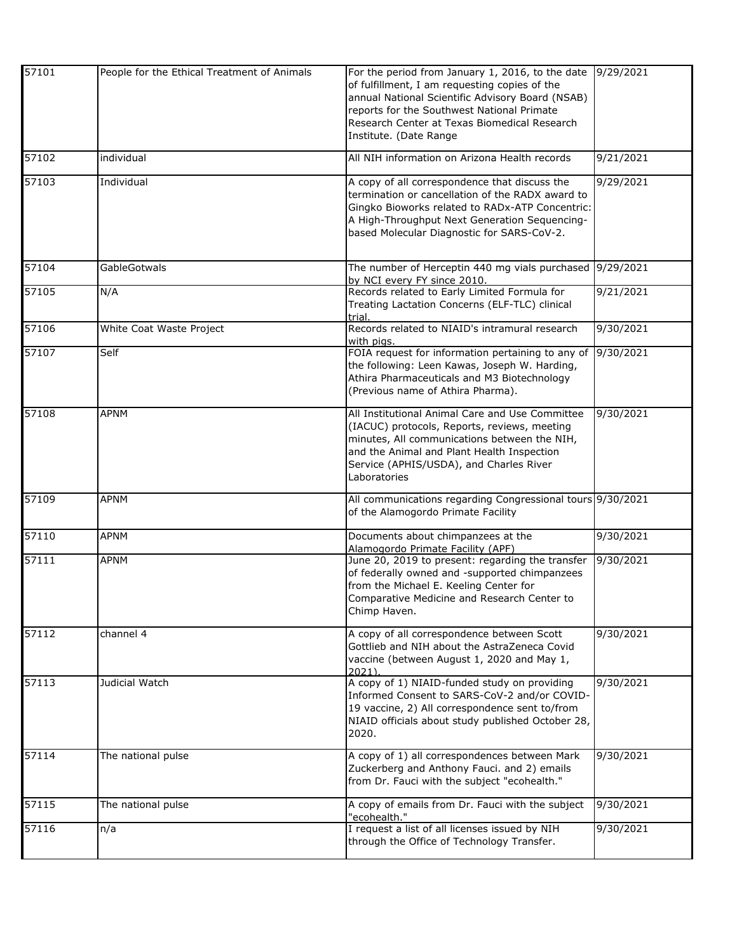| 57101 | People for the Ethical Treatment of Animals | For the period from January 1, 2016, to the date<br>of fulfillment, I am requesting copies of the<br>annual National Scientific Advisory Board (NSAB)<br>reports for the Southwest National Primate<br>Research Center at Texas Biomedical Research<br>Institute. (Date Range | 9/29/2021 |
|-------|---------------------------------------------|-------------------------------------------------------------------------------------------------------------------------------------------------------------------------------------------------------------------------------------------------------------------------------|-----------|
| 57102 | individual                                  | All NIH information on Arizona Health records                                                                                                                                                                                                                                 | 9/21/2021 |
| 57103 | Individual                                  | A copy of all correspondence that discuss the<br>termination or cancellation of the RADX award to<br>Gingko Bioworks related to RADx-ATP Concentric:<br>A High-Throughput Next Generation Sequencing-<br>based Molecular Diagnostic for SARS-CoV-2.                           | 9/29/2021 |
| 57104 | GableGotwals                                | The number of Herceptin 440 mg vials purchased 9/29/2021<br>by NCI every FY since 2010.                                                                                                                                                                                       |           |
| 57105 | N/A                                         | Records related to Early Limited Formula for<br>Treating Lactation Concerns (ELF-TLC) clinical<br>trial.                                                                                                                                                                      | 9/21/2021 |
| 57106 | White Coat Waste Project                    | Records related to NIAID's intramural research<br>with pigs.                                                                                                                                                                                                                  | 9/30/2021 |
| 57107 | Self                                        | FOIA request for information pertaining to any of<br>the following: Leen Kawas, Joseph W. Harding,<br>Athira Pharmaceuticals and M3 Biotechnology<br>(Previous name of Athira Pharma).                                                                                        | 9/30/2021 |
| 57108 | <b>APNM</b>                                 | All Institutional Animal Care and Use Committee<br>(IACUC) protocols, Reports, reviews, meeting<br>minutes, All communications between the NIH,<br>and the Animal and Plant Health Inspection<br>Service (APHIS/USDA), and Charles River<br>Laboratories                      | 9/30/2021 |
| 57109 | <b>APNM</b>                                 | All communications regarding Congressional tours 9/30/2021<br>of the Alamogordo Primate Facility                                                                                                                                                                              |           |
| 57110 | <b>APNM</b>                                 | Documents about chimpanzees at the<br>Alamogordo Primate Facility (APF)                                                                                                                                                                                                       | 9/30/2021 |
| 57111 | <b>APNM</b>                                 | June 20, 2019 to present: regarding the transfer<br>of federally owned and -supported chimpanzees<br>from the Michael E. Keeling Center for<br>Comparative Medicine and Research Center to<br>Chimp Haven.                                                                    | 9/30/2021 |
| 57112 | channel 4                                   | A copy of all correspondence between Scott<br>Gottlieb and NIH about the AstraZeneca Covid<br>vaccine (between August 1, 2020 and May 1,<br>2021                                                                                                                              | 9/30/2021 |
| 57113 | Judicial Watch                              | A copy of 1) NIAID-funded study on providing<br>Informed Consent to SARS-CoV-2 and/or COVID-<br>19 vaccine, 2) All correspondence sent to/from<br>NIAID officials about study published October 28,<br>2020.                                                                  | 9/30/2021 |
| 57114 | The national pulse                          | A copy of 1) all correspondences between Mark<br>Zuckerberg and Anthony Fauci. and 2) emails<br>from Dr. Fauci with the subject "ecohealth."                                                                                                                                  | 9/30/2021 |
| 57115 | The national pulse                          | A copy of emails from Dr. Fauci with the subject<br>"ecohealth."                                                                                                                                                                                                              | 9/30/2021 |
| 57116 | n/a                                         | I request a list of all licenses issued by NIH<br>through the Office of Technology Transfer.                                                                                                                                                                                  | 9/30/2021 |